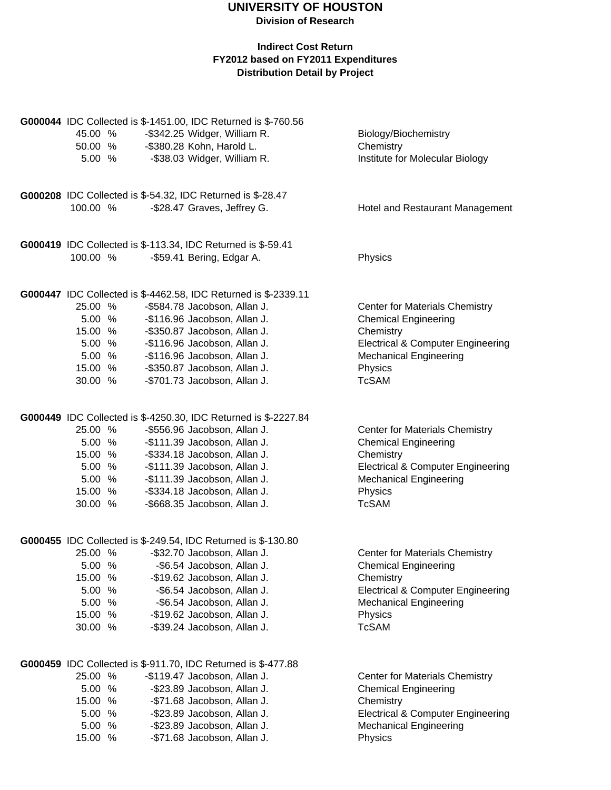## **UNIVERSITY OF HOUSTON Division of Research**

| 45.00 %<br>50.00 %<br>5.00%                                            | G000044 IDC Collected is \$-1451.00, IDC Returned is \$-760.56<br>-\$342.25 Widger, William R.<br>-\$380.28 Kohn, Harold L.<br>-\$38.03 Widger, William R.                                                                                                                                      | Biology/Biochemistry<br>Chemistry<br>Institute for Molecular Biology                                                                                                                          |
|------------------------------------------------------------------------|-------------------------------------------------------------------------------------------------------------------------------------------------------------------------------------------------------------------------------------------------------------------------------------------------|-----------------------------------------------------------------------------------------------------------------------------------------------------------------------------------------------|
| 100.00 %                                                               | G000208 IDC Collected is \$-54.32, IDC Returned is \$-28.47<br>-\$28.47 Graves, Jeffrey G.                                                                                                                                                                                                      | Hotel and Restaurant Management                                                                                                                                                               |
|                                                                        | G000419 IDC Collected is \$-113.34, IDC Returned is \$-59.41                                                                                                                                                                                                                                    |                                                                                                                                                                                               |
| 100.00 %                                                               | -\$59.41 Bering, Edgar A.                                                                                                                                                                                                                                                                       | Physics                                                                                                                                                                                       |
| 25.00 %<br>5.00 %<br>15.00 %<br>5.00 %<br>5.00 %<br>15.00 %<br>30.00 % | G000447 IDC Collected is \$-4462.58, IDC Returned is \$-2339.11<br>-\$584.78 Jacobson, Allan J.<br>-\$116.96 Jacobson, Allan J.<br>-\$350.87 Jacobson, Allan J.<br>-\$116.96 Jacobson, Allan J.<br>-\$116.96 Jacobson, Allan J.<br>-\$350.87 Jacobson, Allan J.<br>-\$701.73 Jacobson, Allan J. | <b>Center for Materials Chemistry</b><br><b>Chemical Engineering</b><br>Chemistry<br><b>Electrical &amp; Computer Engineering</b><br><b>Mechanical Engineering</b><br>Physics<br><b>TcSAM</b> |
| 25.00 %<br>5.00 %<br>15.00 %<br>5.00 %<br>5.00 %<br>15.00 %<br>30.00 % | G000449 IDC Collected is \$-4250.30, IDC Returned is \$-2227.84<br>-\$556.96 Jacobson, Allan J.<br>-\$111.39 Jacobson, Allan J.<br>-\$334.18 Jacobson, Allan J.<br>-\$111.39 Jacobson, Allan J.<br>-\$111.39 Jacobson, Allan J.<br>-\$334.18 Jacobson, Allan J.<br>-\$668.35 Jacobson, Allan J. | <b>Center for Materials Chemistry</b><br><b>Chemical Engineering</b><br>Chemistry<br><b>Electrical &amp; Computer Engineering</b><br><b>Mechanical Engineering</b><br>Physics<br><b>TcSAM</b> |
| 25.00 %<br>5.00 %<br>15.00 %<br>5.00 %<br>5.00 %<br>15.00 %<br>30.00 % | G000455 IDC Collected is \$-249.54, IDC Returned is \$-130.80<br>-\$32.70 Jacobson, Allan J.<br>-\$6.54 Jacobson, Allan J.<br>-\$19.62 Jacobson, Allan J.<br>-\$6.54 Jacobson, Allan J.<br>-\$6.54 Jacobson, Allan J.<br>-\$19.62 Jacobson, Allan J.<br>-\$39.24 Jacobson, Allan J.             | <b>Center for Materials Chemistry</b><br><b>Chemical Engineering</b><br>Chemistry<br><b>Electrical &amp; Computer Engineering</b><br><b>Mechanical Engineering</b><br>Physics<br><b>TcSAM</b> |
| 25.00 %<br>5.00 %<br>15.00 %<br>5.00 %<br>5.00 %<br>15.00 %            | G000459 IDC Collected is \$-911.70, IDC Returned is \$-477.88<br>-\$119.47 Jacobson, Allan J.<br>-\$23.89 Jacobson, Allan J.<br>-\$71.68 Jacobson, Allan J.<br>-\$23.89 Jacobson, Allan J.<br>-\$23.89 Jacobson, Allan J.<br>-\$71.68 Jacobson, Allan J.                                        | Center for Materials Chemistry<br><b>Chemical Engineering</b><br>Chemistry<br><b>Electrical &amp; Computer Engineering</b><br><b>Mechanical Engineering</b><br>Physics                        |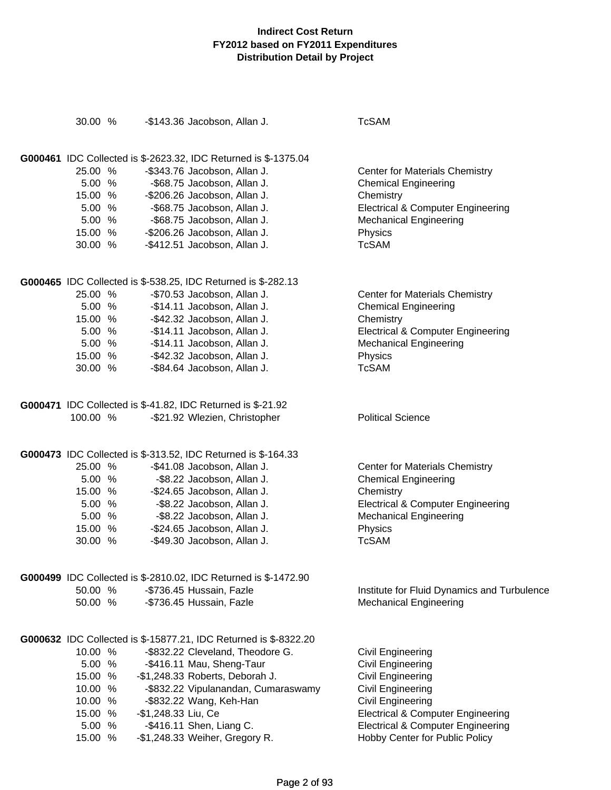| 30.00 %  |                     | -\$143.36 Jacobson, Allan J.                                           | <b>TcSAM</b>                                 |
|----------|---------------------|------------------------------------------------------------------------|----------------------------------------------|
|          |                     | <b>G000461</b> IDC Collected is \$-2623.32, IDC Returned is \$-1375.04 |                                              |
| 25.00 %  |                     | -\$343.76 Jacobson, Allan J.                                           | <b>Center for Materials Chemistry</b>        |
| 5.00 %   |                     | -\$68.75 Jacobson, Allan J.                                            | <b>Chemical Engineering</b>                  |
| 15.00 %  |                     | -\$206.26 Jacobson, Allan J.                                           | Chemistry                                    |
| 5.00 %   |                     | -\$68.75 Jacobson, Allan J.                                            | <b>Electrical &amp; Computer Engineering</b> |
| 5.00 %   |                     | -\$68.75 Jacobson, Allan J.                                            | <b>Mechanical Engineering</b>                |
| 15.00 %  |                     | -\$206.26 Jacobson, Allan J.                                           | Physics                                      |
| 30.00 %  |                     | -\$412.51 Jacobson, Allan J.                                           | <b>TcSAM</b>                                 |
|          |                     | <b>G000465</b> IDC Collected is \$-538.25, IDC Returned is \$-282.13   |                                              |
| 25.00 %  |                     | -\$70.53 Jacobson, Allan J.                                            | <b>Center for Materials Chemistry</b>        |
| 5.00 %   |                     | -\$14.11 Jacobson, Allan J.                                            | <b>Chemical Engineering</b>                  |
| 15.00 %  |                     | -\$42.32 Jacobson, Allan J.                                            | Chemistry                                    |
| 5.00 %   |                     | -\$14.11 Jacobson, Allan J.                                            | <b>Electrical &amp; Computer Engineering</b> |
| 5.00 %   |                     | -\$14.11 Jacobson, Allan J.                                            | <b>Mechanical Engineering</b>                |
| 15.00 %  |                     | -\$42.32 Jacobson, Allan J.                                            | Physics                                      |
| 30.00 %  |                     | -\$84.64 Jacobson, Allan J.                                            | <b>TcSAM</b>                                 |
|          |                     | <b>G000471</b> IDC Collected is \$-41.82, IDC Returned is \$-21.92     |                                              |
| 100.00 % |                     | -\$21.92 Wlezien, Christopher                                          | <b>Political Science</b>                     |
|          |                     | <b>G000473</b> IDC Collected is \$-313.52, IDC Returned is \$-164.33   |                                              |
| 25.00 %  |                     | -\$41.08 Jacobson, Allan J.                                            | <b>Center for Materials Chemistry</b>        |
| 5.00 %   |                     | -\$8.22 Jacobson, Allan J.                                             | <b>Chemical Engineering</b>                  |
| 15.00 %  |                     | -\$24.65 Jacobson, Allan J.                                            | Chemistry                                    |
| 5.00 %   |                     | -\$8.22 Jacobson, Allan J.                                             | <b>Electrical &amp; Computer Engineering</b> |
| 5.00 %   |                     | -\$8.22 Jacobson, Allan J.                                             | <b>Mechanical Engineering</b>                |
| 15.00 %  |                     | -\$24.65 Jacobson, Allan J.                                            | Physics                                      |
| 30.00 %  |                     | -\$49.30 Jacobson, Allan J.                                            | <b>TcSAM</b>                                 |
|          |                     | <b>G000499</b> IDC Collected is \$-2810.02, IDC Returned is \$-1472.90 |                                              |
| 50.00 %  |                     | -\$736.45 Hussain, Fazle                                               | Institute for Fluid Dynamics and Turbulence  |
| 50.00 %  |                     | -\$736.45 Hussain, Fazle                                               | <b>Mechanical Engineering</b>                |
|          |                     | G000632 IDC Collected is \$-15877.21, IDC Returned is \$-8322.20       |                                              |
| 10.00 %  |                     | -\$832.22 Cleveland, Theodore G.                                       | <b>Civil Engineering</b>                     |
| 5.00 %   |                     | -\$416.11 Mau, Sheng-Taur                                              | <b>Civil Engineering</b>                     |
| 15.00 %  |                     | -\$1,248.33 Roberts, Deborah J.                                        | <b>Civil Engineering</b>                     |
| 10.00 %  |                     | -\$832.22 Vipulanandan, Cumaraswamy                                    | <b>Civil Engineering</b>                     |
| 10.00 %  |                     | -\$832.22 Wang, Keh-Han                                                | <b>Civil Engineering</b>                     |
| 15.00 %  | -\$1,248.33 Liu, Ce |                                                                        | <b>Electrical &amp; Computer Engineering</b> |
| 5.00 %   |                     | -\$416.11 Shen, Liang C.                                               | <b>Electrical &amp; Computer Engineering</b> |
| 15.00 %  |                     | -\$1,248.33 Weiher, Gregory R.                                         | Hobby Center for Public Policy               |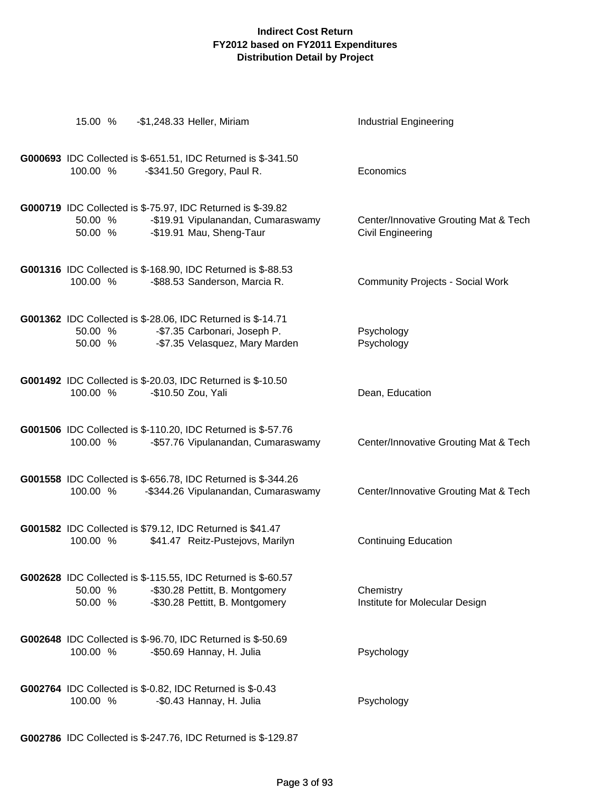| 15.00 %            | -\$1,248.33 Heller, Miriam                                                                                                           | <b>Industrial Engineering</b>                              |
|--------------------|--------------------------------------------------------------------------------------------------------------------------------------|------------------------------------------------------------|
| 100.00 %           | G000693 IDC Collected is \$-651.51, IDC Returned is \$-341.50<br>-\$341.50 Gregory, Paul R.                                          | Economics                                                  |
| 50.00 %<br>50.00 % | G000719 IDC Collected is \$-75.97, IDC Returned is \$-39.82<br>-\$19.91 Vipulanandan, Cumaraswamy<br>-\$19.91 Mau, Sheng-Taur        | Center/Innovative Grouting Mat & Tech<br>Civil Engineering |
| 100.00 %           | G001316 IDC Collected is \$-168.90, IDC Returned is \$-88.53<br>-\$88.53 Sanderson, Marcia R.                                        | <b>Community Projects - Social Work</b>                    |
| 50.00 %<br>50.00 % | <b>G001362</b> IDC Collected is \$-28.06, IDC Returned is \$-14.71<br>-\$7.35 Carbonari, Joseph P.<br>-\$7.35 Velasquez, Mary Marden | Psychology<br>Psychology                                   |
| 100.00 %           | <b>G001492</b> IDC Collected is \$-20.03, IDC Returned is \$-10.50<br>-\$10.50 Zou, Yali                                             | Dean, Education                                            |
| 100.00 %           | G001506 IDC Collected is \$-110.20, IDC Returned is \$-57.76<br>-\$57.76 Vipulanandan, Cumaraswamy                                   | Center/Innovative Grouting Mat & Tech                      |
| 100.00 %           | G001558 IDC Collected is \$-656.78, IDC Returned is \$-344.26<br>-\$344.26 Vipulanandan, Cumaraswamy                                 | Center/Innovative Grouting Mat & Tech                      |
| 100.00 %           | G001582 IDC Collected is \$79.12, IDC Returned is \$41.47<br>\$41.47 Reitz-Pustejovs, Marilyn                                        | <b>Continuing Education</b>                                |
| 50.00 %<br>50.00 % | G002628 IDC Collected is \$-115.55, IDC Returned is \$-60.57<br>-\$30.28 Pettitt, B. Montgomery<br>-\$30.28 Pettitt, B. Montgomery   | Chemistry<br>Institute for Molecular Design                |
| 100.00 %           | G002648 IDC Collected is \$-96.70, IDC Returned is \$-50.69<br>-\$50.69 Hannay, H. Julia                                             | Psychology                                                 |
| 100.00 %           | <b>G002764</b> IDC Collected is \$-0.82, IDC Returned is \$-0.43<br>-\$0.43 Hannay, H. Julia                                         | Psychology                                                 |

**G002786** IDC Collected is \$-247.76, IDC Returned is \$-129.87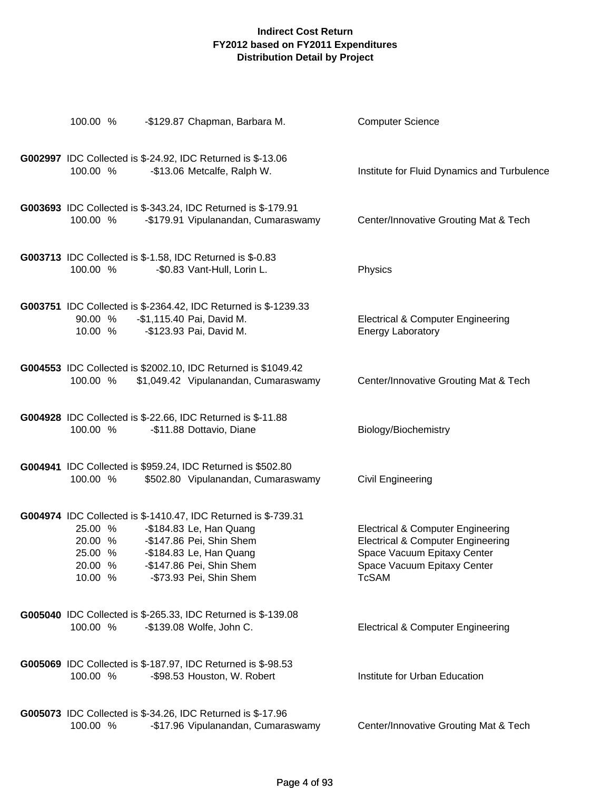| 100.00 %                                            | -\$129.87 Chapman, Barbara M.                                                                                                                                                                           | <b>Computer Science</b>                                                                                                                                                    |
|-----------------------------------------------------|---------------------------------------------------------------------------------------------------------------------------------------------------------------------------------------------------------|----------------------------------------------------------------------------------------------------------------------------------------------------------------------------|
| 100.00 %                                            | <b>G002997</b> IDC Collected is \$-24.92, IDC Returned is \$-13.06<br>-\$13.06 Metcalfe, Ralph W.                                                                                                       | Institute for Fluid Dynamics and Turbulence                                                                                                                                |
| 100.00 %                                            | G003693 IDC Collected is \$-343.24, IDC Returned is \$-179.91<br>-\$179.91 Vipulanandan, Cumaraswamy                                                                                                    | Center/Innovative Grouting Mat & Tech                                                                                                                                      |
| 100.00 %                                            | G003713 IDC Collected is \$-1.58, IDC Returned is \$-0.83<br>-\$0.83 Vant-Hull, Lorin L.                                                                                                                | Physics                                                                                                                                                                    |
| 90.00 %<br>10.00 %                                  | G003751 IDC Collected is \$-2364.42, IDC Returned is \$-1239.33<br>-\$1,115.40 Pai, David M.<br>-\$123.93 Pai, David M.                                                                                 | <b>Electrical &amp; Computer Engineering</b><br><b>Energy Laboratory</b>                                                                                                   |
| 100.00 %                                            | G004553 IDC Collected is \$2002.10, IDC Returned is \$1049.42<br>\$1,049.42 Vipulanandan, Cumaraswamy                                                                                                   | Center/Innovative Grouting Mat & Tech                                                                                                                                      |
| 100.00 %                                            | <b>G004928</b> IDC Collected is \$-22.66, IDC Returned is \$-11.88<br>-\$11.88 Dottavio, Diane                                                                                                          | Biology/Biochemistry                                                                                                                                                       |
| 100.00 %                                            | G004941 IDC Collected is \$959.24, IDC Returned is \$502.80<br>\$502.80 Vipulanandan, Cumaraswamy                                                                                                       | <b>Civil Engineering</b>                                                                                                                                                   |
| 25.00 %<br>20.00 %<br>25.00 %<br>20.00 %<br>10.00 % | G004974 IDC Collected is \$-1410.47, IDC Returned is \$-739.31<br>-\$184.83 Le, Han Quang<br>-\$147.86 Pei, Shin Shem<br>-\$184.83 Le, Han Quang<br>-\$147.86 Pei, Shin Shem<br>-\$73.93 Pei, Shin Shem | <b>Electrical &amp; Computer Engineering</b><br><b>Electrical &amp; Computer Engineering</b><br>Space Vacuum Epitaxy Center<br>Space Vacuum Epitaxy Center<br><b>TcSAM</b> |
| 100.00 %                                            | <b>G005040</b> IDC Collected is \$-265.33, IDC Returned is \$-139.08<br>-\$139.08 Wolfe, John C.                                                                                                        | <b>Electrical &amp; Computer Engineering</b>                                                                                                                               |
| 100.00 %                                            | <b>G005069</b> IDC Collected is \$-187.97, IDC Returned is \$-98.53<br>-\$98.53 Houston, W. Robert                                                                                                      | Institute for Urban Education                                                                                                                                              |
| 100.00 %                                            | G005073 IDC Collected is \$-34.26, IDC Returned is \$-17.96<br>-\$17.96 Vipulanandan, Cumaraswamy                                                                                                       | Center/Innovative Grouting Mat & Tech                                                                                                                                      |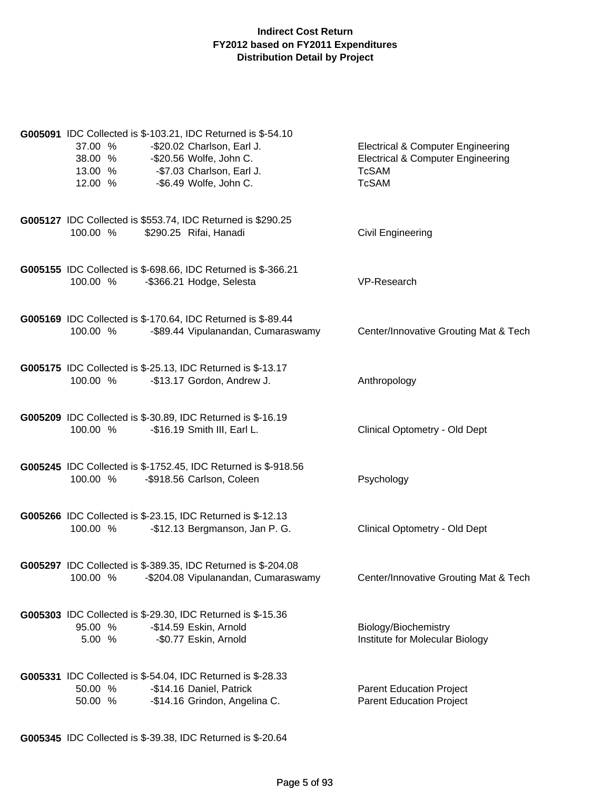| G005091 IDC Collected is \$-103.21, IDC Returned is \$-54.10<br>37.00 %<br>-\$20.02 Charlson, Earl J.<br>38.00 %<br>-\$20.56 Wolfe, John C.<br>-\$7.03 Charlson, Earl J.<br>13.00 %<br>12.00 %<br>-\$6.49 Wolfe, John C. | <b>Electrical &amp; Computer Engineering</b><br><b>Electrical &amp; Computer Engineering</b><br><b>TcSAM</b><br><b>TcSAM</b> |
|--------------------------------------------------------------------------------------------------------------------------------------------------------------------------------------------------------------------------|------------------------------------------------------------------------------------------------------------------------------|
| G005127 IDC Collected is \$553.74, IDC Returned is \$290.25<br>100.00 %<br>\$290.25 Rifai, Hanadi                                                                                                                        | <b>Civil Engineering</b>                                                                                                     |
| G005155 IDC Collected is \$-698.66, IDC Returned is \$-366.21<br>-\$366.21 Hodge, Selesta<br>100.00 %                                                                                                                    | VP-Research                                                                                                                  |
| G005169 IDC Collected is \$-170.64, IDC Returned is \$-89.44<br>-\$89.44 Vipulanandan, Cumaraswamy<br>100.00 %                                                                                                           | Center/Innovative Grouting Mat & Tech                                                                                        |
| G005175 IDC Collected is \$-25.13, IDC Returned is \$-13.17<br>100.00 %<br>-\$13.17 Gordon, Andrew J.                                                                                                                    | Anthropology                                                                                                                 |
| <b>G005209</b> IDC Collected is \$-30.89, IDC Returned is \$-16.19<br>100.00 %<br>-\$16.19 Smith III, Earl L.                                                                                                            | Clinical Optometry - Old Dept                                                                                                |
| G005245 IDC Collected is \$-1752.45, IDC Returned is \$-918.56<br>100.00 %<br>-\$918.56 Carlson, Coleen                                                                                                                  | Psychology                                                                                                                   |
| <b>G005266</b> IDC Collected is \$-23.15, IDC Returned is \$-12.13<br>100.00 %<br>-\$12.13 Bergmanson, Jan P. G.                                                                                                         | Clinical Optometry - Old Dept                                                                                                |
| G005297 IDC Collected is \$-389.35, IDC Returned is \$-204.08<br>100.00 %<br>-\$204.08 Vipulanandan, Cumaraswamy                                                                                                         | Center/Innovative Grouting Mat & Tech                                                                                        |
| G005303 IDC Collected is \$-29.30, IDC Returned is \$-15.36<br>-\$14.59 Eskin, Arnold<br>95.00 %<br>5.00 %<br>-\$0.77 Eskin, Arnold                                                                                      | Biology/Biochemistry<br>Institute for Molecular Biology                                                                      |
| G005331 IDC Collected is \$-54.04, IDC Returned is \$-28.33<br>50.00 %<br>-\$14.16 Daniel, Patrick<br>-\$14.16 Grindon, Angelina C.<br>50.00 %                                                                           | <b>Parent Education Project</b><br><b>Parent Education Project</b>                                                           |

**G005345** IDC Collected is \$-39.38, IDC Returned is \$-20.64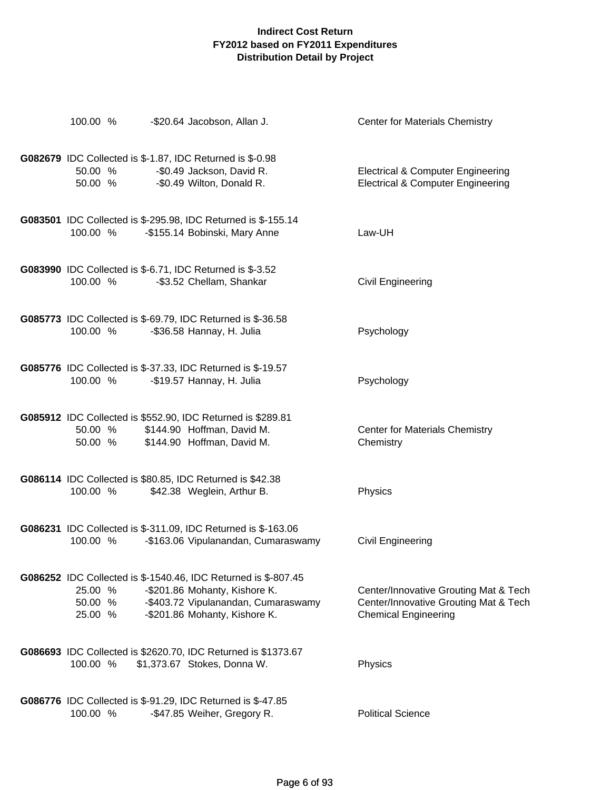| 100.00 %                      | -\$20.64 Jacobson, Allan J.                                                                                                                                             | <b>Center for Materials Chemistry</b>                                                                         |
|-------------------------------|-------------------------------------------------------------------------------------------------------------------------------------------------------------------------|---------------------------------------------------------------------------------------------------------------|
| 50.00 %<br>50.00 %            | <b>G082679</b> IDC Collected is \$-1.87, IDC Returned is \$-0.98<br>-\$0.49 Jackson, David R.<br>-\$0.49 Wilton, Donald R.                                              | <b>Electrical &amp; Computer Engineering</b><br><b>Electrical &amp; Computer Engineering</b>                  |
| 100.00 %                      | G083501 IDC Collected is \$-295.98, IDC Returned is \$-155.14<br>-\$155.14 Bobinski, Mary Anne                                                                          | Law-UH                                                                                                        |
| 100.00 %                      | <b>G083990</b> IDC Collected is \$-6.71, IDC Returned is \$-3.52<br>-\$3.52 Chellam, Shankar                                                                            | <b>Civil Engineering</b>                                                                                      |
| 100.00 %                      | <b>G085773</b> IDC Collected is \$-69.79, IDC Returned is \$-36.58<br>-\$36.58 Hannay, H. Julia                                                                         | Psychology                                                                                                    |
| 100.00 %                      | G085776 IDC Collected is \$-37.33, IDC Returned is \$-19.57<br>-\$19.57 Hannay, H. Julia                                                                                | Psychology                                                                                                    |
| 50.00 %<br>50.00 %            | G085912 IDC Collected is \$552.90, IDC Returned is \$289.81<br>\$144.90 Hoffman, David M.<br>\$144.90 Hoffman, David M.                                                 | <b>Center for Materials Chemistry</b><br>Chemistry                                                            |
| 100.00 %                      | G086114 IDC Collected is \$80.85, IDC Returned is \$42.38<br>\$42.38 Weglein, Arthur B.                                                                                 | Physics                                                                                                       |
| 100.00 %                      | G086231 IDC Collected is \$-311.09, IDC Returned is \$-163.06<br>-\$163.06 Vipulanandan, Cumaraswamy                                                                    | <b>Civil Engineering</b>                                                                                      |
| 25.00 %<br>50.00 %<br>25.00 % | G086252 IDC Collected is \$-1540.46, IDC Returned is \$-807.45<br>-\$201.86 Mohanty, Kishore K.<br>-\$403.72 Vipulanandan, Cumaraswamy<br>-\$201.86 Mohanty, Kishore K. | Center/Innovative Grouting Mat & Tech<br>Center/Innovative Grouting Mat & Tech<br><b>Chemical Engineering</b> |
| 100.00 %                      | G086693 IDC Collected is \$2620.70, IDC Returned is \$1373.67<br>\$1,373.67 Stokes, Donna W.                                                                            | Physics                                                                                                       |
| 100.00 %                      | G086776 IDC Collected is \$-91.29, IDC Returned is \$-47.85<br>-\$47.85 Weiher, Gregory R.                                                                              | <b>Political Science</b>                                                                                      |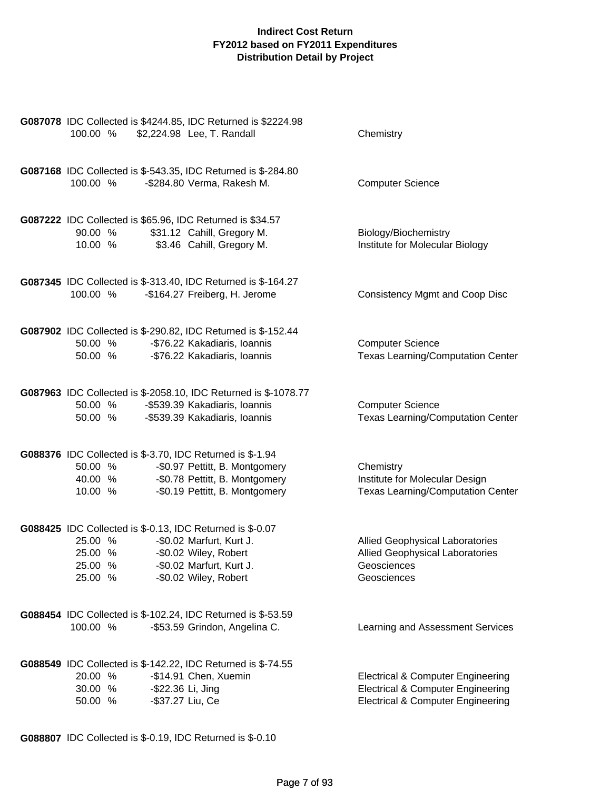| 100.00 %                                                                                              | G087078 IDC Collected is \$4244.85, IDC Returned is \$2224.98<br>\$2,224.98 Lee, T. Randall                                       | Chemistry                                                                                                                                    |
|-------------------------------------------------------------------------------------------------------|-----------------------------------------------------------------------------------------------------------------------------------|----------------------------------------------------------------------------------------------------------------------------------------------|
| G087168 IDC Collected is \$-543.35, IDC Returned is \$-284.80<br>100.00 %                             | -\$284.80 Verma, Rakesh M.                                                                                                        | <b>Computer Science</b>                                                                                                                      |
| G087222 IDC Collected is \$65.96, IDC Returned is \$34.57<br>90.00 %<br>10.00 %                       | \$31.12 Cahill, Gregory M.<br>\$3.46 Cahill, Gregory M.                                                                           | Biology/Biochemistry<br>Institute for Molecular Biology                                                                                      |
| G087345 IDC Collected is \$-313.40, IDC Returned is \$-164.27<br>100.00 %                             | -\$164.27 Freiberg, H. Jerome                                                                                                     | <b>Consistency Mgmt and Coop Disc</b>                                                                                                        |
| G087902 IDC Collected is \$-290.82, IDC Returned is \$-152.44<br>50.00 %<br>50.00 %                   | -\$76.22 Kakadiaris, Ioannis<br>-\$76.22 Kakadiaris, Ioannis                                                                      | <b>Computer Science</b><br><b>Texas Learning/Computation Center</b>                                                                          |
| 50.00 %<br>50.00 %                                                                                    | G087963 IDC Collected is \$-2058.10, IDC Returned is \$-1078.77<br>-\$539.39 Kakadiaris, Ioannis<br>-\$539.39 Kakadiaris, Ioannis | <b>Computer Science</b><br><b>Texas Learning/Computation Center</b>                                                                          |
| G088376 IDC Collected is \$-3.70, IDC Returned is \$-1.94<br>50.00 %<br>40.00 %<br>10.00 %            | -\$0.97 Pettitt, B. Montgomery<br>-\$0.78 Pettitt, B. Montgomery<br>-\$0.19 Pettitt, B. Montgomery                                | Chemistry<br>Institute for Molecular Design<br><b>Texas Learning/Computation Center</b>                                                      |
| G088425 IDC Collected is \$-0.13, IDC Returned is \$-0.07<br>25.00 %<br>25.00 %<br>25.00 %<br>25.00 % | -\$0.02 Marfurt, Kurt J.<br>-\$0.02 Wiley, Robert<br>-\$0.02 Marfurt, Kurt J.<br>-\$0.02 Wiley, Robert                            | <b>Allied Geophysical Laboratories</b><br><b>Allied Geophysical Laboratories</b><br>Geosciences<br>Geosciences                               |
| G088454 IDC Collected is \$-102.24, IDC Returned is \$-53.59<br>100.00 %                              | -\$53.59 Grindon, Angelina C.                                                                                                     | Learning and Assessment Services                                                                                                             |
| G088549 IDC Collected is \$-142.22, IDC Returned is \$-74.55<br>20.00 %<br>30.00 %<br>50.00 %         | -\$14.91 Chen, Xuemin<br>-\$22.36 Li, Jing<br>-\$37.27 Liu, Ce                                                                    | <b>Electrical &amp; Computer Engineering</b><br><b>Electrical &amp; Computer Engineering</b><br><b>Electrical &amp; Computer Engineering</b> |

**G088807** IDC Collected is \$-0.19, IDC Returned is \$-0.10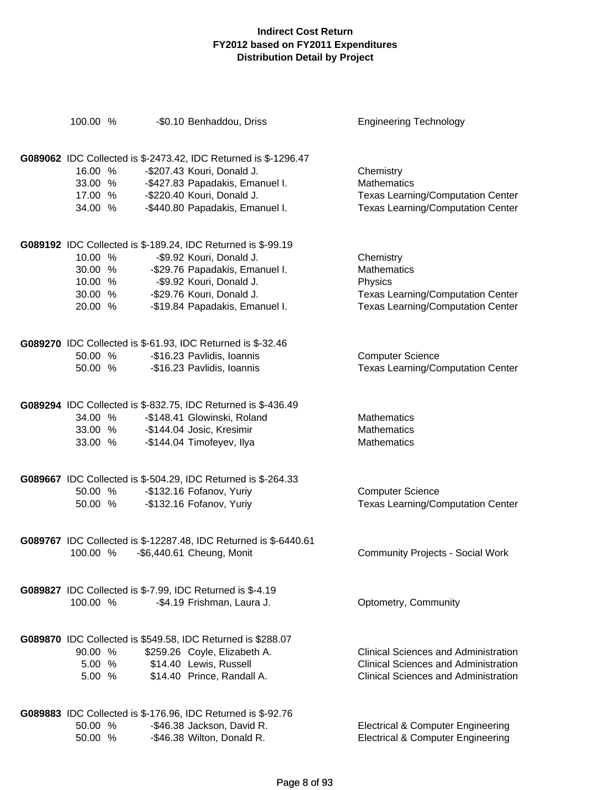| 100.00 % |         | -\$0.10 Benhaddou, Driss                                                                                | <b>Engineering Technology</b>                |
|----------|---------|---------------------------------------------------------------------------------------------------------|----------------------------------------------|
|          |         |                                                                                                         |                                              |
|          |         | G089062 IDC Collected is \$-2473.42, IDC Returned is \$-1296.47                                         |                                              |
| 16.00 %  |         | -\$207.43 Kouri, Donald J.                                                                              |                                              |
|          | 33.00 % |                                                                                                         | Chemistry<br><b>Mathematics</b>              |
|          |         | -\$427.83 Papadakis, Emanuel I.                                                                         |                                              |
| 17.00 %  |         | -\$220.40 Kouri, Donald J.                                                                              | <b>Texas Learning/Computation Center</b>     |
| 34.00 %  |         | -\$440.80 Papadakis, Emanuel I.                                                                         | <b>Texas Learning/Computation Center</b>     |
|          |         | G089192 IDC Collected is \$-189.24, IDC Returned is \$-99.19                                            |                                              |
| 10.00 %  |         | -\$9.92 Kouri, Donald J.                                                                                | Chemistry                                    |
| 30.00 %  |         | -\$29.76 Papadakis, Emanuel I.                                                                          | <b>Mathematics</b>                           |
| 10.00 %  |         | -\$9.92 Kouri, Donald J.                                                                                | Physics                                      |
| 30.00 %  |         | -\$29.76 Kouri, Donald J.                                                                               | <b>Texas Learning/Computation Center</b>     |
| 20.00 %  |         | -\$19.84 Papadakis, Emanuel I.                                                                          | <b>Texas Learning/Computation Center</b>     |
|          |         |                                                                                                         |                                              |
|          |         | G089270 IDC Collected is \$-61.93, IDC Returned is \$-32.46                                             |                                              |
|          | 50.00 % | -\$16.23 Pavlidis, Ioannis                                                                              | <b>Computer Science</b>                      |
|          | 50.00 % | -\$16.23 Pavlidis, Ioannis                                                                              | <b>Texas Learning/Computation Center</b>     |
|          |         |                                                                                                         |                                              |
|          |         | G089294 IDC Collected is \$-832.75, IDC Returned is \$-436.49                                           |                                              |
|          | 34.00 % | -\$148.41 Glowinski, Roland                                                                             | <b>Mathematics</b>                           |
|          |         |                                                                                                         | <b>Mathematics</b>                           |
|          |         | 133.00 % -3144.04 Josic, Kresimir<br>33.00 % -\$144.04 Josic, Kresimir<br>33.00 % -5144.04 Timefove : " | Mathematics                                  |
|          |         | G089667 IDC Collected is \$-504.29, IDC Returned is \$-264.33                                           |                                              |
| 50.00 %  |         | -\$132.16 Fofanov, Yuriy                                                                                | <b>Computer Science</b>                      |
| 50.00 %  |         | -\$132.16 Fofanov, Yuriy                                                                                | <b>Texas Learning/Computation Center</b>     |
|          |         |                                                                                                         |                                              |
|          |         | G089767 IDC Collected is \$-12287.48, IDC Returned is \$-6440.61                                        |                                              |
| 100.00 % |         | $-$ \$6,440.61 Cheung, Monit                                                                            | <b>Community Projects - Social Work</b>      |
|          |         | G089827 IDC Collected is \$-7.99, IDC Returned is \$-4.19                                               |                                              |
| 100.00 % |         | -\$4.19 Frishman, Laura J.                                                                              | Optometry, Community                         |
|          |         |                                                                                                         |                                              |
|          |         | G089870 IDC Collected is \$549.58, IDC Returned is \$288.07                                             |                                              |
| 90.00 %  |         | \$259.26 Coyle, Elizabeth A.                                                                            | Clinical Sciences and Administration         |
| 5.00 %   |         | \$14.40 Lewis, Russell                                                                                  | <b>Clinical Sciences and Administration</b>  |
| 5.00 %   |         | \$14.40 Prince, Randall A.                                                                              | <b>Clinical Sciences and Administration</b>  |
|          |         | <b>G089883</b> IDC Collected is \$-176.96, IDC Returned is \$-92.76                                     |                                              |
| 50.00 %  |         | -\$46.38 Jackson, David R.                                                                              | <b>Electrical &amp; Computer Engineering</b> |
| 50.00 %  |         | -\$46.38 Wilton, Donald R.                                                                              | <b>Electrical &amp; Computer Engineering</b> |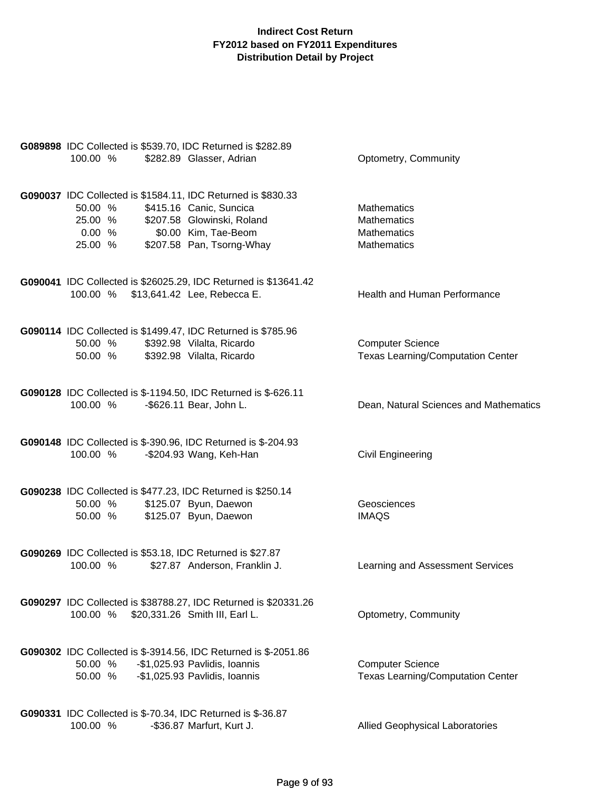| G089898 IDC Collected is \$539.70, IDC Returned is \$282.89<br>\$282.89 Glasser, Adrian<br>100.00 %                                                                                                                  | Optometry, Community                                                                 |
|----------------------------------------------------------------------------------------------------------------------------------------------------------------------------------------------------------------------|--------------------------------------------------------------------------------------|
| G090037 IDC Collected is \$1584.11, IDC Returned is \$830.33<br>50.00 %<br>\$415.16 Canic, Suncica<br>\$207.58 Glowinski, Roland<br>25.00 %<br>0.00%<br>\$0.00 Kim, Tae-Beom<br>\$207.58 Pan, Tsorng-Whay<br>25.00 % | <b>Mathematics</b><br><b>Mathematics</b><br><b>Mathematics</b><br><b>Mathematics</b> |
| G090041 IDC Collected is \$26025.29, IDC Returned is \$13641.42<br>100.00 % \$13,641.42 Lee, Rebecca E.                                                                                                              | Health and Human Performance                                                         |
| G090114 IDC Collected is \$1499.47, IDC Returned is \$785.96<br>50.00 % \$392.98 Vilalta, Ricardo<br>50.00 % \$392.98 Vilalta, Ricardo                                                                               | <b>Computer Science</b><br><b>Texas Learning/Computation Center</b>                  |
| G090128 IDC Collected is \$-1194.50, IDC Returned is \$-626.11<br>100.00 %<br>-\$626.11 Bear, John L.                                                                                                                | Dean, Natural Sciences and Mathematics                                               |
| G090148 IDC Collected is \$-390.96, IDC Returned is \$-204.93<br>100.00 %<br>-\$204.93 Wang, Keh-Han                                                                                                                 | Civil Engineering                                                                    |
| G090238 IDC Collected is \$477.23, IDC Returned is \$250.14<br>50.00 % \$125.07 Byun, Daewon<br>\$125.07 Byun, Daewon<br>50.00 %                                                                                     | Geosciences<br><b>IMAQS</b>                                                          |
| G090269 IDC Collected is \$53.18, IDC Returned is \$27.87<br>100.00 %<br>\$27.87 Anderson, Franklin J.                                                                                                               | Learning and Assessment Services                                                     |
| G090297 IDC Collected is \$38788.27, IDC Returned is \$20331.26<br>100.00 %<br>\$20,331.26 Smith III, Earl L.                                                                                                        | Optometry, Community                                                                 |
| G090302 IDC Collected is \$-3914.56, IDC Returned is \$-2051.86<br>50.00 %<br>-\$1,025.93 Pavlidis, Ioannis<br>50.00 % - \$1,025.93 Pavlidis, Ioannis                                                                | <b>Computer Science</b><br><b>Texas Learning/Computation Center</b>                  |
| G090331 IDC Collected is \$-70.34, IDC Returned is \$-36.87<br>100.00 %<br>-\$36.87 Marfurt, Kurt J.                                                                                                                 | <b>Allied Geophysical Laboratories</b>                                               |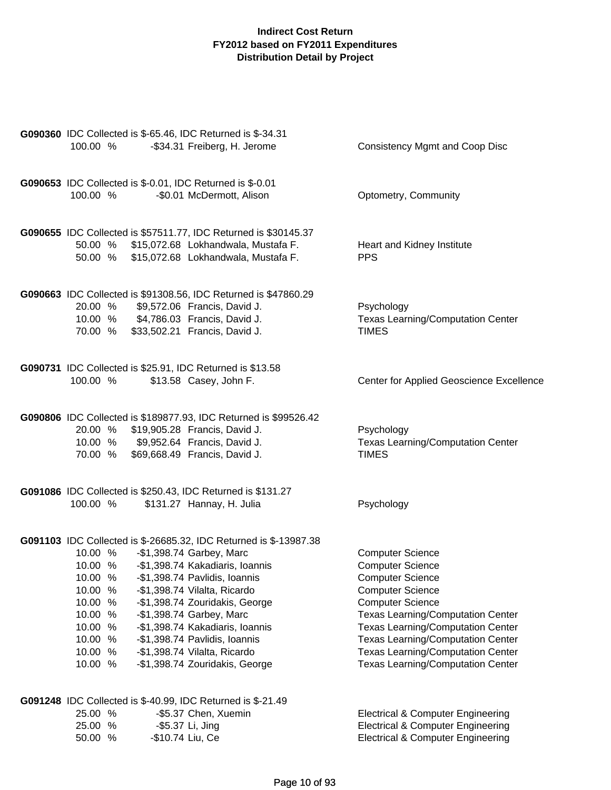| 100.00 %                                                                                                   | G090360 IDC Collected is \$-65.46, IDC Returned is \$-34.31<br>-\$34.31 Freiberg, H. Jerome                                                                                                                                                                                                                                                                                                           | Consistency Mgmt and Coop Disc                                                                                                                                                                                                                                                                                                                                  |
|------------------------------------------------------------------------------------------------------------|-------------------------------------------------------------------------------------------------------------------------------------------------------------------------------------------------------------------------------------------------------------------------------------------------------------------------------------------------------------------------------------------------------|-----------------------------------------------------------------------------------------------------------------------------------------------------------------------------------------------------------------------------------------------------------------------------------------------------------------------------------------------------------------|
| 100.00 %                                                                                                   | G090653 IDC Collected is \$-0.01, IDC Returned is \$-0.01<br>-\$0.01 McDermott, Alison                                                                                                                                                                                                                                                                                                                | Optometry, Community                                                                                                                                                                                                                                                                                                                                            |
| 50.00 %<br>50.00 %                                                                                         | G090655 IDC Collected is \$57511.77, IDC Returned is \$30145.37<br>\$15,072.68 Lokhandwala, Mustafa F.<br>\$15,072.68 Lokhandwala, Mustafa F.                                                                                                                                                                                                                                                         | Heart and Kidney Institute<br><b>PPS</b>                                                                                                                                                                                                                                                                                                                        |
| 20.00 %<br>70.00 %                                                                                         | G090663 IDC Collected is \$91308.56, IDC Returned is \$47860.29<br>\$9,572.06 Francis, David J.<br>10.00 % \$4,786.03 Francis, David J.<br>\$33,502.21 Francis, David J.                                                                                                                                                                                                                              | Psychology<br><b>Texas Learning/Computation Center</b><br><b>TIMES</b>                                                                                                                                                                                                                                                                                          |
| 100.00 %                                                                                                   | G090731 IDC Collected is \$25.91, IDC Returned is \$13.58<br>\$13.58 Casey, John F.                                                                                                                                                                                                                                                                                                                   | Center for Applied Geoscience Excellence                                                                                                                                                                                                                                                                                                                        |
| 70.00 %                                                                                                    | G090806 IDC Collected is \$189877.93, IDC Returned is \$99526.42<br>20.00 % \$19,905.28 Francis, David J.<br>10.00 % \$9,952.64 Francis, David J.<br>\$69,668.49 Francis, David J.                                                                                                                                                                                                                    | Psychology<br><b>Texas Learning/Computation Center</b><br><b>TIMES</b>                                                                                                                                                                                                                                                                                          |
| 100.00 %                                                                                                   | G091086 IDC Collected is \$250.43, IDC Returned is \$131.27<br>\$131.27 Hannay, H. Julia                                                                                                                                                                                                                                                                                                              | Psychology                                                                                                                                                                                                                                                                                                                                                      |
| 10.00 %<br>10.00 %<br>10.00 %<br>10.00 %<br>10.00 %<br>10.00 %<br>10.00 %<br>10.00 %<br>10.00 %<br>10.00 % | G091103 IDC Collected is \$-26685.32, IDC Returned is \$-13987.38<br>-\$1,398.74 Garbey, Marc<br>-\$1,398.74 Kakadiaris, Ioannis<br>-\$1,398.74 Pavlidis, Ioannis<br>-\$1,398.74 Vilalta, Ricardo<br>-\$1,398.74 Zouridakis, George<br>-\$1,398.74 Garbey, Marc<br>-\$1,398.74 Kakadiaris, Ioannis<br>-\$1,398.74 Pavlidis, Ioannis<br>-\$1,398.74 Vilalta, Ricardo<br>-\$1,398.74 Zouridakis, George | <b>Computer Science</b><br><b>Computer Science</b><br><b>Computer Science</b><br><b>Computer Science</b><br><b>Computer Science</b><br><b>Texas Learning/Computation Center</b><br><b>Texas Learning/Computation Center</b><br><b>Texas Learning/Computation Center</b><br><b>Texas Learning/Computation Center</b><br><b>Texas Learning/Computation Center</b> |
| 25.00 %<br>25.00 %<br>50.00 %                                                                              | G091248 IDC Collected is \$-40.99, IDC Returned is \$-21.49<br>-\$5.37 Chen, Xuemin<br>-\$5.37 Li, Jing<br>-\$10.74 Liu, Ce                                                                                                                                                                                                                                                                           | <b>Electrical &amp; Computer Engineering</b><br><b>Electrical &amp; Computer Engineering</b><br><b>Electrical &amp; Computer Engineering</b>                                                                                                                                                                                                                    |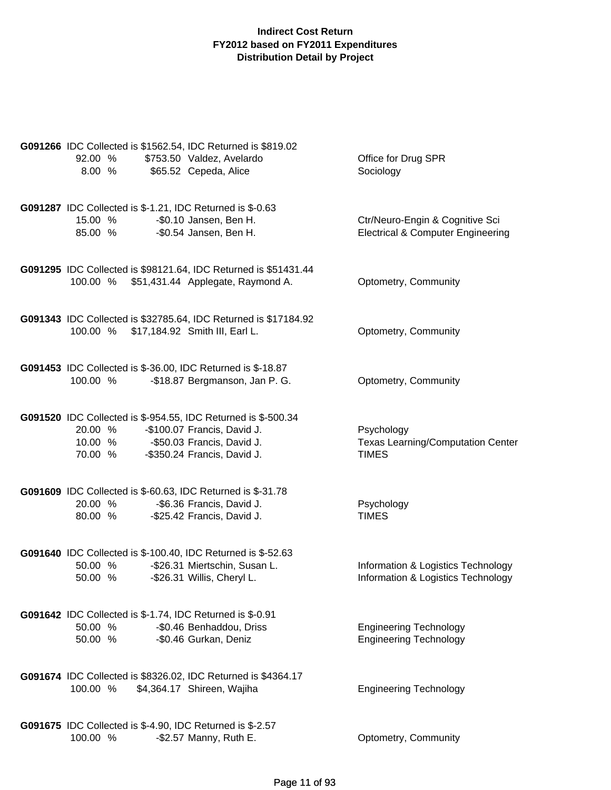| G091266 IDC Collected is \$1562.54, IDC Returned is \$819.02<br>92.00 %<br>8.00 %              | \$753.50 Valdez, Avelardo<br>\$65.52 Cepeda, Alice                                                   | Office for Drug SPR<br>Sociology                                                |
|------------------------------------------------------------------------------------------------|------------------------------------------------------------------------------------------------------|---------------------------------------------------------------------------------|
| <b>G091287</b> IDC Collected is \$-1.21, IDC Returned is \$-0.63<br>15.00 %<br>85.00 %         | -\$0.10 Jansen, Ben H.<br>-\$0.54 Jansen, Ben H.                                                     | Ctr/Neuro-Engin & Cognitive Sci<br><b>Electrical &amp; Computer Engineering</b> |
| 100.00 %                                                                                       | G091295 IDC Collected is \$98121.64, IDC Returned is \$51431.44<br>\$51,431.44 Applegate, Raymond A. | Optometry, Community                                                            |
| 100.00 % \$17,184.92 Smith III, Earl L.                                                        | G091343 IDC Collected is \$32785.64, IDC Returned is \$17184.92                                      | Optometry, Community                                                            |
| G091453 IDC Collected is \$-36.00, IDC Returned is \$-18.87<br>100.00 %                        | -\$18.87 Bergmanson, Jan P. G.                                                                       | Optometry, Community                                                            |
| G091520 IDC Collected is \$-954.55, IDC Returned is \$-500.34<br>20.00 %<br>10.00 %<br>70.00 % | -\$100.07 Francis, David J.<br>-\$50.03 Francis, David J.<br>-\$350.24 Francis, David J.             | Psychology<br><b>Texas Learning/Computation Center</b><br><b>TIMES</b>          |
| G091609 IDC Collected is \$-60.63, IDC Returned is \$-31.78<br>20.00 %<br>80.00 %              | -\$6.36 Francis, David J.<br>-\$25.42 Francis, David J.                                              | Psychology<br><b>TIMES</b>                                                      |
| G091640 IDC Collected is \$-100.40, IDC Returned is \$-52.63<br>50.00 %<br>50.00 %             | -\$26.31 Miertschin, Susan L.<br>-\$26.31 Willis, Cheryl L.                                          | Information & Logistics Technology<br>Information & Logistics Technology        |
| G091642 IDC Collected is \$-1.74, IDC Returned is \$-0.91<br>50.00 %<br>50.00 %                | -\$0.46 Benhaddou, Driss<br>-\$0.46 Gurkan, Deniz                                                    | <b>Engineering Technology</b><br><b>Engineering Technology</b>                  |
| G091674 IDC Collected is \$8326.02, IDC Returned is \$4364.17<br>100.00 %                      | \$4,364.17 Shireen, Wajiha                                                                           | <b>Engineering Technology</b>                                                   |
| G091675 IDC Collected is \$-4.90, IDC Returned is \$-2.57<br>100.00 %                          | -\$2.57 Manny, Ruth E.                                                                               | Optometry, Community                                                            |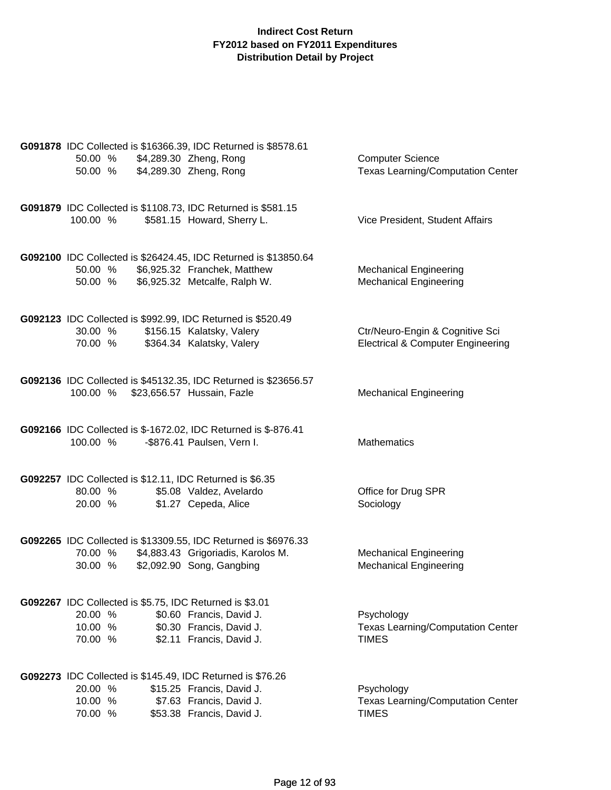|                                | G091878 IDC Collected is \$16366.39, IDC Returned is \$8578.61                                               |                                              |
|--------------------------------|--------------------------------------------------------------------------------------------------------------|----------------------------------------------|
| 50.00 % \$4,289.30 Zheng, Rong |                                                                                                              | <b>Computer Science</b>                      |
| 50.00 %                        | \$4,289.30 Zheng, Rong                                                                                       | <b>Texas Learning/Computation Center</b>     |
|                                |                                                                                                              |                                              |
|                                | G091879 IDC Collected is \$1108.73, IDC Returned is \$581.15                                                 |                                              |
| 100.00 %                       | \$581.15 Howard, Sherry L.                                                                                   | Vice President, Student Affairs              |
|                                |                                                                                                              |                                              |
|                                | G092100 IDC Collected is \$26424.45, IDC Returned is \$13850.64                                              |                                              |
| 50.00 %                        | \$6,925.32 Franchek, Matthew                                                                                 | <b>Mechanical Engineering</b>                |
| 50.00 %                        | \$6,925.32 Metcalfe, Ralph W.                                                                                | <b>Mechanical Engineering</b>                |
|                                |                                                                                                              |                                              |
|                                | G092123 IDC Collected is \$992.99, IDC Returned is \$520.49                                                  |                                              |
| 30.00 %                        | \$156.15 Kalatsky, Valery                                                                                    | Ctr/Neuro-Engin & Cognitive Sci              |
| 70.00 %                        | \$364.34 Kalatsky, Valery                                                                                    | <b>Electrical &amp; Computer Engineering</b> |
|                                |                                                                                                              |                                              |
|                                | G092136 IDC Collected is \$45132.35, IDC Returned is \$23656.57                                              |                                              |
|                                | 100.00 % \$23,656.57 Hussain, Fazle                                                                          | <b>Mechanical Engineering</b>                |
|                                |                                                                                                              |                                              |
|                                | G092166 IDC Collected is \$-1672.02, IDC Returned is \$-876.41                                               |                                              |
| 100.00 %                       | -\$876.41 Paulsen, Vern I.                                                                                   | <b>Mathematics</b>                           |
|                                |                                                                                                              |                                              |
|                                |                                                                                                              |                                              |
| 80.00 %                        | G092257 IDC Collected is \$12.11, IDC Returned is \$6.35<br>\$5.08 Valdez, Avelardo                          | Office for Drug SPR                          |
| 20.00 %                        | \$1.27 Cepeda, Alice                                                                                         | Sociology                                    |
|                                |                                                                                                              |                                              |
|                                |                                                                                                              |                                              |
|                                | G092265 IDC Collected is \$13309.55, IDC Returned is \$6976.33<br>70.00 % \$4,883.43 Grigoriadis, Karolos M. | <b>Mechanical Engineering</b>                |
| 30.00 %                        | \$2,092.90 Song, Gangbing                                                                                    | <b>Mechanical Engineering</b>                |
|                                |                                                                                                              |                                              |
|                                |                                                                                                              |                                              |
| 20.00 %                        | G092267 IDC Collected is \$5.75, IDC Returned is \$3.01<br>\$0.60 Francis, David J.                          | Psychology                                   |
| 10.00 %                        | \$0.30 Francis, David J.                                                                                     | <b>Texas Learning/Computation Center</b>     |
| 70.00 %                        | \$2.11 Francis, David J.                                                                                     | <b>TIMES</b>                                 |
|                                |                                                                                                              |                                              |
|                                | G092273 IDC Collected is \$145.49, IDC Returned is \$76.26                                                   |                                              |
| 20.00 %                        | \$15.25 Francis, David J.                                                                                    | Psychology                                   |
| 10.00 %                        | \$7.63 Francis, David J.                                                                                     | Texas Learning/Computation Center            |
| 70.00 %                        | \$53.38 Francis, David J.                                                                                    | <b>TIMES</b>                                 |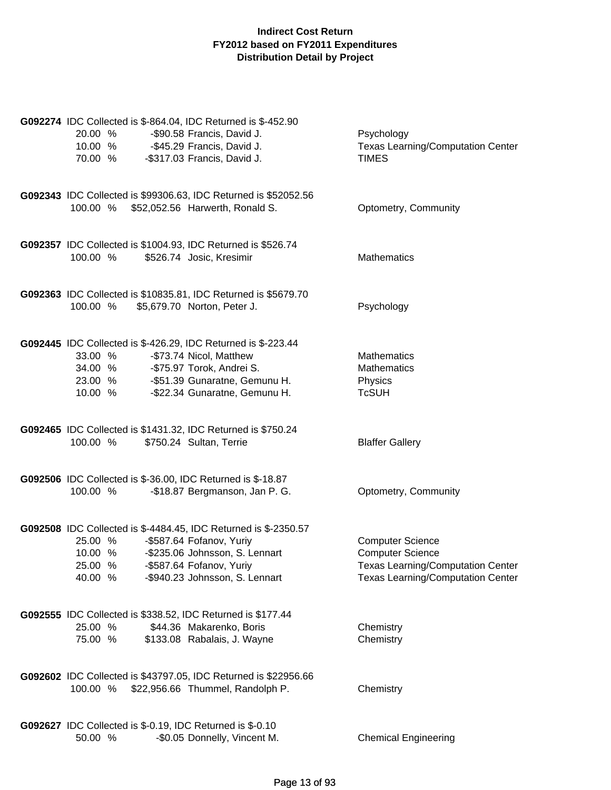| G092274 IDC Collected is \$-864.04, IDC Returned is \$-452.90<br>20.00 %<br>10.00 %<br>70.00 %              | -\$90.58 Francis, David J.<br>-\$45.29 Francis, David J.<br>-\$317.03 Francis, David J.                                  | Psychology<br><b>Texas Learning/Computation Center</b><br><b>TIMES</b>                                                                     |
|-------------------------------------------------------------------------------------------------------------|--------------------------------------------------------------------------------------------------------------------------|--------------------------------------------------------------------------------------------------------------------------------------------|
| 100.00 %                                                                                                    | G092343 IDC Collected is \$99306.63, IDC Returned is \$52052.56<br>\$52,052.56 Harwerth, Ronald S.                       | Optometry, Community                                                                                                                       |
| G092357 IDC Collected is \$1004.93, IDC Returned is \$526.74<br>100.00 %                                    | \$526.74 Josic, Kresimir                                                                                                 | <b>Mathematics</b>                                                                                                                         |
| G092363 IDC Collected is \$10835.81, IDC Returned is \$5679.70<br>100.00 %                                  | \$5,679.70 Norton, Peter J.                                                                                              | Psychology                                                                                                                                 |
| G092445 IDC Collected is \$-426.29, IDC Returned is \$-223.44<br>33.00 %<br>34.00 %<br>23.00 %<br>10.00 %   | -\$73.74 Nicol, Matthew<br>-\$75.97 Torok, Andrei S.<br>-\$51.39 Gunaratne, Gemunu H.<br>-\$22.34 Gunaratne, Gemunu H.   | <b>Mathematics</b><br><b>Mathematics</b><br>Physics<br><b>TcSUH</b>                                                                        |
| G092465 IDC Collected is \$1431.32, IDC Returned is \$750.24<br>100.00 %                                    | \$750.24 Sultan, Terrie                                                                                                  | <b>Blaffer Gallery</b>                                                                                                                     |
| G092506 IDC Collected is \$-36.00, IDC Returned is \$-18.87<br>100.00 %                                     | -\$18.87 Bergmanson, Jan P. G.                                                                                           | Optometry, Community                                                                                                                       |
| G092508 IDC Collected is \$-4484.45, IDC Returned is \$-2350.57<br>25.00 %<br>10.00 %<br>25.00 %<br>40.00 % | -\$587.64 Fofanov, Yuriy<br>-\$235.06 Johnsson, S. Lennart<br>-\$587.64 Fofanov, Yuriy<br>-\$940.23 Johnsson, S. Lennart | <b>Computer Science</b><br><b>Computer Science</b><br><b>Texas Learning/Computation Center</b><br><b>Texas Learning/Computation Center</b> |
| G092555 IDC Collected is \$338.52, IDC Returned is \$177.44<br>25.00 %<br>75.00 %                           | \$44.36 Makarenko, Boris<br>\$133.08 Rabalais, J. Wayne                                                                  | Chemistry<br>Chemistry                                                                                                                     |
| 100.00 %                                                                                                    | G092602 IDC Collected is \$43797.05, IDC Returned is \$22956.66<br>\$22,956.66 Thummel, Randolph P.                      | Chemistry                                                                                                                                  |
| G092627 IDC Collected is \$-0.19, IDC Returned is \$-0.10<br>50.00 %                                        | -\$0.05 Donnelly, Vincent M.                                                                                             | <b>Chemical Engineering</b>                                                                                                                |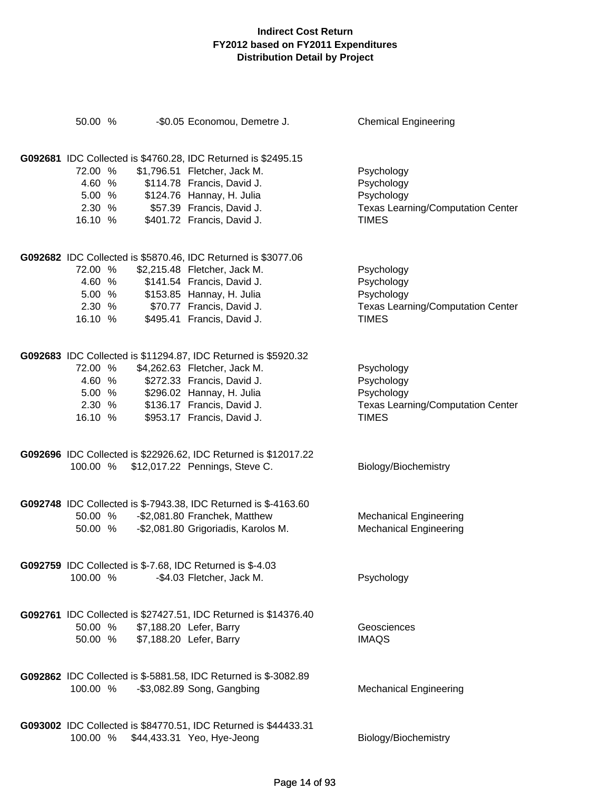| 50.00 %                                                                      | -\$0.05 Economou, Demetre J.                                                                                                                                                                                          | <b>Chemical Engineering</b>                                                                        |
|------------------------------------------------------------------------------|-----------------------------------------------------------------------------------------------------------------------------------------------------------------------------------------------------------------------|----------------------------------------------------------------------------------------------------|
| 72.00 %<br>4.60 %<br>5.00 %<br>2.30 % \$57.39 Francis, David J.<br>16.10 %   | G092681 IDC Collected is \$4760.28, IDC Returned is \$2495.15<br>\$1,796.51 Fletcher, Jack M.<br>\$114.78 Francis, David J.<br>\$124.76 Hannay, H. Julia<br>\$401.72 Francis, David J.                                | Psychology<br>Psychology<br>Psychology<br><b>Texas Learning/Computation Center</b><br><b>TIMES</b> |
| 72.00 %<br>4.60 %<br>5.00 % \$153.85 Hannay, H. Julia<br>2.30 %<br>16.10 %   | G092682 IDC Collected is \$5870.46, IDC Returned is \$3077.06<br>\$2,215.48 Fletcher, Jack M.<br>\$141.54 Francis, David J.<br>\$70.77 Francis, David J.<br>\$495.41 Francis, David J.                                | Psychology<br>Psychology<br>Psychology<br><b>Texas Learning/Computation Center</b><br><b>TIMES</b> |
| 72.00 %<br>4.60 %<br>5.00 %<br>2.30 %<br>16.10 %                             | G092683 IDC Collected is \$11294.87, IDC Returned is \$5920.32<br>\$4,262.63 Fletcher, Jack M.<br>\$272.33 Francis, David J.<br>\$296.02 Hannay, H. Julia<br>\$136.17 Francis, David J.<br>\$953.17 Francis, David J. | Psychology<br>Psychology<br>Psychology<br><b>Texas Learning/Computation Center</b><br><b>TIMES</b> |
| 100.00 %                                                                     | G092696 IDC Collected is \$22926.62, IDC Returned is \$12017.22<br>\$12,017.22 Pennings, Steve C.                                                                                                                     | Biology/Biochemistry                                                                               |
|                                                                              | G092748 IDC Collected is \$-7943.38, IDC Returned is \$-4163.60<br>50.00 % - \$2,081.80 Franchek, Matthew<br>50.00 % - \$2,081.80 Grigoriadis, Karolos M.                                                             | <b>Mechanical Engineering</b><br><b>Mechanical Engineering</b>                                     |
| <b>G092759</b> IDC Collected is \$-7.68, IDC Returned is \$-4.03<br>100.00 % | -\$4.03 Fletcher, Jack M.                                                                                                                                                                                             | Psychology                                                                                         |
| 50.00 %<br>50.00 %                                                           | G092761 IDC Collected is \$27427.51, IDC Returned is \$14376.40<br>\$7,188.20 Lefer, Barry<br>\$7,188.20 Lefer, Barry                                                                                                 | Geosciences<br><b>IMAQS</b>                                                                        |
| 100.00 %                                                                     | G092862 IDC Collected is \$-5881.58, IDC Returned is \$-3082.89<br>$-$ \$3,082.89 Song, Gangbing                                                                                                                      | <b>Mechanical Engineering</b>                                                                      |
| 100.00 %                                                                     | G093002 IDC Collected is \$84770.51, IDC Returned is \$44433.31<br>\$44,433.31 Yeo, Hye-Jeong                                                                                                                         | Biology/Biochemistry                                                                               |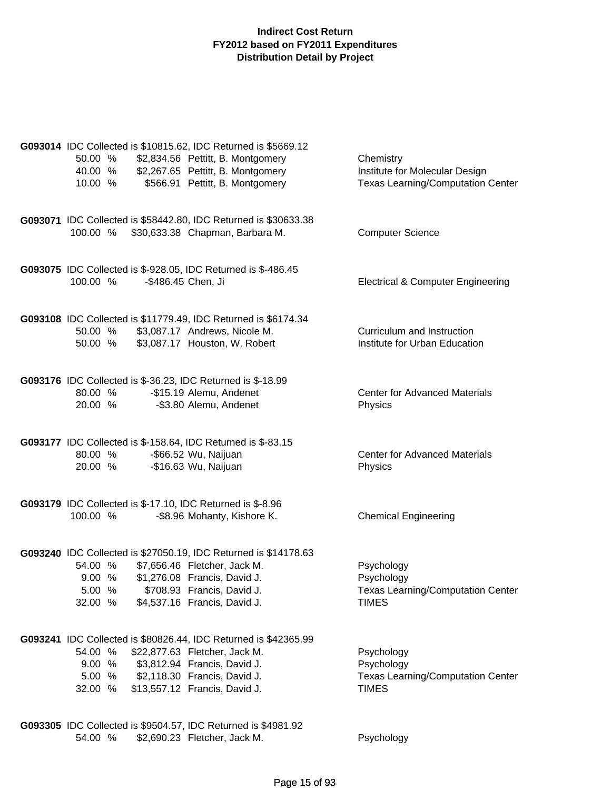| 50.00 %<br>40.00 %<br>10.00 %                                                                   | G093014 IDC Collected is \$10815.62, IDC Returned is \$5669.12<br>\$2,834.56 Pettitt, B. Montgomery<br>\$2,267.65 Pettitt, B. Montgomery<br>\$566.91 Pettitt, B. Montgomery                       | Chemistry<br>Institute for Molecular Design<br><b>Texas Learning/Computation Center</b> |
|-------------------------------------------------------------------------------------------------|---------------------------------------------------------------------------------------------------------------------------------------------------------------------------------------------------|-----------------------------------------------------------------------------------------|
| 100.00 %                                                                                        | G093071 IDC Collected is \$58442.80, IDC Returned is \$30633.38<br>\$30,633.38 Chapman, Barbara M.                                                                                                | <b>Computer Science</b>                                                                 |
| G093075 IDC Collected is \$-928.05, IDC Returned is \$-486.45<br>-\$486.45 Chen, Ji<br>100.00 % |                                                                                                                                                                                                   | <b>Electrical &amp; Computer Engineering</b>                                            |
| 50.00 %<br>50.00 %                                                                              | G093108 IDC Collected is \$11779.49, IDC Returned is \$6174.34<br>\$3,087.17 Andrews, Nicole M.<br>\$3,087.17 Houston, W. Robert                                                                  | Curriculum and Instruction<br>Institute for Urban Education                             |
| G093176 IDC Collected is \$-36.23, IDC Returned is \$-18.99<br>80.00 %<br>20.00 %               | -\$15.19 Alemu, Andenet<br>-\$3.80 Alemu, Andenet                                                                                                                                                 | <b>Center for Advanced Materials</b><br>Physics                                         |
| G093177 IDC Collected is \$-158.64, IDC Returned is \$-83.15<br>80.00 %<br>20.00 %              | -\$66.52 Wu, Naijuan<br>-\$16.63 Wu, Naijuan                                                                                                                                                      | <b>Center for Advanced Materials</b><br>Physics                                         |
| G093179 IDC Collected is \$-17.10, IDC Returned is \$-8.96<br>100.00 %                          | -\$8.96 Mohanty, Kishore K.                                                                                                                                                                       | <b>Chemical Engineering</b>                                                             |
| 54.00 %<br>9.00 %<br>5.00 %<br>32.00 %                                                          | G093240 IDC Collected is \$27050.19, IDC Returned is \$14178.63<br>\$7,656.46 Fletcher, Jack M.<br>\$1,276.08 Francis, David J.<br>\$708.93 Francis, David J.<br>\$4,537.16 Francis, David J.     | Psychology<br>Psychology<br><b>Texas Learning/Computation Center</b><br><b>TIMES</b>    |
| 54.00 %<br>9.00%<br>5.00 %<br>32.00 %                                                           | G093241 IDC Collected is \$80826.44, IDC Returned is \$42365.99<br>\$22,877.63 Fletcher, Jack M.<br>\$3,812.94 Francis, David J.<br>\$2,118.30 Francis, David J.<br>\$13,557.12 Francis, David J. | Psychology<br>Psychology<br><b>Texas Learning/Computation Center</b><br><b>TIMES</b>    |
| G093305 IDC Collected is \$9504.57, IDC Returned is \$4981.92<br>54.00 %                        | \$2,690.23 Fletcher, Jack M.                                                                                                                                                                      | Psychology                                                                              |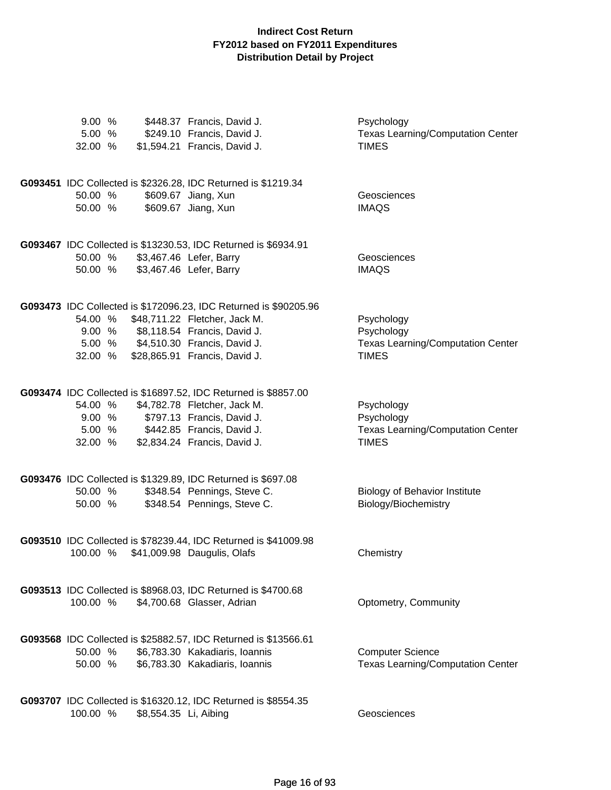| 9.00%<br>5.00 %<br>32.00 %   |                       | \$448.37 Francis, David J.<br>\$249.10 Francis, David J.<br>\$1,594.21 Francis, David J.                                                                                                                         | Psychology<br><b>Texas Learning/Computation Center</b><br><b>TIMES</b>               |
|------------------------------|-----------------------|------------------------------------------------------------------------------------------------------------------------------------------------------------------------------------------------------------------|--------------------------------------------------------------------------------------|
| 50.00 %<br>50.00 %           |                       | G093451 IDC Collected is \$2326.28, IDC Returned is \$1219.34<br>\$609.67 Jiang, Xun<br>\$609.67 Jiang, Xun                                                                                                      | Geosciences<br><b>IMAQS</b>                                                          |
| 50.00 %<br>50.00 %           |                       | G093467 IDC Collected is \$13230.53, IDC Returned is \$6934.91<br>\$3,467.46 Lefer, Barry<br>\$3,467.46 Lefer, Barry                                                                                             | Geosciences<br><b>IMAQS</b>                                                          |
| 54.00 %<br>32.00 %           |                       | G093473 IDC Collected is \$172096.23, IDC Returned is \$90205.96<br>\$48,711.22 Fletcher, Jack M.<br>9.00 % \$8,118.54 Francis, David J.<br>5.00 % \$4,510.30 Francis, David J.<br>\$28,865.91 Francis, David J. | Psychology<br>Psychology<br><b>Texas Learning/Computation Center</b><br><b>TIMES</b> |
| 54.00 %<br>9.00 %<br>32.00 % |                       | G093474 IDC Collected is \$16897.52, IDC Returned is \$8857.00<br>\$4,782.78 Fletcher, Jack M.<br>\$797.13 Francis, David J.<br>5.00 % \$442.85 Francis, David J.<br>\$2,834.24 Francis, David J.                | Psychology<br>Psychology<br><b>Texas Learning/Computation Center</b><br><b>TIMES</b> |
| 50.00 %<br>50.00 %           |                       | G093476 IDC Collected is \$1329.89, IDC Returned is \$697.08<br>\$348.54 Pennings, Steve C.<br>\$348.54 Pennings, Steve C.                                                                                       | <b>Biology of Behavior Institute</b><br>Biology/Biochemistry                         |
| 100.00 %                     |                       | G093510 IDC Collected is \$78239.44, IDC Returned is \$41009.98<br>\$41,009.98 Daugulis, Olafs                                                                                                                   | Chemistry                                                                            |
| 100.00 %                     |                       | G093513 IDC Collected is \$8968.03, IDC Returned is \$4700.68<br>\$4,700.68 Glasser, Adrian                                                                                                                      | Optometry, Community                                                                 |
| 50.00 %<br>50.00 %           |                       | G093568 IDC Collected is \$25882.57, IDC Returned is \$13566.61<br>\$6,783.30 Kakadiaris, Ioannis<br>\$6,783.30 Kakadiaris, Ioannis                                                                              | <b>Computer Science</b><br><b>Texas Learning/Computation Center</b>                  |
| 100.00 %                     | \$8,554.35 Li, Aibing | G093707 IDC Collected is \$16320.12, IDC Returned is \$8554.35                                                                                                                                                   | Geosciences                                                                          |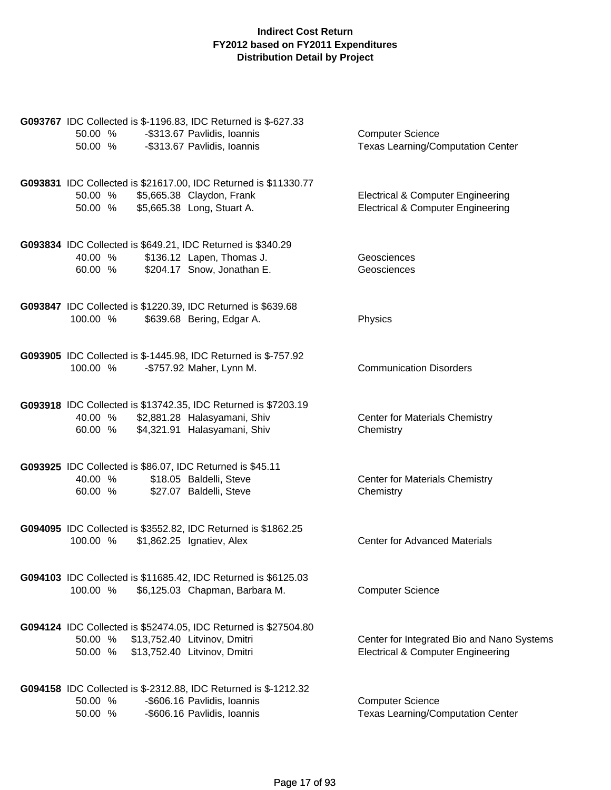| G093767 IDC Collected is \$-1196.83, IDC Returned is \$-627.33<br>50.00 %<br>-\$313.67 Pavlidis, Ioannis<br>-\$313.67 Pavlidis, Ioannis<br>50.00 %    | <b>Computer Science</b><br>Texas Learning/Computation Center                                 |
|-------------------------------------------------------------------------------------------------------------------------------------------------------|----------------------------------------------------------------------------------------------|
| G093831 IDC Collected is \$21617.00, IDC Returned is \$11330.77<br>\$5,665.38 Claydon, Frank<br>50.00 %<br>\$5,665.38 Long, Stuart A.<br>50.00 %      | <b>Electrical &amp; Computer Engineering</b><br><b>Electrical &amp; Computer Engineering</b> |
| G093834 IDC Collected is \$649.21, IDC Returned is \$340.29<br>\$136.12 Lapen, Thomas J.<br>40.00 %<br>\$204.17 Snow, Jonathan E.<br>60.00 %          | Geosciences<br>Geosciences                                                                   |
| G093847 IDC Collected is \$1220.39, IDC Returned is \$639.68<br>\$639.68 Bering, Edgar A.<br>100.00 %                                                 | Physics                                                                                      |
| G093905 IDC Collected is \$-1445.98, IDC Returned is \$-757.92<br>100.00 %<br>-\$757.92 Maher, Lynn M.                                                | <b>Communication Disorders</b>                                                               |
| G093918 IDC Collected is \$13742.35, IDC Returned is \$7203.19<br>\$2,881.28 Halasyamani, Shiv<br>40.00 %<br>\$4,321.91 Halasyamani, Shiv<br>60.00 %  | <b>Center for Materials Chemistry</b><br>Chemistry                                           |
| G093925 IDC Collected is \$86.07, IDC Returned is \$45.11<br>\$18.05 Baldelli, Steve<br>40.00 %<br>\$27.07 Baldelli, Steve<br>60.00 %                 | <b>Center for Materials Chemistry</b><br>Chemistry                                           |
| G094095 IDC Collected is \$3552.82, IDC Returned is \$1862.25<br>100.00 %<br>\$1,862.25 Ignatiev, Alex                                                | <b>Center for Advanced Materials</b>                                                         |
| G094103 IDC Collected is \$11685.42, IDC Returned is \$6125.03<br>100.00 %<br>\$6,125.03 Chapman, Barbara M.                                          | <b>Computer Science</b>                                                                      |
| G094124 IDC Collected is \$52474.05, IDC Returned is \$27504.80<br>50.00 %<br>\$13,752.40 Litvinov, Dmitri<br>\$13,752.40 Litvinov, Dmitri<br>50.00 % | Center for Integrated Bio and Nano Systems<br><b>Electrical &amp; Computer Engineering</b>   |
| G094158 IDC Collected is \$-2312.88, IDC Returned is \$-1212.32<br>50.00 %<br>-\$606.16 Pavlidis, Ioannis<br>50.00 %<br>-\$606.16 Pavlidis, Ioannis   | <b>Computer Science</b><br><b>Texas Learning/Computation Center</b>                          |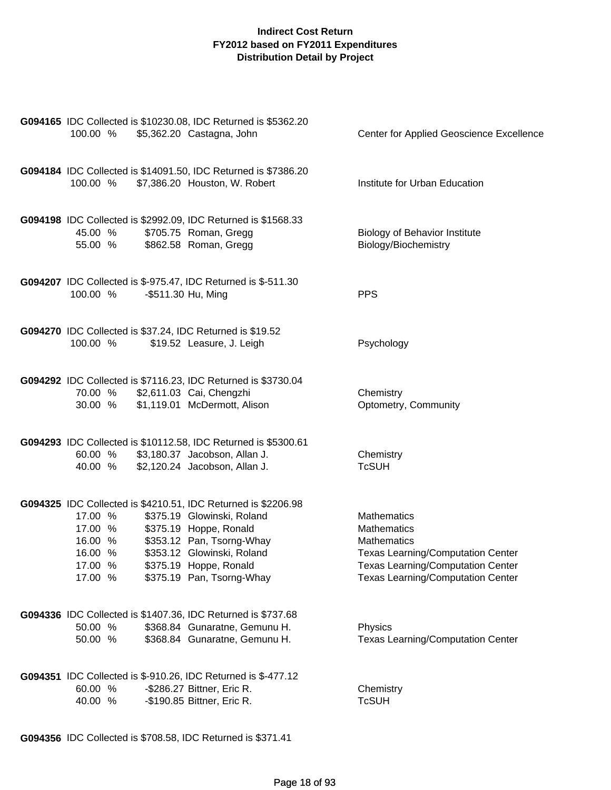| 100.00 %                                                       | G094165 IDC Collected is \$10230.08, IDC Returned is \$5362.20<br>\$5,362.20 Castagna, John                                                                                                                                             | Center for Applied Geoscience Excellence                                                                                                                                                           |
|----------------------------------------------------------------|-----------------------------------------------------------------------------------------------------------------------------------------------------------------------------------------------------------------------------------------|----------------------------------------------------------------------------------------------------------------------------------------------------------------------------------------------------|
|                                                                | G094184 IDC Collected is \$14091.50, IDC Returned is \$7386.20<br>100.00 % \$7,386.20 Houston, W. Robert                                                                                                                                | Institute for Urban Education                                                                                                                                                                      |
| 45.00 %<br>55.00 %                                             | G094198 IDC Collected is \$2992.09, IDC Returned is \$1568.33<br>\$705.75 Roman, Gregg<br>\$862.58 Roman, Gregg                                                                                                                         | <b>Biology of Behavior Institute</b><br>Biology/Biochemistry                                                                                                                                       |
| 100.00 %                                                       | G094207 IDC Collected is \$-975.47, IDC Returned is \$-511.30<br>-\$511.30 Hu, Ming                                                                                                                                                     | <b>PPS</b>                                                                                                                                                                                         |
| 100.00 %                                                       | G094270 IDC Collected is \$37.24, IDC Returned is \$19.52<br>\$19.52 Leasure, J. Leigh                                                                                                                                                  | Psychology                                                                                                                                                                                         |
| 70.00 %                                                        | G094292 IDC Collected is \$7116.23, IDC Returned is \$3730.04<br>\$2,611.03 Cai, Chengzhi<br>30.00 % \$1,119.01 McDermott, Alison                                                                                                       | Chemistry<br>Optometry, Community                                                                                                                                                                  |
| 60.00 %<br>40.00 %                                             | G094293 IDC Collected is \$10112.58, IDC Returned is \$5300.61<br>\$3,180.37 Jacobson, Allan J.<br>\$2,120.24 Jacobson, Allan J.                                                                                                        | Chemistry<br><b>TcSUH</b>                                                                                                                                                                          |
| 17.00 %<br>17.00 %<br>16.00 %<br>16.00 %<br>17.00 %<br>17.00 % | G094325 IDC Collected is \$4210.51, IDC Returned is \$2206.98<br>\$375.19 Glowinski, Roland<br>\$375.19 Hoppe, Ronald<br>\$353.12 Pan, Tsorng-Whay<br>\$353.12 Glowinski, Roland<br>\$375.19 Hoppe, Ronald<br>\$375.19 Pan, Tsorng-Whay | <b>Mathematics</b><br><b>Mathematics</b><br><b>Mathematics</b><br><b>Texas Learning/Computation Center</b><br><b>Texas Learning/Computation Center</b><br><b>Texas Learning/Computation Center</b> |
| 50.00 %<br>50.00 %                                             | G094336 IDC Collected is \$1407.36, IDC Returned is \$737.68<br>\$368.84 Gunaratne, Gemunu H.<br>\$368.84 Gunaratne, Gemunu H.                                                                                                          | Physics<br><b>Texas Learning/Computation Center</b>                                                                                                                                                |
| 60.00 %<br>40.00 %                                             | G094351 IDC Collected is \$-910.26, IDC Returned is \$-477.12<br>-\$286.27 Bittner, Eric R.<br>-\$190.85 Bittner, Eric R.                                                                                                               | Chemistry<br><b>TcSUH</b>                                                                                                                                                                          |
|                                                                |                                                                                                                                                                                                                                         |                                                                                                                                                                                                    |

**G094356** IDC Collected is \$708.58, IDC Returned is \$371.41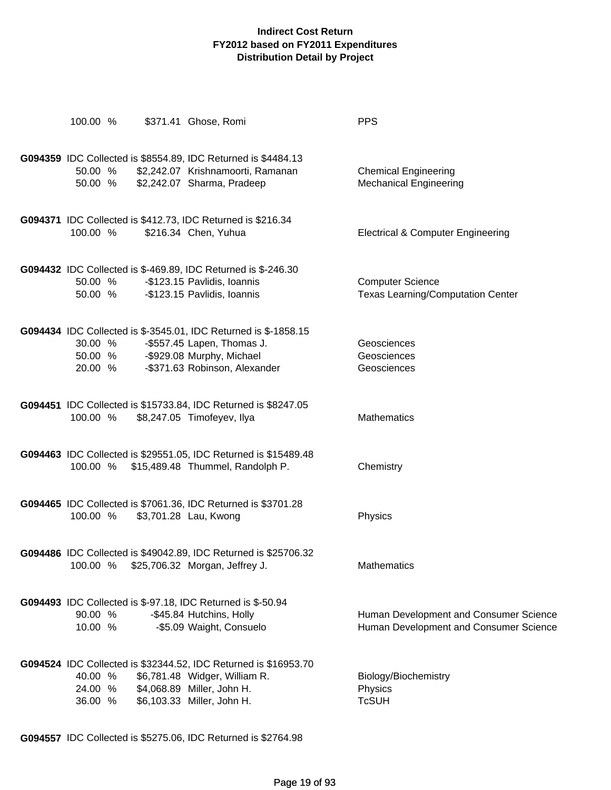| 100.00 %                                                                          | \$371.41 Ghose, Romi  |                                                                                                                                                              | <b>PPS</b>                                                                       |
|-----------------------------------------------------------------------------------|-----------------------|--------------------------------------------------------------------------------------------------------------------------------------------------------------|----------------------------------------------------------------------------------|
| 50.00 %<br>50.00 %                                                                |                       | G094359 IDC Collected is \$8554.89, IDC Returned is \$4484.13<br>\$2,242.07 Krishnamoorti, Ramanan<br>\$2,242.07 Sharma, Pradeep                             | <b>Chemical Engineering</b><br><b>Mechanical Engineering</b>                     |
| 100.00 %                                                                          | \$216.34 Chen, Yuhua  | G094371 IDC Collected is \$412.73, IDC Returned is \$216.34                                                                                                  | <b>Electrical &amp; Computer Engineering</b>                                     |
| 50.00 %<br>50.00 %                                                                |                       | G094432 IDC Collected is \$-469.89, IDC Returned is \$-246.30<br>-\$123.15 Pavlidis, Ioannis<br>-\$123.15 Pavlidis, Ioannis                                  | <b>Computer Science</b><br><b>Texas Learning/Computation Center</b>              |
| 30.00 %<br>50.00 %<br>20.00 %                                                     |                       | G094434 IDC Collected is \$-3545.01, IDC Returned is \$-1858.15<br>-\$557.45 Lapen, Thomas J.<br>-\$929.08 Murphy, Michael<br>-\$371.63 Robinson, Alexander  | Geosciences<br>Geosciences<br>Geosciences                                        |
| 100.00 %                                                                          |                       | G094451 IDC Collected is \$15733.84, IDC Returned is \$8247.05<br>\$8,247.05 Timofeyev, Ilya                                                                 | <b>Mathematics</b>                                                               |
|                                                                                   |                       | G094463 IDC Collected is \$29551.05, IDC Returned is \$15489.48<br>100.00 % \$15,489.48 Thummel, Randolph P.                                                 | Chemistry                                                                        |
| 100.00 %                                                                          | \$3,701.28 Lau, Kwong | G094465 IDC Collected is \$7061.36, IDC Returned is \$3701.28                                                                                                | Physics                                                                          |
| 100.00 % \$25,706.32 Morgan, Jeffrey J.                                           |                       | G094486 IDC Collected is \$49042.89, IDC Returned is \$25706.32                                                                                              | Mathematics                                                                      |
| G094493 IDC Collected is \$-97.18, IDC Returned is \$-50.94<br>90.00 %<br>10.00 % |                       | -\$45.84 Hutchins, Holly<br>-\$5.09 Waight, Consuelo                                                                                                         | Human Development and Consumer Science<br>Human Development and Consumer Science |
| 40.00 %<br>24.00 %<br>36.00 %                                                     |                       | G094524 IDC Collected is \$32344.52, IDC Returned is \$16953.70<br>\$6,781.48 Widger, William R.<br>\$4,068.89 Miller, John H.<br>\$6,103.33 Miller, John H. | Biology/Biochemistry<br>Physics<br><b>TcSUH</b>                                  |

**G094557** IDC Collected is \$5275.06, IDC Returned is \$2764.98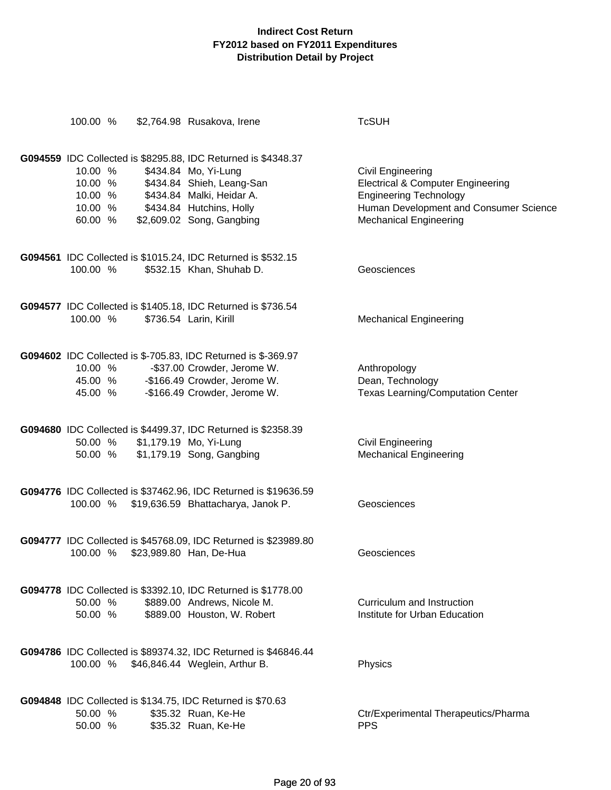| 100.00 %                                            | \$2,764.98 Rusakova, Irene                                                                                                                                                                               | <b>TcSUH</b>                                                                                                                                                                         |
|-----------------------------------------------------|----------------------------------------------------------------------------------------------------------------------------------------------------------------------------------------------------------|--------------------------------------------------------------------------------------------------------------------------------------------------------------------------------------|
| 10.00 %<br>10.00 %<br>10.00 %<br>10.00 %<br>60.00 % | G094559 IDC Collected is \$8295.88, IDC Returned is \$4348.37<br>\$434.84 Mo, Yi-Lung<br>\$434.84 Shieh, Leang-San<br>\$434.84 Malki, Heidar A.<br>\$434.84 Hutchins, Holly<br>\$2,609.02 Song, Gangbing | <b>Civil Engineering</b><br><b>Electrical &amp; Computer Engineering</b><br><b>Engineering Technology</b><br>Human Development and Consumer Science<br><b>Mechanical Engineering</b> |
| 100.00 %                                            | G094561 IDC Collected is \$1015.24, IDC Returned is \$532.15<br>\$532.15 Khan, Shuhab D.                                                                                                                 | Geosciences                                                                                                                                                                          |
| 100.00 %                                            | G094577 IDC Collected is \$1405.18, IDC Returned is \$736.54<br>\$736.54 Larin, Kirill                                                                                                                   | <b>Mechanical Engineering</b>                                                                                                                                                        |
| 10.00 %<br>45.00 %<br>45.00 %                       | G094602 IDC Collected is \$-705.83, IDC Returned is \$-369.97<br>-\$37.00 Crowder, Jerome W.<br>-\$166.49 Crowder, Jerome W.<br>-\$166.49 Crowder, Jerome W.                                             | Anthropology<br>Dean, Technology<br><b>Texas Learning/Computation Center</b>                                                                                                         |
|                                                     | G094680 IDC Collected is \$4499.37, IDC Returned is \$2358.39<br>50.00 % \$1,179.19 Mo, Yi-Lung<br>50.00 % \$1,179.19 Song, Gangbing                                                                     | <b>Civil Engineering</b><br><b>Mechanical Engineering</b>                                                                                                                            |
|                                                     | G094776 IDC Collected is \$37462.96, IDC Returned is \$19636.59<br>100.00 % \$19,636.59 Bhattacharya, Janok P.                                                                                           | Geosciences                                                                                                                                                                          |
| 100.00 %                                            | G094777 IDC Collected is \$45768.09, IDC Returned is \$23989.80<br>\$23,989.80 Han, De-Hua                                                                                                               | Geosciences                                                                                                                                                                          |
| 50.00 %<br>50.00 %                                  | G094778 IDC Collected is \$3392.10, IDC Returned is \$1778.00<br>\$889.00 Andrews, Nicole M.<br>\$889.00 Houston, W. Robert                                                                              | Curriculum and Instruction<br>Institute for Urban Education                                                                                                                          |
| 100.00 %                                            | G094786 IDC Collected is \$89374.32, IDC Returned is \$46846.44<br>\$46,846.44 Weglein, Arthur B.                                                                                                        | Physics                                                                                                                                                                              |
| 50.00 %<br>50.00 %                                  | G094848 IDC Collected is \$134.75, IDC Returned is \$70.63<br>\$35.32 Ruan, Ke-He<br>\$35.32 Ruan, Ke-He                                                                                                 | Ctr/Experimental Therapeutics/Pharma<br><b>PPS</b>                                                                                                                                   |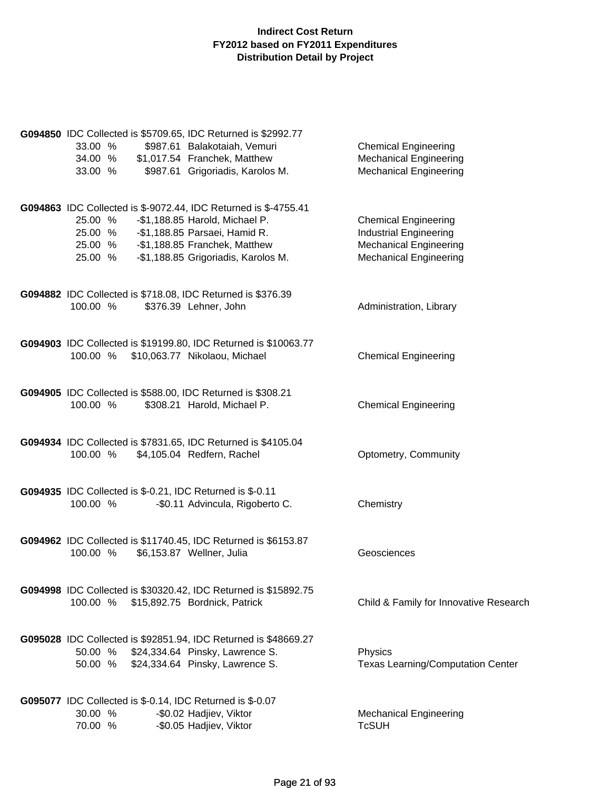| 33.00 %<br>34.00 %                                                              | G094850 IDC Collected is \$5709.65, IDC Returned is \$2992.77<br>\$987.61 Balakotaiah, Vemuri<br>\$1,017.54 Franchek, Matthew                                                                              | <b>Chemical Engineering</b><br><b>Mechanical Engineering</b>                                                                   |
|---------------------------------------------------------------------------------|------------------------------------------------------------------------------------------------------------------------------------------------------------------------------------------------------------|--------------------------------------------------------------------------------------------------------------------------------|
| 33.00 %                                                                         | \$987.61 Grigoriadis, Karolos M.                                                                                                                                                                           | <b>Mechanical Engineering</b>                                                                                                  |
| 25.00 %<br>25.00 %<br>25.00 %<br>25.00 %                                        | G094863 IDC Collected is \$-9072.44, IDC Returned is \$-4755.41<br>-\$1,188.85 Harold, Michael P.<br>-\$1,188.85 Parsaei, Hamid R.<br>-\$1,188.85 Franchek, Matthew<br>-\$1,188.85 Grigoriadis, Karolos M. | <b>Chemical Engineering</b><br><b>Industrial Engineering</b><br><b>Mechanical Engineering</b><br><b>Mechanical Engineering</b> |
| 100.00 %                                                                        | G094882 IDC Collected is \$718.08, IDC Returned is \$376.39<br>\$376.39 Lehner, John                                                                                                                       | Administration, Library                                                                                                        |
| 100.00 %                                                                        | G094903 IDC Collected is \$19199.80, IDC Returned is \$10063.77<br>\$10,063.77 Nikolaou, Michael                                                                                                           | <b>Chemical Engineering</b>                                                                                                    |
| 100.00 %                                                                        | G094905 IDC Collected is \$588.00, IDC Returned is \$308.21<br>\$308.21 Harold, Michael P.                                                                                                                 | <b>Chemical Engineering</b>                                                                                                    |
| 100.00 %                                                                        | G094934 IDC Collected is \$7831.65, IDC Returned is \$4105.04<br>\$4,105.04 Redfern, Rachel                                                                                                                | Optometry, Community                                                                                                           |
| G094935 IDC Collected is \$-0.21, IDC Returned is \$-0.11<br>100.00 %           | -\$0.11 Advincula, Rigoberto C.                                                                                                                                                                            | Chemistry                                                                                                                      |
| 100.00 %                                                                        | G094962 IDC Collected is \$11740.45, IDC Returned is \$6153.87<br>\$6,153.87 Wellner, Julia                                                                                                                | Geosciences                                                                                                                    |
| 100.00 %                                                                        | G094998 IDC Collected is \$30320.42, IDC Returned is \$15892.75<br>\$15,892.75 Bordnick, Patrick                                                                                                           | Child & Family for Innovative Research                                                                                         |
| 50.00 %                                                                         | G095028 IDC Collected is \$92851.94, IDC Returned is \$48669.27<br>50.00 % \$24,334.64 Pinsky, Lawrence S.<br>\$24,334.64 Pinsky, Lawrence S.                                                              | Physics<br><b>Texas Learning/Computation Center</b>                                                                            |
| G095077 IDC Collected is \$-0.14, IDC Returned is \$-0.07<br>30.00 %<br>70.00 % | -\$0.02 Hadjiev, Viktor<br>-\$0.05 Hadjiev, Viktor                                                                                                                                                         | <b>Mechanical Engineering</b><br><b>TcSUH</b>                                                                                  |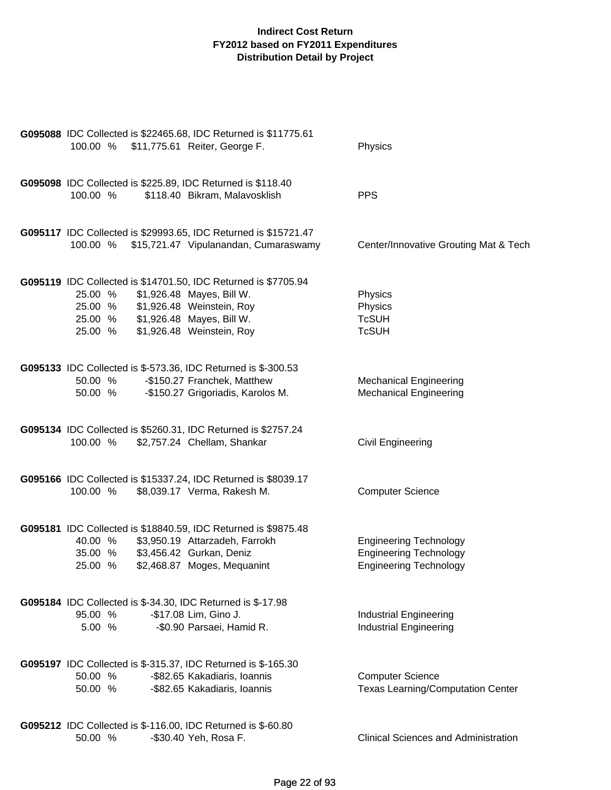| 100.00 % \$11,775.61 Reiter, George F.                                                       | G095088 IDC Collected is \$22465.68, IDC Returned is \$11775.61                                                                                             | Physics                                                                                         |
|----------------------------------------------------------------------------------------------|-------------------------------------------------------------------------------------------------------------------------------------------------------------|-------------------------------------------------------------------------------------------------|
| G095098 IDC Collected is \$225.89, IDC Returned is \$118.40<br>100.00 %                      | \$118.40 Bikram, Malavosklish                                                                                                                               | <b>PPS</b>                                                                                      |
|                                                                                              | G095117 IDC Collected is \$29993.65, IDC Returned is \$15721.47<br>100.00 % \$15,721.47 Vipulanandan, Cumaraswamy                                           | Center/Innovative Grouting Mat & Tech                                                           |
| 25.00 %<br>25.00 % \$1,926.48 Weinstein, Roy<br>25.00 % \$1,926.48 Mayes, Bill W.<br>25.00 % | G095119 IDC Collected is \$14701.50, IDC Returned is \$7705.94<br>\$1,926.48 Mayes, Bill W.<br>\$1,926.48 Weinstein, Roy                                    | Physics<br>Physics<br><b>TcSUH</b><br><b>TcSUH</b>                                              |
| G095133 IDC Collected is \$-573.36, IDC Returned is \$-300.53<br>50.00 %<br>50.00 %          | -\$150.27 Franchek, Matthew<br>-\$150.27 Grigoriadis, Karolos M.                                                                                            | <b>Mechanical Engineering</b><br><b>Mechanical Engineering</b>                                  |
| 100.00 %                                                                                     | G095134 IDC Collected is \$5260.31, IDC Returned is \$2757.24<br>\$2,757.24 Chellam, Shankar                                                                | Civil Engineering                                                                               |
| 100.00 %                                                                                     | G095166 IDC Collected is \$15337.24, IDC Returned is \$8039.17<br>\$8,039.17 Verma, Rakesh M.                                                               | <b>Computer Science</b>                                                                         |
| 40.00 %<br>35.00 %<br>25.00 %                                                                | G095181 IDC Collected is \$18840.59, IDC Returned is \$9875.48<br>\$3,950.19 Attarzadeh, Farrokh<br>\$3,456.42 Gurkan, Deniz<br>\$2,468.87 Moges, Mequanint | <b>Engineering Technology</b><br><b>Engineering Technology</b><br><b>Engineering Technology</b> |
| <b>G095184</b> IDC Collected is \$-34.30, IDC Returned is \$-17.98<br>95.00 %<br>5.00 %      | -\$17.08 Lim, Gino J.<br>-\$0.90 Parsaei, Hamid R.                                                                                                          | <b>Industrial Engineering</b><br><b>Industrial Engineering</b>                                  |
| G095197 IDC Collected is \$-315.37, IDC Returned is \$-165.30<br>50.00 %<br>50.00 %          | -\$82.65 Kakadiaris, Ioannis<br>-\$82.65 Kakadiaris, Ioannis                                                                                                | <b>Computer Science</b><br><b>Texas Learning/Computation Center</b>                             |
| G095212 IDC Collected is \$-116.00, IDC Returned is \$-60.80<br>50.00 %                      | -\$30.40 Yeh, Rosa F.                                                                                                                                       | <b>Clinical Sciences and Administration</b>                                                     |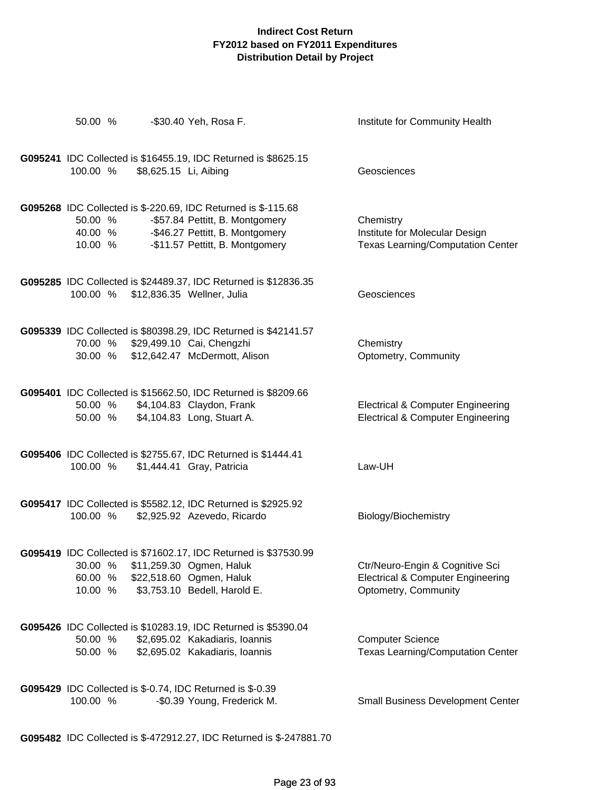| 50.00 %                                                                                                                         | -\$30.40 Yeh, Rosa F.                                                                                                              | Institute for Community Health                                                                          |
|---------------------------------------------------------------------------------------------------------------------------------|------------------------------------------------------------------------------------------------------------------------------------|---------------------------------------------------------------------------------------------------------|
| 100.00 %<br>\$8,625.15 Li, Aibing                                                                                               | G095241 IDC Collected is \$16455.19, IDC Returned is \$8625.15                                                                     | Geosciences                                                                                             |
| G095268 IDC Collected is \$-220.69, IDC Returned is \$-115.68<br>50.00 %<br>40.00 % - \$46.27 Pettitt, B. Montgomery<br>10.00 % | -\$57.84 Pettitt, B. Montgomery<br>-\$11.57 Pettitt, B. Montgomery                                                                 | Chemistry<br>Institute for Molecular Design<br><b>Texas Learning/Computation Center</b>                 |
| 100.00 %                                                                                                                        | G095285 IDC Collected is \$24489.37, IDC Returned is \$12836.35<br>\$12,836.35 Wellner, Julia                                      | Geosciences                                                                                             |
| 70.00 % \$29,499.10 Cai, Chengzhi<br>30.00 % \$12,642.47 McDermott, Alison                                                      | G095339 IDC Collected is \$80398.29, IDC Returned is \$42141.57                                                                    | Chemistry<br>Optometry, Community                                                                       |
| 50.00 % \$4,104.83 Claydon, Frank<br>50.00 %                                                                                    | G095401 IDC Collected is \$15662.50, IDC Returned is \$8209.66<br>\$4,104.83 Long, Stuart A.                                       | <b>Electrical &amp; Computer Engineering</b><br><b>Electrical &amp; Computer Engineering</b>            |
| 100.00 %                                                                                                                        | G095406 IDC Collected is \$2755.67, IDC Returned is \$1444.41<br>\$1,444.41 Gray, Patricia                                         | Law-UH                                                                                                  |
| 100.00 %                                                                                                                        | G095417 IDC Collected is \$5582.12, IDC Returned is \$2925.92<br>\$2,925.92 Azevedo, Ricardo                                       | Biology/Biochemistry                                                                                    |
| 30.00 %<br>60.00 % \$22,518.60 Ogmen, Haluk<br>10.00 %                                                                          | G095419 IDC Collected is \$71602.17, IDC Returned is \$37530.99<br>\$11,259.30 Ogmen, Haluk<br>\$3,753.10 Bedell, Harold E.        | Ctr/Neuro-Engin & Cognitive Sci<br><b>Electrical &amp; Computer Engineering</b><br>Optometry, Community |
| 50.00 %<br>50.00 %                                                                                                              | G095426 IDC Collected is \$10283.19, IDC Returned is \$5390.04<br>\$2,695.02 Kakadiaris, Ioannis<br>\$2,695.02 Kakadiaris, Ioannis | <b>Computer Science</b><br><b>Texas Learning/Computation Center</b>                                     |
| <b>G095429</b> IDC Collected is \$-0.74, IDC Returned is \$-0.39<br>100.00 %                                                    | -\$0.39 Young, Frederick M.                                                                                                        | <b>Small Business Development Center</b>                                                                |
|                                                                                                                                 | G095482 IDC Collected is \$-472912.27, IDC Returned is \$-247881.70                                                                |                                                                                                         |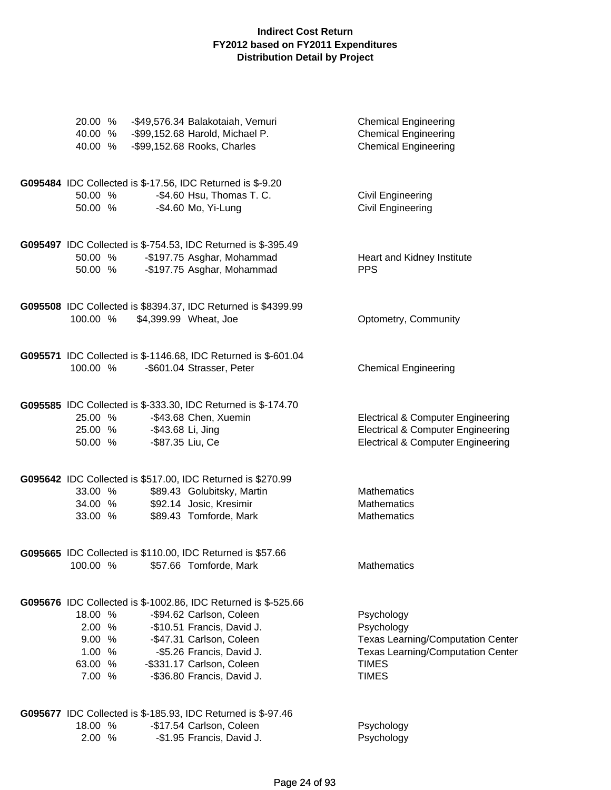| 20.00 %<br>40.00 %<br>40.00 %                              | -\$49,576.34 Balakotaiah, Vemuri<br>-\$99,152.68 Harold, Michael P.<br>-\$99,152.68 Rooks, Charles                                                                                                                                           | <b>Chemical Engineering</b><br><b>Chemical Engineering</b><br><b>Chemical Engineering</b>                                                        |
|------------------------------------------------------------|----------------------------------------------------------------------------------------------------------------------------------------------------------------------------------------------------------------------------------------------|--------------------------------------------------------------------------------------------------------------------------------------------------|
| 50.00 %<br>50.00 %                                         | G095484 IDC Collected is \$-17.56, IDC Returned is \$-9.20<br>-\$4.60 Hsu, Thomas T. C.<br>-\$4.60 Mo, Yi-Lung                                                                                                                               | <b>Civil Engineering</b><br><b>Civil Engineering</b>                                                                                             |
| 50.00 %<br>50.00 %                                         | G095497 IDC Collected is \$-754.53, IDC Returned is \$-395.49<br>-\$197.75 Asghar, Mohammad<br>-\$197.75 Asghar, Mohammad                                                                                                                    | Heart and Kidney Institute<br><b>PPS</b>                                                                                                         |
| 100.00 %                                                   | G095508 IDC Collected is \$8394.37, IDC Returned is \$4399.99<br>\$4,399.99 Wheat, Joe                                                                                                                                                       | Optometry, Community                                                                                                                             |
| 100.00 %                                                   | G095571 IDC Collected is \$-1146.68, IDC Returned is \$-601.04<br>-\$601.04 Strasser, Peter                                                                                                                                                  | <b>Chemical Engineering</b>                                                                                                                      |
| 25.00 %<br>25.00 %<br>50.00 %                              | G095585 IDC Collected is \$-333.30, IDC Returned is \$-174.70<br>-\$43.68 Chen, Xuemin<br>-\$43.68 Li, Jing<br>-\$87.35 Liu, Ce                                                                                                              | <b>Electrical &amp; Computer Engineering</b><br><b>Electrical &amp; Computer Engineering</b><br><b>Electrical &amp; Computer Engineering</b>     |
| 33.00 %<br>34.00 %<br>33.00 %                              | G095642 IDC Collected is \$517.00, IDC Returned is \$270.99<br>\$89.43 Golubitsky, Martin<br>\$92.14 Josic, Kresimir<br>\$89.43 Tomforde, Mark                                                                                               | <b>Mathematics</b><br>Mathematics<br><b>Mathematics</b>                                                                                          |
| 100.00 %                                                   | G095665 IDC Collected is \$110.00, IDC Returned is \$57.66<br>\$57.66 Tomforde, Mark                                                                                                                                                         | Mathematics                                                                                                                                      |
| 18.00 %<br>2.00 %<br>9.00 %<br>1.00 %<br>63.00 %<br>7.00 % | G095676 IDC Collected is \$-1002.86, IDC Returned is \$-525.66<br>-\$94.62 Carlson, Coleen<br>-\$10.51 Francis, David J.<br>-\$47.31 Carlson, Coleen<br>-\$5.26 Francis, David J.<br>-\$331.17 Carlson, Coleen<br>-\$36.80 Francis, David J. | Psychology<br>Psychology<br><b>Texas Learning/Computation Center</b><br><b>Texas Learning/Computation Center</b><br><b>TIMES</b><br><b>TIMES</b> |
| 18.00 %<br>2.00 %                                          | G095677 IDC Collected is \$-185.93, IDC Returned is \$-97.46<br>-\$17.54 Carlson, Coleen<br>-\$1.95 Francis, David J.                                                                                                                        | Psychology<br>Psychology                                                                                                                         |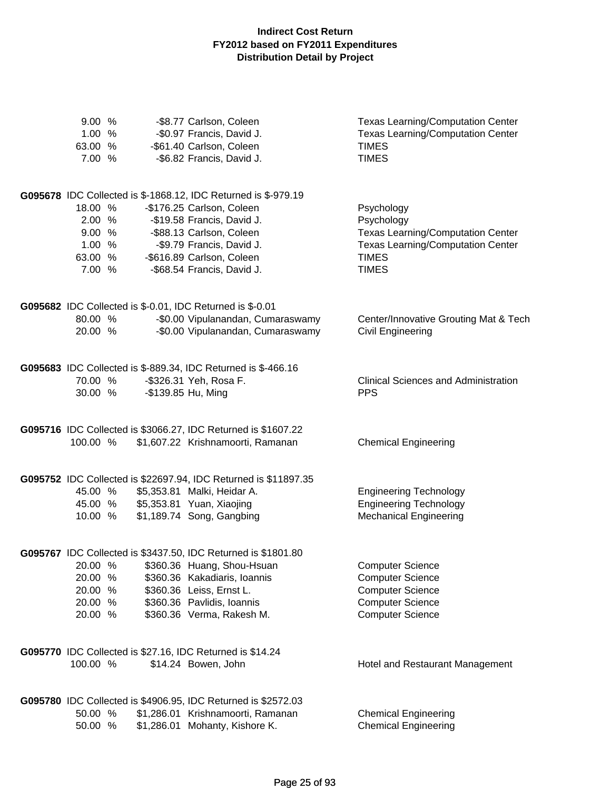| 9.00%<br>1.00 %   |  | -\$8.77 Carlson, Coleen<br>-\$0.97 Francis, David J.            | Texas Learning/Computation Center<br><b>Texas Learning/Computation Center</b> |
|-------------------|--|-----------------------------------------------------------------|-------------------------------------------------------------------------------|
| 63.00 %<br>7.00 % |  | -\$61.40 Carlson, Coleen<br>-\$6.82 Francis, David J.           | <b>TIMES</b><br><b>TIMES</b>                                                  |
|                   |  |                                                                 |                                                                               |
|                   |  | G095678 IDC Collected is \$-1868.12, IDC Returned is \$-979.19  |                                                                               |
| 18.00 %           |  | -\$176.25 Carlson, Coleen                                       | Psychology                                                                    |
| 2.00 %            |  | -\$19.58 Francis, David J.                                      | Psychology                                                                    |
| 9.00%             |  | -\$88.13 Carlson, Coleen                                        | <b>Texas Learning/Computation Center</b>                                      |
| 1.00 %            |  | -\$9.79 Francis, David J.                                       | <b>Texas Learning/Computation Center</b>                                      |
| 63.00 %           |  | -\$616.89 Carlson, Coleen                                       | <b>TIMES</b>                                                                  |
| 7.00 %            |  | -\$68.54 Francis, David J.                                      | <b>TIMES</b>                                                                  |
|                   |  | G095682 IDC Collected is \$-0.01, IDC Returned is \$-0.01       |                                                                               |
| 80.00 %           |  | -\$0.00 Vipulanandan, Cumaraswamy                               | Center/Innovative Grouting Mat & Tech                                         |
| 20.00 %           |  | -\$0.00 Vipulanandan, Cumaraswamy                               | <b>Civil Engineering</b>                                                      |
|                   |  | G095683 IDC Collected is \$-889.34, IDC Returned is \$-466.16   |                                                                               |
| 70.00 %           |  | -\$326.31 Yeh, Rosa F.                                          | <b>Clinical Sciences and Administration</b>                                   |
| 30.00 %           |  | -\$139.85 Hu, Ming                                              | <b>PPS</b>                                                                    |
|                   |  | G095716 IDC Collected is \$3066.27, IDC Returned is \$1607.22   |                                                                               |
| 100.00 %          |  | \$1,607.22 Krishnamoorti, Ramanan                               | <b>Chemical Engineering</b>                                                   |
|                   |  | G095752 IDC Collected is \$22697.94, IDC Returned is \$11897.35 |                                                                               |
| 45.00 %           |  | \$5,353.81 Malki, Heidar A.                                     | <b>Engineering Technology</b>                                                 |
| 45.00 %           |  | \$5,353.81 Yuan, Xiaojing                                       | <b>Engineering Technology</b>                                                 |
| 10.00 %           |  | \$1,189.74 Song, Gangbing                                       | <b>Mechanical Engineering</b>                                                 |
|                   |  | G095767 IDC Collected is \$3437.50, IDC Returned is \$1801.80   |                                                                               |
| 20.00 %           |  | \$360.36 Huang, Shou-Hsuan                                      | <b>Computer Science</b>                                                       |
| 20.00 %           |  | \$360.36 Kakadiaris, Ioannis                                    | <b>Computer Science</b>                                                       |
| 20.00 %           |  | \$360.36 Leiss, Ernst L.                                        | <b>Computer Science</b>                                                       |
| 20.00 %           |  | \$360.36 Pavlidis, Ioannis                                      | <b>Computer Science</b>                                                       |
| 20.00 %           |  | \$360.36 Verma, Rakesh M.                                       | <b>Computer Science</b>                                                       |
|                   |  | G095770 IDC Collected is \$27.16, IDC Returned is \$14.24       |                                                                               |
| 100.00 %          |  | \$14.24 Bowen, John                                             | Hotel and Restaurant Management                                               |
|                   |  | G095780 IDC Collected is \$4906.95, IDC Returned is \$2572.03   |                                                                               |
| 50.00 %           |  | \$1,286.01 Krishnamoorti, Ramanan                               | <b>Chemical Engineering</b>                                                   |
| 50.00 %           |  | \$1,286.01 Mohanty, Kishore K.                                  | <b>Chemical Engineering</b>                                                   |
|                   |  |                                                                 |                                                                               |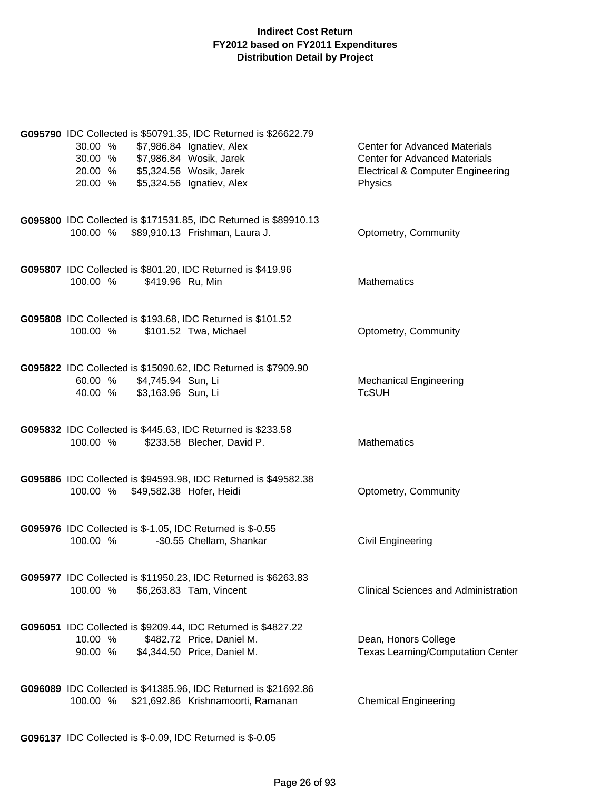| G095790 IDC Collected is \$50791.35, IDC Returned is \$26622.79<br>30.00 %<br>\$7,986.84 Ignatiev, Alex<br>30.00 % \$7,986.84 Wosik, Jarek<br>20.00 % \$5,324.56 Wosik, Jarek<br>\$5,324.56 Ignatiev, Alex<br>20.00 % |                                    | <b>Center for Advanced Materials</b><br><b>Center for Advanced Materials</b><br><b>Electrical &amp; Computer Engineering</b><br>Physics |
|-----------------------------------------------------------------------------------------------------------------------------------------------------------------------------------------------------------------------|------------------------------------|-----------------------------------------------------------------------------------------------------------------------------------------|
| G095800 IDC Collected is \$171531.85, IDC Returned is \$89910.13<br>100.00 % \$89,910.13 Frishman, Laura J.                                                                                                           |                                    | Optometry, Community                                                                                                                    |
| G095807 IDC Collected is \$801.20, IDC Returned is \$419.96<br>100.00 %<br>\$419.96 Ru, Min                                                                                                                           |                                    | <b>Mathematics</b>                                                                                                                      |
| G095808 IDC Collected is \$193.68, IDC Returned is \$101.52<br>100.00 %<br>\$101.52 Twa, Michael                                                                                                                      |                                    | Optometry, Community                                                                                                                    |
| G095822 IDC Collected is \$15090.62, IDC Returned is \$7909.90<br>60.00 % \$4,745.94 Sun, Li<br>40.00 % \$3,163.96 Sun, Li                                                                                            |                                    | <b>Mechanical Engineering</b><br><b>TcSUH</b>                                                                                           |
| G095832 IDC Collected is \$445.63, IDC Returned is \$233.58<br>100.00 %                                                                                                                                               | \$233.58 Blecher, David P.         | <b>Mathematics</b>                                                                                                                      |
| G095886 IDC Collected is \$94593.98, IDC Returned is \$49582.38<br>100.00 % \$49,582.38 Hofer, Heidi                                                                                                                  |                                    | Optometry, Community                                                                                                                    |
| G095976 IDC Collected is \$-1.05, IDC Returned is \$-0.55<br>100.00 %                                                                                                                                                 | -\$0.55 Chellam, Shankar           | <b>Civil Engineering</b>                                                                                                                |
| G095977 IDC Collected is \$11950.23, IDC Returned is \$6263.83<br>100.00 %<br>\$6,263.83 Tam, Vincent                                                                                                                 |                                    | <b>Clinical Sciences and Administration</b>                                                                                             |
| <b>G096051</b> IDC Collected is \$9209.44, IDC Returned is \$4827.22<br>10.00 %<br>90.00 %<br>\$4,344.50 Price, Daniel M.                                                                                             | \$482.72 Price, Daniel M.          | Dean, Honors College<br><b>Texas Learning/Computation Center</b>                                                                        |
| G096089 IDC Collected is \$41385.96, IDC Returned is \$21692.86<br>100.00 %                                                                                                                                           | \$21,692.86 Krishnamoorti, Ramanan | <b>Chemical Engineering</b>                                                                                                             |

**G096137** IDC Collected is \$-0.09, IDC Returned is \$-0.05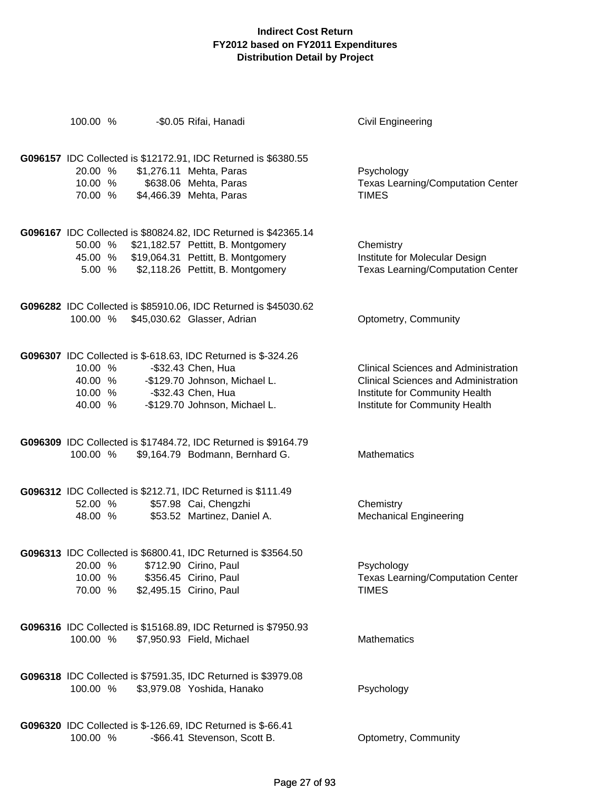| 100.00 %           | -\$0.05 Rifai, Hanadi                                                                        | Civil Engineering                                                          |
|--------------------|----------------------------------------------------------------------------------------------|----------------------------------------------------------------------------|
|                    |                                                                                              |                                                                            |
| 20.00 %            | G096157 IDC Collected is \$12172.91, IDC Returned is \$6380.55                               |                                                                            |
| 10.00 %            | \$1,276.11 Mehta, Paras<br>\$638.06 Mehta, Paras                                             | Psychology<br><b>Texas Learning/Computation Center</b>                     |
| 70.00 %            | \$4,466.39 Mehta, Paras                                                                      | <b>TIMES</b>                                                               |
|                    |                                                                                              |                                                                            |
|                    | G096167 IDC Collected is \$80824.82, IDC Returned is \$42365.14                              |                                                                            |
| 50.00 %            | \$21,182.57 Pettitt, B. Montgomery                                                           | Chemistry                                                                  |
| 5.00 %             | 45.00 % \$19,064.31 Pettitt, B. Montgomery<br>\$2,118.26 Pettitt, B. Montgomery              | Institute for Molecular Design<br><b>Texas Learning/Computation Center</b> |
|                    |                                                                                              |                                                                            |
|                    | G096282 IDC Collected is \$85910.06, IDC Returned is \$45030.62                              |                                                                            |
| 100.00 %           | \$45,030.62 Glasser, Adrian                                                                  | Optometry, Community                                                       |
|                    |                                                                                              |                                                                            |
|                    | G096307 IDC Collected is \$-618.63, IDC Returned is \$-324.26                                |                                                                            |
| 10.00 %            | -\$32.43 Chen, Hua                                                                           | <b>Clinical Sciences and Administration</b>                                |
| 40.00 %            | -\$129.70 Johnson, Michael L.                                                                | <b>Clinical Sciences and Administration</b>                                |
| 10.00 %<br>40.00 % | -\$32.43 Chen, Hua<br>-\$129.70 Johnson, Michael L.                                          | Institute for Community Health<br>Institute for Community Health           |
|                    |                                                                                              |                                                                            |
|                    | G096309 IDC Collected is \$17484.72, IDC Returned is \$9164.79                               |                                                                            |
| 100.00 %           | \$9,164.79 Bodmann, Bernhard G.                                                              | Mathematics                                                                |
|                    |                                                                                              |                                                                            |
|                    | G096312 IDC Collected is \$212.71, IDC Returned is \$111.49                                  |                                                                            |
| 52.00 %            | \$57.98 Cai, Chengzhi                                                                        | Chemistry                                                                  |
| 48.00 %            | \$53.52 Martinez, Daniel A.                                                                  | <b>Mechanical Engineering</b>                                              |
|                    |                                                                                              |                                                                            |
| 20.00 %            | G096313 IDC Collected is \$6800.41, IDC Returned is \$3564.50<br>\$712.90 Cirino, Paul       | Psychology                                                                 |
| 10.00 %            | \$356.45 Cirino, Paul                                                                        | <b>Texas Learning/Computation Center</b>                                   |
| 70.00 %            | \$2,495.15 Cirino, Paul                                                                      | <b>TIMES</b>                                                               |
|                    |                                                                                              |                                                                            |
|                    | G096316 IDC Collected is \$15168.89, IDC Returned is \$7950.93                               |                                                                            |
| 100.00 %           | \$7,950.93 Field, Michael                                                                    | Mathematics                                                                |
|                    |                                                                                              |                                                                            |
|                    | G096318 IDC Collected is \$7591.35, IDC Returned is \$3979.08                                |                                                                            |
| 100.00 %           | \$3,979.08 Yoshida, Hanako                                                                   | Psychology                                                                 |
|                    |                                                                                              |                                                                            |
| 100.00 %           | G096320 IDC Collected is \$-126.69, IDC Returned is \$-66.41<br>-\$66.41 Stevenson, Scott B. | Optometry, Community                                                       |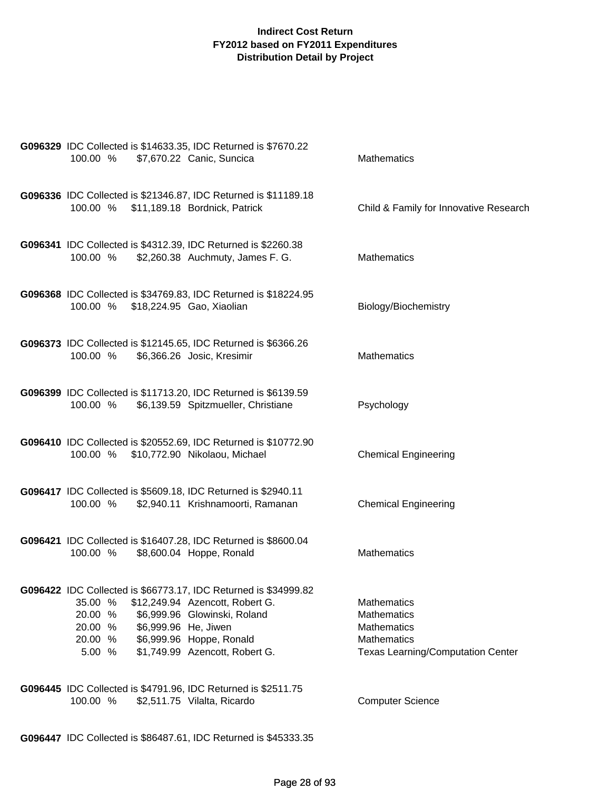| G096329 IDC Collected is \$14633.35, IDC Returned is \$7670.22<br>100.00 %<br>\$7,670.22 Canic, Suncica                                                                                                                                                                        | <b>Mathematics</b>                                                                                                               |
|--------------------------------------------------------------------------------------------------------------------------------------------------------------------------------------------------------------------------------------------------------------------------------|----------------------------------------------------------------------------------------------------------------------------------|
| G096336 IDC Collected is \$21346.87, IDC Returned is \$11189.18<br>100.00 % \$11,189.18 Bordnick, Patrick                                                                                                                                                                      | Child & Family for Innovative Research                                                                                           |
| G096341 IDC Collected is \$4312.39, IDC Returned is \$2260.38<br>\$2,260.38 Auchmuty, James F. G.<br>100.00 %                                                                                                                                                                  | <b>Mathematics</b>                                                                                                               |
| G096368 IDC Collected is \$34769.83, IDC Returned is \$18224.95<br>100.00 % \$18,224.95 Gao, Xiaolian                                                                                                                                                                          | Biology/Biochemistry                                                                                                             |
| G096373 IDC Collected is \$12145.65, IDC Returned is \$6366.26<br>100.00 %<br>\$6,366.26 Josic, Kresimir                                                                                                                                                                       | <b>Mathematics</b>                                                                                                               |
| G096399 IDC Collected is \$11713.20, IDC Returned is \$6139.59<br>100.00 %<br>\$6,139.59 Spitzmueller, Christiane                                                                                                                                                              | Psychology                                                                                                                       |
| G096410 IDC Collected is \$20552.69, IDC Returned is \$10772.90<br>100.00 % \$10,772.90 Nikolaou, Michael                                                                                                                                                                      | <b>Chemical Engineering</b>                                                                                                      |
| G096417 IDC Collected is \$5609.18, IDC Returned is \$2940.11<br>100.00 %<br>\$2,940.11 Krishnamoorti, Ramanan                                                                                                                                                                 | <b>Chemical Engineering</b>                                                                                                      |
| G096421 IDC Collected is \$16407.28, IDC Returned is \$8600.04<br>\$8,600.04 Hoppe, Ronald<br>100.00 %                                                                                                                                                                         | <b>Mathematics</b>                                                                                                               |
| G096422 IDC Collected is \$66773.17, IDC Returned is \$34999.82<br>35.00 %<br>\$12,249.94 Azencott, Robert G.<br>20.00 %<br>\$6,999.96 Glowinski, Roland<br>\$6,999.96 He, Jiwen<br>20.00 %<br>20.00 %<br>\$6,999.96 Hoppe, Ronald<br>\$1,749.99 Azencott, Robert G.<br>5.00 % | <b>Mathematics</b><br><b>Mathematics</b><br><b>Mathematics</b><br><b>Mathematics</b><br><b>Texas Learning/Computation Center</b> |
| G096445 IDC Collected is \$4791.96, IDC Returned is \$2511.75<br>100.00 %<br>\$2,511.75 Vilalta, Ricardo                                                                                                                                                                       | <b>Computer Science</b>                                                                                                          |

**G096447** IDC Collected is \$86487.61, IDC Returned is \$45333.35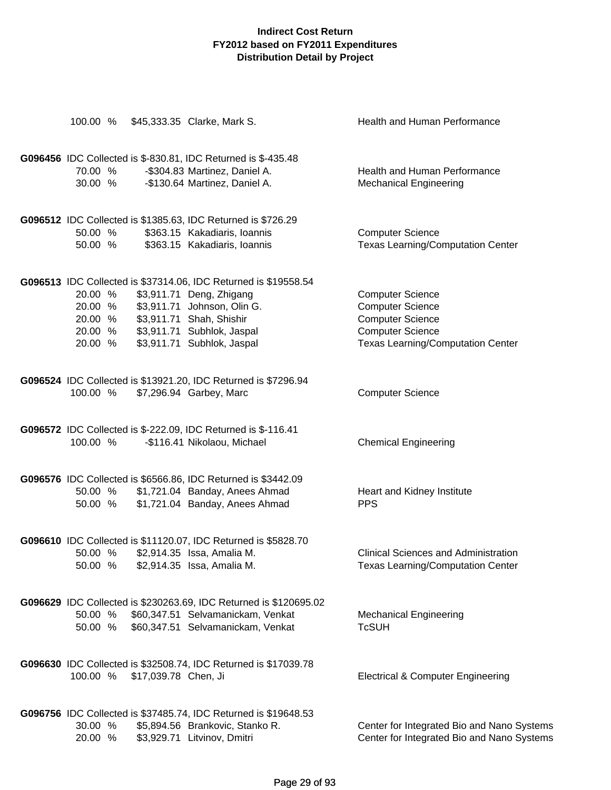| 100.00 %                                            |                      | \$45,333.35 Clarke, Mark S.                                                                                                                                                                                        | Health and Human Performance                                                                                                                         |
|-----------------------------------------------------|----------------------|--------------------------------------------------------------------------------------------------------------------------------------------------------------------------------------------------------------------|------------------------------------------------------------------------------------------------------------------------------------------------------|
| 70.00 %<br>30.00 %                                  |                      | G096456 IDC Collected is \$-830.81, IDC Returned is \$-435.48<br>-\$304.83 Martinez, Daniel A.<br>-\$130.64 Martinez, Daniel A.                                                                                    | <b>Health and Human Performance</b><br><b>Mechanical Engineering</b>                                                                                 |
| 50.00 %<br>50.00 %                                  |                      | G096512 IDC Collected is \$1385.63, IDC Returned is \$726.29<br>\$363.15 Kakadiaris, Ioannis<br>\$363.15 Kakadiaris, Ioannis                                                                                       | <b>Computer Science</b><br>Texas Learning/Computation Center                                                                                         |
| 20.00 %<br>20.00 %<br>20.00 %<br>20.00 %<br>20.00 % |                      | G096513 IDC Collected is \$37314.06, IDC Returned is \$19558.54<br>\$3,911.71 Deng, Zhigang<br>\$3,911.71 Johnson, Olin G.<br>\$3,911.71 Shah, Shishir<br>\$3,911.71 Subhlok, Jaspal<br>\$3,911.71 Subhlok, Jaspal | <b>Computer Science</b><br><b>Computer Science</b><br><b>Computer Science</b><br><b>Computer Science</b><br><b>Texas Learning/Computation Center</b> |
| 100.00 %                                            |                      | G096524 IDC Collected is \$13921.20, IDC Returned is \$7296.94<br>\$7,296.94 Garbey, Marc                                                                                                                          | <b>Computer Science</b>                                                                                                                              |
| 100.00 %                                            |                      | G096572 IDC Collected is \$-222.09, IDC Returned is \$-116.41<br>-\$116.41 Nikolaou, Michael                                                                                                                       | <b>Chemical Engineering</b>                                                                                                                          |
| 50.00 %<br>50.00 %                                  |                      | G096576 IDC Collected is \$6566.86, IDC Returned is \$3442.09<br>\$1,721.04 Banday, Anees Ahmad<br>\$1,721.04 Banday, Anees Ahmad                                                                                  | Heart and Kidney Institute<br><b>PPS</b>                                                                                                             |
| 50.00 %                                             |                      | G096610 IDC Collected is \$11120.07, IDC Returned is \$5828.70<br>50.00 % \$2,914.35 Issa, Amalia M.<br>\$2,914.35 Issa, Amalia M.                                                                                 | <b>Clinical Sciences and Administration</b><br><b>Texas Learning/Computation Center</b>                                                              |
| 50.00 %<br>50.00 %                                  |                      | G096629 IDC Collected is \$230263.69, IDC Returned is \$120695.02<br>\$60,347.51 Selvamanickam, Venkat<br>\$60,347.51 Selvamanickam, Venkat                                                                        | <b>Mechanical Engineering</b><br><b>TcSUH</b>                                                                                                        |
| 100.00 %                                            | \$17,039.78 Chen, Ji | G096630 IDC Collected is \$32508.74, IDC Returned is \$17039.78                                                                                                                                                    | <b>Electrical &amp; Computer Engineering</b>                                                                                                         |
| 30.00 %<br>20.00 %                                  |                      | G096756 IDC Collected is \$37485.74, IDC Returned is \$19648.53<br>\$5,894.56 Brankovic, Stanko R.<br>\$3,929.71 Litvinov, Dmitri                                                                                  | Center for Integrated Bio and Nano Systems<br>Center for Integrated Bio and Nano Systems                                                             |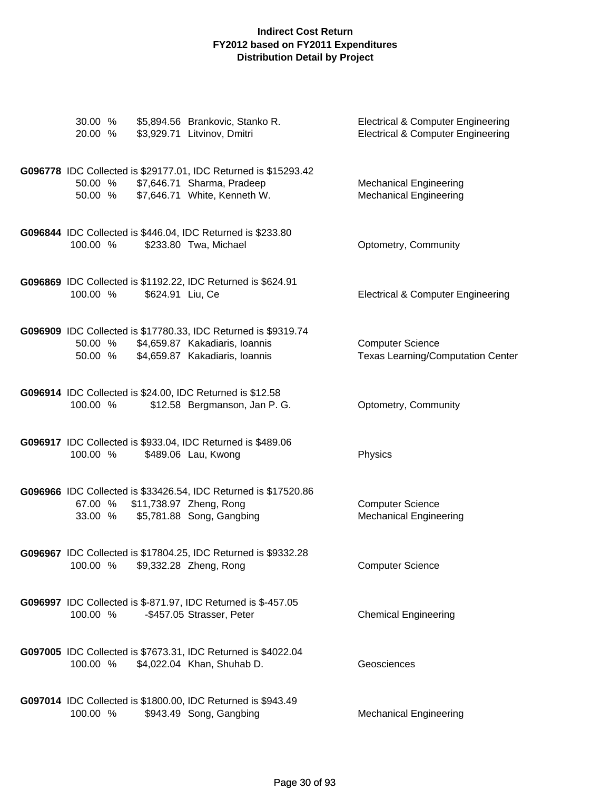| 30.00 %<br>20.00 % | \$5,894.56 Brankovic, Stanko R.<br>\$3,929.71 Litvinov, Dmitri                                                                     | <b>Electrical &amp; Computer Engineering</b><br><b>Electrical &amp; Computer Engineering</b> |
|--------------------|------------------------------------------------------------------------------------------------------------------------------------|----------------------------------------------------------------------------------------------|
| 50.00 %<br>50.00 % | G096778 IDC Collected is \$29177.01, IDC Returned is \$15293.42<br>\$7,646.71 Sharma, Pradeep<br>\$7,646.71 White, Kenneth W.      | <b>Mechanical Engineering</b><br><b>Mechanical Engineering</b>                               |
| 100.00 %           | G096844 IDC Collected is \$446.04, IDC Returned is \$233.80<br>\$233.80 Twa, Michael                                               | Optometry, Community                                                                         |
| 100.00 %           | G096869 IDC Collected is \$1192.22, IDC Returned is \$624.91<br>\$624.91 Liu, Ce                                                   | <b>Electrical &amp; Computer Engineering</b>                                                 |
| 50.00 %<br>50.00 % | G096909 IDC Collected is \$17780.33, IDC Returned is \$9319.74<br>\$4,659.87 Kakadiaris, Ioannis<br>\$4,659.87 Kakadiaris, Ioannis | <b>Computer Science</b><br><b>Texas Learning/Computation Center</b>                          |
| 100.00 %           | G096914 IDC Collected is \$24.00, IDC Returned is \$12.58<br>\$12.58 Bergmanson, Jan P. G.                                         | Optometry, Community                                                                         |
| 100.00 %           | G096917 IDC Collected is \$933.04, IDC Returned is \$489.06<br>\$489.06 Lau, Kwong                                                 | Physics                                                                                      |
| 67.00 %<br>33.00 % | G096966 IDC Collected is \$33426.54, IDC Returned is \$17520.86<br>\$11,738.97 Zheng, Rong<br>\$5,781.88 Song, Gangbing            | <b>Computer Science</b><br><b>Mechanical Engineering</b>                                     |
| 100.00 %           | G096967 IDC Collected is \$17804.25, IDC Returned is \$9332.28<br>\$9,332.28 Zheng, Rong                                           | <b>Computer Science</b>                                                                      |
| 100.00 %           | G096997 IDC Collected is \$-871.97, IDC Returned is \$-457.05<br>-\$457.05 Strasser, Peter                                         | <b>Chemical Engineering</b>                                                                  |
| 100.00 %           | G097005 IDC Collected is \$7673.31, IDC Returned is \$4022.04<br>\$4,022.04 Khan, Shuhab D.                                        | Geosciences                                                                                  |
| 100.00 %           | G097014 IDC Collected is \$1800.00, IDC Returned is \$943.49<br>\$943.49 Song, Gangbing                                            | <b>Mechanical Engineering</b>                                                                |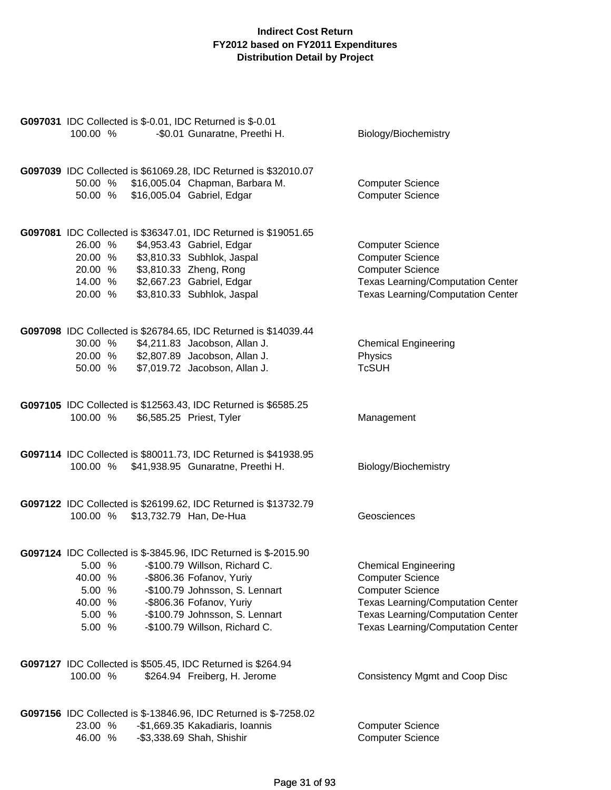| G097031 IDC Collected is \$-0.01, IDC Returned is \$-0.01<br>100.00 %<br>-\$0.01 Gunaratne, Preethi H.                                                                                                                                                                                                                      | Biology/Biochemistry                                                                                                                                                                                                  |
|-----------------------------------------------------------------------------------------------------------------------------------------------------------------------------------------------------------------------------------------------------------------------------------------------------------------------------|-----------------------------------------------------------------------------------------------------------------------------------------------------------------------------------------------------------------------|
|                                                                                                                                                                                                                                                                                                                             |                                                                                                                                                                                                                       |
| G097039 IDC Collected is \$61069.28, IDC Returned is \$32010.07<br>50.00 % \$16,005.04 Chapman, Barbara M.<br>\$16,005.04 Gabriel, Edgar<br>50.00 %                                                                                                                                                                         | <b>Computer Science</b><br><b>Computer Science</b>                                                                                                                                                                    |
| G097081 IDC Collected is \$36347.01, IDC Returned is \$19051.65<br>\$4,953.43 Gabriel, Edgar<br>26.00 %<br>20.00 % \$3,810.33 Subhlok, Jaspal<br>20.00 % \$3,810.33 Zheng, Rong<br>14.00 % \$2,667.23 Gabriel, Edgar<br>20.00 %<br>\$3,810.33 Subhlok, Jaspal                                                               | <b>Computer Science</b><br><b>Computer Science</b><br><b>Computer Science</b><br><b>Texas Learning/Computation Center</b><br><b>Texas Learning/Computation Center</b>                                                 |
| G097098 IDC Collected is \$26784.65, IDC Returned is \$14039.44<br>\$4,211.83 Jacobson, Allan J.<br>30.00 %<br>20.00 %<br>\$2,807.89 Jacobson, Allan J.<br>\$7,019.72 Jacobson, Allan J.<br>50.00 %                                                                                                                         | <b>Chemical Engineering</b><br>Physics<br><b>TcSUH</b>                                                                                                                                                                |
| G097105 IDC Collected is \$12563.43, IDC Returned is \$6585.25<br>100.00 %<br>\$6,585.25 Priest, Tyler                                                                                                                                                                                                                      | Management                                                                                                                                                                                                            |
| G097114 IDC Collected is \$80011.73, IDC Returned is \$41938.95<br>100.00 % \$41,938.95 Gunaratne, Preethi H.                                                                                                                                                                                                               | Biology/Biochemistry                                                                                                                                                                                                  |
| G097122 IDC Collected is \$26199.62, IDC Returned is \$13732.79<br>100.00 % \$13,732.79 Han, De-Hua                                                                                                                                                                                                                         | Geosciences                                                                                                                                                                                                           |
| G097124 IDC Collected is \$-3845.96, IDC Returned is \$-2015.90<br>5.00 %<br>-\$100.79 Willson, Richard C.<br>40.00 %<br>-\$806.36 Fofanov, Yuriy<br>5.00 %<br>-\$100.79 Johnsson, S. Lennart<br>40.00 %<br>-\$806.36 Fofanov, Yuriy<br>-\$100.79 Johnsson, S. Lennart<br>5.00 %<br>-\$100.79 Willson, Richard C.<br>5.00 % | <b>Chemical Engineering</b><br><b>Computer Science</b><br><b>Computer Science</b><br><b>Texas Learning/Computation Center</b><br><b>Texas Learning/Computation Center</b><br><b>Texas Learning/Computation Center</b> |
| G097127 IDC Collected is \$505.45, IDC Returned is \$264.94<br>100.00 %<br>\$264.94 Freiberg, H. Jerome                                                                                                                                                                                                                     | Consistency Mgmt and Coop Disc                                                                                                                                                                                        |
| G097156 IDC Collected is \$-13846.96, IDC Returned is \$-7258.02<br>23.00 %<br>-\$1,669.35 Kakadiaris, Ioannis<br>46.00 %<br>-\$3,338.69 Shah, Shishir                                                                                                                                                                      | <b>Computer Science</b><br><b>Computer Science</b>                                                                                                                                                                    |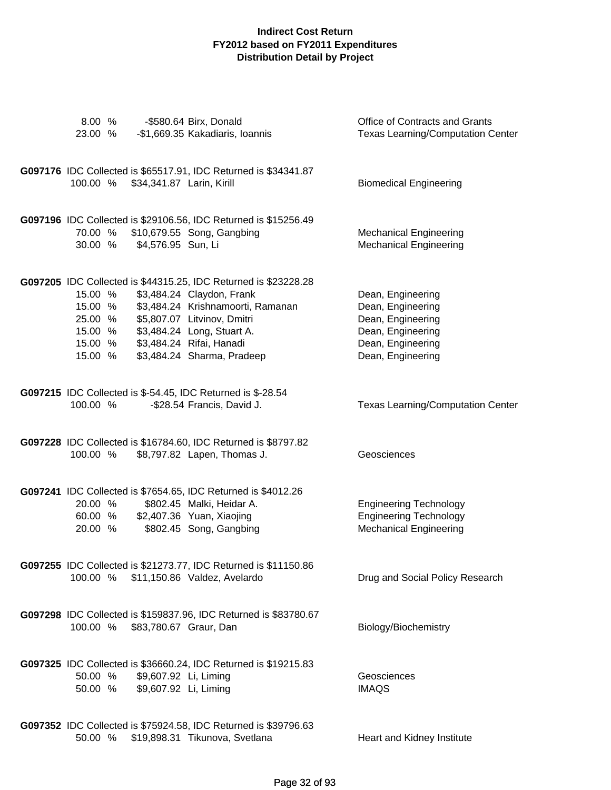| 8.00 %<br>23.00 %                        |                                                | -\$580.64 Birx, Donald<br>-\$1,669.35 Kakadiaris, Ioannis                                                                                                                                                                                                                | Office of Contracts and Grants<br><b>Texas Learning/Computation Center</b>                                                 |
|------------------------------------------|------------------------------------------------|--------------------------------------------------------------------------------------------------------------------------------------------------------------------------------------------------------------------------------------------------------------------------|----------------------------------------------------------------------------------------------------------------------------|
| 100.00 %                                 | \$34,341.87 Larin, Kirill                      | G097176 IDC Collected is \$65517.91, IDC Returned is \$34341.87                                                                                                                                                                                                          | <b>Biomedical Engineering</b>                                                                                              |
| 70.00 %                                  | 30.00 % \$4,576.95 Sun, Li                     | G097196 IDC Collected is \$29106.56, IDC Returned is \$15256.49<br>\$10,679.55 Song, Gangbing                                                                                                                                                                            | <b>Mechanical Engineering</b><br><b>Mechanical Engineering</b>                                                             |
| 15.00 %<br>15.00 %<br>25.00 %<br>15.00 % |                                                | G097205 IDC Collected is \$44315.25, IDC Returned is \$23228.28<br>\$3,484.24 Claydon, Frank<br>\$3,484.24 Krishnamoorti, Ramanan<br>\$5,807.07 Litvinov, Dmitri<br>15.00 % \$3,484.24 Long, Stuart A.<br>15.00 % \$3,484.24 Rifai, Hanadi<br>\$3,484.24 Sharma, Pradeep | Dean, Engineering<br>Dean, Engineering<br>Dean, Engineering<br>Dean, Engineering<br>Dean, Engineering<br>Dean, Engineering |
| 100.00 %                                 |                                                | <b>G097215</b> IDC Collected is \$-54.45, IDC Returned is \$-28.54<br>-\$28.54 Francis, David J.                                                                                                                                                                         | <b>Texas Learning/Computation Center</b>                                                                                   |
| 100.00 %                                 |                                                | G097228 IDC Collected is \$16784.60, IDC Returned is \$8797.82<br>\$8,797.82 Lapen, Thomas J.                                                                                                                                                                            | Geosciences                                                                                                                |
| 20.00 %<br>60.00 %<br>20.00 %            |                                                | G097241 IDC Collected is \$7654.65, IDC Returned is \$4012.26<br>\$802.45 Malki, Heidar A.<br>\$2,407.36 Yuan, Xiaojing<br>\$802.45 Song, Gangbing                                                                                                                       | <b>Engineering Technology</b><br><b>Engineering Technology</b><br><b>Mechanical Engineering</b>                            |
|                                          |                                                | G097255 IDC Collected is \$21273.77, IDC Returned is \$11150.86<br>100.00 % \$11,150.86 Valdez, Avelardo                                                                                                                                                                 | Drug and Social Policy Research                                                                                            |
|                                          | 100.00 % \$83,780.67 Graur, Dan                | G097298 IDC Collected is \$159837.96, IDC Returned is \$83780.67                                                                                                                                                                                                         | Biology/Biochemistry                                                                                                       |
| 50.00 %<br>50.00 %                       | \$9,607.92 Li, Liming<br>\$9,607.92 Li, Liming | G097325 IDC Collected is \$36660.24, IDC Returned is \$19215.83                                                                                                                                                                                                          | Geosciences<br><b>IMAQS</b>                                                                                                |
| 50.00 %                                  |                                                | G097352 IDC Collected is \$75924.58, IDC Returned is \$39796.63<br>\$19,898.31 Tikunova, Svetlana                                                                                                                                                                        | Heart and Kidney Institute                                                                                                 |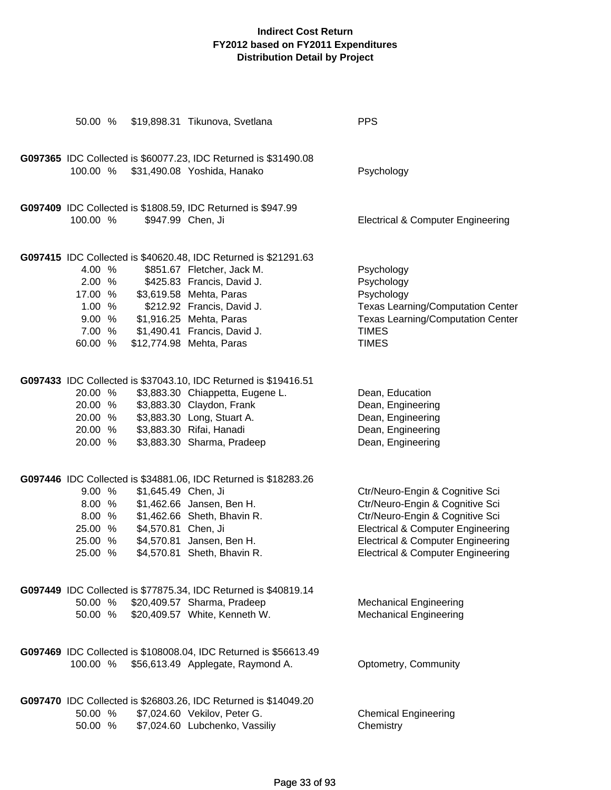| 50.00 %  |                     | \$19,898.31 Tikunova, Svetlana                                   | <b>PPS</b>                                   |
|----------|---------------------|------------------------------------------------------------------|----------------------------------------------|
|          |                     | G097365 IDC Collected is \$60077.23, IDC Returned is \$31490.08  |                                              |
| 100.00 % |                     | \$31,490.08 Yoshida, Hanako                                      | Psychology                                   |
|          |                     | G097409 IDC Collected is \$1808.59, IDC Returned is \$947.99     |                                              |
| 100.00 % |                     | \$947.99 Chen, Ji                                                | <b>Electrical &amp; Computer Engineering</b> |
|          |                     | G097415 IDC Collected is \$40620.48, IDC Returned is \$21291.63  |                                              |
| 4.00 %   |                     | \$851.67 Fletcher, Jack M.                                       | Psychology                                   |
| 2.00 %   |                     | \$425.83 Francis, David J.                                       | Psychology                                   |
| 17.00 %  |                     | \$3,619.58 Mehta, Paras                                          | Psychology                                   |
| 1.00%    |                     | \$212.92 Francis, David J.                                       | <b>Texas Learning/Computation Center</b>     |
| 9.00 %   |                     | \$1,916.25 Mehta, Paras                                          | <b>Texas Learning/Computation Center</b>     |
| 7.00 %   |                     | \$1,490.41 Francis, David J.                                     | <b>TIMES</b>                                 |
| 60.00 %  |                     | \$12,774.98 Mehta, Paras                                         | <b>TIMES</b>                                 |
|          |                     | G097433 IDC Collected is \$37043.10, IDC Returned is \$19416.51  |                                              |
| 20.00 %  |                     | \$3,883.30 Chiappetta, Eugene L.                                 | Dean, Education                              |
| 20.00 %  |                     | \$3,883.30 Claydon, Frank                                        | Dean, Engineering                            |
| 20.00 %  |                     | \$3,883.30 Long, Stuart A.                                       | Dean, Engineering                            |
| 20.00 %  |                     | \$3,883.30 Rifai, Hanadi                                         | Dean, Engineering                            |
| 20.00 %  |                     | \$3,883.30 Sharma, Pradeep                                       | Dean, Engineering                            |
|          |                     | G097446 IDC Collected is \$34881.06, IDC Returned is \$18283.26  |                                              |
| 9.00%    | \$1,645.49 Chen, Ji |                                                                  | Ctr/Neuro-Engin & Cognitive Sci              |
| 8.00 %   |                     | \$1,462.66 Jansen, Ben H.                                        | Ctr/Neuro-Engin & Cognitive Sci              |
| 8.00 %   |                     | \$1,462.66 Sheth, Bhavin R.                                      | Ctr/Neuro-Engin & Cognitive Sci              |
| 25.00 %  | \$4,570.81 Chen, Ji |                                                                  | <b>Electrical &amp; Computer Engineering</b> |
| 25.00 %  |                     | \$4,570.81 Jansen, Ben H.                                        | <b>Electrical &amp; Computer Engineering</b> |
| 25.00 %  |                     | \$4,570.81 Sheth, Bhavin R.                                      | <b>Electrical &amp; Computer Engineering</b> |
|          |                     | G097449 IDC Collected is \$77875.34, IDC Returned is \$40819.14  |                                              |
|          |                     | 50.00 % \$20,409.57 Sharma, Pradeep                              | <b>Mechanical Engineering</b>                |
|          |                     | 50.00 % \$20,409.57 White, Kenneth W.                            | <b>Mechanical Engineering</b>                |
|          |                     |                                                                  |                                              |
|          |                     | G097469 IDC Collected is \$108008.04, IDC Returned is \$56613.49 |                                              |
| 100.00 % |                     | \$56,613.49 Applegate, Raymond A.                                | Optometry, Community                         |
|          |                     | G097470 IDC Collected is \$26803.26, IDC Returned is \$14049.20  |                                              |
| 50.00 %  |                     | \$7,024.60 Vekilov, Peter G.                                     | <b>Chemical Engineering</b>                  |
| 50.00 %  |                     | \$7,024.60 Lubchenko, Vassiliy                                   | Chemistry                                    |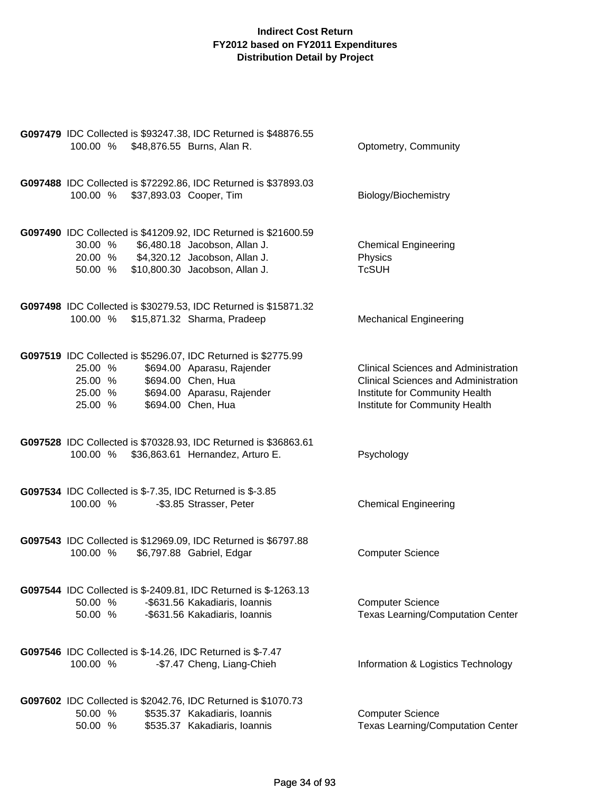| 100.00 % \$48,876.55 Burns, Alan R.                                                                                                                                        | G097479 IDC Collected is \$93247.38, IDC Returned is \$48876.55                                                                   | Optometry, Community                                                                                                                                           |
|----------------------------------------------------------------------------------------------------------------------------------------------------------------------------|-----------------------------------------------------------------------------------------------------------------------------------|----------------------------------------------------------------------------------------------------------------------------------------------------------------|
| 100.00 % \$37,893.03 Cooper, Tim                                                                                                                                           | G097488 IDC Collected is \$72292.86, IDC Returned is \$37893.03                                                                   | Biology/Biochemistry                                                                                                                                           |
| 30.00 % \$6,480.18 Jacobson, Allan J.<br>20.00 % \$4,320.12 Jacobson, Allan J.<br>50.00 % \$10,800.30 Jacobson, Allan J.                                                   | G097490 IDC Collected is \$41209.92, IDC Returned is \$21600.59                                                                   | <b>Chemical Engineering</b><br>Physics<br><b>TcSUH</b>                                                                                                         |
| 100.00 % \$15,871.32 Sharma, Pradeep                                                                                                                                       | G097498 IDC Collected is \$30279.53, IDC Returned is \$15871.32                                                                   | <b>Mechanical Engineering</b>                                                                                                                                  |
| G097519 IDC Collected is \$5296.07, IDC Returned is \$2775.99<br>25.00 %<br>25.00 % \$694.00 Chen, Hua<br>25.00 % \$694.00 Aparasu, Rajender<br>25.00 % \$694.00 Chen, Hua | \$694.00 Aparasu, Rajender<br>\$694.00 Chen, Hua                                                                                  | <b>Clinical Sciences and Administration</b><br><b>Clinical Sciences and Administration</b><br>Institute for Community Health<br>Institute for Community Health |
| 100.00 % \$36,863.61 Hernandez, Arturo E.                                                                                                                                  | G097528 IDC Collected is \$70328.93, IDC Returned is \$36863.61                                                                   | Psychology                                                                                                                                                     |
| G097534 IDC Collected is \$-7.35, IDC Returned is \$-3.85<br>100.00 %                                                                                                      | -\$3.85 Strasser, Peter                                                                                                           | <b>Chemical Engineering</b>                                                                                                                                    |
| 100.00 %                                                                                                                                                                   | G097543 IDC Collected is \$12969.09, IDC Returned is \$6797.88<br>\$6,797.88 Gabriel, Edgar                                       | <b>Computer Science</b>                                                                                                                                        |
| 50.00 %<br>50.00 %                                                                                                                                                         | G097544 IDC Collected is \$-2409.81, IDC Returned is \$-1263.13<br>-\$631.56 Kakadiaris, Ioannis<br>-\$631.56 Kakadiaris, Ioannis | <b>Computer Science</b><br><b>Texas Learning/Computation Center</b>                                                                                            |
| G097546 IDC Collected is \$-14.26, IDC Returned is \$-7.47<br>100.00 %                                                                                                     | -\$7.47 Cheng, Liang-Chieh                                                                                                        | Information & Logistics Technology                                                                                                                             |
| <b>G097602</b> IDC Collected is \$2042.76, IDC Returned is \$1070.73<br>50.00 %<br>50.00 %                                                                                 | \$535.37 Kakadiaris, Ioannis<br>\$535.37 Kakadiaris, Ioannis                                                                      | <b>Computer Science</b><br><b>Texas Learning/Computation Center</b>                                                                                            |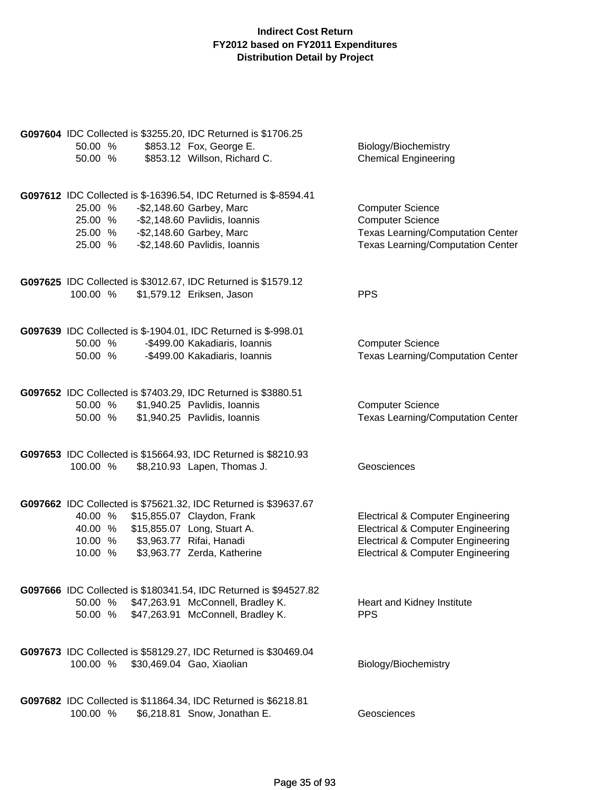| G097604 IDC Collected is \$3255.20, IDC Returned is \$1706.25<br>50.00 %<br>50.00 %                                              | \$853.12 Fox, George E.<br>\$853.12 Willson, Richard C.                                                                      | Biology/Biochemistry<br><b>Chemical Engineering</b>                                                                                                                                          |
|----------------------------------------------------------------------------------------------------------------------------------|------------------------------------------------------------------------------------------------------------------------------|----------------------------------------------------------------------------------------------------------------------------------------------------------------------------------------------|
| 25.00 %<br>25.00 % - \$2,148.60 Pavlidis, Ioannis<br>25.00 % - \$2,148.60 Garbey, Marc<br>25.00 % - \$2,148.60 Pavlidis, Ioannis | G097612 IDC Collected is \$-16396.54, IDC Returned is \$-8594.41<br>-\$2,148.60 Garbey, Marc                                 | <b>Computer Science</b><br><b>Computer Science</b><br><b>Texas Learning/Computation Center</b><br><b>Texas Learning/Computation Center</b>                                                   |
| G097625 IDC Collected is \$3012.67, IDC Returned is \$1579.12<br>100.00 %                                                        | \$1,579.12 Eriksen, Jason                                                                                                    | <b>PPS</b>                                                                                                                                                                                   |
| G097639 IDC Collected is \$-1904.01, IDC Returned is \$-998.01<br>50.00 %<br>50.00 %                                             | -\$499.00 Kakadiaris, Ioannis<br>-\$499.00 Kakadiaris, Ioannis                                                               | <b>Computer Science</b><br><b>Texas Learning/Computation Center</b>                                                                                                                          |
| G097652 IDC Collected is \$7403.29, IDC Returned is \$3880.51<br>50.00 % \$1,940.25 Pavlidis, Ioannis<br>50.00 %                 | \$1,940.25 Pavlidis, Ioannis                                                                                                 | <b>Computer Science</b><br><b>Texas Learning/Computation Center</b>                                                                                                                          |
| 100.00 %                                                                                                                         | G097653 IDC Collected is \$15664.93, IDC Returned is \$8210.93<br>\$8,210.93 Lapen, Thomas J.                                | Geosciences                                                                                                                                                                                  |
| 40.00 %<br>40.00 % \$15,855.07 Long, Stuart A.<br>10.00 % \$3,963.77 Rifai, Hanadi<br>10.00 %                                    | G097662 IDC Collected is \$75621.32, IDC Returned is \$39637.67<br>\$15,855.07 Claydon, Frank<br>\$3,963.77 Zerda, Katherine | <b>Electrical &amp; Computer Engineering</b><br><b>Electrical &amp; Computer Engineering</b><br><b>Electrical &amp; Computer Engineering</b><br><b>Electrical &amp; Computer Engineering</b> |
| 50.00 % \$47,263.91 McConnell, Bradley K.<br>50.00 % \$47,263.91 McConnell, Bradley K.                                           | G097666 IDC Collected is \$180341.54, IDC Returned is \$94527.82                                                             | Heart and Kidney Institute<br><b>PPS</b>                                                                                                                                                     |
| 100.00 %                                                                                                                         | G097673 IDC Collected is \$58129.27, IDC Returned is \$30469.04<br>\$30,469.04 Gao, Xiaolian                                 | Biology/Biochemistry                                                                                                                                                                         |
| 100.00 %                                                                                                                         | G097682 IDC Collected is \$11864.34, IDC Returned is \$6218.81<br>\$6,218.81 Snow, Jonathan E.                               | Geosciences                                                                                                                                                                                  |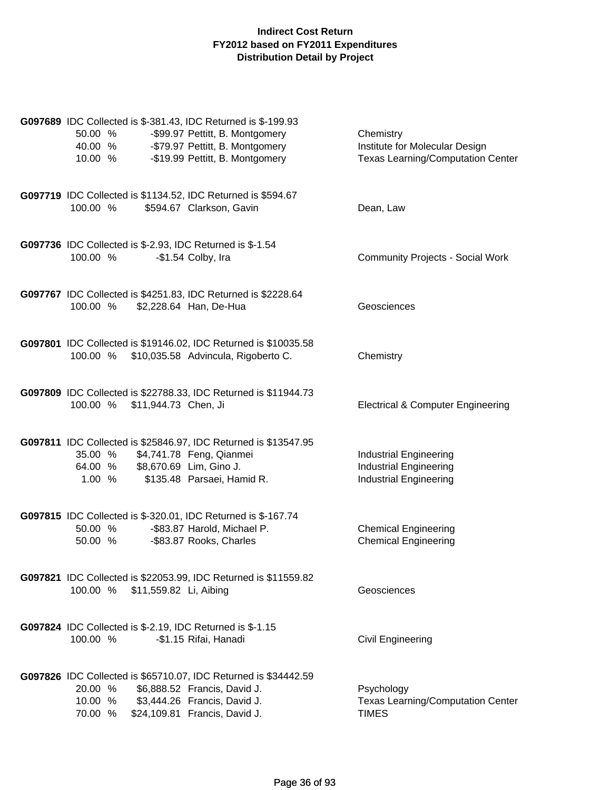| G097689 IDC Collected is \$-381.43, IDC Returned is \$-199.93<br>50.00 %<br>40.00 % - \$79.97 Pettitt, B. Montgomery<br>10.00 %                  | -\$99.97 Pettitt, B. Montgomery<br>-\$19.99 Pettitt, B. Montgomery | Chemistry<br>Institute for Molecular Design<br><b>Texas Learning/Computation Center</b>         |
|--------------------------------------------------------------------------------------------------------------------------------------------------|--------------------------------------------------------------------|-------------------------------------------------------------------------------------------------|
| G097719 IDC Collected is \$1134.52, IDC Returned is \$594.67<br>100.00 %                                                                         | \$594.67 Clarkson, Gavin                                           | Dean, Law                                                                                       |
| <b>G097736</b> IDC Collected is \$-2.93, IDC Returned is \$-1.54<br>100.00 %                                                                     | -\$1.54 Colby, Ira                                                 | <b>Community Projects - Social Work</b>                                                         |
| G097767 IDC Collected is \$4251.83, IDC Returned is \$2228.64<br>100.00 %                                                                        | \$2,228.64 Han, De-Hua                                             | Geosciences                                                                                     |
| G097801 IDC Collected is \$19146.02, IDC Returned is \$10035.58<br>100.00 % \$10,035.58 Advincula, Rigoberto C.                                  |                                                                    | Chemistry                                                                                       |
| G097809 IDC Collected is \$22788.33, IDC Returned is \$11944.73<br>100.00 % \$11,944.73 Chen, Ji                                                 |                                                                    | <b>Electrical &amp; Computer Engineering</b>                                                    |
| G097811 IDC Collected is \$25846.97, IDC Returned is \$13547.95<br>35.00 % \$4,741.78 Feng, Qianmei<br>64.00 % \$8,670.69 Lim, Gino J.<br>1.00 % | \$135.48 Parsaei, Hamid R.                                         | <b>Industrial Engineering</b><br><b>Industrial Engineering</b><br><b>Industrial Engineering</b> |
| G097815 IDC Collected is \$-320.01, IDC Returned is \$-167.74<br>50.00 % -\$83.87 Harold, Michael P.<br>50.00 %                                  | -\$83.87 Rooks, Charles                                            | <b>Chemical Engineering</b><br><b>Chemical Engineering</b>                                      |
| G097821 IDC Collected is \$22053.99, IDC Returned is \$11559.82<br>\$11,559.82 Li, Aibing<br>100.00 %                                            |                                                                    | Geosciences                                                                                     |
| G097824 IDC Collected is \$-2.19, IDC Returned is \$-1.15<br>100.00 %                                                                            | -\$1.15 Rifai, Hanadi                                              | <b>Civil Engineering</b>                                                                        |
| G097826 IDC Collected is \$65710.07, IDC Returned is \$34442.59<br>20.00 %<br>10.00 %<br>70.00 % \$24,109.81 Francis, David J.                   | \$6,888.52 Francis, David J.<br>\$3,444.26 Francis, David J.       | Psychology<br><b>Texas Learning/Computation Center</b><br><b>TIMES</b>                          |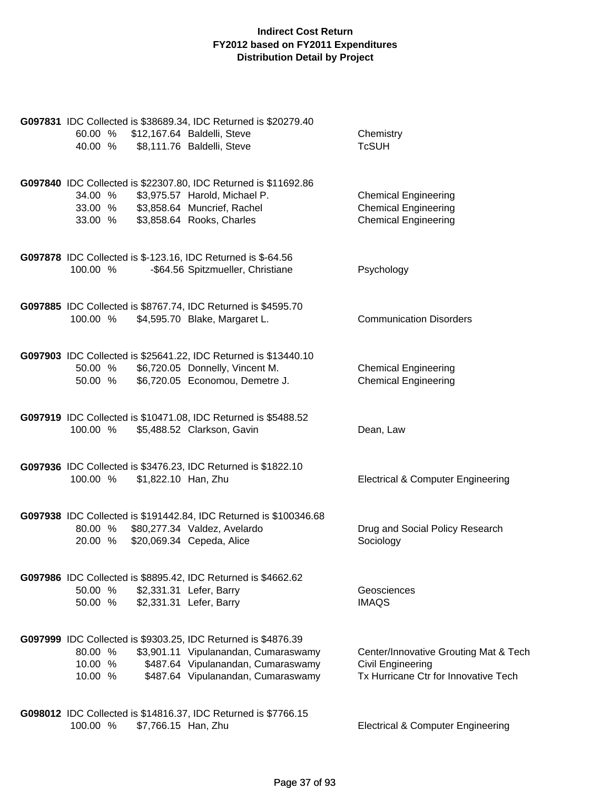| 60.00 %<br>40.00 %                                                                  | G097831 IDC Collected is \$38689.34, IDC Returned is \$20279.40<br>\$12,167.64 Baldelli, Steve<br>\$8,111.76 Baldelli, Steve                                                      | Chemistry<br><b>TcSUH</b>                                                                                 |
|-------------------------------------------------------------------------------------|-----------------------------------------------------------------------------------------------------------------------------------------------------------------------------------|-----------------------------------------------------------------------------------------------------------|
| 34.00 %<br>33.00 % \$3,858.64 Muncrief, Rachel<br>33.00 % \$3,858.64 Rooks, Charles | G097840 IDC Collected is \$22307.80, IDC Returned is \$11692.86<br>\$3,975.57 Harold, Michael P.                                                                                  | <b>Chemical Engineering</b><br><b>Chemical Engineering</b><br><b>Chemical Engineering</b>                 |
| G097878 IDC Collected is \$-123.16, IDC Returned is \$-64.56<br>100.00 %            | -\$64.56 Spitzmueller, Christiane                                                                                                                                                 | Psychology                                                                                                |
| 100.00 %                                                                            | G097885 IDC Collected is \$8767.74, IDC Returned is \$4595.70<br>\$4,595.70 Blake, Margaret L.                                                                                    | <b>Communication Disorders</b>                                                                            |
| 50.00 % \$6,720.05 Donnelly, Vincent M.<br>50.00 %                                  | G097903 IDC Collected is \$25641.22, IDC Returned is \$13440.10<br>\$6,720.05 Economou, Demetre J.                                                                                | <b>Chemical Engineering</b><br><b>Chemical Engineering</b>                                                |
| 100.00 %                                                                            | G097919 IDC Collected is \$10471.08, IDC Returned is \$5488.52<br>\$5,488.52 Clarkson, Gavin                                                                                      | Dean, Law                                                                                                 |
| 100.00 %<br>\$1,822.10 Han, Zhu                                                     | G097936 IDC Collected is \$3476.23, IDC Returned is \$1822.10                                                                                                                     | <b>Electrical &amp; Computer Engineering</b>                                                              |
| 80.00 %<br>20.00 %                                                                  | G097938 IDC Collected is \$191442.84, IDC Returned is \$100346.68<br>\$80,277.34 Valdez, Avelardo<br>\$20,069.34 Cepeda, Alice                                                    | Drug and Social Policy Research<br>Sociology                                                              |
| 50.00 %<br>50.00 %                                                                  | G097986 IDC Collected is \$8895.42, IDC Returned is \$4662.62<br>\$2,331.31 Lefer, Barry<br>\$2,331.31 Lefer, Barry                                                               | Geosciences<br><b>IMAQS</b>                                                                               |
| 80.00 %<br>10.00 %<br>10.00 %                                                       | G097999 IDC Collected is \$9303.25, IDC Returned is \$4876.39<br>\$3,901.11 Vipulanandan, Cumaraswamy<br>\$487.64 Vipulanandan, Cumaraswamy<br>\$487.64 Vipulanandan, Cumaraswamy | Center/Innovative Grouting Mat & Tech<br><b>Civil Engineering</b><br>Tx Hurricane Ctr for Innovative Tech |
| 100.00 %<br>\$7,766.15 Han, Zhu                                                     | G098012 IDC Collected is \$14816.37, IDC Returned is \$7766.15                                                                                                                    | <b>Electrical &amp; Computer Engineering</b>                                                              |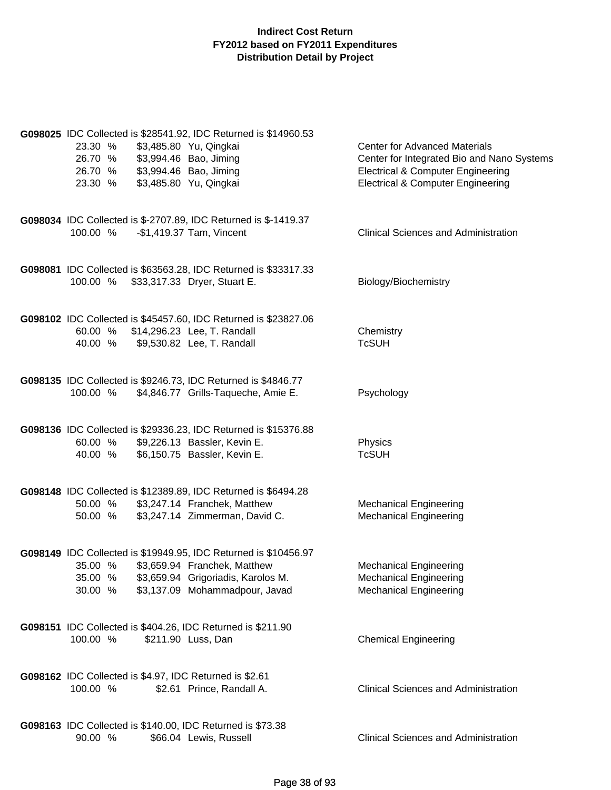| G098025 IDC Collected is \$28541.92, IDC Returned is \$14960.53<br>23.30 %<br>\$3,485.80 Yu, Qingkai<br>\$3,994.46 Bao, Jiming<br>26.70 %<br>\$3,994.46 Bao, Jiming<br>26.70 %<br>\$3,485.80 Yu, Qingkai<br>23.30 % | <b>Center for Advanced Materials</b><br>Center for Integrated Bio and Nano Systems<br><b>Electrical &amp; Computer Engineering</b><br><b>Electrical &amp; Computer Engineering</b> |
|---------------------------------------------------------------------------------------------------------------------------------------------------------------------------------------------------------------------|------------------------------------------------------------------------------------------------------------------------------------------------------------------------------------|
| G098034 IDC Collected is \$-2707.89, IDC Returned is \$-1419.37<br>-\$1,419.37 Tam, Vincent<br>100.00 %                                                                                                             | <b>Clinical Sciences and Administration</b>                                                                                                                                        |
| G098081 IDC Collected is \$63563.28, IDC Returned is \$33317.33<br>100.00 %<br>\$33,317.33 Dryer, Stuart E.                                                                                                         | Biology/Biochemistry                                                                                                                                                               |
| G098102 IDC Collected is \$45457.60, IDC Returned is \$23827.06<br>\$14,296.23 Lee, T. Randall<br>60.00 %<br>\$9,530.82 Lee, T. Randall<br>40.00 %                                                                  | Chemistry<br><b>TcSUH</b>                                                                                                                                                          |
| G098135 IDC Collected is \$9246.73, IDC Returned is \$4846.77<br>100.00 %<br>\$4,846.77 Grills-Taqueche, Amie E.                                                                                                    | Psychology                                                                                                                                                                         |
| G098136 IDC Collected is \$29336.23, IDC Returned is \$15376.88<br>\$9,226.13 Bassler, Kevin E.<br>60.00 %<br>40.00 %<br>\$6,150.75 Bassler, Kevin E.                                                               | Physics<br><b>TcSUH</b>                                                                                                                                                            |
| G098148 IDC Collected is \$12389.89, IDC Returned is \$6494.28<br>50.00 %<br>\$3,247.14 Franchek, Matthew<br>\$3,247.14 Zimmerman, David C.<br>50.00 %                                                              | <b>Mechanical Engineering</b><br><b>Mechanical Engineering</b>                                                                                                                     |
| G098149 IDC Collected is \$19949.95, IDC Returned is \$10456.97<br>35.00 % \$3,659.94 Franchek, Matthew<br>\$3,659.94 Grigoriadis, Karolos M.<br>35.00 %<br>30.00 %<br>\$3,137.09 Mohammadpour, Javad               | <b>Mechanical Engineering</b><br><b>Mechanical Engineering</b><br><b>Mechanical Engineering</b>                                                                                    |
| G098151 IDC Collected is \$404.26, IDC Returned is \$211.90<br>100.00 %<br>\$211.90 Luss, Dan                                                                                                                       | <b>Chemical Engineering</b>                                                                                                                                                        |
| G098162 IDC Collected is \$4.97, IDC Returned is \$2.61<br>\$2.61 Prince, Randall A.<br>100.00 %                                                                                                                    | <b>Clinical Sciences and Administration</b>                                                                                                                                        |
| G098163 IDC Collected is \$140.00, IDC Returned is \$73.38<br>90.00 %<br>\$66.04 Lewis, Russell                                                                                                                     | <b>Clinical Sciences and Administration</b>                                                                                                                                        |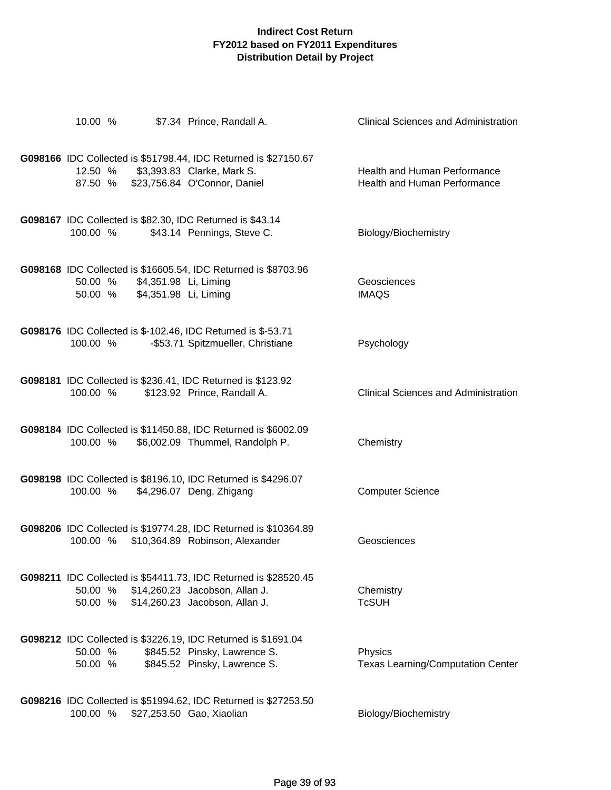| 10.00 %  |                       | \$7.34 Prince, Randall A.                                                                             | <b>Clinical Sciences and Administration</b> |
|----------|-----------------------|-------------------------------------------------------------------------------------------------------|---------------------------------------------|
|          |                       |                                                                                                       |                                             |
|          |                       | G098166 IDC Collected is \$51798.44, IDC Returned is \$27150.67<br>12.50 % \$3,393.83 Clarke, Mark S. | Health and Human Performance                |
|          |                       | 87.50 % \$23,756.84 O'Connor, Daniel                                                                  | Health and Human Performance                |
|          |                       |                                                                                                       |                                             |
|          |                       | G098167 IDC Collected is \$82.30, IDC Returned is \$43.14                                             |                                             |
| 100.00 % |                       | \$43.14 Pennings, Steve C.                                                                            | Biology/Biochemistry                        |
|          |                       |                                                                                                       |                                             |
| 50.00 %  | \$4,351.98 Li, Liming | G098168 IDC Collected is \$16605.54, IDC Returned is \$8703.96                                        | Geosciences                                 |
| 50.00 %  | \$4,351.98 Li, Liming |                                                                                                       | <b>IMAQS</b>                                |
|          |                       |                                                                                                       |                                             |
| 100.00 % |                       | G098176 IDC Collected is \$-102.46, IDC Returned is \$-53.71<br>-\$53.71 Spitzmueller, Christiane     | Psychology                                  |
|          |                       |                                                                                                       |                                             |
|          |                       | G098181 IDC Collected is \$236.41, IDC Returned is \$123.92                                           |                                             |
| 100.00 % |                       | \$123.92 Prince, Randall A.                                                                           | <b>Clinical Sciences and Administration</b> |
|          |                       |                                                                                                       |                                             |
| 100.00 % |                       | G098184 IDC Collected is \$11450.88, IDC Returned is \$6002.09<br>\$6,002.09 Thummel, Randolph P.     | Chemistry                                   |
|          |                       |                                                                                                       |                                             |
|          |                       | G098198 IDC Collected is \$8196.10, IDC Returned is \$4296.07                                         |                                             |
| 100.00 % |                       | \$4,296.07 Deng, Zhigang                                                                              | <b>Computer Science</b>                     |
|          |                       |                                                                                                       |                                             |
|          |                       | G098206 IDC Collected is \$19774.28, IDC Returned is \$10364.89                                       |                                             |
|          |                       | 100.00 % \$10,364.89 Robinson, Alexander                                                              | Geosciences                                 |
|          |                       | G098211 IDC Collected is \$54411.73, IDC Returned is \$28520.45                                       |                                             |
|          |                       | 50.00 % \$14,260.23 Jacobson, Allan J.                                                                | Chemistry                                   |
|          |                       | 50.00 % \$14,260.23 Jacobson, Allan J.                                                                | <b>TcSUH</b>                                |
|          |                       |                                                                                                       |                                             |
| 50.00 %  |                       | <b>G098212</b> IDC Collected is \$3226.19, IDC Returned is \$1691.04<br>\$845.52 Pinsky, Lawrence S.  | Physics                                     |
| 50.00 %  |                       | \$845.52 Pinsky, Lawrence S.                                                                          | Texas Learning/Computation Center           |
|          |                       |                                                                                                       |                                             |
| 100.00 % |                       | G098216 IDC Collected is \$51994.62, IDC Returned is \$27253.50<br>\$27,253.50 Gao, Xiaolian          | Biology/Biochemistry                        |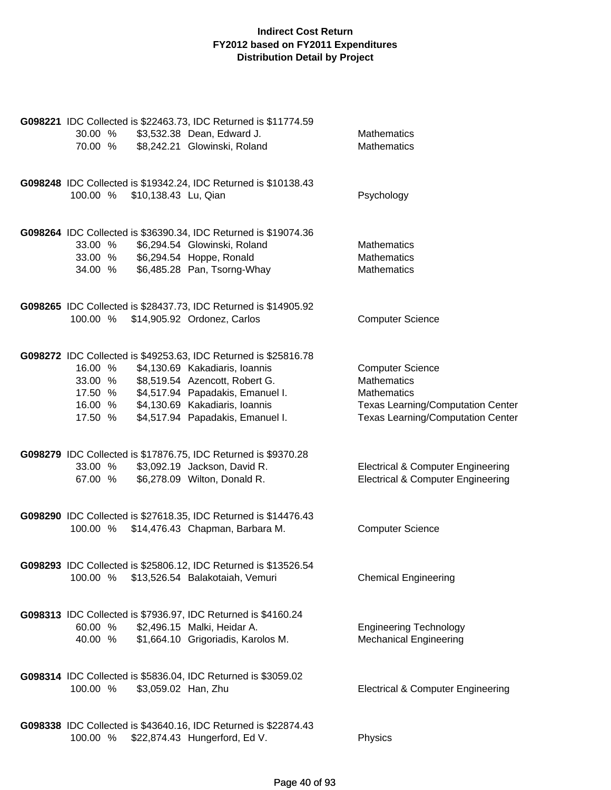| 30.00 %<br>70.00 %                                                                                                  | G098221 IDC Collected is \$22463.73, IDC Returned is \$11774.59<br>\$3,532.38 Dean, Edward J.<br>\$8,242.21 Glowinski, Roland                                           | <b>Mathematics</b><br><b>Mathematics</b>                                                                                                             |
|---------------------------------------------------------------------------------------------------------------------|-------------------------------------------------------------------------------------------------------------------------------------------------------------------------|------------------------------------------------------------------------------------------------------------------------------------------------------|
| 100.00 %<br>\$10,138.43 Lu, Qian                                                                                    | G098248 IDC Collected is \$19342.24, IDC Returned is \$10138.43                                                                                                         | Psychology                                                                                                                                           |
| 33.00 %<br>33.00 % \$6,294.54 Hoppe, Ronald<br>34.00 %                                                              | G098264 IDC Collected is \$36390.34, IDC Returned is \$19074.36<br>\$6,294.54 Glowinski, Roland<br>\$6,485.28 Pan, Tsorng-Whay                                          | <b>Mathematics</b><br><b>Mathematics</b><br><b>Mathematics</b>                                                                                       |
| 100.00 %                                                                                                            | G098265 IDC Collected is \$28437.73, IDC Returned is \$14905.92<br>\$14,905.92 Ordonez, Carlos                                                                          | <b>Computer Science</b>                                                                                                                              |
| 16.00 %<br>33.00 %<br>17.50 % \$4,517.94 Papadakis, Emanuel I.<br>16.00 % \$4,130.69 Kakadiaris, Ioannis<br>17.50 % | G098272 IDC Collected is \$49253.63, IDC Returned is \$25816.78<br>\$4,130.69 Kakadiaris, Ioannis<br>\$8,519.54 Azencott, Robert G.<br>\$4,517.94 Papadakis, Emanuel I. | <b>Computer Science</b><br><b>Mathematics</b><br><b>Mathematics</b><br>Texas Learning/Computation Center<br><b>Texas Learning/Computation Center</b> |
| 33.00 %<br>67.00 %                                                                                                  | G098279 IDC Collected is \$17876.75, IDC Returned is \$9370.28<br>\$3,092.19 Jackson, David R.<br>\$6,278.09 Wilton, Donald R.                                          | <b>Electrical &amp; Computer Engineering</b><br><b>Electrical &amp; Computer Engineering</b>                                                         |
| 100.00 %                                                                                                            | G098290 IDC Collected is \$27618.35, IDC Returned is \$14476.43<br>\$14,476.43 Chapman, Barbara M.                                                                      | <b>Computer Science</b>                                                                                                                              |
| 100.00 %                                                                                                            | G098293 IDC Collected is \$25806.12, IDC Returned is \$13526.54<br>\$13,526.54 Balakotaiah, Vemuri                                                                      | <b>Chemical Engineering</b>                                                                                                                          |
| G098313 IDC Collected is \$7936.97, IDC Returned is \$4160.24<br>60.00 % \$2,496.15 Malki, Heidar A.<br>40.00 %     | \$1,664.10 Grigoriadis, Karolos M.                                                                                                                                      | <b>Engineering Technology</b><br><b>Mechanical Engineering</b>                                                                                       |
| G098314 IDC Collected is \$5836.04, IDC Returned is \$3059.02<br>100.00 %<br>\$3,059.02 Han, Zhu                    |                                                                                                                                                                         | <b>Electrical &amp; Computer Engineering</b>                                                                                                         |
| 100.00 %                                                                                                            | G098338 IDC Collected is \$43640.16, IDC Returned is \$22874.43<br>\$22,874.43 Hungerford, Ed V.                                                                        | Physics                                                                                                                                              |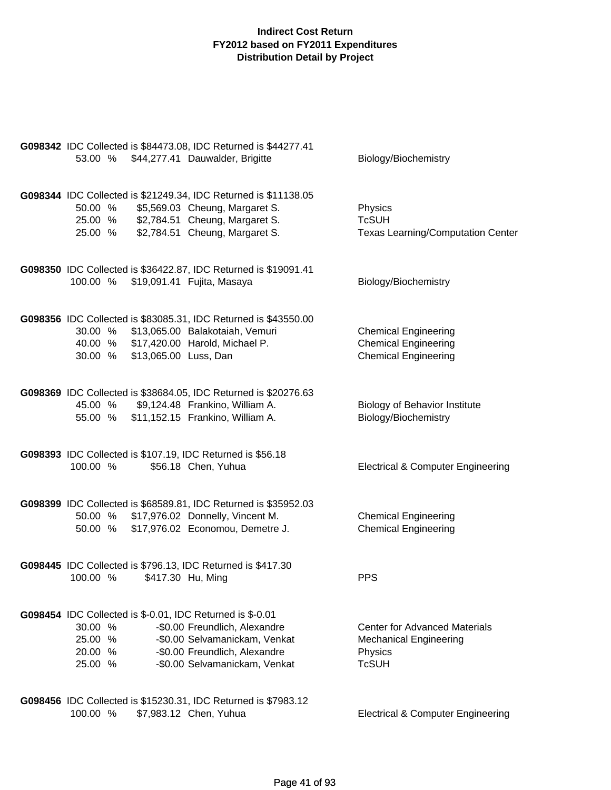| G098342 IDC Collected is \$84473.08, IDC Returned is \$44277.41<br>53.00 % \$44,277.41 Dauwalder, Brigitte                                                                                                                                | Biology/Biochemistry                                                                             |
|-------------------------------------------------------------------------------------------------------------------------------------------------------------------------------------------------------------------------------------------|--------------------------------------------------------------------------------------------------|
| G098344 IDC Collected is \$21249.34, IDC Returned is \$11138.05<br>50.00 % \$5,569.03 Cheung, Margaret S.<br>25.00 % \$2,784.51 Cheung, Margaret S.<br>\$2,784.51 Cheung, Margaret S.<br>25.00 %                                          | Physics<br><b>TcSUH</b><br><b>Texas Learning/Computation Center</b>                              |
| G098350 IDC Collected is \$36422.87, IDC Returned is \$19091.41<br>\$19,091.41 Fujita, Masaya<br>100.00 %                                                                                                                                 | Biology/Biochemistry                                                                             |
| G098356 IDC Collected is \$83085.31, IDC Returned is \$43550.00<br>\$13,065.00 Balakotaiah, Vemuri<br>30.00 %<br>40.00 % \$17,420.00 Harold, Michael P.<br>\$13,065.00 Luss, Dan<br>30.00 %                                               | <b>Chemical Engineering</b><br><b>Chemical Engineering</b><br><b>Chemical Engineering</b>        |
| G098369 IDC Collected is \$38684.05, IDC Returned is \$20276.63<br>45.00 %<br>\$9,124.48 Frankino, William A.<br>\$11,152.15 Frankino, William A.<br>55.00 %                                                                              | <b>Biology of Behavior Institute</b><br>Biology/Biochemistry                                     |
| G098393 IDC Collected is \$107.19, IDC Returned is \$56.18<br>100.00 %<br>\$56.18 Chen, Yuhua                                                                                                                                             | <b>Electrical &amp; Computer Engineering</b>                                                     |
| G098399 IDC Collected is \$68589.81, IDC Returned is \$35952.03<br>\$17,976.02 Donnelly, Vincent M.<br>50.00 %<br>\$17,976.02 Economou, Demetre J.<br>50.00 %                                                                             | <b>Chemical Engineering</b><br><b>Chemical Engineering</b>                                       |
| G098445 IDC Collected is \$796.13, IDC Returned is \$417.30<br>100.00 %<br>\$417.30 Hu, Ming                                                                                                                                              | <b>PPS</b>                                                                                       |
| G098454 IDC Collected is \$-0.01, IDC Returned is \$-0.01<br>30.00 %<br>-\$0.00 Freundlich, Alexandre<br>25.00 %<br>-\$0.00 Selvamanickam, Venkat<br>20.00 %<br>-\$0.00 Freundlich, Alexandre<br>-\$0.00 Selvamanickam, Venkat<br>25.00 % | <b>Center for Advanced Materials</b><br><b>Mechanical Engineering</b><br>Physics<br><b>TcSUH</b> |
| G098456 IDC Collected is \$15230.31, IDC Returned is \$7983.12<br>\$7,983.12 Chen, Yuhua<br>100.00 %                                                                                                                                      | <b>Electrical &amp; Computer Engineering</b>                                                     |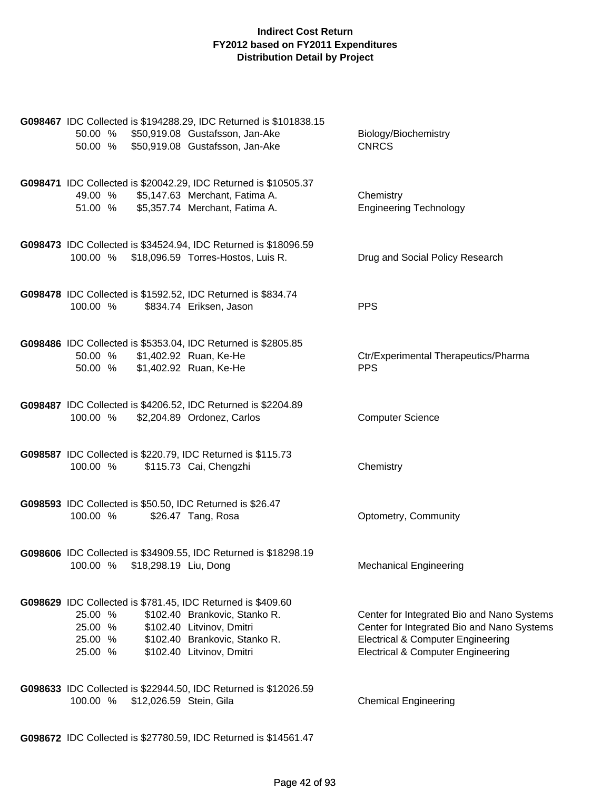| 50.00 %<br>50.00 % \$50,919.08 Gustafsson, Jan-Ake                                                      | G098467 IDC Collected is \$194288.29, IDC Returned is \$101838.15<br>\$50,919.08 Gustafsson, Jan-Ake                     | Biology/Biochemistry<br><b>CNRCS</b>                                                                                                                                                     |
|---------------------------------------------------------------------------------------------------------|--------------------------------------------------------------------------------------------------------------------------|------------------------------------------------------------------------------------------------------------------------------------------------------------------------------------------|
| 49.00 %<br>51.00 % \$5,357.74 Merchant, Fatima A.                                                       | G098471 IDC Collected is \$20042.29, IDC Returned is \$10505.37<br>\$5,147.63 Merchant, Fatima A.                        | Chemistry<br><b>Engineering Technology</b>                                                                                                                                               |
| 100.00 % \$18,096.59 Torres-Hostos, Luis R.                                                             | G098473 IDC Collected is \$34524.94, IDC Returned is \$18096.59                                                          | Drug and Social Policy Research                                                                                                                                                          |
| G098478 IDC Collected is \$1592.52, IDC Returned is \$834.74<br>100.00 %                                | \$834.74 Eriksen, Jason                                                                                                  | <b>PPS</b>                                                                                                                                                                               |
| 50.00 % \$1,402.92 Ruan, Ke-He<br>50.00 %                                                               | G098486 IDC Collected is \$5353.04, IDC Returned is \$2805.85<br>\$1,402.92 Ruan, Ke-He                                  | Ctr/Experimental Therapeutics/Pharma<br><b>PPS</b>                                                                                                                                       |
| 100.00 %                                                                                                | G098487 IDC Collected is \$4206.52, IDC Returned is \$2204.89<br>\$2,204.89 Ordonez, Carlos                              | <b>Computer Science</b>                                                                                                                                                                  |
| G098587 IDC Collected is \$220.79, IDC Returned is \$115.73<br>100.00 %                                 | \$115.73 Cai, Chengzhi                                                                                                   | Chemistry                                                                                                                                                                                |
| G098593 IDC Collected is \$50.50, IDC Returned is \$26.47<br>100.00 %                                   | \$26.47 Tang, Rosa                                                                                                       | Optometry, Community                                                                                                                                                                     |
| 100.00 %<br>\$18,298.19 Liu, Dong                                                                       | G098606 IDC Collected is \$34909.55, IDC Returned is \$18298.19                                                          | <b>Mechanical Engineering</b>                                                                                                                                                            |
| G098629 IDC Collected is \$781.45, IDC Returned is \$409.60<br>25.00 %<br>25.00 %<br>25.00 %<br>25.00 % | \$102.40 Brankovic, Stanko R.<br>\$102.40 Litvinov, Dmitri<br>\$102.40 Brankovic, Stanko R.<br>\$102.40 Litvinov, Dmitri | Center for Integrated Bio and Nano Systems<br>Center for Integrated Bio and Nano Systems<br><b>Electrical &amp; Computer Engineering</b><br><b>Electrical &amp; Computer Engineering</b> |
| 100.00 %<br>\$12,026.59 Stein, Gila                                                                     | G098633 IDC Collected is \$22944.50, IDC Returned is \$12026.59                                                          | <b>Chemical Engineering</b>                                                                                                                                                              |

**G098672** IDC Collected is \$27780.59, IDC Returned is \$14561.47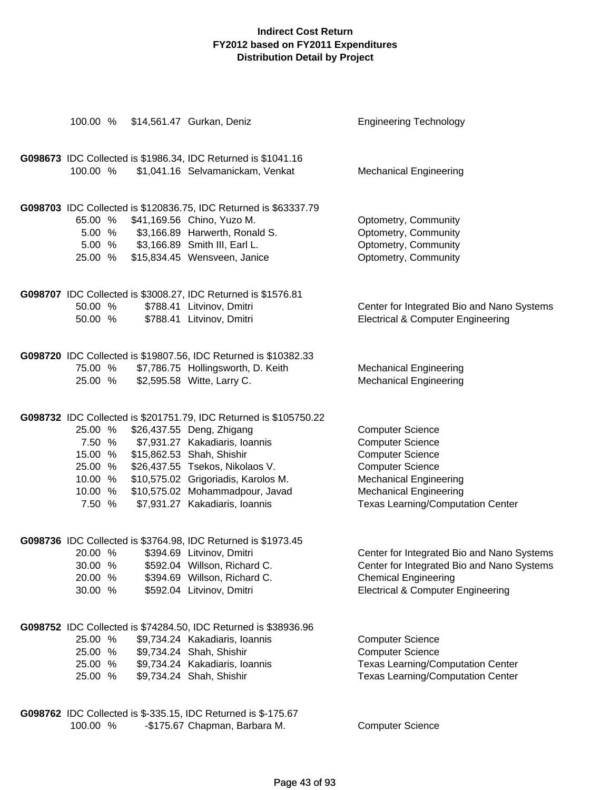| 100.00 %           | \$14,561.47 Gurkan, Deniz                                                                         | <b>Engineering Technology</b>                                |
|--------------------|---------------------------------------------------------------------------------------------------|--------------------------------------------------------------|
| 100.00 %           | G098673 IDC Collected is \$1986.34, IDC Returned is \$1041.16<br>\$1,041.16 Selvamanickam, Venkat | <b>Mechanical Engineering</b>                                |
|                    |                                                                                                   |                                                              |
|                    | G098703 IDC Collected is \$120836.75, IDC Returned is \$63337.79                                  |                                                              |
| 65.00 %            | \$41,169.56 Chino, Yuzo M.                                                                        | Optometry, Community                                         |
| 5.00 %             | \$3,166.89 Harwerth, Ronald S.                                                                    | Optometry, Community                                         |
|                    | 5.00 % \$3,166.89 Smith III, Earl L.                                                              | Optometry, Community                                         |
| 25.00 %            | \$15,834.45 Wensveen, Janice                                                                      | Optometry, Community                                         |
|                    | G098707 IDC Collected is \$3008.27, IDC Returned is \$1576.81                                     |                                                              |
| 50.00 %            | \$788.41 Litvinov, Dmitri                                                                         | Center for Integrated Bio and Nano Systems                   |
| 50.00 %            | \$788.41 Litvinov, Dmitri                                                                         | <b>Electrical &amp; Computer Engineering</b>                 |
|                    | G098720 IDC Collected is \$19807.56, IDC Returned is \$10382.33                                   |                                                              |
| 75.00 %            | \$7,786.75 Hollingsworth, D. Keith                                                                | <b>Mechanical Engineering</b>                                |
| 25.00 %            | \$2,595.58 Witte, Larry C.                                                                        | <b>Mechanical Engineering</b>                                |
| 25.00 %            | G098732 IDC Collected is \$201751.79, IDC Returned is \$105750.22<br>\$26,437.55 Deng, Zhigang    | <b>Computer Science</b>                                      |
| 7.50 %             | \$7,931.27 Kakadiaris, Ioannis                                                                    | <b>Computer Science</b>                                      |
| 15.00 %            | \$15,862.53 Shah, Shishir                                                                         | <b>Computer Science</b>                                      |
| 25.00 %            | \$26,437.55 Tsekos, Nikolaos V.                                                                   | <b>Computer Science</b>                                      |
| 10.00 %            | \$10,575.02 Grigoriadis, Karolos M.                                                               | <b>Mechanical Engineering</b>                                |
| 10.00 %            | \$10,575.02 Mohammadpour, Javad                                                                   | <b>Mechanical Engineering</b>                                |
| 7.50 %             | \$7,931.27 Kakadiaris, Ioannis                                                                    | <b>Texas Learning/Computation Center</b>                     |
|                    | G098736 IDC Collected is \$3764.98, IDC Returned is \$1973.45                                     |                                                              |
| 20.00 %            | \$394.69 Litvinov, Dmitri                                                                         | Center for Integrated Bio and Nano Systems                   |
| 30.00 %            | \$592.04 Willson, Richard C.                                                                      | Center for Integrated Bio and Nano Systems                   |
| 20.00 %            | \$394.69 Willson, Richard C.                                                                      | <b>Chemical Engineering</b>                                  |
| 30.00 %            | \$592.04 Litvinov, Dmitri                                                                         | <b>Electrical &amp; Computer Engineering</b>                 |
|                    | G098752 IDC Collected is \$74284.50, IDC Returned is \$38936.96                                   |                                                              |
| 25.00 %            | \$9,734.24 Kakadiaris, Ioannis                                                                    | <b>Computer Science</b>                                      |
| 25.00 %<br>25.00 % | \$9,734.24 Shah, Shishir<br>\$9,734.24 Kakadiaris, Ioannis                                        | <b>Computer Science</b><br>Texas Learning/Computation Center |
| 25.00 %            | \$9,734.24 Shah, Shishir                                                                          | <b>Texas Learning/Computation Center</b>                     |
|                    |                                                                                                   |                                                              |
|                    | G098762 IDC Collected is \$-335.15, IDC Returned is \$-175.67                                     |                                                              |

100.00 % -\$175.67 Chapman, Barbara M. Computer Science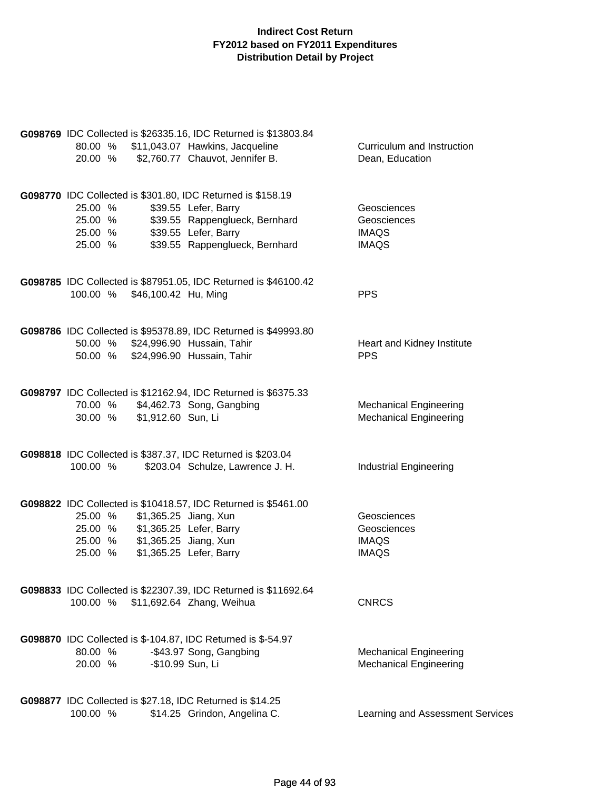| G098769 IDC Collected is \$26335.16, IDC Returned is \$13803.84<br>80.00 % \$11,043.07 Hawkins, Jacqueline<br>\$2,760.77 Chauvot, Jennifer B.<br>20.00 %                                                                    | Curriculum and Instruction<br>Dean, Education                  |
|-----------------------------------------------------------------------------------------------------------------------------------------------------------------------------------------------------------------------------|----------------------------------------------------------------|
| G098770 IDC Collected is \$301.80, IDC Returned is \$158.19<br>25.00 %<br>\$39.55 Lefer, Barry<br>\$39.55 Rappenglueck, Bernhard<br>25.00 %<br>\$39.55 Lefer, Barry<br>25.00 %<br>\$39.55 Rappenglueck, Bernhard<br>25.00 % | Geosciences<br>Geosciences<br><b>IMAQS</b><br><b>IMAQS</b>     |
| G098785 IDC Collected is \$87951.05, IDC Returned is \$46100.42<br>100.00 % \$46,100.42 Hu, Ming                                                                                                                            | <b>PPS</b>                                                     |
| G098786 IDC Collected is \$95378.89, IDC Returned is \$49993.80<br>50.00 % \$24,996.90 Hussain, Tahir<br>50.00 % \$24,996.90 Hussain, Tahir                                                                                 | Heart and Kidney Institute<br><b>PPS</b>                       |
| G098797 IDC Collected is \$12162.94, IDC Returned is \$6375.33<br>70.00 % \$4,462.73 Song, Gangbing<br>\$1,912.60 Sun, Li<br>30.00 %                                                                                        | <b>Mechanical Engineering</b><br><b>Mechanical Engineering</b> |
| G098818 IDC Collected is \$387.37, IDC Returned is \$203.04<br>\$203.04 Schulze, Lawrence J. H.<br>100.00 %                                                                                                                 | <b>Industrial Engineering</b>                                  |
| G098822 IDC Collected is \$10418.57, IDC Returned is \$5461.00<br>\$1,365.25 Jiang, Xun<br>25.00 %<br>25.00 %<br>\$1,365.25 Lefer, Barry<br>25.00 %<br>\$1,365.25 Jiang, Xun<br>\$1,365.25 Lefer, Barry<br>25.00 %          | Geosciences<br>Geosciences<br><b>IMAQS</b><br><b>IMAQS</b>     |
| G098833 IDC Collected is \$22307.39, IDC Returned is \$11692.64<br>100.00 %<br>\$11,692.64 Zhang, Weihua                                                                                                                    | <b>CNRCS</b>                                                   |
| <b>G098870</b> IDC Collected is \$-104.87, IDC Returned is \$-54.97<br>-\$43.97 Song, Gangbing<br>80.00 %<br>-\$10.99 Sun, Li<br>20.00 %                                                                                    | <b>Mechanical Engineering</b><br><b>Mechanical Engineering</b> |
| G098877 IDC Collected is \$27.18, IDC Returned is \$14.25<br>100.00 %<br>\$14.25 Grindon, Angelina C.                                                                                                                       | Learning and Assessment Services                               |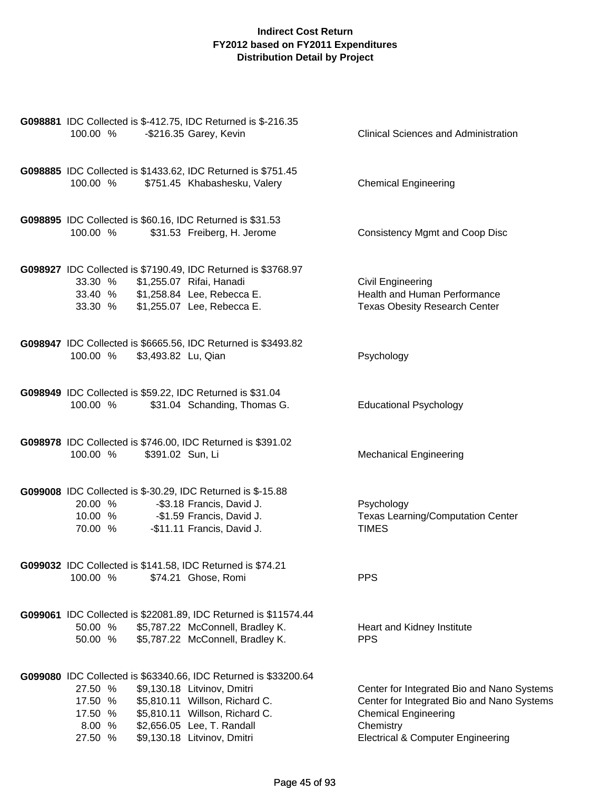| G098881 IDC Collected is \$-412.75, IDC Returned is \$-216.35<br>100.00 %                    | -\$216.35 Garey, Kevin                                                                                                                                                                                                          | <b>Clinical Sciences and Administration</b>                                                                                                                                          |
|----------------------------------------------------------------------------------------------|---------------------------------------------------------------------------------------------------------------------------------------------------------------------------------------------------------------------------------|--------------------------------------------------------------------------------------------------------------------------------------------------------------------------------------|
| G098885 IDC Collected is \$1433.62, IDC Returned is \$751.45<br>100.00 %                     | \$751.45 Khabashesku, Valery                                                                                                                                                                                                    | <b>Chemical Engineering</b>                                                                                                                                                          |
| G098895 IDC Collected is \$60.16, IDC Returned is \$31.53<br>100.00 %                        | \$31.53 Freiberg, H. Jerome                                                                                                                                                                                                     | <b>Consistency Mgmt and Coop Disc</b>                                                                                                                                                |
| 33.30 %<br>33.40 % \$1,258.84 Lee, Rebecca E.<br>33.30 % \$1,255.07 Lee, Rebecca E.          | G098927 IDC Collected is \$7190.49, IDC Returned is \$3768.97<br>\$1,255.07 Rifai, Hanadi                                                                                                                                       | <b>Civil Engineering</b><br>Health and Human Performance<br><b>Texas Obesity Research Center</b>                                                                                     |
| 100.00 %<br>\$3,493.82 Lu, Qian                                                              | G098947 IDC Collected is \$6665.56, IDC Returned is \$3493.82                                                                                                                                                                   | Psychology                                                                                                                                                                           |
| G098949 IDC Collected is \$59.22, IDC Returned is \$31.04<br>100.00 %                        | \$31.04 Schanding, Thomas G.                                                                                                                                                                                                    | <b>Educational Psychology</b>                                                                                                                                                        |
| G098978 IDC Collected is \$746.00, IDC Returned is \$391.02<br>100.00 %<br>\$391.02 Sun, Li  |                                                                                                                                                                                                                                 | <b>Mechanical Engineering</b>                                                                                                                                                        |
| G099008 IDC Collected is \$-30.29, IDC Returned is \$-15.88<br>20.00 %<br>10.00 %<br>70.00 % | -\$3.18 Francis, David J.<br>-\$1.59 Francis, David J.<br>-\$11.11 Francis, David J.                                                                                                                                            | Psychology<br><b>Texas Learning/Computation Center</b><br><b>TIMES</b>                                                                                                               |
| G099032 IDC Collected is \$141.58, IDC Returned is \$74.21<br>100.00 %                       | \$74.21 Ghose, Romi                                                                                                                                                                                                             | <b>PPS</b>                                                                                                                                                                           |
| 50.00 %<br>50.00 %                                                                           | G099061 IDC Collected is \$22081.89, IDC Returned is \$11574.44<br>\$5,787.22 McConnell, Bradley K.<br>\$5,787.22 McConnell, Bradley K.                                                                                         | Heart and Kidney Institute<br><b>PPS</b>                                                                                                                                             |
| 27.50 %<br>17.50 %<br>17.50 %<br>8.00 %<br>27.50 %                                           | G099080 IDC Collected is \$63340.66, IDC Returned is \$33200.64<br>\$9,130.18 Litvinov, Dmitri<br>\$5,810.11 Willson, Richard C.<br>\$5,810.11 Willson, Richard C.<br>\$2,656.05 Lee, T. Randall<br>\$9,130.18 Litvinov, Dmitri | Center for Integrated Bio and Nano Systems<br>Center for Integrated Bio and Nano Systems<br><b>Chemical Engineering</b><br>Chemistry<br><b>Electrical &amp; Computer Engineering</b> |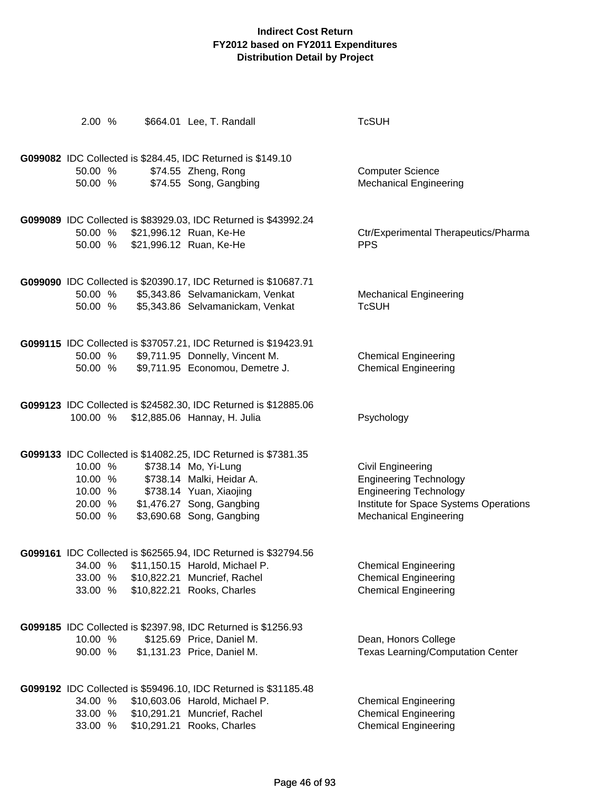| 2.00 %                                              | \$664.01 Lee, T. Randall                                                                                                                                                                                 | <b>TcSUH</b>                                                                                                                                                          |
|-----------------------------------------------------|----------------------------------------------------------------------------------------------------------------------------------------------------------------------------------------------------------|-----------------------------------------------------------------------------------------------------------------------------------------------------------------------|
| 50.00 %<br>50.00 %                                  | G099082 IDC Collected is \$284.45, IDC Returned is \$149.10<br>\$74.55 Zheng, Rong<br>\$74.55 Song, Gangbing                                                                                             | <b>Computer Science</b><br><b>Mechanical Engineering</b>                                                                                                              |
| 50.00 %<br>50.00 %                                  | G099089 IDC Collected is \$83929.03, IDC Returned is \$43992.24<br>\$21,996.12 Ruan, Ke-He<br>\$21,996.12 Ruan, Ke-He                                                                                    | Ctr/Experimental Therapeutics/Pharma<br><b>PPS</b>                                                                                                                    |
| 50.00 %<br>50.00 %                                  | G099090 IDC Collected is \$20390.17, IDC Returned is \$10687.71<br>\$5,343.86 Selvamanickam, Venkat<br>\$5,343.86 Selvamanickam, Venkat                                                                  | <b>Mechanical Engineering</b><br><b>TcSUH</b>                                                                                                                         |
| 50.00 %<br>50.00 %                                  | G099115 IDC Collected is \$37057.21, IDC Returned is \$19423.91<br>\$9,711.95 Donnelly, Vincent M.<br>\$9,711.95 Economou, Demetre J.                                                                    | <b>Chemical Engineering</b><br><b>Chemical Engineering</b>                                                                                                            |
| 100.00 %                                            | G099123 IDC Collected is \$24582.30, IDC Returned is \$12885.06<br>\$12,885.06 Hannay, H. Julia                                                                                                          | Psychology                                                                                                                                                            |
| 10.00 %<br>10.00 %<br>10.00 %<br>20.00 %<br>50.00 % | G099133 IDC Collected is \$14082.25, IDC Returned is \$7381.35<br>\$738.14 Mo, Yi-Lung<br>\$738.14 Malki, Heidar A.<br>\$738.14 Yuan, Xiaojing<br>\$1,476.27 Song, Gangbing<br>\$3,690.68 Song, Gangbing | <b>Civil Engineering</b><br><b>Engineering Technology</b><br><b>Engineering Technology</b><br>Institute for Space Systems Operations<br><b>Mechanical Engineering</b> |
| 34.00 %<br>33.00 %<br>33.00 %                       | G099161 IDC Collected is \$62565.94, IDC Returned is \$32794.56<br>\$11,150.15 Harold, Michael P.<br>\$10,822.21 Muncrief, Rachel<br>\$10,822.21 Rooks, Charles                                          | <b>Chemical Engineering</b><br><b>Chemical Engineering</b><br><b>Chemical Engineering</b>                                                                             |
| 10.00 %<br>90.00 %                                  | G099185 IDC Collected is \$2397.98, IDC Returned is \$1256.93<br>\$125.69 Price, Daniel M.<br>\$1,131.23 Price, Daniel M.                                                                                | Dean, Honors College<br><b>Texas Learning/Computation Center</b>                                                                                                      |
| 34.00 %<br>33.00 %<br>33.00 %                       | G099192 IDC Collected is \$59496.10, IDC Returned is \$31185.48<br>\$10,603.06 Harold, Michael P.<br>\$10,291.21 Muncrief, Rachel<br>\$10,291.21 Rooks, Charles                                          | <b>Chemical Engineering</b><br><b>Chemical Engineering</b><br><b>Chemical Engineering</b>                                                                             |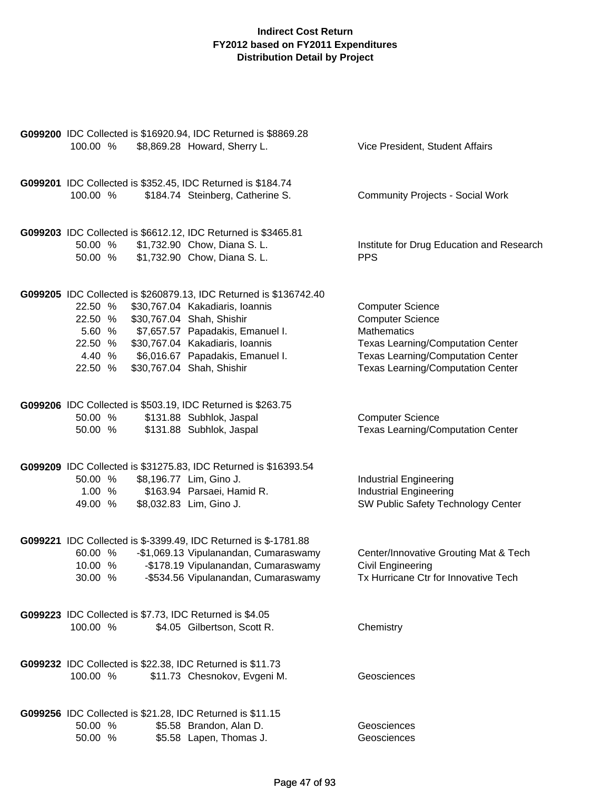|           | G099200 IDC Collected is \$16920.94, IDC Returned is \$8869.28    |                                           |
|-----------|-------------------------------------------------------------------|-------------------------------------------|
| 100.00 %  | \$8,869.28 Howard, Sherry L.                                      | Vice President, Student Affairs           |
|           |                                                                   |                                           |
|           |                                                                   |                                           |
|           | G099201 IDC Collected is \$352.45, IDC Returned is \$184.74       |                                           |
| 100.00 %  | \$184.74 Steinberg, Catherine S.                                  | <b>Community Projects - Social Work</b>   |
|           |                                                                   |                                           |
|           |                                                                   |                                           |
|           | G099203 IDC Collected is \$6612.12, IDC Returned is \$3465.81     |                                           |
| 50.00 %   | \$1,732.90 Chow, Diana S. L.                                      | Institute for Drug Education and Research |
| 50.00 %   | \$1,732.90 Chow, Diana S. L.                                      | <b>PPS</b>                                |
|           |                                                                   |                                           |
|           |                                                                   |                                           |
|           | G099205 IDC Collected is \$260879.13, IDC Returned is \$136742.40 |                                           |
| 22.50 %   | \$30,767.04 Kakadiaris, Ioannis                                   | <b>Computer Science</b>                   |
| 22.50 %   | \$30,767.04 Shah, Shishir                                         | <b>Computer Science</b>                   |
| 5.60 %    | \$7,657.57 Papadakis, Emanuel I.                                  | <b>Mathematics</b>                        |
| 22.50 %   | \$30,767.04 Kakadiaris, Ioannis                                   | <b>Texas Learning/Computation Center</b>  |
| 4.40 %    | \$6,016.67 Papadakis, Emanuel I.                                  | <b>Texas Learning/Computation Center</b>  |
| 22.50 %   | \$30,767.04 Shah, Shishir                                         | <b>Texas Learning/Computation Center</b>  |
|           |                                                                   |                                           |
|           | G099206 IDC Collected is \$503.19, IDC Returned is \$263.75       |                                           |
| 50.00 %   | \$131.88 Subhlok, Jaspal                                          | <b>Computer Science</b>                   |
| 50.00 %   | \$131.88 Subhlok, Jaspal                                          | <b>Texas Learning/Computation Center</b>  |
|           |                                                                   |                                           |
|           |                                                                   |                                           |
|           | G099209 IDC Collected is \$31275.83, IDC Returned is \$16393.54   |                                           |
| 50.00 %   | \$8,196.77 Lim, Gino J.                                           | <b>Industrial Engineering</b>             |
| 1.00<br>% | \$163.94 Parsaei, Hamid R.                                        | <b>Industrial Engineering</b>             |
| 49.00 %   | \$8,032.83 Lim, Gino J.                                           | SW Public Safety Technology Center        |
|           |                                                                   |                                           |
|           |                                                                   |                                           |
|           | G099221 IDC Collected is \$-3399.49, IDC Returned is \$-1781.88   |                                           |
| 60.00 %   | -\$1,069.13 Vipulanandan, Cumaraswamy                             | Center/Innovative Grouting Mat & Tech     |
| 10.00 %   | -\$178.19 Vipulanandan, Cumaraswamy                               | <b>Civil Engineering</b>                  |
| 30.00 %   | -\$534.56 Vipulanandan, Cumaraswamy                               | Tx Hurricane Ctr for Innovative Tech      |
|           |                                                                   |                                           |
|           |                                                                   |                                           |
| 100.00 %  | G099223 IDC Collected is \$7.73, IDC Returned is \$4.05           |                                           |
|           | \$4.05 Gilbertson, Scott R.                                       | Chemistry                                 |
|           |                                                                   |                                           |
|           | G099232 IDC Collected is \$22.38, IDC Returned is \$11.73         |                                           |
| 100.00 %  | \$11.73 Chesnokov, Evgeni M.                                      | Geosciences                               |
|           |                                                                   |                                           |
|           |                                                                   |                                           |
|           | G099256 IDC Collected is \$21.28, IDC Returned is \$11.15         |                                           |
| 50.00 %   | \$5.58 Brandon, Alan D.                                           | Geosciences                               |
| 50.00 %   | \$5.58 Lapen, Thomas J.                                           | Geosciences                               |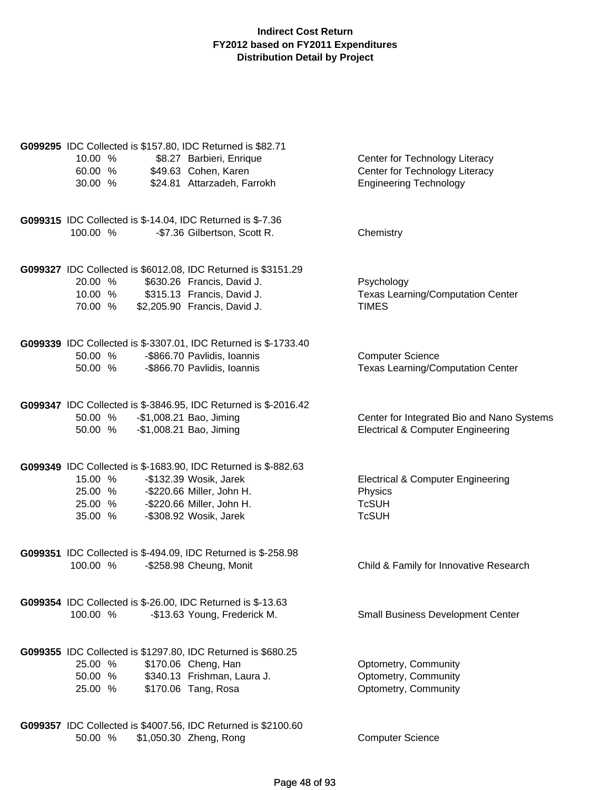| G099295 IDC Collected is \$157.80, IDC Returned is \$82.71        |                                                                 |                                              |
|-------------------------------------------------------------------|-----------------------------------------------------------------|----------------------------------------------|
| 10.00 %                                                           | \$8.27 Barbieri, Enrique                                        | Center for Technology Literacy               |
| 60.00 %                                                           | \$49.63 Cohen, Karen                                            | Center for Technology Literacy               |
| 30.00 %                                                           | \$24.81 Attarzadeh, Farrokh                                     | <b>Engineering Technology</b>                |
| <b>G099315</b> IDC Collected is \$-14.04, IDC Returned is \$-7.36 |                                                                 |                                              |
| 100.00 %                                                          | -\$7.36 Gilbertson, Scott R.                                    | Chemistry                                    |
|                                                                   | G099327 IDC Collected is \$6012.08, IDC Returned is \$3151.29   |                                              |
| 20.00 %                                                           | \$630.26 Francis, David J.                                      | Psychology                                   |
| 10.00 %                                                           | \$315.13 Francis, David J.                                      | <b>Texas Learning/Computation Center</b>     |
| 70.00 %                                                           | \$2,205.90 Francis, David J.                                    | <b>TIMES</b>                                 |
|                                                                   | G099339 IDC Collected is \$-3307.01, IDC Returned is \$-1733.40 |                                              |
| 50.00 %                                                           | -\$866.70 Pavlidis, Ioannis                                     | <b>Computer Science</b>                      |
| 50.00 %                                                           | -\$866.70 Pavlidis, Ioannis                                     | <b>Texas Learning/Computation Center</b>     |
|                                                                   | G099347 IDC Collected is \$-3846.95, IDC Returned is \$-2016.42 |                                              |
| 50.00 %                                                           | -\$1,008.21 Bao, Jiming                                         | Center for Integrated Bio and Nano Systems   |
| 50.00 %                                                           | -\$1,008.21 Bao, Jiming                                         | <b>Electrical &amp; Computer Engineering</b> |
|                                                                   | G099349 IDC Collected is \$-1683.90, IDC Returned is \$-882.63  |                                              |
| 15.00 %                                                           | -\$132.39 Wosik, Jarek                                          | <b>Electrical &amp; Computer Engineering</b> |
| 25.00 %                                                           | -\$220.66 Miller, John H.                                       | Physics                                      |
| 25.00 %<br>35.00 %                                                | -\$220.66 Miller, John H.<br>-\$308.92 Wosik, Jarek             | <b>TcSUH</b><br><b>TcSUH</b>                 |
|                                                                   |                                                                 |                                              |
| G099351 IDC Collected is \$-494.09, IDC Returned is \$-258.98     |                                                                 |                                              |
| 100.00 %                                                          | -\$258.98 Cheung, Monit                                         | Child & Family for Innovative Research       |
| G099354 IDC Collected is \$-26.00, IDC Returned is \$-13.63       |                                                                 |                                              |
| 100.00 %                                                          | -\$13.63 Young, Frederick M.                                    | <b>Small Business Development Center</b>     |
| G099355 IDC Collected is \$1297.80, IDC Returned is \$680.25      |                                                                 |                                              |
| 25.00 %                                                           | \$170.06 Cheng, Han                                             | Optometry, Community                         |
| 50.00 %                                                           | \$340.13 Frishman, Laura J.                                     | Optometry, Community                         |
| 25.00 %                                                           | \$170.06 Tang, Rosa                                             | Optometry, Community                         |
|                                                                   | G099357 IDC Collected is \$4007.56, IDC Returned is \$2100.60   |                                              |
| 50.00 %                                                           | \$1,050.30 Zheng, Rong                                          | <b>Computer Science</b>                      |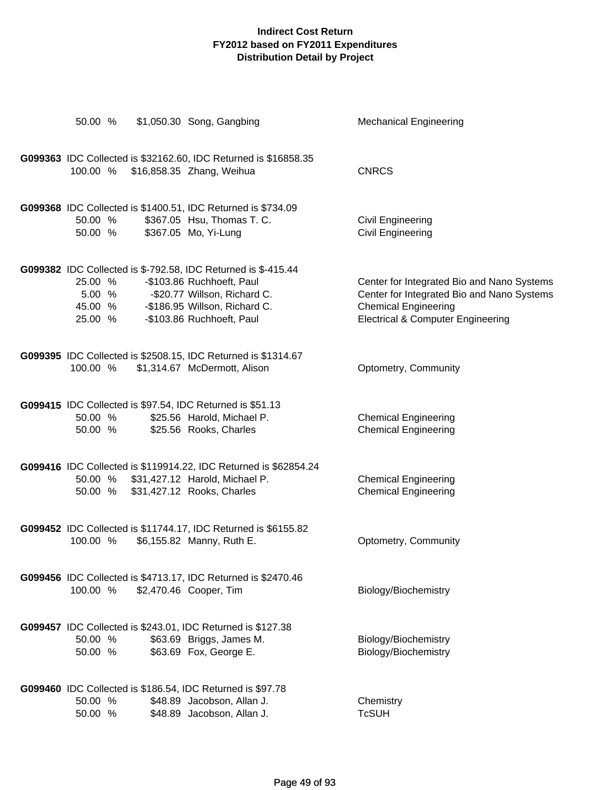|                    | 50.00 % \$1,050.30 Song, Gangbing                                                       | <b>Mechanical Engineering</b>                                             |
|--------------------|-----------------------------------------------------------------------------------------|---------------------------------------------------------------------------|
|                    | G099363 IDC Collected is \$32162.60, IDC Returned is \$16858.35                         |                                                                           |
| 100.00 %           | \$16,858.35 Zhang, Weihua                                                               | <b>CNRCS</b>                                                              |
|                    | G099368 IDC Collected is \$1400.51, IDC Returned is \$734.09                            |                                                                           |
| 50.00 %<br>50.00 % | \$367.05 Hsu, Thomas T. C.<br>\$367.05 Mo, Yi-Lung                                      | <b>Civil Engineering</b><br><b>Civil Engineering</b>                      |
|                    | G099382 IDC Collected is \$-792.58, IDC Returned is \$-415.44                           |                                                                           |
| 25.00 %            | -\$103.86 Ruchhoeft, Paul                                                               | Center for Integrated Bio and Nano Systems                                |
| 45.00 %            | 5.00 % - \$20.77 Willson, Richard C.<br>-\$186.95 Willson, Richard C.                   | Center for Integrated Bio and Nano Systems<br><b>Chemical Engineering</b> |
| 25.00 %            | -\$103.86 Ruchhoeft, Paul                                                               | <b>Electrical &amp; Computer Engineering</b>                              |
|                    | G099395 IDC Collected is \$2508.15, IDC Returned is \$1314.67                           |                                                                           |
| 100.00 %           | \$1,314.67 McDermott, Alison                                                            | Optometry, Community                                                      |
|                    | G099415 IDC Collected is \$97.54, IDC Returned is \$51.13                               |                                                                           |
| 50.00 %            | \$25.56 Harold, Michael P.                                                              | <b>Chemical Engineering</b>                                               |
|                    | 50.00 % \$25.56 Rooks, Charles                                                          | <b>Chemical Engineering</b>                                               |
|                    | G099416 IDC Collected is \$119914.22, IDC Returned is \$62854.24                        |                                                                           |
| 50.00 %            | 50.00 % \$31,427.12 Harold, Michael P.<br>\$31,427.12 Rooks, Charles                    | <b>Chemical Engineering</b><br><b>Chemical Engineering</b>                |
|                    |                                                                                         |                                                                           |
|                    | G099452 IDC Collected is \$11744.17, IDC Returned is \$6155.82                          |                                                                           |
| 100.00 %           | \$6,155.82 Manny, Ruth E.                                                               | Optometry, Community                                                      |
|                    | G099456 IDC Collected is \$4713.17, IDC Returned is \$2470.46<br>\$2,470.46 Cooper, Tim |                                                                           |
| 100.00 %           |                                                                                         | Biology/Biochemistry                                                      |
|                    | G099457 IDC Collected is \$243.01, IDC Returned is \$127.38                             |                                                                           |
| 50.00 %<br>50.00 % | \$63.69 Briggs, James M.<br>\$63.69 Fox, George E.                                      | Biology/Biochemistry<br>Biology/Biochemistry                              |
|                    |                                                                                         |                                                                           |
|                    | G099460 IDC Collected is \$186.54, IDC Returned is \$97.78                              |                                                                           |
| 50.00 %<br>50.00 % | \$48.89 Jacobson, Allan J.<br>\$48.89 Jacobson, Allan J.                                | Chemistry<br><b>TcSUH</b>                                                 |
|                    |                                                                                         |                                                                           |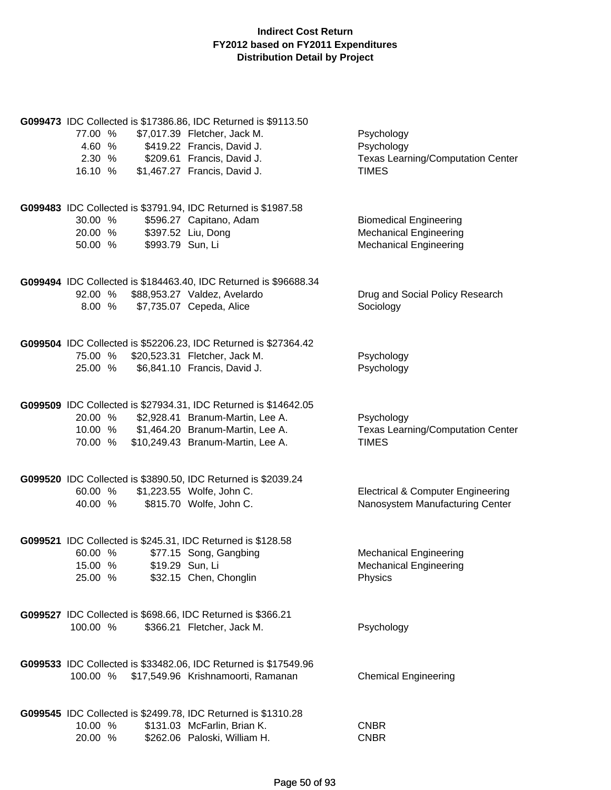| 77.00 %<br>4.60 %<br>2.30 %<br>16.10 % | G099473 IDC Collected is \$17386.86, IDC Returned is \$9113.50<br>\$7,017.39 Fletcher, Jack M.<br>\$419.22 Francis, David J.<br>\$209.61 Francis, David J.<br>\$1,467.27 Francis, David J. | Psychology<br>Psychology<br><b>Texas Learning/Computation Center</b><br><b>TIMES</b>            |
|----------------------------------------|--------------------------------------------------------------------------------------------------------------------------------------------------------------------------------------------|-------------------------------------------------------------------------------------------------|
| 30.00 %<br>20.00 %<br>50.00 %          | G099483 IDC Collected is \$3791.94, IDC Returned is \$1987.58<br>\$596.27 Capitano, Adam<br>\$397.52 Liu, Dong<br>\$993.79 Sun, Li                                                         | <b>Biomedical Engineering</b><br><b>Mechanical Engineering</b><br><b>Mechanical Engineering</b> |
| 92.00 %<br>8.00 %                      | G099494 IDC Collected is \$184463.40, IDC Returned is \$96688.34<br>\$88,953.27 Valdez, Avelardo<br>\$7,735.07 Cepeda, Alice                                                               | Drug and Social Policy Research<br>Sociology                                                    |
| 75.00 %<br>25.00 %                     | G099504 IDC Collected is \$52206.23, IDC Returned is \$27364.42<br>\$20,523.31 Fletcher, Jack M.<br>\$6,841.10 Francis, David J.                                                           | Psychology<br>Psychology                                                                        |
| 20.00 %<br>70.00 %                     | G099509 IDC Collected is \$27934.31, IDC Returned is \$14642.05<br>\$2,928.41 Branum-Martin, Lee A.<br>10.00 % \$1,464.20 Branum-Martin, Lee A.<br>\$10,249.43 Branum-Martin, Lee A.       | Psychology<br><b>Texas Learning/Computation Center</b><br><b>TIMES</b>                          |
| 60.00 %<br>40.00 %                     | G099520 IDC Collected is \$3890.50, IDC Returned is \$2039.24<br>\$1,223.55 Wolfe, John C.<br>\$815.70 Wolfe, John C.                                                                      | <b>Electrical &amp; Computer Engineering</b><br>Nanosystem Manufacturing Center                 |
| 60.00 %<br>15.00 %<br>25.00 %          | G099521 IDC Collected is \$245.31, IDC Returned is \$128.58<br>\$77.15 Song, Gangbing<br>\$19.29 Sun, Li<br>\$32.15 Chen, Chonglin                                                         | <b>Mechanical Engineering</b><br><b>Mechanical Engineering</b><br>Physics                       |
| 100.00 %                               | G099527 IDC Collected is \$698.66, IDC Returned is \$366.21<br>\$366.21 Fletcher, Jack M.                                                                                                  | Psychology                                                                                      |
| 100.00 %                               | G099533 IDC Collected is \$33482.06, IDC Returned is \$17549.96<br>\$17,549.96 Krishnamoorti, Ramanan                                                                                      | <b>Chemical Engineering</b>                                                                     |
| 10.00 %<br>20.00 %                     | G099545 IDC Collected is \$2499.78, IDC Returned is \$1310.28<br>\$131.03 McFarlin, Brian K.<br>\$262.06 Paloski, William H.                                                               | <b>CNBR</b><br><b>CNBR</b>                                                                      |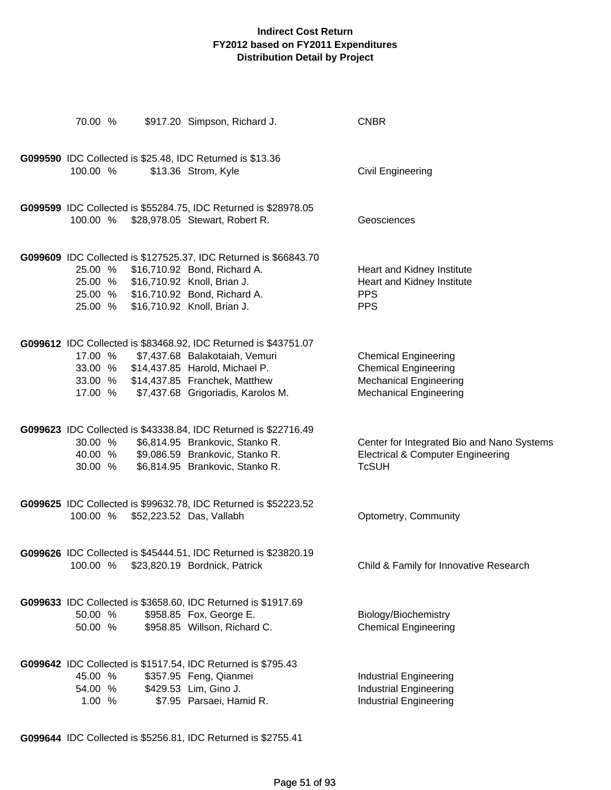| 70.00 %                       | \$917.20 Simpson, Richard J.                                                                                                                                                                                               | <b>CNBR</b>                                                                                                                  |
|-------------------------------|----------------------------------------------------------------------------------------------------------------------------------------------------------------------------------------------------------------------------|------------------------------------------------------------------------------------------------------------------------------|
| 100.00 %                      | G099590 IDC Collected is \$25.48, IDC Returned is \$13.36<br>\$13.36 Strom, Kyle                                                                                                                                           | <b>Civil Engineering</b>                                                                                                     |
|                               | G099599 IDC Collected is \$55284.75, IDC Returned is \$28978.05<br>100.00 % \$28,978.05 Stewart, Robert R.                                                                                                                 | Geosciences                                                                                                                  |
| 25.00 %<br>25.00 %            | G099609 IDC Collected is \$127525.37, IDC Returned is \$66843.70<br>\$16,710.92 Bond, Richard A.<br>25.00 % \$16,710.92 Knoll, Brian J.<br>25.00 % \$16,710.92 Bond, Richard A.<br>\$16,710.92 Knoll, Brian J.             | Heart and Kidney Institute<br>Heart and Kidney Institute<br><b>PPS</b><br><b>PPS</b>                                         |
| 17.00 %<br>17.00 %            | G099612 IDC Collected is \$83468.92, IDC Returned is \$43751.07<br>\$7,437.68 Balakotaiah, Vemuri<br>33.00 % \$14,437.85 Harold, Michael P.<br>33.00 % \$14,437.85 Franchek, Matthew<br>\$7,437.68 Grigoriadis, Karolos M. | <b>Chemical Engineering</b><br><b>Chemical Engineering</b><br><b>Mechanical Engineering</b><br><b>Mechanical Engineering</b> |
| 30.00 %<br>40.00 %<br>30.00 % | G099623 IDC Collected is \$43338.84, IDC Returned is \$22716.49<br>\$6,814.95 Brankovic, Stanko R.<br>\$9,086.59 Brankovic, Stanko R.<br>\$6,814.95 Brankovic, Stanko R.                                                   | Center for Integrated Bio and Nano Systems<br><b>Electrical &amp; Computer Engineering</b><br><b>TcSUH</b>                   |
| 100.00 %                      | G099625 IDC Collected is \$99632.78, IDC Returned is \$52223.52<br>\$52,223.52 Das, Vallabh                                                                                                                                | Optometry, Community                                                                                                         |
|                               | G099626 IDC Collected is \$45444.51, IDC Returned is \$23820.19<br>100.00 % \$23,820.19 Bordnick, Patrick                                                                                                                  | Child & Family for Innovative Research                                                                                       |
| 50.00 %<br>50.00 %            | G099633 IDC Collected is \$3658.60, IDC Returned is \$1917.69<br>\$958.85 Fox, George E.<br>\$958.85 Willson, Richard C.                                                                                                   | Biology/Biochemistry<br><b>Chemical Engineering</b>                                                                          |
| 45.00 %<br>54.00 %<br>1.00 %  | G099642 IDC Collected is \$1517.54, IDC Returned is \$795.43<br>\$357.95 Feng, Qianmei<br>\$429.53 Lim, Gino J.<br>\$7.95 Parsaei, Hamid R.                                                                                | <b>Industrial Engineering</b><br><b>Industrial Engineering</b><br><b>Industrial Engineering</b>                              |

**G099644** IDC Collected is \$5256.81, IDC Returned is \$2755.41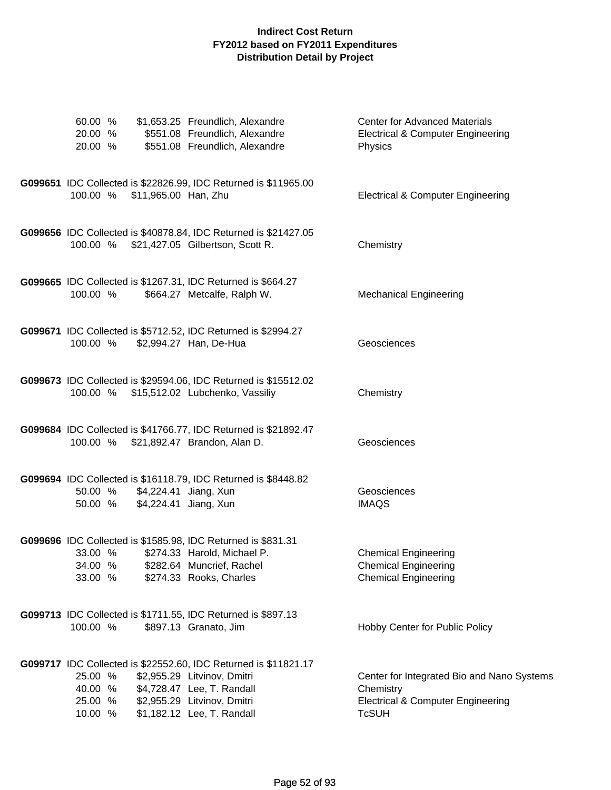| 60.00 %<br>20.00 %<br>20.00 %                                                                 | \$1,653.25 Freundlich, Alexandre<br>\$551.08 Freundlich, Alexandre<br>\$551.08 Freundlich, Alexandre                                                                                      | <b>Center for Advanced Materials</b><br><b>Electrical &amp; Computer Engineering</b><br>Physics                         |
|-----------------------------------------------------------------------------------------------|-------------------------------------------------------------------------------------------------------------------------------------------------------------------------------------------|-------------------------------------------------------------------------------------------------------------------------|
| \$11,965.00 Han, Zhu<br>100.00 %                                                              | G099651 IDC Collected is \$22826.99, IDC Returned is \$11965.00                                                                                                                           | <b>Electrical &amp; Computer Engineering</b>                                                                            |
| 100.00 %                                                                                      | G099656 IDC Collected is \$40878.84, IDC Returned is \$21427.05<br>\$21,427.05 Gilbertson, Scott R.                                                                                       | Chemistry                                                                                                               |
| G099665 IDC Collected is \$1267.31, IDC Returned is \$664.27<br>100.00 %                      | \$664.27 Metcalfe, Ralph W.                                                                                                                                                               | <b>Mechanical Engineering</b>                                                                                           |
| 100.00 %                                                                                      | G099671 IDC Collected is \$5712.52, IDC Returned is \$2994.27<br>\$2,994.27 Han, De-Hua                                                                                                   | Geosciences                                                                                                             |
| 100.00 %                                                                                      | G099673 IDC Collected is \$29594.06, IDC Returned is \$15512.02<br>\$15,512.02 Lubchenko, Vassiliy                                                                                        | Chemistry                                                                                                               |
| 100.00 %                                                                                      | G099684 IDC Collected is \$41766.77, IDC Returned is \$21892.47<br>\$21,892.47 Brandon, Alan D.                                                                                           | Geosciences                                                                                                             |
| 50.00 %<br>50.00 %                                                                            | G099694 IDC Collected is \$16118.79, IDC Returned is \$8448.82<br>\$4,224.41 Jiang, Xun<br>\$4,224.41 Jiang, Xun                                                                          | Geosciences<br><b>IMAQS</b>                                                                                             |
| G099696 IDC Collected is \$1585.98, IDC Returned is \$831.31<br>33.00 %<br>34.00 %<br>33.00 % | \$274.33 Harold, Michael P.<br>\$282.64 Muncrief, Rachel<br>\$274.33 Rooks, Charles                                                                                                       | <b>Chemical Engineering</b><br><b>Chemical Engineering</b><br><b>Chemical Engineering</b>                               |
| G099713 IDC Collected is \$1711.55, IDC Returned is \$897.13<br>100.00 %                      | \$897.13 Granato, Jim                                                                                                                                                                     | Hobby Center for Public Policy                                                                                          |
| 25.00 %<br>40.00 %<br>25.00 %<br>10.00 %                                                      | G099717 IDC Collected is \$22552.60, IDC Returned is \$11821.17<br>\$2,955.29 Litvinov, Dmitri<br>\$4,728.47 Lee, T. Randall<br>\$2,955.29 Litvinov, Dmitri<br>\$1,182.12 Lee, T. Randall | Center for Integrated Bio and Nano Systems<br>Chemistry<br><b>Electrical &amp; Computer Engineering</b><br><b>TcSUH</b> |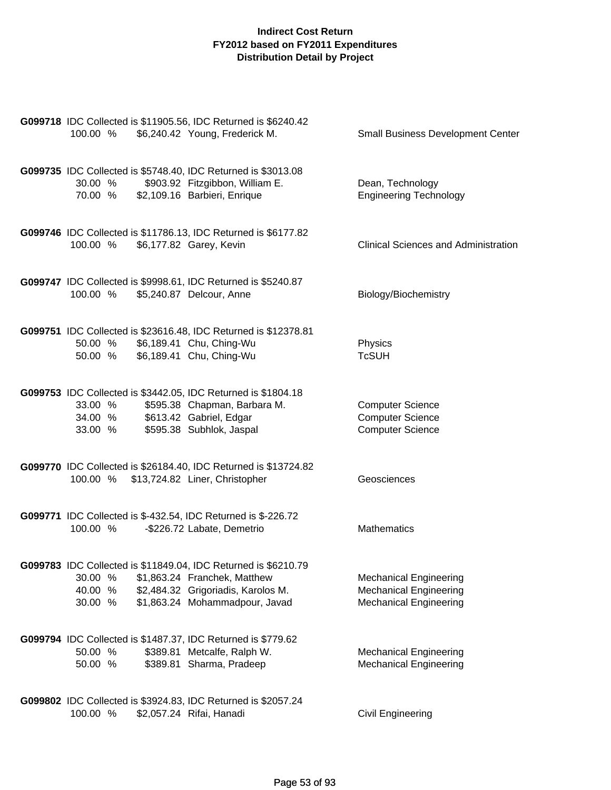| 100.00 % \$6,240.42 Young, Frederick M.                                                                                | G099718 IDC Collected is \$11905.56, IDC Returned is \$6240.42                                                                                                         | <b>Small Business Development Center</b>                                                        |
|------------------------------------------------------------------------------------------------------------------------|------------------------------------------------------------------------------------------------------------------------------------------------------------------------|-------------------------------------------------------------------------------------------------|
| G099735 IDC Collected is \$5748.40, IDC Returned is \$3013.08<br>30.00%<br>70.00 % \$2,109.16 Barbieri, Enrique        | \$903.92 Fitzgibbon, William E.                                                                                                                                        | Dean, Technology<br><b>Engineering Technology</b>                                               |
| 100.00 %                                                                                                               | G099746 IDC Collected is \$11786.13, IDC Returned is \$6177.82<br>\$6,177.82 Garey, Kevin                                                                              | <b>Clinical Sciences and Administration</b>                                                     |
| G099747 IDC Collected is \$9998.61, IDC Returned is \$5240.87<br>100.00 %                                              | \$5,240.87 Delcour, Anne                                                                                                                                               | Biology/Biochemistry                                                                            |
| 50.00 % \$6,189.41 Chu, Ching-Wu<br>50.00 % \$6,189.41 Chu, Ching-Wu                                                   | G099751 IDC Collected is \$23616.48, IDC Returned is \$12378.81                                                                                                        | Physics<br><b>TcSUH</b>                                                                         |
| G099753 IDC Collected is \$3442.05, IDC Returned is \$1804.18<br>33.00 %<br>34.00 % \$613.42 Gabriel, Edgar<br>33.00 % | \$595.38 Chapman, Barbara M.<br>\$595.38 Subhlok, Jaspal                                                                                                               | <b>Computer Science</b><br><b>Computer Science</b><br><b>Computer Science</b>                   |
| 100.00 % \$13,724.82 Liner, Christopher                                                                                | G099770 IDC Collected is \$26184.40, IDC Returned is \$13724.82                                                                                                        | Geosciences                                                                                     |
| G099771 IDC Collected is \$-432.54, IDC Returned is \$-226.72<br>100.00 %                                              | -\$226.72 Labate, Demetrio                                                                                                                                             | <b>Mathematics</b>                                                                              |
| 30.00 %<br>40.00 %<br>30.00 %                                                                                          | G099783 IDC Collected is \$11849.04, IDC Returned is \$6210.79<br>\$1,863.24 Franchek, Matthew<br>\$2,484.32 Grigoriadis, Karolos M.<br>\$1,863.24 Mohammadpour, Javad | <b>Mechanical Engineering</b><br><b>Mechanical Engineering</b><br><b>Mechanical Engineering</b> |
| G099794 IDC Collected is \$1487.37, IDC Returned is \$779.62<br>50.00 %<br>50.00 %                                     | \$389.81 Metcalfe, Ralph W.<br>\$389.81 Sharma, Pradeep                                                                                                                | <b>Mechanical Engineering</b><br><b>Mechanical Engineering</b>                                  |
| G099802 IDC Collected is \$3924.83, IDC Returned is \$2057.24<br>100.00 %                                              | \$2,057.24 Rifai, Hanadi                                                                                                                                               | <b>Civil Engineering</b>                                                                        |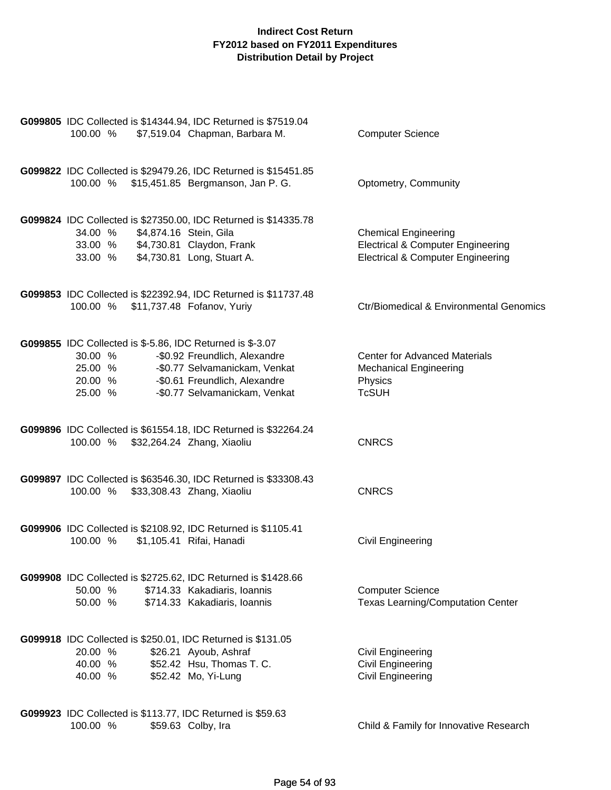| G099805 IDC Collected is \$14344.94, IDC Returned is \$7519.04<br>100.00 %                                   | \$7,519.04 Chapman, Barbara M.                                                                                                   | <b>Computer Science</b>                                                                                                     |
|--------------------------------------------------------------------------------------------------------------|----------------------------------------------------------------------------------------------------------------------------------|-----------------------------------------------------------------------------------------------------------------------------|
| 100.00 %                                                                                                     | G099822 IDC Collected is \$29479.26, IDC Returned is \$15451.85<br>\$15,451.85 Bergmanson, Jan P. G.                             | Optometry, Community                                                                                                        |
| \$4,874.16 Stein, Gila<br>34.00 %<br>33.00 % \$4,730.81 Claydon, Frank<br>33.00 % \$4,730.81 Long, Stuart A. | G099824 IDC Collected is \$27350.00, IDC Returned is \$14335.78                                                                  | <b>Chemical Engineering</b><br><b>Electrical &amp; Computer Engineering</b><br><b>Electrical &amp; Computer Engineering</b> |
| 100.00 %                                                                                                     | G099853 IDC Collected is \$22392.94, IDC Returned is \$11737.48<br>\$11,737.48 Fofanov, Yuriy                                    | Ctr/Biomedical & Environmental Genomics                                                                                     |
| <b>G099855</b> IDC Collected is \$-5.86, IDC Returned is \$-3.07<br>30.00 %<br>25.00 %<br>20.00 %<br>25.00 % | -\$0.92 Freundlich, Alexandre<br>-\$0.77 Selvamanickam, Venkat<br>-\$0.61 Freundlich, Alexandre<br>-\$0.77 Selvamanickam, Venkat | <b>Center for Advanced Materials</b><br><b>Mechanical Engineering</b><br>Physics<br><b>TcSUH</b>                            |
| 100.00 %                                                                                                     | G099896 IDC Collected is \$61554.18, IDC Returned is \$32264.24<br>\$32,264.24 Zhang, Xiaoliu                                    | <b>CNRCS</b>                                                                                                                |
| 100.00 %                                                                                                     | G099897 IDC Collected is \$63546.30, IDC Returned is \$33308.43<br>\$33,308.43 Zhang, Xiaoliu                                    | <b>CNRCS</b>                                                                                                                |
| G099906 IDC Collected is \$2108.92, IDC Returned is \$1105.41<br>100.00 %                                    | \$1,105.41 Rifai, Hanadi                                                                                                         | Civil Engineering                                                                                                           |
| G099908 IDC Collected is \$2725.62, IDC Returned is \$1428.66<br>50.00 %<br>50.00 %                          | \$714.33 Kakadiaris, Ioannis<br>\$714.33 Kakadiaris, Ioannis                                                                     | <b>Computer Science</b><br><b>Texas Learning/Computation Center</b>                                                         |
| G099918 IDC Collected is \$250.01, IDC Returned is \$131.05<br>20.00 %<br>40.00 %<br>40.00 %                 | \$26.21 Ayoub, Ashraf<br>\$52.42 Hsu, Thomas T. C.<br>\$52.42 Mo, Yi-Lung                                                        | <b>Civil Engineering</b><br><b>Civil Engineering</b><br>Civil Engineering                                                   |
| G099923 IDC Collected is \$113.77, IDC Returned is \$59.63<br>100.00 %                                       | \$59.63 Colby, Ira                                                                                                               | Child & Family for Innovative Research                                                                                      |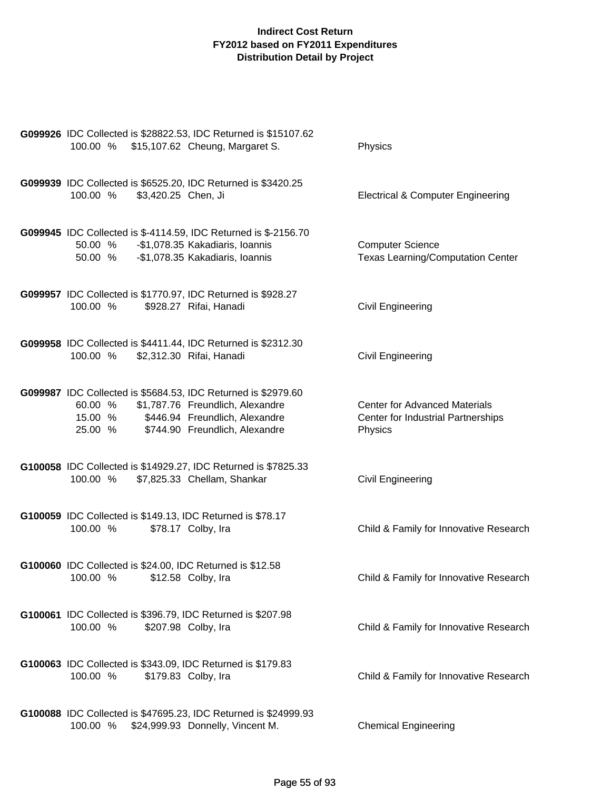| G099926 IDC Collected is \$28822.53, IDC Returned is \$15107.62<br>100.00 % \$15,107.62 Cheung, Margaret S.                                                                                      | Physics                                                                               |
|--------------------------------------------------------------------------------------------------------------------------------------------------------------------------------------------------|---------------------------------------------------------------------------------------|
| G099939 IDC Collected is \$6525.20, IDC Returned is \$3420.25<br>\$3,420.25 Chen, Ji<br>100.00 %                                                                                                 | <b>Electrical &amp; Computer Engineering</b>                                          |
| G099945 IDC Collected is \$-4114.59, IDC Returned is \$-2156.70<br>-\$1,078.35 Kakadiaris, Ioannis<br>50.00 %<br>-\$1,078.35 Kakadiaris, Ioannis<br>50.00 %                                      | <b>Computer Science</b><br><b>Texas Learning/Computation Center</b>                   |
| G099957 IDC Collected is \$1770.97, IDC Returned is \$928.27<br>\$928.27 Rifai, Hanadi<br>100.00 %                                                                                               | <b>Civil Engineering</b>                                                              |
| G099958 IDC Collected is \$4411.44, IDC Returned is \$2312.30<br>100.00 %<br>\$2,312.30 Rifai, Hanadi                                                                                            | <b>Civil Engineering</b>                                                              |
| G099987 IDC Collected is \$5684.53, IDC Returned is \$2979.60<br>60.00 % \$1,787.76 Freundlich, Alexandre<br>15.00 % \$446.94 Freundlich, Alexandre<br>25.00 %<br>\$744.90 Freundlich, Alexandre | <b>Center for Advanced Materials</b><br>Center for Industrial Partnerships<br>Physics |
| G100058 IDC Collected is \$14929.27, IDC Returned is \$7825.33<br>100.00 %<br>\$7,825.33 Chellam, Shankar                                                                                        | <b>Civil Engineering</b>                                                              |
| G100059 IDC Collected is \$149.13, IDC Returned is \$78.17<br>\$78.17 Colby, Ira<br>100.00 %                                                                                                     | Child & Family for Innovative Research                                                |
| G100060 IDC Collected is \$24.00, IDC Returned is \$12.58<br>100.00 %<br>\$12.58 Colby, Ira                                                                                                      | Child & Family for Innovative Research                                                |
| G100061 IDC Collected is \$396.79, IDC Returned is \$207.98<br>100.00 %<br>\$207.98 Colby, Ira                                                                                                   | Child & Family for Innovative Research                                                |
| G100063 IDC Collected is \$343.09, IDC Returned is \$179.83<br>100.00 %<br>\$179.83 Colby, Ira                                                                                                   | Child & Family for Innovative Research                                                |
| G100088 IDC Collected is \$47695.23, IDC Returned is \$24999.93<br>100.00 %<br>\$24,999.93 Donnelly, Vincent M.                                                                                  | <b>Chemical Engineering</b>                                                           |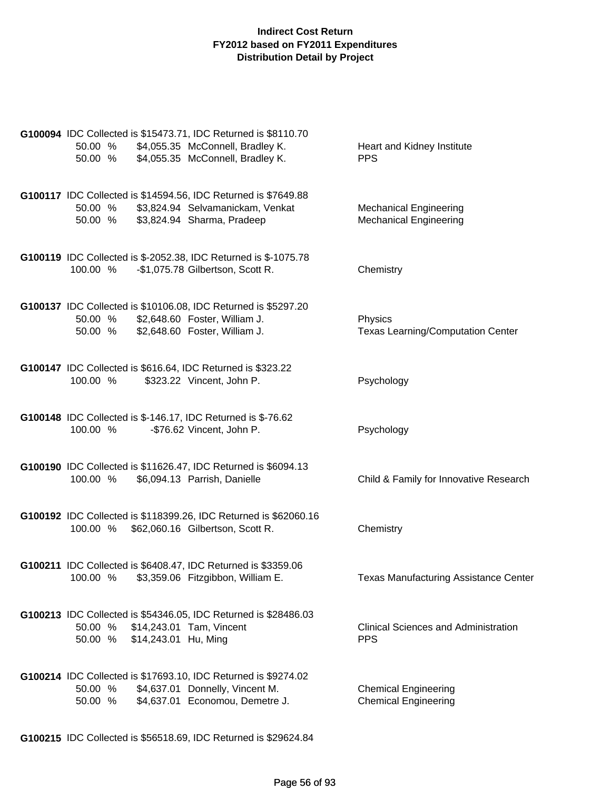| G100094 IDC Collected is \$15473.71, IDC Returned is \$8110.70<br>50.00 %<br>\$4,055.35 McConnell, Bradley K.<br>\$4,055.35 McConnell, Bradley K.<br>50.00 % | Heart and Kidney Institute<br><b>PPS</b>                       |
|--------------------------------------------------------------------------------------------------------------------------------------------------------------|----------------------------------------------------------------|
| G100117 IDC Collected is \$14594.56, IDC Returned is \$7649.88<br>\$3,824.94 Selvamanickam, Venkat<br>50.00 %<br>\$3,824.94 Sharma, Pradeep<br>50.00 %       | <b>Mechanical Engineering</b><br><b>Mechanical Engineering</b> |
| G100119 IDC Collected is \$-2052.38, IDC Returned is \$-1075.78<br>-\$1,075.78 Gilbertson, Scott R.<br>100.00 %                                              | Chemistry                                                      |
| G100137 IDC Collected is \$10106.08, IDC Returned is \$5297.20<br>\$2,648.60 Foster, William J.<br>50.00 %<br>\$2,648.60 Foster, William J.<br>50.00 %       | Physics<br><b>Texas Learning/Computation Center</b>            |
| G100147 IDC Collected is \$616.64, IDC Returned is \$323.22<br>100.00 %<br>\$323.22 Vincent, John P.                                                         | Psychology                                                     |
| G100148 IDC Collected is \$-146.17, IDC Returned is \$-76.62<br>100.00 %<br>-\$76.62 Vincent, John P.                                                        | Psychology                                                     |
| G100190 IDC Collected is \$11626.47, IDC Returned is \$6094.13<br>100.00 %<br>\$6,094.13 Parrish, Danielle                                                   | Child & Family for Innovative Research                         |
| G100192 IDC Collected is \$118399.26, IDC Returned is \$62060.16<br>100.00 %<br>\$62,060.16 Gilbertson, Scott R.                                             | Chemistry                                                      |
| G100211 IDC Collected is \$6408.47, IDC Returned is \$3359.06<br>\$3,359.06 Fitzgibbon, William E.<br>100.00 %                                               | <b>Texas Manufacturing Assistance Center</b>                   |
| G100213 IDC Collected is \$54346.05, IDC Returned is \$28486.03<br>50.00 %<br>\$14,243.01 Tam, Vincent<br>\$14,243.01 Hu, Ming<br>50.00 %                    | <b>Clinical Sciences and Administration</b><br><b>PPS</b>      |
| G100214 IDC Collected is \$17693.10, IDC Returned is \$9274.02<br>\$4,637.01 Donnelly, Vincent M.<br>50.00 %<br>\$4,637.01 Economou, Demetre J.<br>50.00 %   | <b>Chemical Engineering</b><br><b>Chemical Engineering</b>     |
| G100215 IDC Collected is \$56518.69, IDC Returned is \$29624.84                                                                                              |                                                                |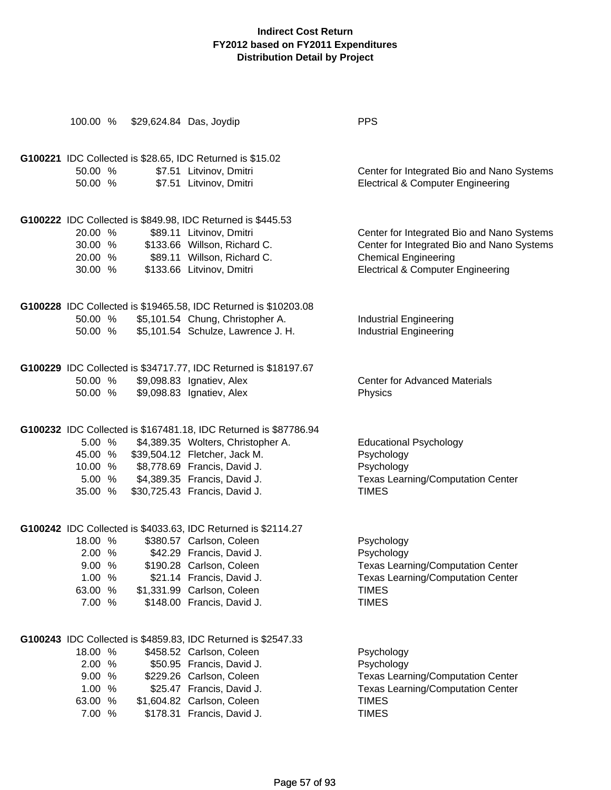| 100.00 %          | \$29,624.84 Das, Joydip                                          | <b>PPS</b>                                   |
|-------------------|------------------------------------------------------------------|----------------------------------------------|
|                   | G100221 IDC Collected is \$28.65, IDC Returned is \$15.02        |                                              |
| 50.00 %           | \$7.51 Litvinov, Dmitri                                          | Center for Integrated Bio and Nano Systems   |
| 50.00 %           | \$7.51 Litvinov, Dmitri                                          | <b>Electrical &amp; Computer Engineering</b> |
|                   | G100222 IDC Collected is \$849.98, IDC Returned is \$445.53      |                                              |
| 20.00 %           | \$89.11 Litvinov, Dmitri                                         | Center for Integrated Bio and Nano Systems   |
| 30.00 %           | \$133.66 Willson, Richard C.                                     | Center for Integrated Bio and Nano Systems   |
|                   | 20.00 % \$89.11 Willson, Richard C.                              | <b>Chemical Engineering</b>                  |
| 30.00 %           | \$133.66 Litvinov, Dmitri                                        | <b>Electrical &amp; Computer Engineering</b> |
|                   | G100228 IDC Collected is \$19465.58, IDC Returned is \$10203.08  |                                              |
| 50.00 %           | \$5,101.54 Chung, Christopher A.                                 | <b>Industrial Engineering</b>                |
| 50.00 %           | \$5,101.54 Schulze, Lawrence J. H.                               | <b>Industrial Engineering</b>                |
|                   | G100229 IDC Collected is \$34717.77, IDC Returned is \$18197.67  |                                              |
| 50.00 %           | \$9,098.83 Ignatiev, Alex                                        | <b>Center for Advanced Materials</b>         |
| 50.00 %           | \$9,098.83 Ignatiev, Alex                                        | Physics                                      |
|                   | G100232 IDC Collected is \$167481.18, IDC Returned is \$87786.94 |                                              |
| 5.00 %            | \$4,389.35 Wolters, Christopher A.                               | <b>Educational Psychology</b>                |
| 45.00 %           | \$39,504.12 Fletcher, Jack M.                                    | Psychology                                   |
| 10.00 %           | \$8,778.69 Francis, David J.                                     | Psychology                                   |
|                   | 5.00 % \$4,389.35 Francis, David J.                              | <b>Texas Learning/Computation Center</b>     |
| 35.00 %           | \$30,725.43 Francis, David J.                                    | <b>TIMES</b>                                 |
|                   | G100242 IDC Collected is \$4033.63, IDC Returned is \$2114.27    |                                              |
| 18.00 %           | \$380.57 Carlson, Coleen                                         | Psychology                                   |
| 2.00 %            | \$42.29 Francis, David J.                                        | Psychology                                   |
| 9.00 %            | \$190.28 Carlson, Coleen                                         | <b>Texas Learning/Computation Center</b>     |
| 1.00<br>$\%$      | \$21.14 Francis, David J.                                        | <b>Texas Learning/Computation Center</b>     |
| 63.00<br>%        | \$1,331.99 Carlson, Coleen                                       | <b>TIMES</b>                                 |
| 7.00 %            | \$148.00 Francis, David J.                                       | <b>TIMES</b>                                 |
|                   | G100243 IDC Collected is \$4859.83, IDC Returned is \$2547.33    |                                              |
| 18.00 %           | \$458.52 Carlson, Coleen                                         | Psychology                                   |
| 2.00<br>%         | \$50.95 Francis, David J.                                        | Psychology                                   |
| 9.00 %            | \$229.26 Carlson, Coleen                                         | <b>Texas Learning/Computation Center</b>     |
| 1.00 %            | \$25.47 Francis, David J.                                        | <b>Texas Learning/Computation Center</b>     |
| 63.00 %<br>7.00 % | \$1,604.82 Carlson, Coleen                                       | <b>TIMES</b><br><b>TIMES</b>                 |
|                   | \$178.31 Francis, David J.                                       |                                              |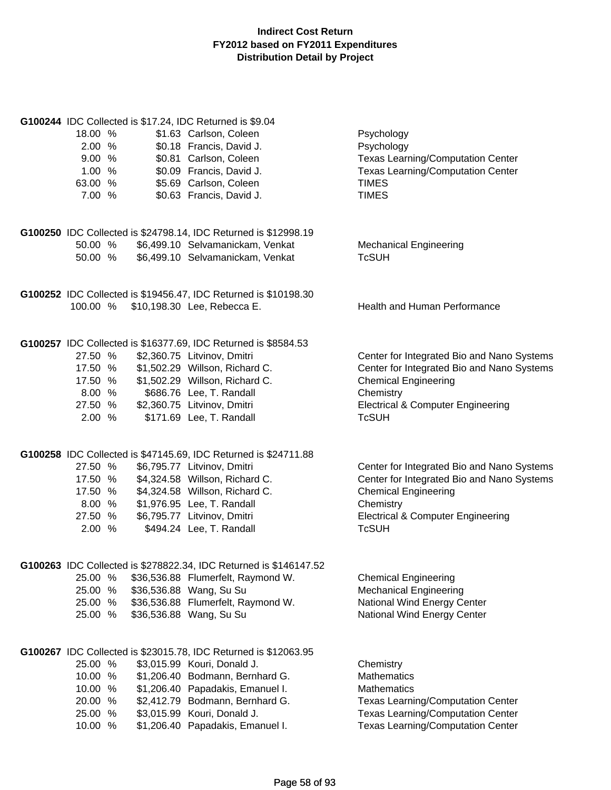| G100244 IDC Collected is \$17.24, IDC Returned is \$9.04<br>18.00 %<br>2.00 %<br>9.00%<br>1.00%<br>63.00 %<br>7.00 %              | \$1.63 Carlson, Coleen<br>\$0.18 Francis, David J.<br>\$0.81 Carlson, Coleen<br>\$0.09 Francis, David J.<br>\$5.69 Carlson, Coleen<br>\$0.63 Francis, David J.                                           | Psychology<br>Psychology<br><b>Texas Learning/Computation Center</b><br><b>Texas Learning/Computation Center</b><br><b>TIMES</b><br><b>TIMES</b>                                                     |
|-----------------------------------------------------------------------------------------------------------------------------------|----------------------------------------------------------------------------------------------------------------------------------------------------------------------------------------------------------|------------------------------------------------------------------------------------------------------------------------------------------------------------------------------------------------------|
| G100250 IDC Collected is \$24798.14, IDC Returned is \$12998.19<br>50.00 %<br>50.00 %                                             | \$6,499.10 Selvamanickam, Venkat<br>\$6,499.10 Selvamanickam, Venkat                                                                                                                                     | <b>Mechanical Engineering</b><br><b>TcSUH</b>                                                                                                                                                        |
| G100252 IDC Collected is \$19456.47, IDC Returned is \$10198.30<br>100.00 % \$10,198.30 Lee, Rebecca E.                           |                                                                                                                                                                                                          | <b>Health and Human Performance</b>                                                                                                                                                                  |
| G100257 IDC Collected is \$16377.69, IDC Returned is \$8584.53<br>27.50 %<br>17.50 %<br>17.50 %<br>8.00%<br>27.50 %<br>2.00 %     | \$2,360.75 Litvinov, Dmitri<br>\$1,502.29 Willson, Richard C.<br>\$1,502.29 Willson, Richard C.<br>\$686.76 Lee, T. Randall<br>\$2,360.75 Litvinov, Dmitri<br>\$171.69 Lee, T. Randall                   | Center for Integrated Bio and Nano Systems<br>Center for Integrated Bio and Nano Systems<br><b>Chemical Engineering</b><br>Chemistry<br><b>Electrical &amp; Computer Engineering</b><br><b>TcSUH</b> |
| G100258 IDC Collected is \$47145.69, IDC Returned is \$24711.88<br>27.50 %<br>17.50 %<br>17.50 %<br>8.00 %<br>27.50 %<br>2.00 %   | \$6,795.77 Litvinov, Dmitri<br>\$4,324.58 Willson, Richard C.<br>\$4,324.58 Willson, Richard C.<br>\$1,976.95 Lee, T. Randall<br>\$6,795.77 Litvinov, Dmitri<br>\$494.24 Lee, T. Randall                 | Center for Integrated Bio and Nano Systems<br>Center for Integrated Bio and Nano Systems<br><b>Chemical Engineering</b><br>Chemistry<br><b>Electrical &amp; Computer Engineering</b><br><b>TcSUH</b> |
| G100263 IDC Collected is \$278822.34, IDC Returned is \$146147.52<br>25.00 %<br>25.00 %<br>25.00 %<br>25.00 %                     | \$36,536.88 Flumerfelt, Raymond W.<br>\$36,536.88 Wang, Su Su<br>\$36,536.88 Flumerfelt, Raymond W.<br>\$36,536.88 Wang, Su Su                                                                           | <b>Chemical Engineering</b><br><b>Mechanical Engineering</b><br>National Wind Energy Center<br>National Wind Energy Center                                                                           |
| G100267 IDC Collected is \$23015.78, IDC Returned is \$12063.95<br>25.00 %<br>10.00 %<br>10.00 %<br>20.00 %<br>25.00 %<br>10.00 % | \$3,015.99 Kouri, Donald J.<br>\$1,206.40 Bodmann, Bernhard G.<br>\$1,206.40 Papadakis, Emanuel I.<br>\$2,412.79 Bodmann, Bernhard G.<br>\$3,015.99 Kouri, Donald J.<br>\$1,206.40 Papadakis, Emanuel I. | Chemistry<br><b>Mathematics</b><br><b>Mathematics</b><br><b>Texas Learning/Computation Center</b><br>Texas Learning/Computation Center<br><b>Texas Learning/Computation Center</b>                   |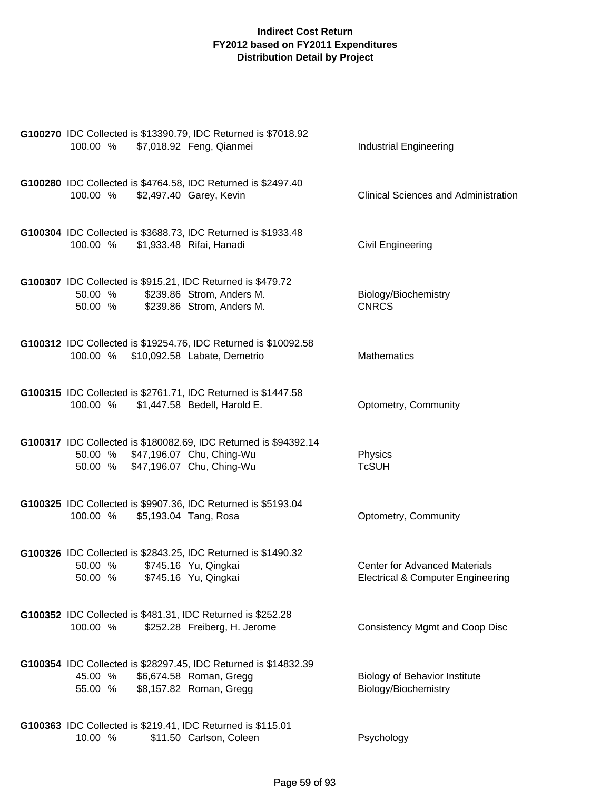| G100270 IDC Collected is \$13390.79, IDC Returned is \$7018.92<br>100.00 %<br>\$7,018.92 Feng, Qianmei                                      | <b>Industrial Engineering</b>                                                        |
|---------------------------------------------------------------------------------------------------------------------------------------------|--------------------------------------------------------------------------------------|
| G100280 IDC Collected is \$4764.58, IDC Returned is \$2497.40<br>100.00 % \$2,497.40 Garey, Kevin                                           | <b>Clinical Sciences and Administration</b>                                          |
| G100304 IDC Collected is \$3688.73, IDC Returned is \$1933.48<br>\$1,933.48 Rifai, Hanadi<br>100.00 %                                       | <b>Civil Engineering</b>                                                             |
| G100307 IDC Collected is \$915.21, IDC Returned is \$479.72<br>\$239.86 Strom, Anders M.<br>50.00 %<br>50.00 % \$239.86 Strom, Anders M.    | Biology/Biochemistry<br><b>CNRCS</b>                                                 |
| G100312 IDC Collected is \$19254.76, IDC Returned is \$10092.58<br>100.00 % \$10,092.58 Labate, Demetrio                                    | <b>Mathematics</b>                                                                   |
| G100315 IDC Collected is \$2761.71, IDC Returned is \$1447.58<br>100.00 %<br>\$1,447.58 Bedell, Harold E.                                   | Optometry, Community                                                                 |
| G100317 IDC Collected is \$180082.69, IDC Returned is \$94392.14<br>50.00 % \$47,196.07 Chu, Ching-Wu<br>50.00 % \$47,196.07 Chu, Ching-Wu  | Physics<br><b>TcSUH</b>                                                              |
| G100325 IDC Collected is \$9907.36, IDC Returned is \$5193.04<br>100.00 %<br>\$5,193.04 Tang, Rosa                                          | Optometry, Community                                                                 |
| G100326 IDC Collected is \$2843.25, IDC Returned is \$1490.32<br>50.00 %<br>\$745.16 Yu, Qingkai<br>\$745.16 Yu, Qingkai<br>50.00 %         | <b>Center for Advanced Materials</b><br><b>Electrical &amp; Computer Engineering</b> |
| G100352 IDC Collected is \$481.31, IDC Returned is \$252.28<br>100.00 %<br>\$252.28 Freiberg, H. Jerome                                     | <b>Consistency Mgmt and Coop Disc</b>                                                |
| G100354 IDC Collected is \$28297.45, IDC Returned is \$14832.39<br>\$6,674.58 Roman, Gregg<br>45.00 %<br>\$8,157.82 Roman, Gregg<br>55.00 % | <b>Biology of Behavior Institute</b><br>Biology/Biochemistry                         |
| G100363 IDC Collected is \$219.41, IDC Returned is \$115.01<br>10.00 %<br>\$11.50 Carlson, Coleen                                           | Psychology                                                                           |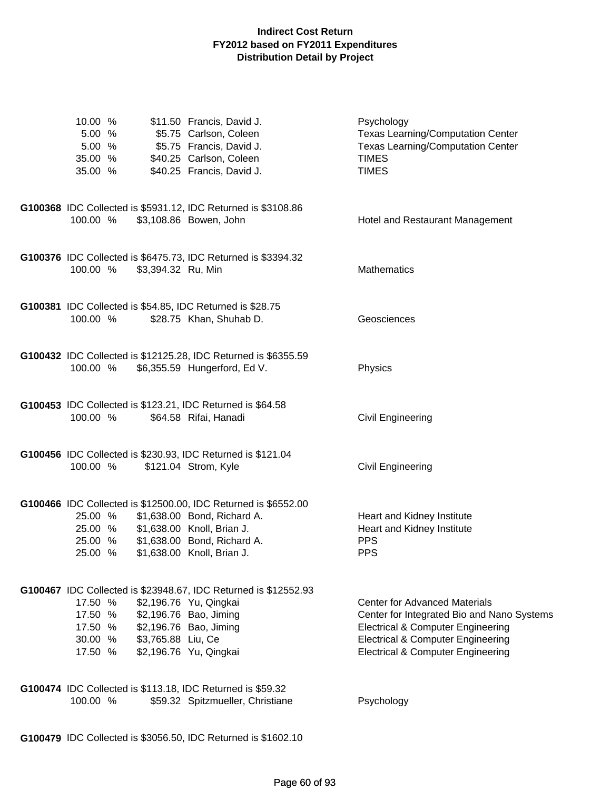| 10.00 %<br>5.00 %<br>5.00 %<br>35.00 %<br>35.00 %   |                    | \$11.50 Francis, David J.<br>\$5.75 Carlson, Coleen<br>\$5.75 Francis, David J.<br>\$40.25 Carlson, Coleen<br>\$40.25 Francis, David J.                                                  | Psychology<br><b>Texas Learning/Computation Center</b><br><b>Texas Learning/Computation Center</b><br><b>TIMES</b><br><b>TIMES</b>                                                                                                 |
|-----------------------------------------------------|--------------------|------------------------------------------------------------------------------------------------------------------------------------------------------------------------------------------|------------------------------------------------------------------------------------------------------------------------------------------------------------------------------------------------------------------------------------|
| 100.00 %                                            |                    | G100368 IDC Collected is \$5931.12, IDC Returned is \$3108.86<br>\$3,108.86 Bowen, John                                                                                                  | Hotel and Restaurant Management                                                                                                                                                                                                    |
| 100.00 %                                            | \$3,394.32 Ru, Min | G100376 IDC Collected is \$6475.73, IDC Returned is \$3394.32                                                                                                                            | Mathematics                                                                                                                                                                                                                        |
| 100.00 %                                            |                    | G100381 IDC Collected is \$54.85, IDC Returned is \$28.75<br>\$28.75 Khan, Shuhab D.                                                                                                     | Geosciences                                                                                                                                                                                                                        |
| 100.00 %                                            |                    | G100432 IDC Collected is \$12125.28, IDC Returned is \$6355.59<br>\$6,355.59 Hungerford, Ed V.                                                                                           | Physics                                                                                                                                                                                                                            |
| 100.00 %                                            |                    | G100453 IDC Collected is \$123.21, IDC Returned is \$64.58<br>\$64.58 Rifai, Hanadi                                                                                                      | <b>Civil Engineering</b>                                                                                                                                                                                                           |
| 100.00 %                                            |                    | G100456 IDC Collected is \$230.93, IDC Returned is \$121.04<br>\$121.04 Strom, Kyle                                                                                                      | <b>Civil Engineering</b>                                                                                                                                                                                                           |
| 25.00 %<br>25.00 %<br>25.00 %<br>25.00 %            |                    | G100466 IDC Collected is \$12500.00, IDC Returned is \$6552.00<br>\$1,638.00 Bond, Richard A.<br>\$1,638.00 Knoll, Brian J.<br>\$1,638.00 Bond, Richard A.<br>\$1,638.00 Knoll, Brian J. | Heart and Kidney Institute<br>Heart and Kidney Institute<br><b>PPS</b><br><b>PPS</b>                                                                                                                                               |
| 17.50 %<br>17.50 %<br>17.50 %<br>30.00 %<br>17.50 % | \$3,765.88 Liu, Ce | G100467 IDC Collected is \$23948.67, IDC Returned is \$12552.93<br>\$2,196.76 Yu, Qingkai<br>\$2,196.76 Bao, Jiming<br>\$2,196.76 Bao, Jiming<br>\$2,196.76 Yu, Qingkai                  | <b>Center for Advanced Materials</b><br>Center for Integrated Bio and Nano Systems<br><b>Electrical &amp; Computer Engineering</b><br><b>Electrical &amp; Computer Engineering</b><br><b>Electrical &amp; Computer Engineering</b> |
| 100.00 %                                            |                    | G100474 IDC Collected is \$113.18, IDC Returned is \$59.32<br>\$59.32 Spitzmueller, Christiane                                                                                           | Psychology                                                                                                                                                                                                                         |

**G100479** IDC Collected is \$3056.50, IDC Returned is \$1602.10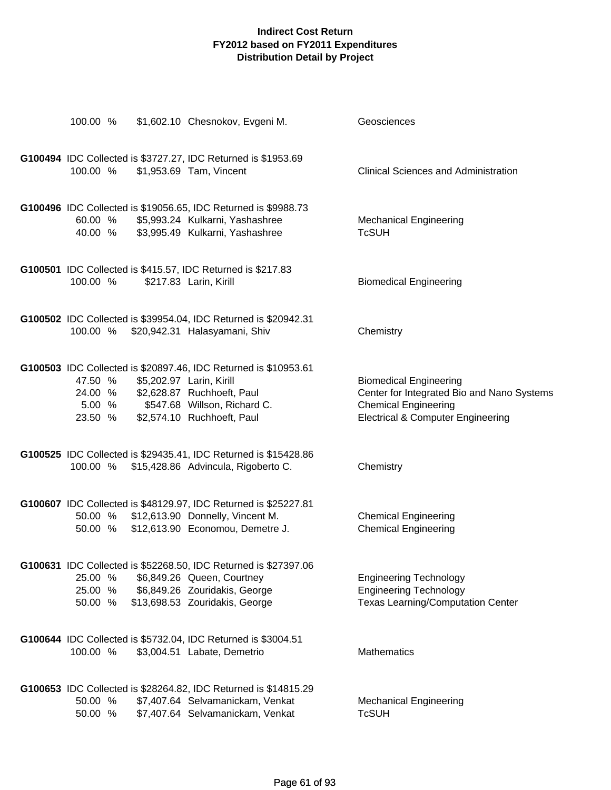| 100.00 %                      | \$1,602.10 Chesnokov, Evgeni M.                                                                                                                                                                        | Geosciences                                                                                                                                                |
|-------------------------------|--------------------------------------------------------------------------------------------------------------------------------------------------------------------------------------------------------|------------------------------------------------------------------------------------------------------------------------------------------------------------|
| 100.00 %                      | G100494 IDC Collected is \$3727.27, IDC Returned is \$1953.69<br>\$1,953.69 Tam, Vincent                                                                                                               | <b>Clinical Sciences and Administration</b>                                                                                                                |
| 60.00 %<br>40.00 %            | G100496 IDC Collected is \$19056.65, IDC Returned is \$9988.73<br>\$5,993.24 Kulkarni, Yashashree<br>\$3,995.49 Kulkarni, Yashashree                                                                   | <b>Mechanical Engineering</b><br><b>TcSUH</b>                                                                                                              |
| 100.00 %                      | G100501 IDC Collected is \$415.57, IDC Returned is \$217.83<br>\$217.83 Larin, Kirill                                                                                                                  | <b>Biomedical Engineering</b>                                                                                                                              |
| 100.00 %                      | G100502 IDC Collected is \$39954.04, IDC Returned is \$20942.31<br>\$20,942.31 Halasyamani, Shiv                                                                                                       | Chemistry                                                                                                                                                  |
| 47.50 %<br>23.50 %            | G100503 IDC Collected is \$20897.46, IDC Returned is \$10953.61<br>\$5,202.97 Larin, Kirill<br>24.00 % \$2,628.87 Ruchhoeft, Paul<br>5.00 % \$547.68 Willson, Richard C.<br>\$2,574.10 Ruchhoeft, Paul | <b>Biomedical Engineering</b><br>Center for Integrated Bio and Nano Systems<br><b>Chemical Engineering</b><br><b>Electrical &amp; Computer Engineering</b> |
|                               | G100525 IDC Collected is \$29435.41, IDC Returned is \$15428.86<br>100.00 % \$15,428.86 Advincula, Rigoberto C.                                                                                        | Chemistry                                                                                                                                                  |
| 50.00 %                       | G100607 IDC Collected is \$48129.97, IDC Returned is \$25227.81<br>50.00 % \$12,613.90 Donnelly, Vincent M.<br>\$12,613.90 Economou, Demetre J.                                                        | <b>Chemical Engineering</b><br><b>Chemical Engineering</b>                                                                                                 |
| 25.00 %<br>25.00 %<br>50.00 % | G100631 IDC Collected is \$52268.50, IDC Returned is \$27397.06<br>\$6,849.26 Queen, Courtney<br>\$6,849.26 Zouridakis, George<br>\$13,698.53 Zouridakis, George                                       | <b>Engineering Technology</b><br><b>Engineering Technology</b><br><b>Texas Learning/Computation Center</b>                                                 |
| 100.00 %                      | G100644 IDC Collected is \$5732.04, IDC Returned is \$3004.51<br>\$3,004.51 Labate, Demetrio                                                                                                           | <b>Mathematics</b>                                                                                                                                         |
| 50.00 %<br>50.00 %            | G100653 IDC Collected is \$28264.82, IDC Returned is \$14815.29<br>\$7,407.64 Selvamanickam, Venkat<br>\$7,407.64 Selvamanickam, Venkat                                                                | <b>Mechanical Engineering</b><br><b>TcSUH</b>                                                                                                              |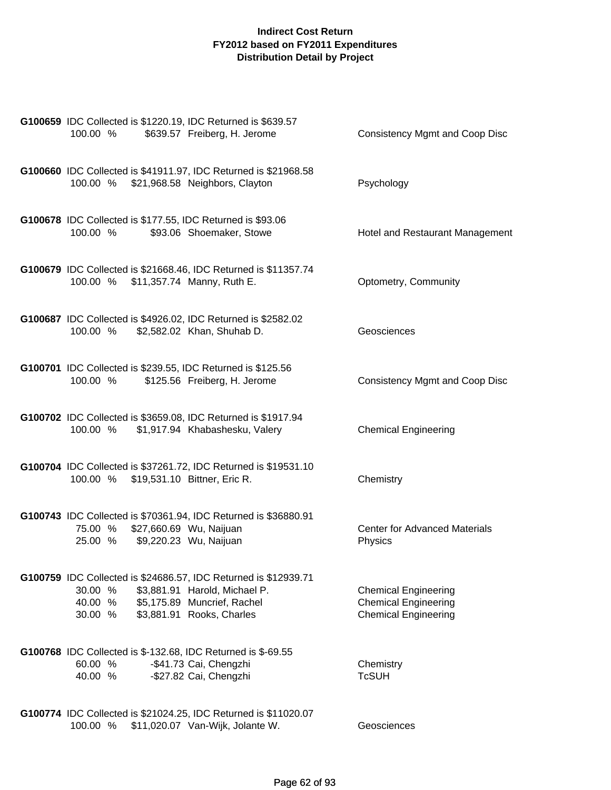| G100659 IDC Collected is \$1220.19, IDC Returned is \$639.57<br>100.00 %<br>\$639.57 Freiberg, H. Jerome                                                                                      | <b>Consistency Mgmt and Coop Disc</b>                                                     |
|-----------------------------------------------------------------------------------------------------------------------------------------------------------------------------------------------|-------------------------------------------------------------------------------------------|
| G100660 IDC Collected is \$41911.97, IDC Returned is \$21968.58<br>100.00 % \$21,968.58 Neighbors, Clayton                                                                                    | Psychology                                                                                |
| G100678 IDC Collected is \$177.55, IDC Returned is \$93.06<br>\$93.06 Shoemaker, Stowe<br>100.00 %                                                                                            | Hotel and Restaurant Management                                                           |
| G100679 IDC Collected is \$21668.46, IDC Returned is \$11357.74<br>100.00 % \$11,357.74 Manny, Ruth E.                                                                                        | Optometry, Community                                                                      |
| G100687 IDC Collected is \$4926.02, IDC Returned is \$2582.02<br>100.00 %<br>\$2,582.02 Khan, Shuhab D.                                                                                       | Geosciences                                                                               |
| G100701 IDC Collected is \$239.55, IDC Returned is \$125.56<br>100.00 %<br>\$125.56 Freiberg, H. Jerome                                                                                       | <b>Consistency Mgmt and Coop Disc</b>                                                     |
| G100702 IDC Collected is \$3659.08, IDC Returned is \$1917.94<br>100.00 % \$1,917.94 Khabashesku, Valery                                                                                      | <b>Chemical Engineering</b>                                                               |
| G100704 IDC Collected is \$37261.72, IDC Returned is \$19531.10<br>100.00 % \$19,531.10 Bittner, Eric R.                                                                                      | Chemistry                                                                                 |
| G100743 IDC Collected is \$70361.94, IDC Returned is \$36880.91<br>\$27,660.69 Wu, Naijuan<br>75.00 %<br>25.00 % \$9,220.23 Wu, Naijuan                                                       | <b>Center for Advanced Materials</b><br>Physics                                           |
| G100759 IDC Collected is \$24686.57, IDC Returned is \$12939.71<br>\$3,881.91 Harold, Michael P.<br>30.00 %<br>\$5,175.89 Muncrief, Rachel<br>40.00 %<br>\$3,881.91 Rooks, Charles<br>30.00 % | <b>Chemical Engineering</b><br><b>Chemical Engineering</b><br><b>Chemical Engineering</b> |
| G100768 IDC Collected is \$-132.68, IDC Returned is \$-69.55<br>60.00 %<br>-\$41.73 Cai, Chengzhi<br>-\$27.82 Cai, Chengzhi<br>40.00 %                                                        | Chemistry<br><b>TcSUH</b>                                                                 |
| G100774 IDC Collected is \$21024.25, IDC Returned is \$11020.07<br>100.00 %<br>\$11,020.07 Van-Wijk, Jolante W.                                                                               | Geosciences                                                                               |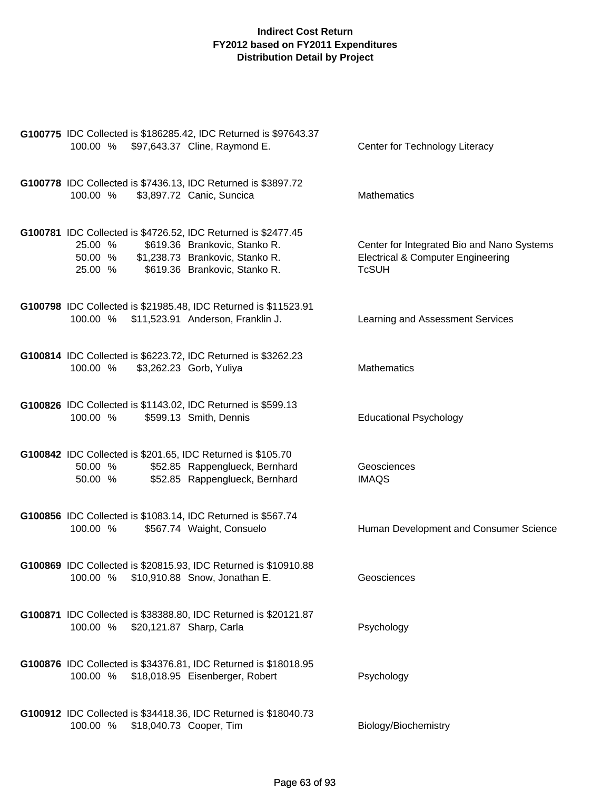|                                                              | G100775 IDC Collected is \$186285.42, IDC Returned is \$97643.37 |                                                                                            |
|--------------------------------------------------------------|------------------------------------------------------------------|--------------------------------------------------------------------------------------------|
| 100.00 % \$97,643.37 Cline, Raymond E.                       |                                                                  | Center for Technology Literacy                                                             |
|                                                              |                                                                  |                                                                                            |
|                                                              | G100778 IDC Collected is \$7436.13, IDC Returned is \$3897.72    |                                                                                            |
| 100.00 %                                                     | \$3,897.72 Canic, Suncica                                        | <b>Mathematics</b>                                                                         |
|                                                              |                                                                  |                                                                                            |
|                                                              | G100781 IDC Collected is \$4726.52, IDC Returned is \$2477.45    |                                                                                            |
| 25.00 %<br>50.00 %                                           | \$619.36 Brankovic, Stanko R.<br>\$1,238.73 Brankovic, Stanko R. | Center for Integrated Bio and Nano Systems<br><b>Electrical &amp; Computer Engineering</b> |
| 25.00 %                                                      | \$619.36 Brankovic, Stanko R.                                    | <b>TcSUH</b>                                                                               |
|                                                              |                                                                  |                                                                                            |
|                                                              | G100798 IDC Collected is \$21985.48, IDC Returned is \$11523.91  |                                                                                            |
| 100.00 %                                                     | \$11,523.91 Anderson, Franklin J.                                | Learning and Assessment Services                                                           |
|                                                              |                                                                  |                                                                                            |
|                                                              | G100814 IDC Collected is \$6223.72, IDC Returned is \$3262.23    |                                                                                            |
| 100.00 %                                                     | \$3,262.23 Gorb, Yuliya                                          | <b>Mathematics</b>                                                                         |
|                                                              |                                                                  |                                                                                            |
| G100826 IDC Collected is \$1143.02, IDC Returned is \$599.13 |                                                                  |                                                                                            |
| 100.00 %                                                     | \$599.13 Smith, Dennis                                           | <b>Educational Psychology</b>                                                              |
|                                                              |                                                                  |                                                                                            |
| G100842 IDC Collected is \$201.65, IDC Returned is \$105.70  |                                                                  | Geosciences                                                                                |
| 50.00 %<br>50.00 %                                           | \$52.85 Rappenglueck, Bernhard<br>\$52.85 Rappenglueck, Bernhard | <b>IMAQS</b>                                                                               |
|                                                              |                                                                  |                                                                                            |
| G100856 IDC Collected is \$1083.14, IDC Returned is \$567.74 |                                                                  |                                                                                            |
| 100.00 %                                                     | \$567.74 Waight, Consuelo                                        | Human Development and Consumer Science                                                     |
|                                                              |                                                                  |                                                                                            |
|                                                              | G100869 IDC Collected is \$20815.93, IDC Returned is \$10910.88  |                                                                                            |
| 100.00 %                                                     | \$10,910.88 Snow, Jonathan E.                                    | Geosciences                                                                                |
|                                                              |                                                                  |                                                                                            |
|                                                              | G100871 IDC Collected is \$38388.80, IDC Returned is \$20121.87  |                                                                                            |
| 100.00 % \$20,121.87 Sharp, Carla                            |                                                                  | Psychology                                                                                 |
|                                                              |                                                                  |                                                                                            |
|                                                              | G100876 IDC Collected is \$34376.81, IDC Returned is \$18018.95  |                                                                                            |
| 100.00 % \$18,018.95 Eisenberger, Robert                     |                                                                  | Psychology                                                                                 |
|                                                              |                                                                  |                                                                                            |
|                                                              | G100912 IDC Collected is \$34418.36, IDC Returned is \$18040.73  |                                                                                            |
| 100.00 % \$18,040.73 Cooper, Tim                             |                                                                  | Biology/Biochemistry                                                                       |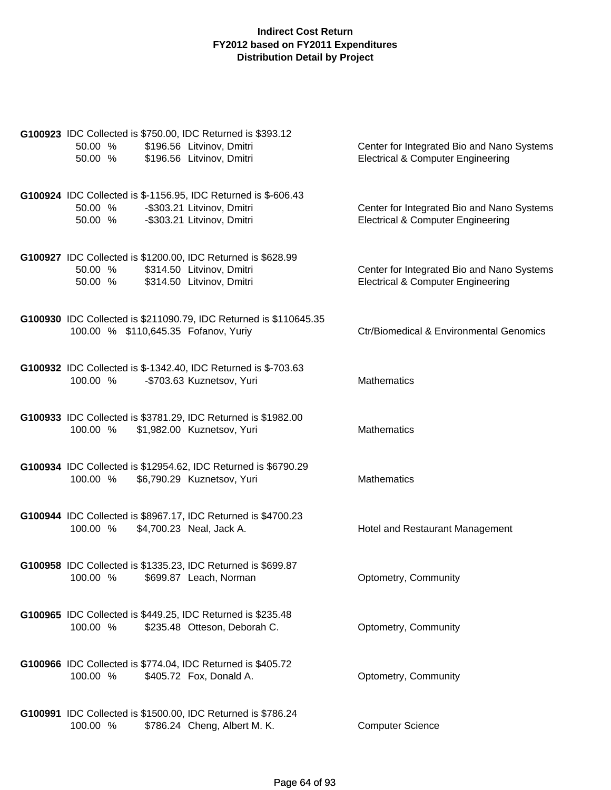| G100923 IDC Collected is \$750.00, IDC Returned is \$393.12<br>50.00 %<br>\$196.56 Litvinov, Dmitri<br>50.00 %<br>\$196.56 Litvinov, Dmitri      | Center for Integrated Bio and Nano Systems<br><b>Electrical &amp; Computer Engineering</b> |
|--------------------------------------------------------------------------------------------------------------------------------------------------|--------------------------------------------------------------------------------------------|
| G100924 IDC Collected is \$-1156.95, IDC Returned is \$-606.43<br>-\$303.21 Litvinov, Dmitri<br>50.00 %<br>-\$303.21 Litvinov, Dmitri<br>50.00 % | Center for Integrated Bio and Nano Systems<br><b>Electrical &amp; Computer Engineering</b> |
| G100927 IDC Collected is \$1200.00, IDC Returned is \$628.99<br>\$314.50 Litvinov, Dmitri<br>50.00 %<br>\$314.50 Litvinov, Dmitri<br>50.00 %     | Center for Integrated Bio and Nano Systems<br><b>Electrical &amp; Computer Engineering</b> |
| G100930 IDC Collected is \$211090.79, IDC Returned is \$110645.35<br>100.00 % \$110,645.35 Fofanov, Yuriy                                        | <b>Ctr/Biomedical &amp; Environmental Genomics</b>                                         |
| G100932 IDC Collected is \$-1342.40, IDC Returned is \$-703.63<br>100.00 %<br>-\$703.63 Kuznetsov, Yuri                                          | Mathematics                                                                                |
| G100933 IDC Collected is \$3781.29, IDC Returned is \$1982.00<br>\$1,982.00 Kuznetsov, Yuri<br>100.00 %                                          | Mathematics                                                                                |
| G100934 IDC Collected is \$12954.62, IDC Returned is \$6790.29<br>\$6,790.29 Kuznetsov, Yuri<br>100.00 %                                         | Mathematics                                                                                |
| G100944 IDC Collected is \$8967.17, IDC Returned is \$4700.23<br>100.00 %<br>\$4,700.23 Neal, Jack A.                                            | Hotel and Restaurant Management                                                            |
| G100958 IDC Collected is \$1335.23, IDC Returned is \$699.87<br>100.00 %<br>\$699.87 Leach, Norman                                               | Optometry, Community                                                                       |
| G100965 IDC Collected is \$449.25, IDC Returned is \$235.48<br>100.00 %<br>\$235.48 Otteson, Deborah C.                                          | Optometry, Community                                                                       |
| G100966 IDC Collected is \$774.04, IDC Returned is \$405.72<br>100.00 %<br>\$405.72 Fox, Donald A.                                               | Optometry, Community                                                                       |
| G100991 IDC Collected is \$1500.00, IDC Returned is \$786.24<br>100.00 %<br>\$786.24 Cheng, Albert M. K.                                         | <b>Computer Science</b>                                                                    |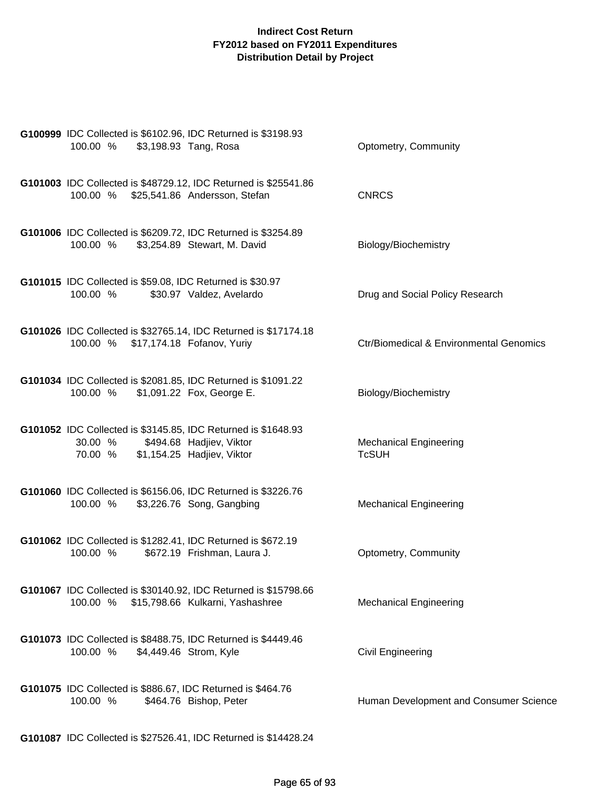| G100999 IDC Collected is \$6102.96, IDC Returned is \$3198.93<br>100.00 %                                      | \$3,198.93 Tang, Rosa                                           | Optometry, Community                               |
|----------------------------------------------------------------------------------------------------------------|-----------------------------------------------------------------|----------------------------------------------------|
| 100.00 % \$25,541.86 Andersson, Stefan                                                                         | G101003 IDC Collected is \$48729.12, IDC Returned is \$25541.86 | <b>CNRCS</b>                                       |
| G101006 IDC Collected is \$6209.72, IDC Returned is \$3254.89<br>100.00 % \$3,254.89 Stewart, M. David         |                                                                 | Biology/Biochemistry                               |
| G101015 IDC Collected is \$59.08, IDC Returned is \$30.97<br>100.00 %                                          | \$30.97 Valdez, Avelardo                                        | Drug and Social Policy Research                    |
| 100.00 % \$17,174.18 Fofanov, Yuriy                                                                            | G101026 IDC Collected is \$32765.14, IDC Returned is \$17174.18 | <b>Ctr/Biomedical &amp; Environmental Genomics</b> |
| G101034 IDC Collected is \$2081.85, IDC Returned is \$1091.22<br>100.00 % \$1,091.22 Fox, George E.            |                                                                 | Biology/Biochemistry                               |
| G101052 IDC Collected is \$3145.85, IDC Returned is \$1648.93<br>30.00 %<br>70.00 % \$1,154.25 Hadjiev, Viktor | \$494.68 Hadjiev, Viktor                                        | <b>Mechanical Engineering</b><br><b>TcSUH</b>      |
| G101060 IDC Collected is \$6156.06, IDC Returned is \$3226.76<br>100.00 %                                      | \$3,226.76 Song, Gangbing                                       | <b>Mechanical Engineering</b>                      |
| G101062 IDC Collected is \$1282.41, IDC Returned is \$672.19<br>100.00 %                                       | \$672.19 Frishman, Laura J.                                     | Optometry, Community                               |
| 100.00 % \$15,798.66 Kulkarni, Yashashree                                                                      | G101067 IDC Collected is \$30140.92, IDC Returned is \$15798.66 | <b>Mechanical Engineering</b>                      |
| G101073 IDC Collected is \$8488.75, IDC Returned is \$4449.46<br>100.00 % \$4,449.46 Strom, Kyle               |                                                                 | <b>Civil Engineering</b>                           |
| G101075 IDC Collected is \$886.67, IDC Returned is \$464.76<br>100.00 %                                        | \$464.76 Bishop, Peter                                          | Human Development and Consumer Science             |
|                                                                                                                | G101087 IDC Collected is \$27526.41, IDC Returned is \$14428.24 |                                                    |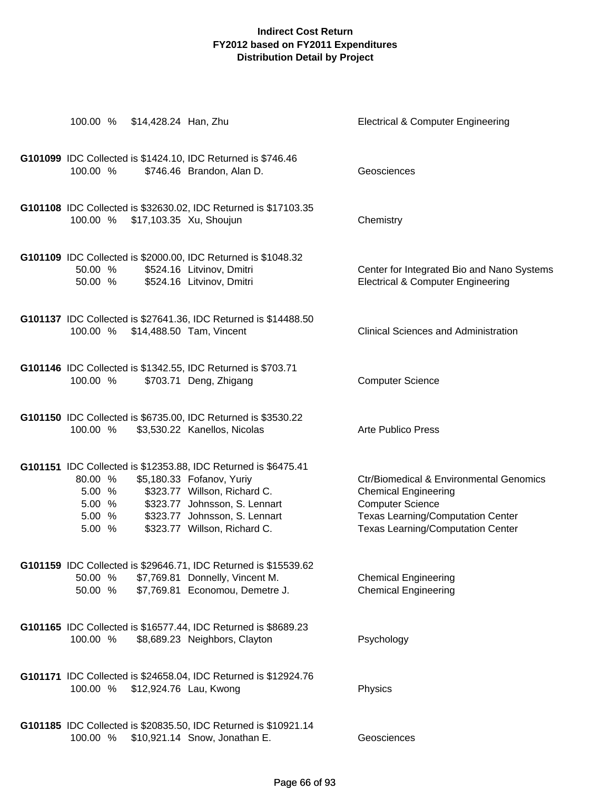| 100.00 %                                       | \$14,428.24 Han, Zhu |                                                                                                                                                                                                                               | <b>Electrical &amp; Computer Engineering</b>                                                                                                                                                         |
|------------------------------------------------|----------------------|-------------------------------------------------------------------------------------------------------------------------------------------------------------------------------------------------------------------------------|------------------------------------------------------------------------------------------------------------------------------------------------------------------------------------------------------|
| 100.00 %                                       |                      | G101099 IDC Collected is \$1424.10, IDC Returned is \$746.46<br>\$746.46 Brandon, Alan D.                                                                                                                                     | Geosciences                                                                                                                                                                                          |
|                                                |                      | G101108 IDC Collected is \$32630.02, IDC Returned is \$17103.35<br>100.00 % \$17,103.35 Xu, Shoujun                                                                                                                           | Chemistry                                                                                                                                                                                            |
| 50.00 %<br>50.00 %                             |                      | G101109 IDC Collected is \$2000.00, IDC Returned is \$1048.32<br>\$524.16 Litvinov, Dmitri<br>\$524.16 Litvinov, Dmitri                                                                                                       | Center for Integrated Bio and Nano Systems<br><b>Electrical &amp; Computer Engineering</b>                                                                                                           |
| 100.00 %                                       |                      | G101137 IDC Collected is \$27641.36, IDC Returned is \$14488.50<br>\$14,488.50 Tam, Vincent                                                                                                                                   | <b>Clinical Sciences and Administration</b>                                                                                                                                                          |
| 100.00 %                                       |                      | G101146 IDC Collected is \$1342.55, IDC Returned is \$703.71<br>\$703.71 Deng, Zhigang                                                                                                                                        | <b>Computer Science</b>                                                                                                                                                                              |
| 100.00 %                                       |                      | G101150 IDC Collected is \$6735.00, IDC Returned is \$3530.22<br>\$3,530.22 Kanellos, Nicolas                                                                                                                                 | Arte Publico Press                                                                                                                                                                                   |
| 80.00 %<br>5.00 %<br>5.00 %<br>5.00 %<br>5.00% |                      | G101151 IDC Collected is \$12353.88, IDC Returned is \$6475.41<br>\$5,180.33 Fofanov, Yuriy<br>\$323.77 Willson, Richard C.<br>\$323.77 Johnsson, S. Lennart<br>\$323.77 Johnsson, S. Lennart<br>\$323.77 Willson, Richard C. | <b>Ctr/Biomedical &amp; Environmental Genomics</b><br><b>Chemical Engineering</b><br><b>Computer Science</b><br><b>Texas Learning/Computation Center</b><br><b>Texas Learning/Computation Center</b> |
| 50.00 %<br>50.00 %                             |                      | G101159 IDC Collected is \$29646.71, IDC Returned is \$15539.62<br>\$7,769.81 Donnelly, Vincent M.<br>\$7,769.81 Economou, Demetre J.                                                                                         | <b>Chemical Engineering</b><br><b>Chemical Engineering</b>                                                                                                                                           |
| 100.00 %                                       |                      | G101165 IDC Collected is \$16577.44, IDC Returned is \$8689.23<br>\$8,689.23 Neighbors, Clayton                                                                                                                               | Psychology                                                                                                                                                                                           |
| 100.00 %                                       |                      | G101171 IDC Collected is \$24658.04, IDC Returned is \$12924.76<br>\$12,924.76 Lau, Kwong                                                                                                                                     | Physics                                                                                                                                                                                              |
| 100.00 %                                       |                      | G101185 IDC Collected is \$20835.50, IDC Returned is \$10921.14<br>\$10,921.14 Snow, Jonathan E.                                                                                                                              | Geosciences                                                                                                                                                                                          |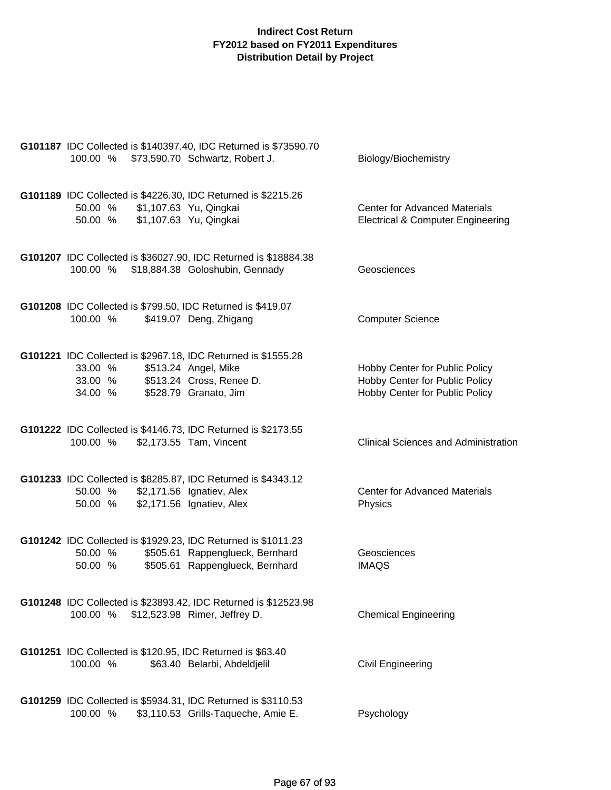| 100.00 % \$73,590.70 Schwartz, Robert J.                                                                                | G101187 IDC Collected is \$140397.40, IDC Returned is \$73590.70                                 | Biology/Biochemistry                                                                               |
|-------------------------------------------------------------------------------------------------------------------------|--------------------------------------------------------------------------------------------------|----------------------------------------------------------------------------------------------------|
| G101189 IDC Collected is \$4226.30, IDC Returned is \$2215.26<br>50.00 % \$1,107.63 Yu, Qingkai<br>50.00 %              | \$1,107.63 Yu, Qingkai                                                                           | <b>Center for Advanced Materials</b><br><b>Electrical &amp; Computer Engineering</b>               |
| 100.00 % \$18,884.38 Goloshubin, Gennady                                                                                | G101207 IDC Collected is \$36027.90, IDC Returned is \$18884.38                                  | Geosciences                                                                                        |
| G101208 IDC Collected is \$799.50, IDC Returned is \$419.07<br>100.00 %                                                 | \$419.07 Deng, Zhigang                                                                           | <b>Computer Science</b>                                                                            |
| G101221 IDC Collected is \$2967.18, IDC Returned is \$1555.28<br>33.00 %<br>33.00 % \$513.24 Cross, Renee D.<br>34.00 % | \$513.24 Angel, Mike<br>\$528.79 Granato, Jim                                                    | Hobby Center for Public Policy<br>Hobby Center for Public Policy<br>Hobby Center for Public Policy |
| G101222 IDC Collected is \$4146.73, IDC Returned is \$2173.55<br>100.00 %                                               | \$2,173.55 Tam, Vincent                                                                          | <b>Clinical Sciences and Administration</b>                                                        |
| G101233 IDC Collected is \$8285.87, IDC Returned is \$4343.12<br>50.00 %<br>50.00 %                                     | \$2,171.56 Ignatiev, Alex<br>\$2,171.56 Ignatiev, Alex                                           | <b>Center for Advanced Materials</b><br>Physics                                                    |
| G101242 IDC Collected is \$1929.23, IDC Returned is \$1011.23<br>50.00 %<br>50.00 %                                     | \$505.61 Rappenglueck, Bernhard<br>\$505.61 Rappenglueck, Bernhard                               | Geosciences<br><b>IMAQS</b>                                                                        |
| 100.00 %                                                                                                                | G101248 IDC Collected is \$23893.42, IDC Returned is \$12523.98<br>\$12,523.98 Rimer, Jeffrey D. | <b>Chemical Engineering</b>                                                                        |
| G101251 IDC Collected is \$120.95, IDC Returned is \$63.40<br>100.00 %                                                  | \$63.40 Belarbi, Abdeldjelil                                                                     | Civil Engineering                                                                                  |
| G101259 IDC Collected is \$5934.31, IDC Returned is \$3110.53<br>100.00 %                                               | \$3,110.53 Grills-Taqueche, Amie E.                                                              | Psychology                                                                                         |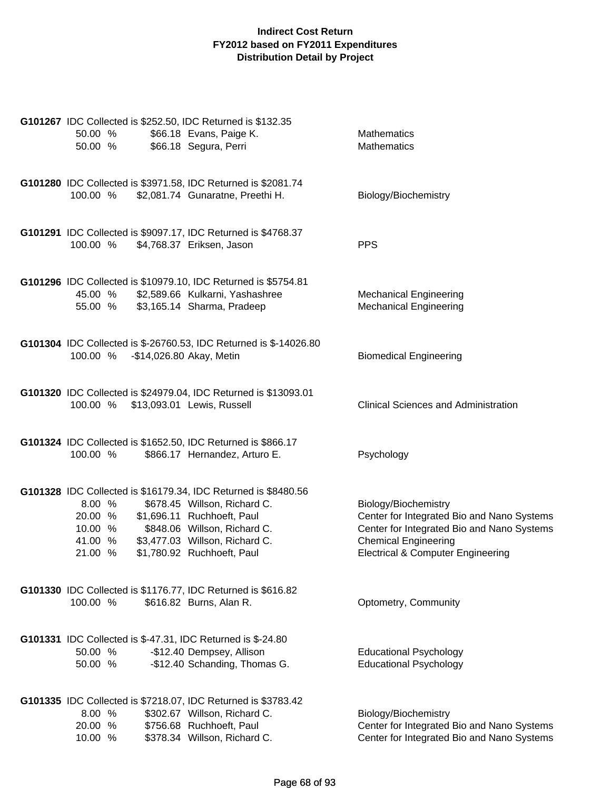| G101267 IDC Collected is \$252.50, IDC Returned is \$132.35<br>50.00 %<br>50.00 % | \$66.18 Evans, Paige K.<br>\$66.18 Segura, Perri                                                                                                                                                                             | <b>Mathematics</b><br><b>Mathematics</b>                                                                                                                                                        |
|-----------------------------------------------------------------------------------|------------------------------------------------------------------------------------------------------------------------------------------------------------------------------------------------------------------------------|-------------------------------------------------------------------------------------------------------------------------------------------------------------------------------------------------|
| 100.00 %                                                                          | G101280 IDC Collected is \$3971.58, IDC Returned is \$2081.74<br>\$2,081.74 Gunaratne, Preethi H.                                                                                                                            | Biology/Biochemistry                                                                                                                                                                            |
| 100.00 %                                                                          | G101291 IDC Collected is \$9097.17, IDC Returned is \$4768.37<br>\$4,768.37 Eriksen, Jason                                                                                                                                   | <b>PPS</b>                                                                                                                                                                                      |
| 45.00 %<br>55.00 %                                                                | G101296 IDC Collected is \$10979.10, IDC Returned is \$5754.81<br>\$2,589.66 Kulkarni, Yashashree<br>\$3,165.14 Sharma, Pradeep                                                                                              | <b>Mechanical Engineering</b><br><b>Mechanical Engineering</b>                                                                                                                                  |
| 100.00 %                                                                          | G101304 IDC Collected is \$-26760.53, IDC Returned is \$-14026.80<br>-\$14,026.80 Akay, Metin                                                                                                                                | <b>Biomedical Engineering</b>                                                                                                                                                                   |
| 100.00 % \$13,093.01 Lewis, Russell                                               | G101320 IDC Collected is \$24979.04, IDC Returned is \$13093.01                                                                                                                                                              | <b>Clinical Sciences and Administration</b>                                                                                                                                                     |
| G101324 IDC Collected is \$1652.50, IDC Returned is \$866.17<br>100.00 %          | \$866.17 Hernandez, Arturo E.                                                                                                                                                                                                | Psychology                                                                                                                                                                                      |
| 8.00 %<br>20.00 %<br>10.00 %<br>41.00 %<br>21.00 %                                | G101328 IDC Collected is \$16179.34, IDC Returned is \$8480.56<br>\$678.45 Willson, Richard C.<br>\$1,696.11 Ruchhoeft, Paul<br>\$848.06 Willson, Richard C.<br>\$3,477.03 Willson, Richard C.<br>\$1,780.92 Ruchhoeft, Paul | Biology/Biochemistry<br>Center for Integrated Bio and Nano Systems<br>Center for Integrated Bio and Nano Systems<br><b>Chemical Engineering</b><br><b>Electrical &amp; Computer Engineering</b> |
| G101330 IDC Collected is \$1176.77, IDC Returned is \$616.82<br>100.00 %          | \$616.82 Burns, Alan R.                                                                                                                                                                                                      | Optometry, Community                                                                                                                                                                            |
| G101331 IDC Collected is \$-47.31, IDC Returned is \$-24.80<br>50.00 %<br>50.00 % | -\$12.40 Dempsey, Allison<br>-\$12.40 Schanding, Thomas G.                                                                                                                                                                   | <b>Educational Psychology</b><br><b>Educational Psychology</b>                                                                                                                                  |
| 8.00 %<br>20.00 %<br>10.00 %                                                      | G101335 IDC Collected is \$7218.07, IDC Returned is \$3783.42<br>\$302.67 Willson, Richard C.<br>\$756.68 Ruchhoeft, Paul<br>\$378.34 Willson, Richard C.                                                                    | Biology/Biochemistry<br>Center for Integrated Bio and Nano Systems<br>Center for Integrated Bio and Nano Systems                                                                                |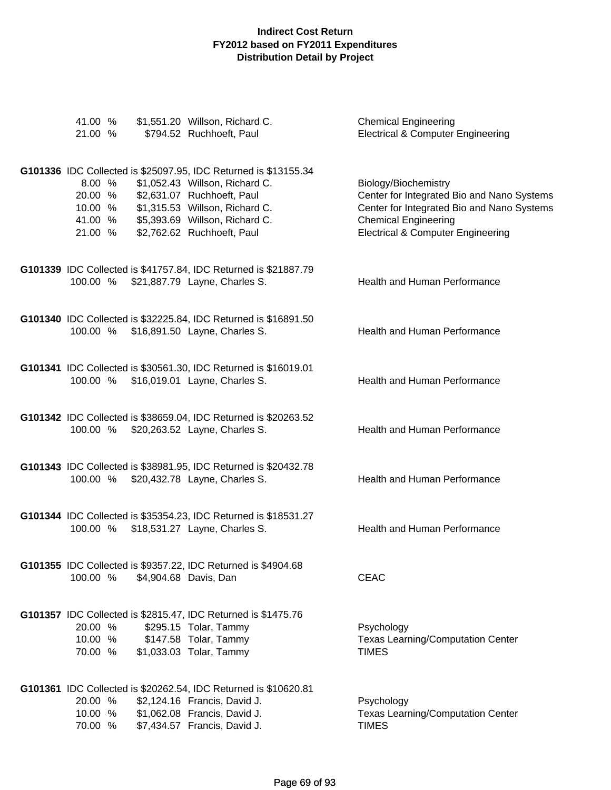| 41.00 %<br>21.00 %                                 | \$1,551.20 Willson, Richard C.<br>\$794.52 Ruchhoeft, Paul                                                                                                                                                                        | <b>Chemical Engineering</b><br><b>Electrical &amp; Computer Engineering</b>                                                                                                                     |
|----------------------------------------------------|-----------------------------------------------------------------------------------------------------------------------------------------------------------------------------------------------------------------------------------|-------------------------------------------------------------------------------------------------------------------------------------------------------------------------------------------------|
| 8.00 %<br>20.00 %<br>10.00 %<br>41.00 %<br>21.00 % | G101336 IDC Collected is \$25097.95, IDC Returned is \$13155.34<br>\$1,052.43 Willson, Richard C.<br>\$2,631.07 Ruchhoeft, Paul<br>\$1,315.53 Willson, Richard C.<br>\$5,393.69 Willson, Richard C.<br>\$2,762.62 Ruchhoeft, Paul | Biology/Biochemistry<br>Center for Integrated Bio and Nano Systems<br>Center for Integrated Bio and Nano Systems<br><b>Chemical Engineering</b><br><b>Electrical &amp; Computer Engineering</b> |
|                                                    | G101339 IDC Collected is \$41757.84, IDC Returned is \$21887.79<br>100.00 % \$21,887.79 Layne, Charles S.                                                                                                                         | Health and Human Performance                                                                                                                                                                    |
|                                                    | G101340 IDC Collected is \$32225.84, IDC Returned is \$16891.50<br>100.00 % \$16,891.50 Layne, Charles S.                                                                                                                         | Health and Human Performance                                                                                                                                                                    |
|                                                    | G101341 IDC Collected is \$30561.30, IDC Returned is \$16019.01<br>100.00 % \$16,019.01 Layne, Charles S.                                                                                                                         | Health and Human Performance                                                                                                                                                                    |
| 100.00 %                                           | G101342 IDC Collected is \$38659.04, IDC Returned is \$20263.52<br>\$20,263.52 Layne, Charles S.                                                                                                                                  | Health and Human Performance                                                                                                                                                                    |
| 100.00 %                                           | G101343 IDC Collected is \$38981.95, IDC Returned is \$20432.78<br>\$20,432.78 Layne, Charles S.                                                                                                                                  | Health and Human Performance                                                                                                                                                                    |
| 100.00 %                                           | G101344 IDC Collected is \$35354.23, IDC Returned is \$18531.27<br>\$18,531.27 Layne, Charles S.                                                                                                                                  | Health and Human Performance                                                                                                                                                                    |
| 100.00 %                                           | G101355 IDC Collected is \$9357.22, IDC Returned is \$4904.68<br>\$4,904.68 Davis, Dan                                                                                                                                            | <b>CEAC</b>                                                                                                                                                                                     |
| 20.00 %<br>10.00 %<br>70.00 %                      | G101357 IDC Collected is \$2815.47, IDC Returned is \$1475.76<br>\$295.15 Tolar, Tammy<br>\$147.58 Tolar, Tammy<br>\$1,033.03 Tolar, Tammy                                                                                        | Psychology<br>Texas Learning/Computation Center<br><b>TIMES</b>                                                                                                                                 |
| 20.00 %<br>10.00 %<br>70.00 %                      | G101361 IDC Collected is \$20262.54, IDC Returned is \$10620.81<br>\$2,124.16 Francis, David J.<br>\$1,062.08 Francis, David J.<br>\$7,434.57 Francis, David J.                                                                   | Psychology<br><b>Texas Learning/Computation Center</b><br><b>TIMES</b>                                                                                                                          |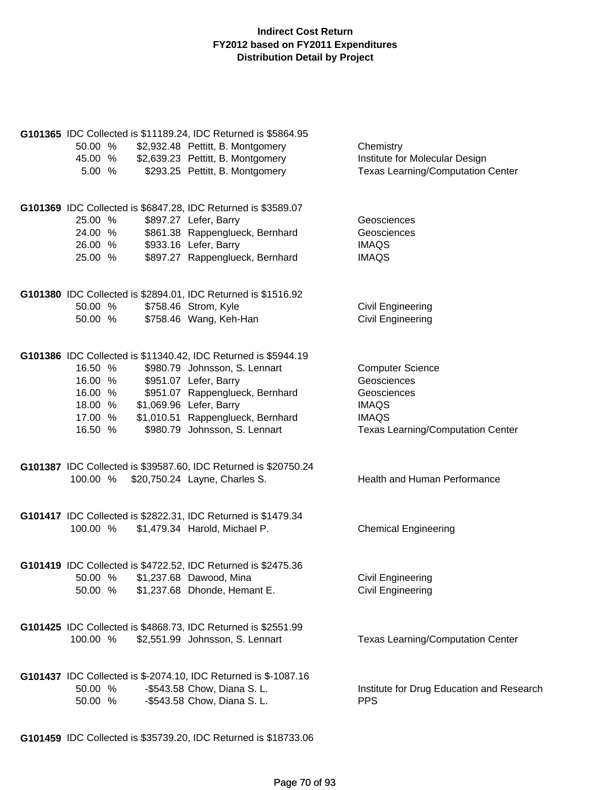| 50.00 %<br>45.00 %<br>5.00 %                                   | G101365 IDC Collected is \$11189.24, IDC Returned is \$5864.95<br>\$2,932.48 Pettitt, B. Montgomery<br>\$2,639.23 Pettitt, B. Montgomery<br>\$293.25 Pettitt, B. Montgomery                                                                                  | Chemistry<br>Institute for Molecular Design<br><b>Texas Learning/Computation Center</b>                                           |
|----------------------------------------------------------------|--------------------------------------------------------------------------------------------------------------------------------------------------------------------------------------------------------------------------------------------------------------|-----------------------------------------------------------------------------------------------------------------------------------|
| 25.00 %<br>24.00 %<br>26.00 %<br>25.00 %                       | G101369 IDC Collected is \$6847.28, IDC Returned is \$3589.07<br>\$897.27 Lefer, Barry<br>\$861.38 Rappenglueck, Bernhard<br>\$933.16 Lefer, Barry<br>\$897.27 Rappenglueck, Bernhard                                                                        | Geosciences<br>Geosciences<br><b>IMAQS</b><br><b>IMAQS</b>                                                                        |
| 50.00 %<br>50.00 %                                             | G101380 IDC Collected is \$2894.01, IDC Returned is \$1516.92<br>\$758.46 Strom, Kyle<br>\$758.46 Wang, Keh-Han                                                                                                                                              | <b>Civil Engineering</b><br><b>Civil Engineering</b>                                                                              |
| 16.50 %<br>16.00 %<br>16.00 %<br>18.00 %<br>17.00 %<br>16.50 % | G101386 IDC Collected is \$11340.42, IDC Returned is \$5944.19<br>\$980.79 Johnsson, S. Lennart<br>\$951.07 Lefer, Barry<br>\$951.07 Rappenglueck, Bernhard<br>\$1,069.96 Lefer, Barry<br>\$1,010.51 Rappenglueck, Bernhard<br>\$980.79 Johnsson, S. Lennart | <b>Computer Science</b><br>Geosciences<br>Geosciences<br><b>IMAQS</b><br><b>IMAQS</b><br><b>Texas Learning/Computation Center</b> |
|                                                                | G101387 IDC Collected is \$39587.60, IDC Returned is \$20750.24<br>100.00 % \$20,750.24 Layne, Charles S.                                                                                                                                                    | Health and Human Performance                                                                                                      |
| 100.00 %                                                       | G101417 IDC Collected is \$2822.31, IDC Returned is \$1479.34<br>\$1,479.34 Harold, Michael P.                                                                                                                                                               | <b>Chemical Engineering</b>                                                                                                       |
| 50.00 %<br>50.00 %                                             | G101419 IDC Collected is \$4722.52, IDC Returned is \$2475.36<br>\$1,237.68 Dawood, Mina<br>\$1,237.68 Dhonde, Hemant E.                                                                                                                                     | <b>Civil Engineering</b><br><b>Civil Engineering</b>                                                                              |
| 100.00 %                                                       | G101425 IDC Collected is \$4868.73, IDC Returned is \$2551.99<br>\$2,551.99 Johnsson, S. Lennart                                                                                                                                                             | <b>Texas Learning/Computation Center</b>                                                                                          |
| 50.00 %<br>50.00 %                                             | G101437 IDC Collected is \$-2074.10, IDC Returned is \$-1087.16<br>-\$543.58 Chow, Diana S. L.<br>-\$543.58 Chow, Diana S. L.                                                                                                                                | Institute for Drug Education and Research<br><b>PPS</b>                                                                           |

**G101459** IDC Collected is \$35739.20, IDC Returned is \$18733.06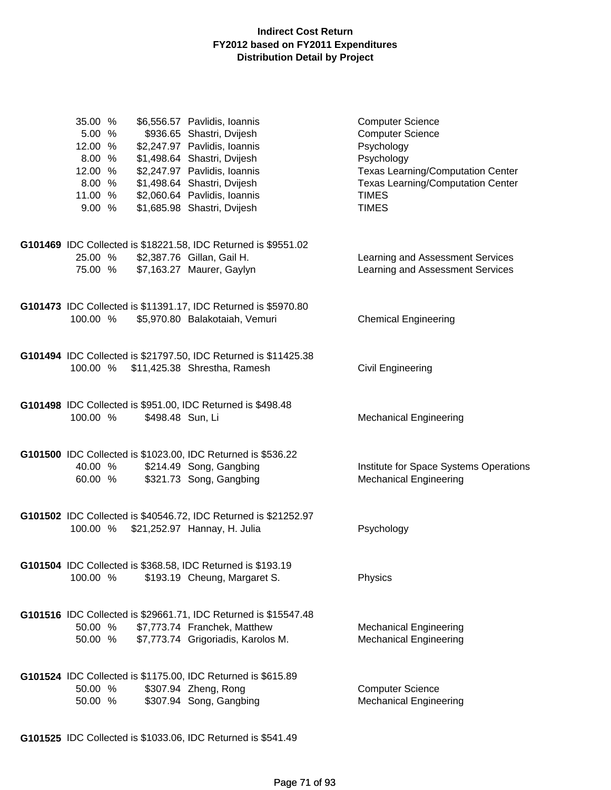| 35.00 %<br>5.00 %<br>12.00 %<br>8.00 %<br>12.00 %<br>8.00 %<br>11.00 %<br>9.00% |                  | \$6,556.57 Pavlidis, Ioannis<br>\$936.65 Shastri, Dvijesh<br>\$2,247.97 Pavlidis, Ioannis<br>\$1,498.64 Shastri, Dvijesh<br>\$2,247.97 Pavlidis, Ioannis<br>\$1,498.64 Shastri, Dvijesh<br>\$2,060.64 Pavlidis, Ioannis<br>\$1,685.98 Shastri, Dvijesh | <b>Computer Science</b><br><b>Computer Science</b><br>Psychology<br>Psychology<br><b>Texas Learning/Computation Center</b><br><b>Texas Learning/Computation Center</b><br><b>TIMES</b><br><b>TIMES</b> |
|---------------------------------------------------------------------------------|------------------|--------------------------------------------------------------------------------------------------------------------------------------------------------------------------------------------------------------------------------------------------------|--------------------------------------------------------------------------------------------------------------------------------------------------------------------------------------------------------|
|                                                                                 |                  | G101469 IDC Collected is \$18221.58, IDC Returned is \$9551.02                                                                                                                                                                                         |                                                                                                                                                                                                        |
| 25.00 %                                                                         |                  | \$2,387.76 Gillan, Gail H.                                                                                                                                                                                                                             | Learning and Assessment Services                                                                                                                                                                       |
|                                                                                 |                  | 75.00 % \$7,163.27 Maurer, Gaylyn                                                                                                                                                                                                                      | Learning and Assessment Services                                                                                                                                                                       |
|                                                                                 |                  | G101473 IDC Collected is \$11391.17, IDC Returned is \$5970.80                                                                                                                                                                                         |                                                                                                                                                                                                        |
|                                                                                 |                  | 100.00 % \$5,970.80 Balakotaiah, Vemuri                                                                                                                                                                                                                | <b>Chemical Engineering</b>                                                                                                                                                                            |
|                                                                                 |                  |                                                                                                                                                                                                                                                        |                                                                                                                                                                                                        |
| 100.00 %                                                                        |                  | G101494 IDC Collected is \$21797.50, IDC Returned is \$11425.38<br>\$11,425.38 Shrestha, Ramesh                                                                                                                                                        | Civil Engineering                                                                                                                                                                                      |
|                                                                                 |                  |                                                                                                                                                                                                                                                        |                                                                                                                                                                                                        |
|                                                                                 |                  | G101498 IDC Collected is \$951.00, IDC Returned is \$498.48                                                                                                                                                                                            |                                                                                                                                                                                                        |
| 100.00 %                                                                        | \$498.48 Sun, Li |                                                                                                                                                                                                                                                        | <b>Mechanical Engineering</b>                                                                                                                                                                          |
|                                                                                 |                  |                                                                                                                                                                                                                                                        |                                                                                                                                                                                                        |
| 40.00 %                                                                         |                  | G101500 IDC Collected is \$1023.00, IDC Returned is \$536.22<br>\$214.49 Song, Gangbing                                                                                                                                                                | Institute for Space Systems Operations                                                                                                                                                                 |
| 60.00 %                                                                         |                  | \$321.73 Song, Gangbing                                                                                                                                                                                                                                | <b>Mechanical Engineering</b>                                                                                                                                                                          |
|                                                                                 |                  |                                                                                                                                                                                                                                                        |                                                                                                                                                                                                        |
| 100.00 %                                                                        |                  | G101502 IDC Collected is \$40546.72, IDC Returned is \$21252.97<br>\$21,252.97 Hannay, H. Julia                                                                                                                                                        |                                                                                                                                                                                                        |
|                                                                                 |                  |                                                                                                                                                                                                                                                        | Psychology                                                                                                                                                                                             |
|                                                                                 |                  | G101504 IDC Collected is \$368.58, IDC Returned is \$193.19                                                                                                                                                                                            |                                                                                                                                                                                                        |
| 100.00 %                                                                        |                  | \$193.19 Cheung, Margaret S.                                                                                                                                                                                                                           | Physics                                                                                                                                                                                                |
|                                                                                 |                  |                                                                                                                                                                                                                                                        |                                                                                                                                                                                                        |
| 50.00 %                                                                         |                  | G101516 IDC Collected is \$29661.71, IDC Returned is \$15547.48<br>\$7,773.74 Franchek, Matthew                                                                                                                                                        | <b>Mechanical Engineering</b>                                                                                                                                                                          |
|                                                                                 |                  | 50.00 % \$7,773.74 Grigoriadis, Karolos M.                                                                                                                                                                                                             | <b>Mechanical Engineering</b>                                                                                                                                                                          |
|                                                                                 |                  |                                                                                                                                                                                                                                                        |                                                                                                                                                                                                        |
|                                                                                 |                  | G101524 IDC Collected is \$1175.00, IDC Returned is \$615.89                                                                                                                                                                                           |                                                                                                                                                                                                        |
| 50.00 %<br>50.00 %                                                              |                  | \$307.94 Zheng, Rong<br>\$307.94 Song, Gangbing                                                                                                                                                                                                        | <b>Computer Science</b><br><b>Mechanical Engineering</b>                                                                                                                                               |
|                                                                                 |                  |                                                                                                                                                                                                                                                        |                                                                                                                                                                                                        |

**G101525** IDC Collected is \$1033.06, IDC Returned is \$541.49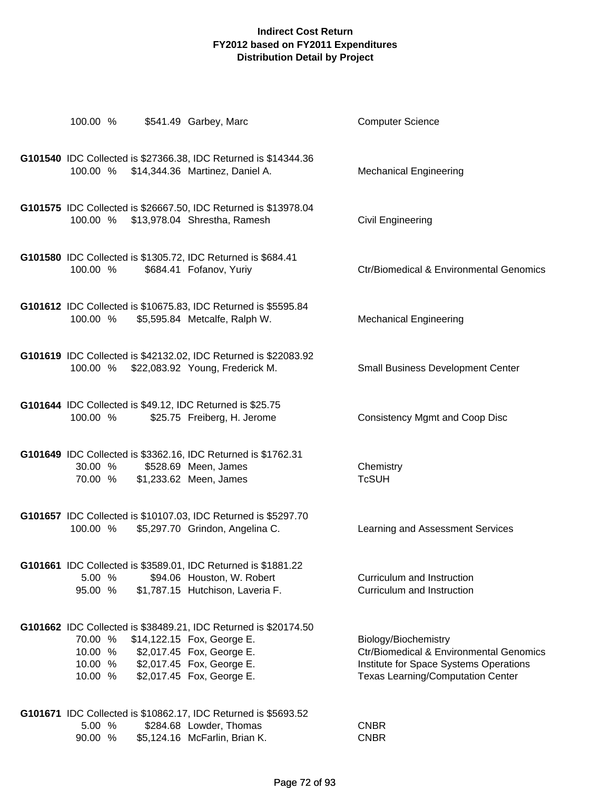| 100.00 % \$541.49 Garbey, Marc                                           |                                                                                                                                                         | <b>Computer Science</b>                                                                                                                               |
|--------------------------------------------------------------------------|---------------------------------------------------------------------------------------------------------------------------------------------------------|-------------------------------------------------------------------------------------------------------------------------------------------------------|
| 100.00 %                                                                 | G101540 IDC Collected is \$27366.38, IDC Returned is \$14344.36<br>\$14,344.36 Martinez, Daniel A.                                                      | <b>Mechanical Engineering</b>                                                                                                                         |
| 100.00 %                                                                 | G101575 IDC Collected is \$26667.50, IDC Returned is \$13978.04<br>\$13,978.04 Shrestha, Ramesh                                                         | <b>Civil Engineering</b>                                                                                                                              |
| G101580 IDC Collected is \$1305.72, IDC Returned is \$684.41<br>100.00 % | \$684.41 Fofanov, Yuriy                                                                                                                                 | <b>Ctr/Biomedical &amp; Environmental Genomics</b>                                                                                                    |
| 100.00 % \$5,595.84 Metcalfe, Ralph W.                                   | G101612 IDC Collected is \$10675.83, IDC Returned is \$5595.84                                                                                          | <b>Mechanical Engineering</b>                                                                                                                         |
| 100.00 %                                                                 | G101619 IDC Collected is \$42132.02, IDC Returned is \$22083.92<br>\$22,083.92 Young, Frederick M.                                                      | <b>Small Business Development Center</b>                                                                                                              |
| G101644 IDC Collected is \$49.12, IDC Returned is \$25.75<br>100.00 %    | \$25.75 Freiberg, H. Jerome                                                                                                                             | <b>Consistency Mgmt and Coop Disc</b>                                                                                                                 |
| 30.00 %<br>70.00 % \$1,233.62 Meen, James                                | G101649 IDC Collected is \$3362.16, IDC Returned is \$1762.31<br>\$528.69 Meen, James                                                                   | Chemistry<br><b>TcSUH</b>                                                                                                                             |
| 100.00 % \$5,297.70 Grindon, Angelina C.                                 | G101657 IDC Collected is \$10107.03, IDC Returned is \$5297.70                                                                                          | Learning and Assessment Services                                                                                                                      |
| 5.00 %<br>95.00 %                                                        | G101661 IDC Collected is \$3589.01, IDC Returned is \$1881.22<br>\$94.06 Houston, W. Robert<br>\$1,787.15 Hutchison, Laveria F.                         | Curriculum and Instruction<br>Curriculum and Instruction                                                                                              |
| 70.00 %<br>10.00 %<br>10.00 % \$2,017.45 Fox, George E.<br>10.00 %       | G101662 IDC Collected is \$38489.21, IDC Returned is \$20174.50<br>\$14,122.15 Fox, George E.<br>\$2,017.45 Fox, George E.<br>\$2,017.45 Fox, George E. | Biology/Biochemistry<br>Ctr/Biomedical & Environmental Genomics<br>Institute for Space Systems Operations<br><b>Texas Learning/Computation Center</b> |
| 5.00 %                                                                   | G101671 IDC Collected is \$10862.17, IDC Returned is \$5693.52<br>\$284.68 Lowder, Thomas                                                               | <b>CNBR</b>                                                                                                                                           |

90.00 % \$5,124.16 McFarlin, Brian K. CNBR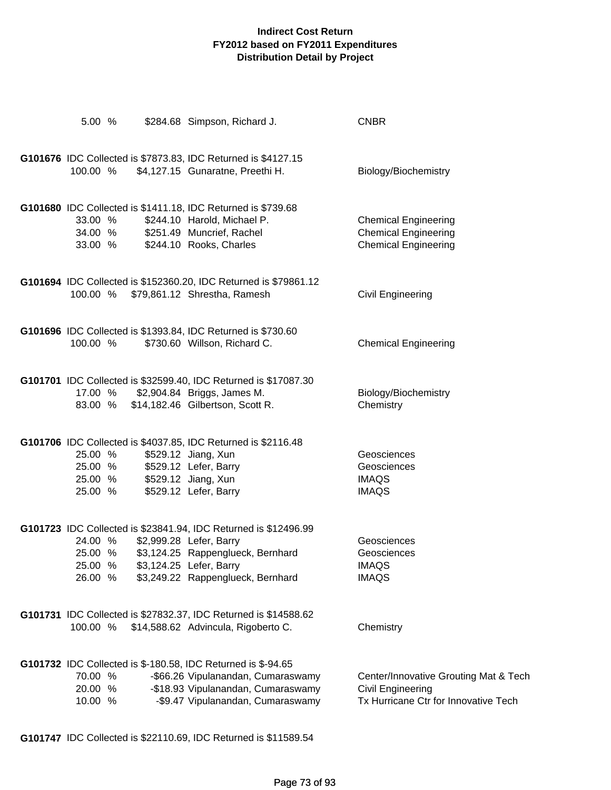| 5.00 %                                   |  | \$284.68 Simpson, Richard J.                                                                                                                                                                    | <b>CNBR</b>                                                                                               |
|------------------------------------------|--|-------------------------------------------------------------------------------------------------------------------------------------------------------------------------------------------------|-----------------------------------------------------------------------------------------------------------|
| 100.00 %                                 |  | G101676 IDC Collected is \$7873.83, IDC Returned is \$4127.15<br>\$4,127.15 Gunaratne, Preethi H.                                                                                               | Biology/Biochemistry                                                                                      |
| 33.00 %<br>34.00 %<br>33.00 %            |  | G101680 IDC Collected is \$1411.18, IDC Returned is \$739.68<br>\$244.10 Harold, Michael P.<br>\$251.49 Muncrief, Rachel<br>\$244.10 Rooks, Charles                                             | <b>Chemical Engineering</b><br><b>Chemical Engineering</b><br><b>Chemical Engineering</b>                 |
| 100.00 %                                 |  | G101694 IDC Collected is \$152360.20, IDC Returned is \$79861.12<br>\$79,861.12 Shrestha, Ramesh                                                                                                | Civil Engineering                                                                                         |
| 100.00 %                                 |  | G101696 IDC Collected is \$1393.84, IDC Returned is \$730.60<br>\$730.60 Willson, Richard C.                                                                                                    | <b>Chemical Engineering</b>                                                                               |
| 17.00 %<br>83.00 %                       |  | G101701 IDC Collected is \$32599.40, IDC Returned is \$17087.30<br>\$2,904.84 Briggs, James M.<br>\$14,182.46 Gilbertson, Scott R.                                                              | Biology/Biochemistry<br>Chemistry                                                                         |
| 25.00 %<br>25.00 %<br>25.00 %<br>25.00 % |  | G101706 IDC Collected is \$4037.85, IDC Returned is \$2116.48<br>\$529.12 Jiang, Xun<br>\$529.12 Lefer, Barry<br>\$529.12 Jiang, Xun<br>\$529.12 Lefer, Barry                                   | Geosciences<br>Geosciences<br><b>IMAQS</b><br><b>IMAQS</b>                                                |
| 24.00 %<br>25.00 %<br>25.00 %<br>26.00 % |  | G101723 IDC Collected is \$23841.94, IDC Returned is \$12496.99<br>\$2,999.28 Lefer, Barry<br>\$3,124.25 Rappenglueck, Bernhard<br>\$3,124.25 Lefer, Barry<br>\$3,249.22 Rappenglueck, Bernhard | Geosciences<br>Geosciences<br><b>IMAQS</b><br><b>IMAQS</b>                                                |
| 100.00 %                                 |  | G101731 IDC Collected is \$27832.37, IDC Returned is \$14588.62<br>\$14,588.62 Advincula, Rigoberto C.                                                                                          | Chemistry                                                                                                 |
| 70.00 %<br>20.00 %<br>10.00 %            |  | G101732 IDC Collected is \$-180.58, IDC Returned is \$-94.65<br>-\$66.26 Vipulanandan, Cumaraswamy<br>-\$18.93 Vipulanandan, Cumaraswamy<br>-\$9.47 Vipulanandan, Cumaraswamy                   | Center/Innovative Grouting Mat & Tech<br><b>Civil Engineering</b><br>Tx Hurricane Ctr for Innovative Tech |

**G101747** IDC Collected is \$22110.69, IDC Returned is \$11589.54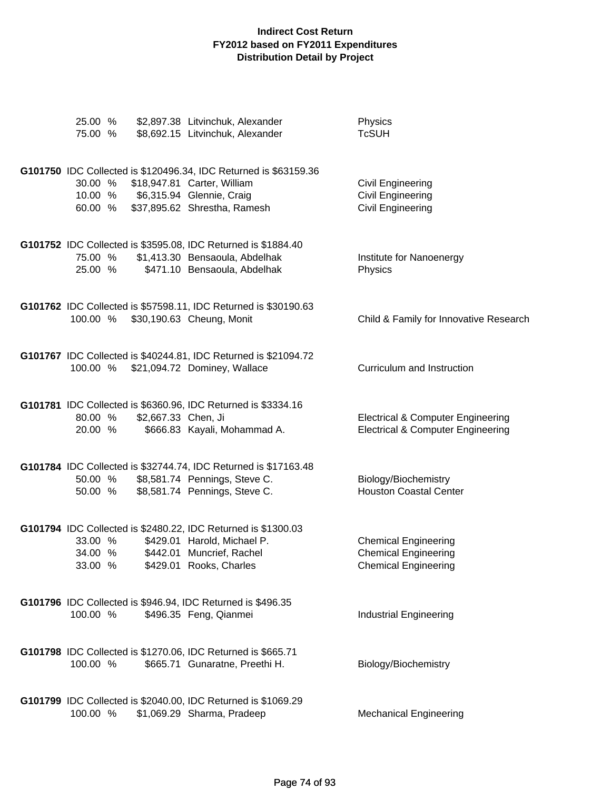| 25.00 %<br>75.00 %            |                     | \$2,897.38 Litvinchuk, Alexander<br>\$8,692.15 Litvinchuk, Alexander                                                                                         | Physics<br><b>TcSUH</b>                                                                      |
|-------------------------------|---------------------|--------------------------------------------------------------------------------------------------------------------------------------------------------------|----------------------------------------------------------------------------------------------|
| 30.00 %<br>10.00 %<br>60.00 % |                     | G101750 IDC Collected is \$120496.34, IDC Returned is \$63159.36<br>\$18,947.81 Carter, William<br>\$6,315.94 Glennie, Craig<br>\$37,895.62 Shrestha, Ramesh | <b>Civil Engineering</b><br>Civil Engineering<br>Civil Engineering                           |
| 75.00 %<br>25.00 %            |                     | G101752 IDC Collected is \$3595.08, IDC Returned is \$1884.40<br>\$1,413.30 Bensaoula, Abdelhak<br>\$471.10 Bensaoula, Abdelhak                              | Institute for Nanoenergy<br>Physics                                                          |
| 100.00 %                      |                     | G101762 IDC Collected is \$57598.11, IDC Returned is \$30190.63<br>\$30,190.63 Cheung, Monit                                                                 | Child & Family for Innovative Research                                                       |
| 100.00 %                      |                     | G101767 IDC Collected is \$40244.81, IDC Returned is \$21094.72<br>\$21,094.72 Dominey, Wallace                                                              | Curriculum and Instruction                                                                   |
| 80.00 %<br>20.00 %            | \$2,667.33 Chen, Ji | G101781 IDC Collected is \$6360.96, IDC Returned is \$3334.16<br>\$666.83 Kayali, Mohammad A.                                                                | <b>Electrical &amp; Computer Engineering</b><br><b>Electrical &amp; Computer Engineering</b> |
| 50.00 %<br>50.00 %            |                     | G101784 IDC Collected is \$32744.74, IDC Returned is \$17163.48<br>\$8,581.74 Pennings, Steve C.<br>\$8,581.74 Pennings, Steve C.                            | Biology/Biochemistry<br><b>Houston Coastal Center</b>                                        |
| 33.00 %<br>34.00 %<br>33.00 % |                     | G101794 IDC Collected is \$2480.22, IDC Returned is \$1300.03<br>\$429.01 Harold, Michael P.<br>\$442.01 Muncrief, Rachel<br>\$429.01 Rooks, Charles         | <b>Chemical Engineering</b><br><b>Chemical Engineering</b><br><b>Chemical Engineering</b>    |
| 100.00 %                      |                     | G101796 IDC Collected is \$946.94, IDC Returned is \$496.35<br>\$496.35 Feng, Qianmei                                                                        | <b>Industrial Engineering</b>                                                                |
| 100.00 %                      |                     | G101798 IDC Collected is \$1270.06, IDC Returned is \$665.71<br>\$665.71 Gunaratne, Preethi H.                                                               | Biology/Biochemistry                                                                         |
| 100.00 %                      |                     | G101799 IDC Collected is \$2040.00, IDC Returned is \$1069.29<br>\$1,069.29 Sharma, Pradeep                                                                  | <b>Mechanical Engineering</b>                                                                |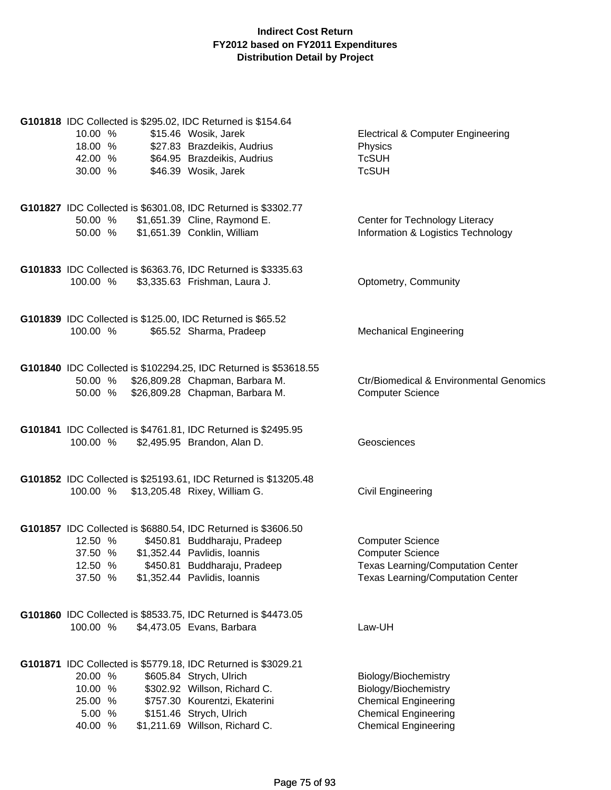| G101818 IDC Collected is \$295.02, IDC Returned is \$154.64<br>10.00 %<br>\$15.46 Wosik, Jarek<br>\$27.83 Brazdeikis, Audrius<br>18.00 %<br>\$64.95 Brazdeikis, Audrius<br>42.00 %<br>30.00 %<br>\$46.39 Wosik, Jarek                                                        | <b>Electrical &amp; Computer Engineering</b><br>Physics<br><b>TcSUH</b><br><b>TcSUH</b>                                                    |
|------------------------------------------------------------------------------------------------------------------------------------------------------------------------------------------------------------------------------------------------------------------------------|--------------------------------------------------------------------------------------------------------------------------------------------|
| G101827 IDC Collected is \$6301.08, IDC Returned is \$3302.77<br>\$1,651.39 Cline, Raymond E.<br>50.00 %<br>\$1,651.39 Conklin, William<br>50.00 %                                                                                                                           | Center for Technology Literacy<br>Information & Logistics Technology                                                                       |
| G101833 IDC Collected is \$6363.76, IDC Returned is \$3335.63<br>\$3,335.63 Frishman, Laura J.<br>100.00 %                                                                                                                                                                   | Optometry, Community                                                                                                                       |
| G101839 IDC Collected is \$125.00, IDC Returned is \$65.52<br>\$65.52 Sharma, Pradeep<br>100.00 %                                                                                                                                                                            | <b>Mechanical Engineering</b>                                                                                                              |
| G101840 IDC Collected is \$102294.25, IDC Returned is \$53618.55<br>50.00 % \$26,809.28 Chapman, Barbara M.<br>50.00 % \$26,809.28 Chapman, Barbara M.                                                                                                                       | <b>Ctr/Biomedical &amp; Environmental Genomics</b><br><b>Computer Science</b>                                                              |
| G101841 IDC Collected is \$4761.81, IDC Returned is \$2495.95<br>100.00 %<br>\$2,495.95 Brandon, Alan D.                                                                                                                                                                     | Geosciences                                                                                                                                |
| G101852 IDC Collected is \$25193.61, IDC Returned is \$13205.48<br>100.00 % \$13,205.48 Rixey, William G.                                                                                                                                                                    | Civil Engineering                                                                                                                          |
| G101857 IDC Collected is \$6880.54, IDC Returned is \$3606.50<br>\$450.81 Buddharaju, Pradeep<br>12.50 %<br>37.50 %<br>\$1,352.44 Pavlidis, Ioannis<br>12.50 %<br>\$450.81 Buddharaju, Pradeep<br>37.50 %<br>\$1,352.44 Pavlidis, Ioannis                                    | <b>Computer Science</b><br><b>Computer Science</b><br><b>Texas Learning/Computation Center</b><br><b>Texas Learning/Computation Center</b> |
| G101860 IDC Collected is \$8533.75, IDC Returned is \$4473.05<br>100.00 %<br>\$4,473.05 Evans, Barbara                                                                                                                                                                       | Law-UH                                                                                                                                     |
| G101871 IDC Collected is \$5779.18, IDC Returned is \$3029.21<br>20.00 %<br>\$605.84 Strych, Ulrich<br>10.00 %<br>\$302.92 Willson, Richard C.<br>\$757.30 Kourentzi, Ekaterini<br>25.00 %<br>\$151.46 Strych, Ulrich<br>5.00 %<br>\$1,211.69 Willson, Richard C.<br>40.00 % | Biology/Biochemistry<br>Biology/Biochemistry<br><b>Chemical Engineering</b><br><b>Chemical Engineering</b><br><b>Chemical Engineering</b>  |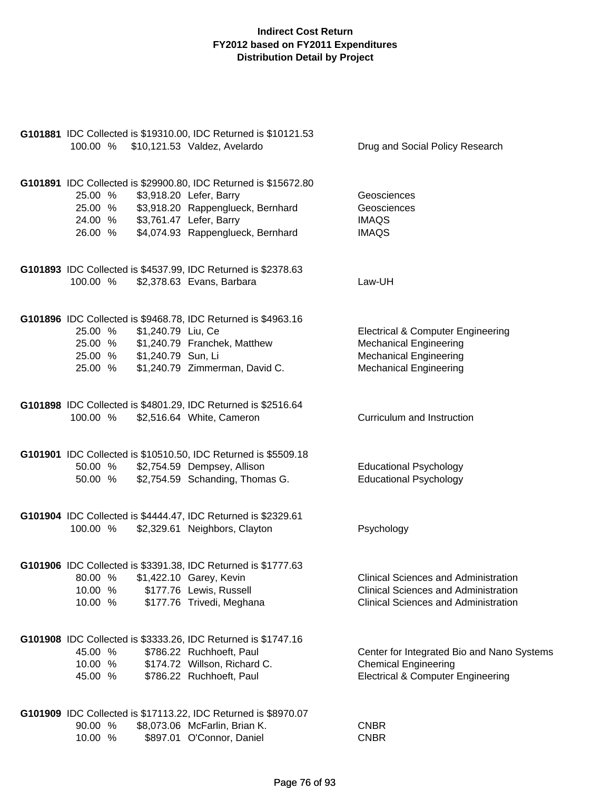| 100.00 %                                                                                                       | G101881 IDC Collected is \$19310.00, IDC Returned is \$10121.53<br>\$10,121.53 Valdez, Avelardo                                                                              | Drug and Social Policy Research                                                                                                                 |
|----------------------------------------------------------------------------------------------------------------|------------------------------------------------------------------------------------------------------------------------------------------------------------------------------|-------------------------------------------------------------------------------------------------------------------------------------------------|
| 25.00 %<br>25.00 %<br>24.00 % \$3,761.47 Lefer, Barry                                                          | G101891 IDC Collected is \$29900.80, IDC Returned is \$15672.80<br>\$3,918.20 Lefer, Barry<br>\$3,918.20 Rappenglueck, Bernhard<br>26.00 % \$4,074.93 Rappenglueck, Bernhard | Geosciences<br>Geosciences<br><b>IMAQS</b><br><b>IMAQS</b>                                                                                      |
| 100.00 %                                                                                                       | G101893 IDC Collected is \$4537.99, IDC Returned is \$2378.63<br>\$2,378.63 Evans, Barbara                                                                                   | Law-UH                                                                                                                                          |
| 25.00 %<br>\$1,240.79 Liu, Ce<br>25.00 % \$1,240.79 Franchek, Matthew<br>25.00 % \$1,240.79 Sun, Li<br>25.00 % | G101896 IDC Collected is \$9468.78, IDC Returned is \$4963.16<br>\$1,240.79 Zimmerman, David C.                                                                              | <b>Electrical &amp; Computer Engineering</b><br><b>Mechanical Engineering</b><br><b>Mechanical Engineering</b><br><b>Mechanical Engineering</b> |
| 100.00 %                                                                                                       | G101898 IDC Collected is \$4801.29, IDC Returned is \$2516.64<br>\$2,516.64 White, Cameron                                                                                   | Curriculum and Instruction                                                                                                                      |
| 50.00 %<br>50.00 %                                                                                             | G101901 IDC Collected is \$10510.50, IDC Returned is \$5509.18<br>\$2,754.59 Dempsey, Allison<br>\$2,754.59 Schanding, Thomas G.                                             | <b>Educational Psychology</b><br><b>Educational Psychology</b>                                                                                  |
| 100.00 %                                                                                                       | G101904 IDC Collected is \$4444.47, IDC Returned is \$2329.61<br>\$2,329.61 Neighbors, Clayton                                                                               | Psychology                                                                                                                                      |
| 80.00 %<br>10.00<br>%<br>10.00 %                                                                               | G101906 IDC Collected is \$3391.38, IDC Returned is \$1777.63<br>\$1,422.10 Garey, Kevin<br>\$177.76 Lewis, Russell<br>\$177.76 Trivedi, Meghana                             | <b>Clinical Sciences and Administration</b><br><b>Clinical Sciences and Administration</b><br><b>Clinical Sciences and Administration</b>       |
| 45.00 %<br>10.00 %<br>45.00 %                                                                                  | G101908 IDC Collected is \$3333.26, IDC Returned is \$1747.16<br>\$786.22 Ruchhoeft, Paul<br>\$174.72 Willson, Richard C.<br>\$786.22 Ruchhoeft, Paul                        | Center for Integrated Bio and Nano Systems<br><b>Chemical Engineering</b><br><b>Electrical &amp; Computer Engineering</b>                       |
| 90.00 %<br>10.00 %                                                                                             | G101909 IDC Collected is \$17113.22, IDC Returned is \$8970.07<br>\$8,073.06 McFarlin, Brian K.<br>\$897.01 O'Connor, Daniel                                                 | <b>CNBR</b><br><b>CNBR</b>                                                                                                                      |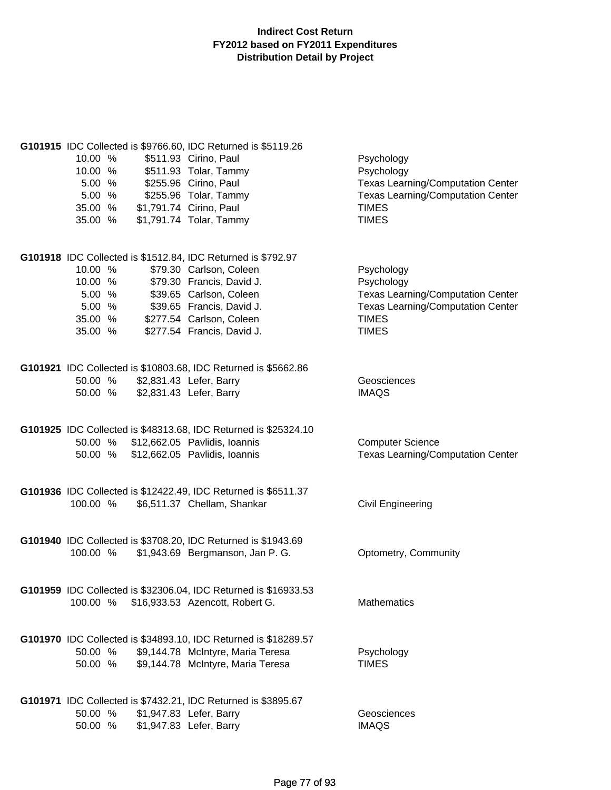| 10.00 %<br>10.00 %<br>5.00 %<br>5.00%<br>35.00 %<br>35.00 % | G101915 IDC Collected is \$9766.60, IDC Returned is \$5119.26<br>\$511.93 Cirino, Paul<br>\$511.93 Tolar, Tammy<br>\$255.96 Cirino, Paul<br>\$255.96 Tolar, Tammy<br>\$1,791.74 Cirino, Paul<br>\$1,791.74 Tolar, Tammy | Psychology<br>Psychology<br><b>Texas Learning/Computation Center</b><br><b>Texas Learning/Computation Center</b><br><b>TIMES</b><br><b>TIMES</b> |
|-------------------------------------------------------------|-------------------------------------------------------------------------------------------------------------------------------------------------------------------------------------------------------------------------|--------------------------------------------------------------------------------------------------------------------------------------------------|
|                                                             | G101918 IDC Collected is \$1512.84, IDC Returned is \$792.97                                                                                                                                                            |                                                                                                                                                  |
| 10.00 %                                                     | \$79.30 Carlson, Coleen                                                                                                                                                                                                 | Psychology                                                                                                                                       |
| 10.00 %                                                     | \$79.30 Francis, David J.                                                                                                                                                                                               | Psychology                                                                                                                                       |
| 5.00 %                                                      | \$39.65 Carlson, Coleen                                                                                                                                                                                                 | <b>Texas Learning/Computation Center</b>                                                                                                         |
| 5.00%                                                       | \$39.65 Francis, David J.                                                                                                                                                                                               | <b>Texas Learning/Computation Center</b>                                                                                                         |
| 35.00 %                                                     | \$277.54 Carlson, Coleen                                                                                                                                                                                                | <b>TIMES</b>                                                                                                                                     |
| 35.00 %                                                     | \$277.54 Francis, David J.                                                                                                                                                                                              | <b>TIMES</b>                                                                                                                                     |
|                                                             |                                                                                                                                                                                                                         |                                                                                                                                                  |
|                                                             | G101921 IDC Collected is \$10803.68, IDC Returned is \$5662.86                                                                                                                                                          |                                                                                                                                                  |
|                                                             | 50.00 % \$2,831.43 Lefer, Barry                                                                                                                                                                                         | Geosciences                                                                                                                                      |
| 50.00 %                                                     | \$2,831.43 Lefer, Barry                                                                                                                                                                                                 | <b>IMAQS</b>                                                                                                                                     |
|                                                             |                                                                                                                                                                                                                         |                                                                                                                                                  |
|                                                             | G101925 IDC Collected is \$48313.68, IDC Returned is \$25324.10                                                                                                                                                         |                                                                                                                                                  |
|                                                             | 50.00 % \$12,662.05 Pavlidis, Ioannis                                                                                                                                                                                   | <b>Computer Science</b>                                                                                                                          |
|                                                             | 50.00 % \$12,662.05 Pavlidis, Ioannis                                                                                                                                                                                   | <b>Texas Learning/Computation Center</b>                                                                                                         |
|                                                             |                                                                                                                                                                                                                         |                                                                                                                                                  |
|                                                             |                                                                                                                                                                                                                         |                                                                                                                                                  |
| 100.00 %                                                    | G101936 IDC Collected is \$12422.49, IDC Returned is \$6511.37<br>\$6,511.37 Chellam, Shankar                                                                                                                           | <b>Civil Engineering</b>                                                                                                                         |
|                                                             |                                                                                                                                                                                                                         |                                                                                                                                                  |
|                                                             |                                                                                                                                                                                                                         |                                                                                                                                                  |
|                                                             | G101940 IDC Collected is \$3708.20, IDC Returned is \$1943.69                                                                                                                                                           |                                                                                                                                                  |
| 100.00 %                                                    | \$1,943.69 Bergmanson, Jan P. G.                                                                                                                                                                                        | Optometry, Community                                                                                                                             |
|                                                             |                                                                                                                                                                                                                         |                                                                                                                                                  |
|                                                             | G101959 IDC Collected is \$32306.04, IDC Returned is \$16933.53                                                                                                                                                         |                                                                                                                                                  |
| 100.00 %                                                    | \$16,933.53 Azencott, Robert G.                                                                                                                                                                                         | <b>Mathematics</b>                                                                                                                               |
|                                                             |                                                                                                                                                                                                                         |                                                                                                                                                  |
|                                                             |                                                                                                                                                                                                                         |                                                                                                                                                  |
|                                                             | G101970 IDC Collected is \$34893.10, IDC Returned is \$18289.57                                                                                                                                                         |                                                                                                                                                  |
| 50.00 %                                                     | \$9,144.78 McIntyre, Maria Teresa                                                                                                                                                                                       | Psychology<br><b>TIMES</b>                                                                                                                       |
| 50.00 %                                                     | \$9,144.78 McIntyre, Maria Teresa                                                                                                                                                                                       |                                                                                                                                                  |
|                                                             |                                                                                                                                                                                                                         |                                                                                                                                                  |
|                                                             | G101971 IDC Collected is \$7432.21, IDC Returned is \$3895.67                                                                                                                                                           |                                                                                                                                                  |
| 50.00 %                                                     | \$1,947.83 Lefer, Barry                                                                                                                                                                                                 | Geosciences                                                                                                                                      |
| 50.00 %                                                     | \$1,947.83 Lefer, Barry                                                                                                                                                                                                 | <b>IMAQS</b>                                                                                                                                     |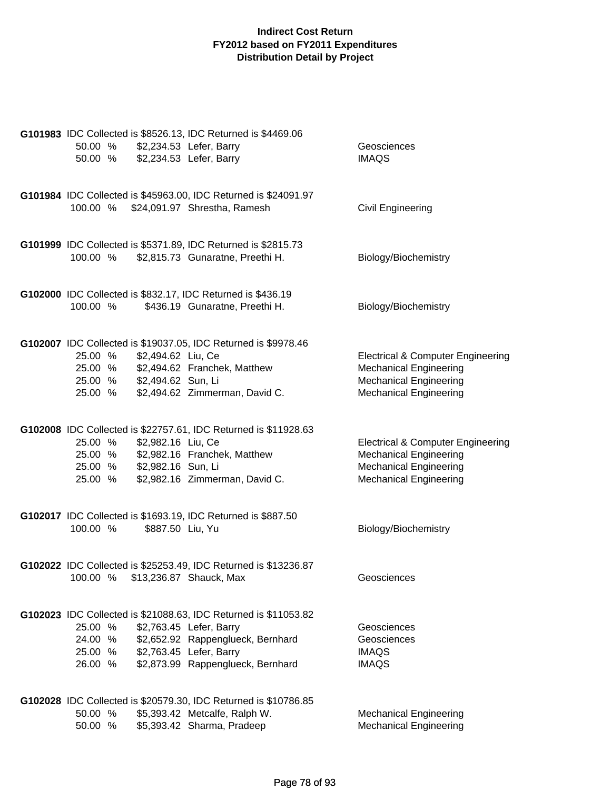|                                  |                  | G101983 IDC Collected is \$8526.13, IDC Returned is \$4469.06   |                                              |
|----------------------------------|------------------|-----------------------------------------------------------------|----------------------------------------------|
| 50.00 % \$2,234.53 Lefer, Barry  |                  |                                                                 | Geosciences                                  |
| 50.00 % \$2,234.53 Lefer, Barry  |                  |                                                                 | <b>IMAQS</b>                                 |
|                                  |                  |                                                                 |                                              |
|                                  |                  |                                                                 |                                              |
|                                  |                  | G101984 IDC Collected is \$45963.00, IDC Returned is \$24091.97 |                                              |
|                                  |                  | 100.00 % \$24,091.97 Shrestha, Ramesh                           | <b>Civil Engineering</b>                     |
|                                  |                  |                                                                 |                                              |
|                                  |                  |                                                                 |                                              |
|                                  |                  | G101999 IDC Collected is \$5371.89, IDC Returned is \$2815.73   |                                              |
|                                  |                  | 100.00 % \$2,815.73 Gunaratne, Preethi H.                       | Biology/Biochemistry                         |
|                                  |                  |                                                                 |                                              |
|                                  |                  | G102000 IDC Collected is \$832.17, IDC Returned is \$436.19     |                                              |
| 100.00 %                         |                  | \$436.19 Gunaratne, Preethi H.                                  | Biology/Biochemistry                         |
|                                  |                  |                                                                 |                                              |
|                                  |                  |                                                                 |                                              |
|                                  |                  | G102007 IDC Collected is \$19037.05, IDC Returned is \$9978.46  |                                              |
| 25.00 % \$2,494.62 Liu, Ce       |                  |                                                                 | <b>Electrical &amp; Computer Engineering</b> |
|                                  |                  | 25.00 % \$2,494.62 Franchek, Matthew                            | <b>Mechanical Engineering</b>                |
| 25.00 % \$2,494.62 Sun, Li       |                  |                                                                 | <b>Mechanical Engineering</b>                |
| 25.00 %                          |                  | \$2,494.62 Zimmerman, David C.                                  | <b>Mechanical Engineering</b>                |
|                                  |                  |                                                                 |                                              |
|                                  |                  |                                                                 |                                              |
|                                  |                  | G102008 IDC Collected is \$22757.61, IDC Returned is \$11928.63 |                                              |
| 25.00 % \$2,982.16 Liu, Ce       |                  |                                                                 | <b>Electrical &amp; Computer Engineering</b> |
|                                  |                  | 25.00 % \$2,982.16 Franchek, Matthew                            | <b>Mechanical Engineering</b>                |
| 25.00 % \$2,982.16 Sun, Li       |                  |                                                                 | <b>Mechanical Engineering</b>                |
| 25.00 %                          |                  | \$2,982.16 Zimmerman, David C.                                  | <b>Mechanical Engineering</b>                |
|                                  |                  |                                                                 |                                              |
|                                  |                  | G102017 IDC Collected is \$1693.19, IDC Returned is \$887.50    |                                              |
| 100.00 %                         | \$887.50 Liu, Yu |                                                                 | Biology/Biochemistry                         |
|                                  |                  |                                                                 |                                              |
|                                  |                  |                                                                 |                                              |
|                                  |                  | G102022 IDC Collected is \$25253.49, IDC Returned is \$13236.87 |                                              |
| 100.00 % \$13,236.87 Shauck, Max |                  |                                                                 | Geosciences                                  |
|                                  |                  |                                                                 |                                              |
|                                  |                  |                                                                 |                                              |
|                                  |                  | G102023 IDC Collected is \$21088.63, IDC Returned is \$11053.82 |                                              |
| 25.00 %                          |                  | \$2,763.45 Lefer, Barry                                         | Geosciences                                  |
| 24.00 %                          |                  | \$2,652.92 Rappenglueck, Bernhard                               | Geosciences                                  |
| 25.00 %<br>26.00 %               |                  | \$2,763.45 Lefer, Barry<br>\$2,873.99 Rappenglueck, Bernhard    | <b>IMAQS</b><br><b>IMAQS</b>                 |
|                                  |                  |                                                                 |                                              |
|                                  |                  |                                                                 |                                              |
|                                  |                  | G102028 IDC Collected is \$20579.30, IDC Returned is \$10786.85 |                                              |
| 50.00 %                          |                  | \$5,393.42 Metcalfe, Ralph W.                                   | <b>Mechanical Engineering</b>                |
| 50.00 %                          |                  | \$5,393.42 Sharma, Pradeep                                      | <b>Mechanical Engineering</b>                |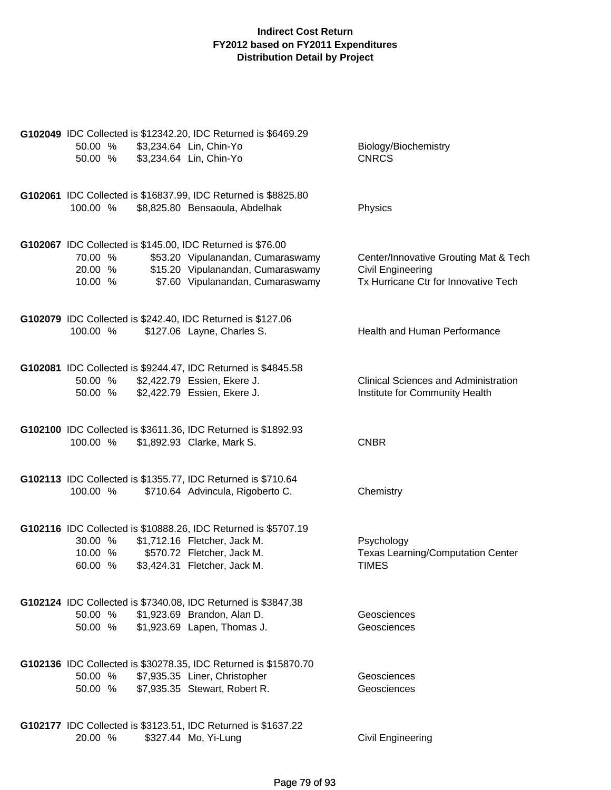|                    | G102049 IDC Collected is \$12342.20, IDC Returned is \$6469.29         |                                                            |
|--------------------|------------------------------------------------------------------------|------------------------------------------------------------|
| 50.00 %            | \$3,234.64 Lin, Chin-Yo                                                | Biology/Biochemistry                                       |
| 50.00 %            | \$3,234.64 Lin, Chin-Yo                                                | <b>CNRCS</b>                                               |
|                    |                                                                        |                                                            |
|                    | G102061 IDC Collected is \$16837.99, IDC Returned is \$8825.80         |                                                            |
| 100.00 %           | \$8,825.80 Bensaoula, Abdelhak                                         | Physics                                                    |
|                    |                                                                        |                                                            |
|                    |                                                                        |                                                            |
|                    | G102067 IDC Collected is \$145.00, IDC Returned is \$76.00             |                                                            |
| 70.00 %<br>20.00 % | \$53.20 Vipulanandan, Cumaraswamy<br>\$15.20 Vipulanandan, Cumaraswamy | Center/Innovative Grouting Mat & Tech<br>Civil Engineering |
| 10.00 %            | \$7.60 Vipulanandan, Cumaraswamy                                       | Tx Hurricane Ctr for Innovative Tech                       |
|                    |                                                                        |                                                            |
|                    |                                                                        |                                                            |
|                    | G102079 IDC Collected is \$242.40, IDC Returned is \$127.06            |                                                            |
| 100.00 %           | \$127.06 Layne, Charles S.                                             | Health and Human Performance                               |
|                    |                                                                        |                                                            |
|                    | G102081 IDC Collected is \$9244.47, IDC Returned is \$4845.58          |                                                            |
| 50.00 %            | \$2,422.79 Essien, Ekere J.                                            | <b>Clinical Sciences and Administration</b>                |
| 50.00 %            | \$2,422.79 Essien, Ekere J.                                            | Institute for Community Health                             |
|                    |                                                                        |                                                            |
|                    | G102100 IDC Collected is \$3611.36, IDC Returned is \$1892.93          |                                                            |
| 100.00 %           | \$1,892.93 Clarke, Mark S.                                             | <b>CNBR</b>                                                |
|                    |                                                                        |                                                            |
|                    |                                                                        |                                                            |
|                    | G102113 IDC Collected is \$1355.77, IDC Returned is \$710.64           |                                                            |
| 100.00 %           | \$710.64 Advincula, Rigoberto C.                                       | Chemistry                                                  |
|                    |                                                                        |                                                            |
|                    | G102116 IDC Collected is \$10888.26, IDC Returned is \$5707.19         |                                                            |
| 30.00 %            | \$1,712.16 Fletcher, Jack M.                                           | Psychology                                                 |
| 10.00 %            | \$570.72 Fletcher, Jack M.                                             | <b>Texas Learning/Computation Center</b>                   |
| 60.00 %            | \$3,424.31 Fletcher, Jack M.                                           | <b>TIMES</b>                                               |
|                    |                                                                        |                                                            |
|                    | G102124 IDC Collected is \$7340.08, IDC Returned is \$3847.38          |                                                            |
| 50.00 %            | \$1,923.69 Brandon, Alan D.                                            | Geosciences                                                |
| 50.00 %            | \$1,923.69 Lapen, Thomas J.                                            | Geosciences                                                |
|                    |                                                                        |                                                            |
|                    | G102136 IDC Collected is \$30278.35, IDC Returned is \$15870.70        |                                                            |
| 50.00 %            | \$7,935.35 Liner, Christopher                                          | Geosciences                                                |
| 50.00 %            | \$7,935.35 Stewart, Robert R.                                          | Geosciences                                                |
|                    |                                                                        |                                                            |
|                    |                                                                        |                                                            |
|                    | G102177 IDC Collected is \$3123.51, IDC Returned is \$1637.22          |                                                            |
| 20.00 %            | \$327.44 Mo, Yi-Lung                                                   | <b>Civil Engineering</b>                                   |
|                    |                                                                        |                                                            |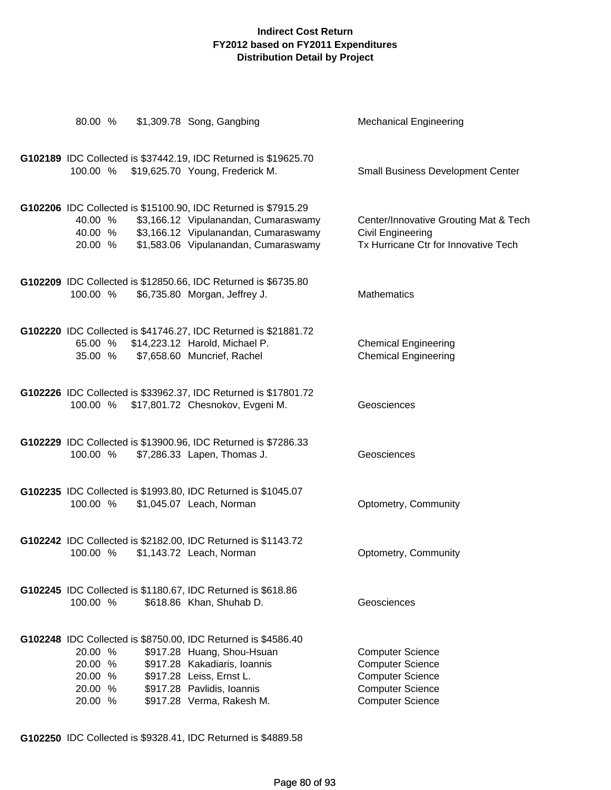| 80.00 %                                             | \$1,309.78 Song, Gangbing                                                                                                                                                                                          | <b>Mechanical Engineering</b>                                                                                                       |
|-----------------------------------------------------|--------------------------------------------------------------------------------------------------------------------------------------------------------------------------------------------------------------------|-------------------------------------------------------------------------------------------------------------------------------------|
| 100.00 %                                            | G102189 IDC Collected is \$37442.19, IDC Returned is \$19625.70<br>\$19,625.70 Young, Frederick M.                                                                                                                 | <b>Small Business Development Center</b>                                                                                            |
| 40.00 %<br>40.00 %<br>20.00 %                       | G102206 IDC Collected is \$15100.90, IDC Returned is \$7915.29<br>\$3,166.12 Vipulanandan, Cumaraswamy<br>\$3,166.12 Vipulanandan, Cumaraswamy<br>\$1,583.06 Vipulanandan, Cumaraswamy                             | Center/Innovative Grouting Mat & Tech<br>Civil Engineering<br>Tx Hurricane Ctr for Innovative Tech                                  |
| 100.00 %                                            | G102209 IDC Collected is \$12850.66, IDC Returned is \$6735.80<br>\$6,735.80 Morgan, Jeffrey J.                                                                                                                    | <b>Mathematics</b>                                                                                                                  |
| 35.00 %                                             | G102220 IDC Collected is \$41746.27, IDC Returned is \$21881.72<br>65.00 % \$14,223.12 Harold, Michael P.<br>\$7,658.60 Muncrief, Rachel                                                                           | <b>Chemical Engineering</b><br><b>Chemical Engineering</b>                                                                          |
|                                                     | G102226 IDC Collected is \$33962.37, IDC Returned is \$17801.72<br>100.00 % \$17,801.72 Chesnokov, Evgeni M.                                                                                                       | Geosciences                                                                                                                         |
| 100.00 %                                            | G102229 IDC Collected is \$13900.96, IDC Returned is \$7286.33<br>\$7,286.33 Lapen, Thomas J.                                                                                                                      | Geosciences                                                                                                                         |
| 100.00 %                                            | G102235 IDC Collected is \$1993.80, IDC Returned is \$1045.07<br>\$1,045.07 Leach, Norman                                                                                                                          | Optometry, Community                                                                                                                |
|                                                     | G102242 IDC Collected is \$2182.00, IDC Returned is \$1143.72<br>100.00 % \$1,143.72 Leach, Norman                                                                                                                 | Optometry, Community                                                                                                                |
| 100.00 %                                            | G102245 IDC Collected is \$1180.67, IDC Returned is \$618.86<br>\$618.86 Khan, Shuhab D.                                                                                                                           | Geosciences                                                                                                                         |
| 20.00 %<br>20.00 %<br>20.00 %<br>20.00 %<br>20.00 % | G102248 IDC Collected is \$8750.00, IDC Returned is \$4586.40<br>\$917.28 Huang, Shou-Hsuan<br>\$917.28 Kakadiaris, Ioannis<br>\$917.28 Leiss, Ernst L.<br>\$917.28 Pavlidis, Ioannis<br>\$917.28 Verma, Rakesh M. | <b>Computer Science</b><br><b>Computer Science</b><br><b>Computer Science</b><br><b>Computer Science</b><br><b>Computer Science</b> |

**G102250** IDC Collected is \$9328.41, IDC Returned is \$4889.58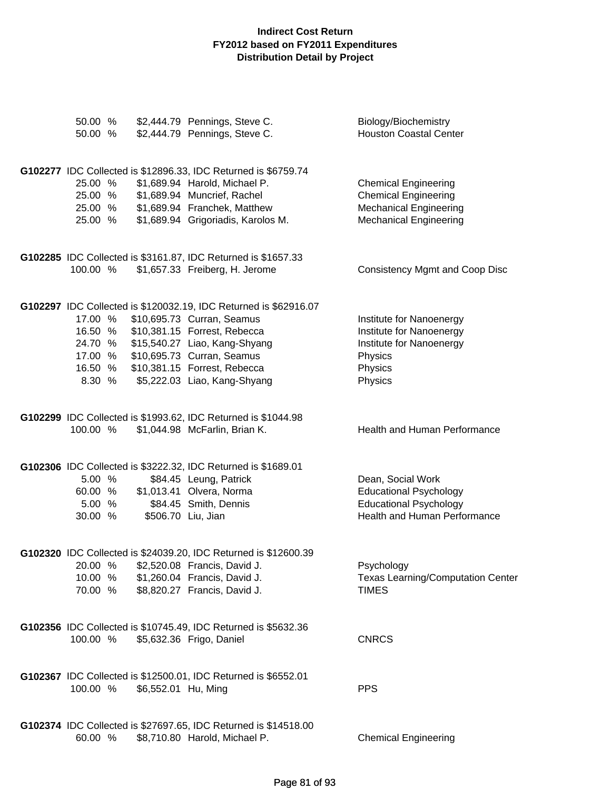| 50.00 %<br>50.00 % |                     | \$2,444.79 Pennings, Steve C.<br>\$2,444.79 Pennings, Steve C.     | Biology/Biochemistry<br><b>Houston Coastal Center</b>          |
|--------------------|---------------------|--------------------------------------------------------------------|----------------------------------------------------------------|
|                    |                     |                                                                    |                                                                |
|                    |                     | G102277 IDC Collected is \$12896.33, IDC Returned is \$6759.74     |                                                                |
| 25.00 %            |                     | \$1,689.94 Harold, Michael P.                                      | <b>Chemical Engineering</b>                                    |
| 25.00 %            |                     | \$1,689.94 Muncrief, Rachel                                        | <b>Chemical Engineering</b>                                    |
| 25.00 %<br>25.00 % |                     | \$1,689.94 Franchek, Matthew<br>\$1,689.94 Grigoriadis, Karolos M. | <b>Mechanical Engineering</b><br><b>Mechanical Engineering</b> |
|                    |                     |                                                                    |                                                                |
|                    |                     | G102285 IDC Collected is \$3161.87, IDC Returned is \$1657.33      |                                                                |
| 100.00 %           |                     | \$1,657.33 Freiberg, H. Jerome                                     | <b>Consistency Mgmt and Coop Disc</b>                          |
|                    |                     | G102297 IDC Collected is \$120032.19, IDC Returned is \$62916.07   |                                                                |
| 17.00 %            |                     | \$10,695.73 Curran, Seamus                                         | Institute for Nanoenergy                                       |
| 16.50 %            |                     | \$10,381.15 Forrest, Rebecca                                       | Institute for Nanoenergy                                       |
| 24.70 %            |                     | \$15,540.27 Liao, Kang-Shyang                                      | Institute for Nanoenergy                                       |
| 17.00 %            |                     | \$10,695.73 Curran, Seamus                                         | Physics                                                        |
| 16.50 %<br>8.30 %  |                     | \$10,381.15 Forrest, Rebecca<br>\$5,222.03 Liao, Kang-Shyang       | Physics<br>Physics                                             |
|                    |                     |                                                                    |                                                                |
|                    |                     | G102299 IDC Collected is \$1993.62, IDC Returned is \$1044.98      |                                                                |
| 100.00 %           |                     | \$1,044.98 McFarlin, Brian K.                                      | Health and Human Performance                                   |
|                    |                     | G102306 IDC Collected is \$3222.32, IDC Returned is \$1689.01      |                                                                |
| 5.00 %             |                     | \$84.45 Leung, Patrick                                             | Dean, Social Work                                              |
| 60.00 %            |                     | \$1,013.41 Olvera, Norma                                           | <b>Educational Psychology</b>                                  |
| 5.00 %             |                     | \$84.45 Smith, Dennis                                              | <b>Educational Psychology</b>                                  |
| 30.00 %            | \$506.70 Liu, Jian  |                                                                    | Health and Human Performance                                   |
|                    |                     | G102320 IDC Collected is \$24039.20, IDC Returned is \$12600.39    |                                                                |
| 20.00 %            |                     | \$2,520.08 Francis, David J.                                       | Psychology                                                     |
| 10.00 %            |                     | \$1,260.04 Francis, David J.                                       | <b>Texas Learning/Computation Center</b>                       |
| 70.00 %            |                     | \$8,820.27 Francis, David J.                                       | <b>TIMES</b>                                                   |
|                    |                     | G102356 IDC Collected is \$10745.49, IDC Returned is \$5632.36     |                                                                |
| 100.00 %           |                     | \$5,632.36 Frigo, Daniel                                           | <b>CNRCS</b>                                                   |
|                    |                     | G102367 IDC Collected is \$12500.01, IDC Returned is \$6552.01     |                                                                |
| 100.00 %           | \$6,552.01 Hu, Ming |                                                                    | <b>PPS</b>                                                     |
|                    |                     |                                                                    |                                                                |
|                    |                     | G102374 IDC Collected is \$27697.65, IDC Returned is \$14518.00    |                                                                |
| 60.00 %            |                     | \$8,710.80 Harold, Michael P.                                      | <b>Chemical Engineering</b>                                    |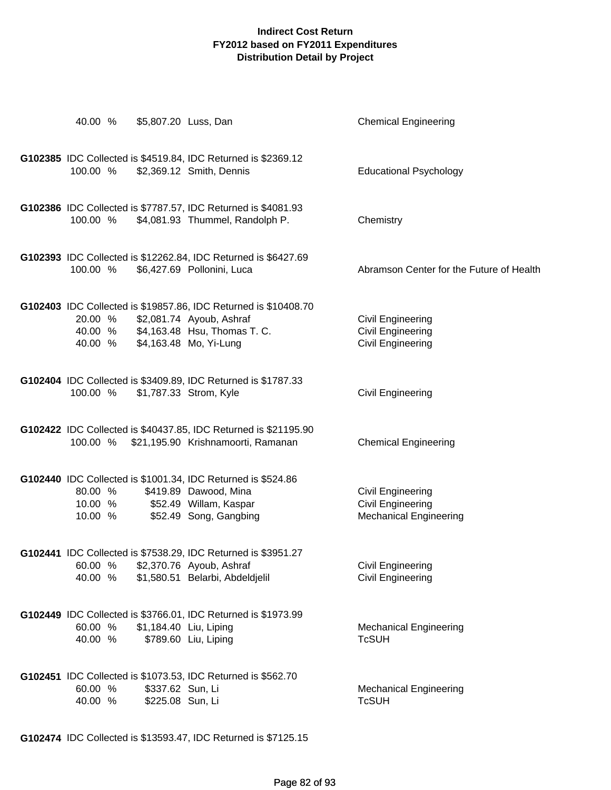| 40.00 %                       | \$5,807.20 Luss, Dan                 |                                                                                                                                                       | <b>Chemical Engineering</b>                                                           |
|-------------------------------|--------------------------------------|-------------------------------------------------------------------------------------------------------------------------------------------------------|---------------------------------------------------------------------------------------|
| 100.00 %                      |                                      | G102385 IDC Collected is \$4519.84, IDC Returned is \$2369.12<br>\$2,369.12 Smith, Dennis                                                             | <b>Educational Psychology</b>                                                         |
| 100.00 %                      |                                      | G102386 IDC Collected is \$7787.57, IDC Returned is \$4081.93<br>\$4,081.93 Thummel, Randolph P.                                                      | Chemistry                                                                             |
| 100.00 %                      |                                      | G102393 IDC Collected is \$12262.84, IDC Returned is \$6427.69<br>\$6,427.69 Pollonini, Luca                                                          | Abramson Center for the Future of Health                                              |
| 20.00 %<br>40.00 %<br>40.00 % |                                      | G102403 IDC Collected is \$19857.86, IDC Returned is \$10408.70<br>\$2,081.74 Ayoub, Ashraf<br>\$4,163.48 Hsu, Thomas T. C.<br>\$4,163.48 Mo, Yi-Lung | Civil Engineering<br><b>Civil Engineering</b><br><b>Civil Engineering</b>             |
| 100.00 %                      |                                      | G102404 IDC Collected is \$3409.89, IDC Returned is \$1787.33<br>\$1,787.33 Strom, Kyle                                                               | <b>Civil Engineering</b>                                                              |
| 100.00 %                      |                                      | G102422 IDC Collected is \$40437.85, IDC Returned is \$21195.90<br>\$21,195.90 Krishnamoorti, Ramanan                                                 | <b>Chemical Engineering</b>                                                           |
| 80.00 %<br>10.00 %<br>10.00 % |                                      | G102440 IDC Collected is \$1001.34, IDC Returned is \$524.86<br>\$419.89 Dawood, Mina<br>\$52.49 Willam, Kaspar<br>\$52.49 Song, Gangbing             | <b>Civil Engineering</b><br><b>Civil Engineering</b><br><b>Mechanical Engineering</b> |
| 60.00 %<br>40.00 %            |                                      | G102441 IDC Collected is \$7538.29, IDC Returned is \$3951.27<br>\$2,370.76 Ayoub, Ashraf<br>\$1,580.51 Belarbi, Abdeldjelil                          | <b>Civil Engineering</b><br>Civil Engineering                                         |
| 60.00 %<br>40.00 %            | \$1,184.40 Liu, Liping               | G102449 IDC Collected is \$3766.01, IDC Returned is \$1973.99<br>\$789.60 Liu, Liping                                                                 | <b>Mechanical Engineering</b><br><b>TcSUH</b>                                         |
| 60.00 %<br>40.00 %            | \$337.62 Sun, Li<br>\$225.08 Sun, Li | G102451 IDC Collected is \$1073.53, IDC Returned is \$562.70                                                                                          | <b>Mechanical Engineering</b><br><b>TcSUH</b>                                         |

**G102474** IDC Collected is \$13593.47, IDC Returned is \$7125.15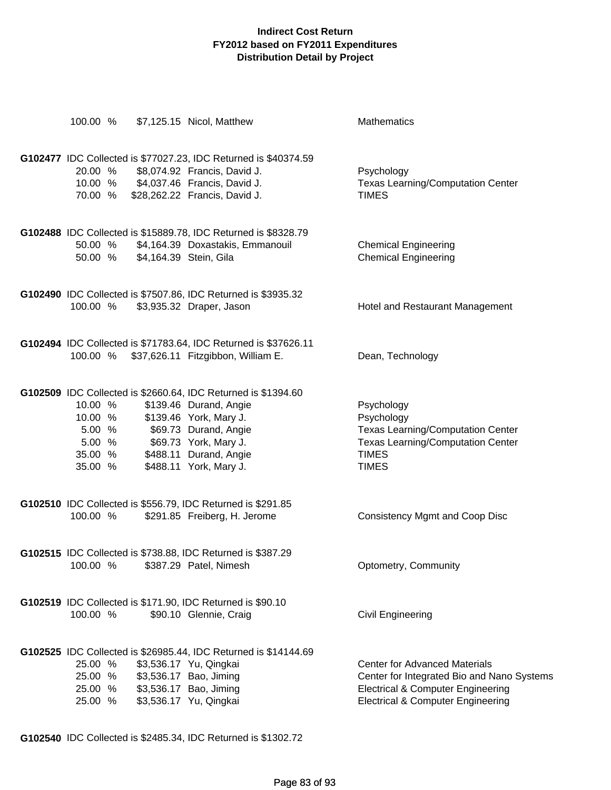|                                                              |                                | 100.00 % \$7,125.15 Nicol, Matthew                                                                                                                                                                                      | <b>Mathematics</b>                                                                                                                                                                 |
|--------------------------------------------------------------|--------------------------------|-------------------------------------------------------------------------------------------------------------------------------------------------------------------------------------------------------------------------|------------------------------------------------------------------------------------------------------------------------------------------------------------------------------------|
| 20.00 %<br>70.00 %                                           |                                | G102477 IDC Collected is \$77027.23, IDC Returned is \$40374.59<br>\$8,074.92 Francis, David J.<br>10.00 % \$4,037.46 Francis, David J.<br>\$28,262.22 Francis, David J.                                                | Psychology<br><b>Texas Learning/Computation Center</b><br><b>TIMES</b>                                                                                                             |
| 50.00 %<br>50.00 %                                           | \$4,164.39 Stein, Gila         | G102488 IDC Collected is \$15889.78, IDC Returned is \$8328.79<br>\$4,164.39 Doxastakis, Emmanouil                                                                                                                      | <b>Chemical Engineering</b><br><b>Chemical Engineering</b>                                                                                                                         |
| 100.00 %                                                     |                                | G102490 IDC Collected is \$7507.86, IDC Returned is \$3935.32<br>\$3,935.32 Draper, Jason                                                                                                                               | Hotel and Restaurant Management                                                                                                                                                    |
| 100.00 %                                                     |                                | G102494 IDC Collected is \$71783.64, IDC Returned is \$37626.11<br>\$37,626.11 Fitzgibbon, William E.                                                                                                                   | Dean, Technology                                                                                                                                                                   |
| 10.00 %<br>10.00 %<br>5.00 %<br>5.00 %<br>35.00 %<br>35.00 % |                                | G102509 IDC Collected is \$2660.64, IDC Returned is \$1394.60<br>\$139.46 Durand, Angie<br>\$139.46 York, Mary J.<br>\$69.73 Durand, Angie<br>\$69.73 York, Mary J.<br>\$488.11 Durand, Angie<br>\$488.11 York, Mary J. | Psychology<br>Psychology<br><b>Texas Learning/Computation Center</b><br><b>Texas Learning/Computation Center</b><br><b>TIMES</b><br><b>TIMES</b>                                   |
| 100.00 %                                                     |                                | G102510 IDC Collected is \$556.79, IDC Returned is \$291.85<br>\$291.85 Freiberg, H. Jerome                                                                                                                             | Consistency Mgmt and Coop Disc                                                                                                                                                     |
| 100.00 %                                                     |                                | G102515 IDC Collected is \$738.88, IDC Returned is \$387.29<br>\$387.29 Patel, Nimesh                                                                                                                                   | Optometry, Community                                                                                                                                                               |
| 100.00 %                                                     |                                | G102519 IDC Collected is \$171.90, IDC Returned is \$90.10<br>\$90.10 Glennie, Craig                                                                                                                                    | <b>Civil Engineering</b>                                                                                                                                                           |
| 25.00 %<br>25.00 %<br>25.00 %                                | 25.00 % \$3,536.17 Bao, Jiming | G102525 IDC Collected is \$26985.44, IDC Returned is \$14144.69<br>\$3,536.17 Yu, Qingkai<br>\$3,536.17 Bao, Jiming<br>\$3,536.17 Yu, Qingkai                                                                           | <b>Center for Advanced Materials</b><br>Center for Integrated Bio and Nano Systems<br><b>Electrical &amp; Computer Engineering</b><br><b>Electrical &amp; Computer Engineering</b> |

**G102540** IDC Collected is \$2485.34, IDC Returned is \$1302.72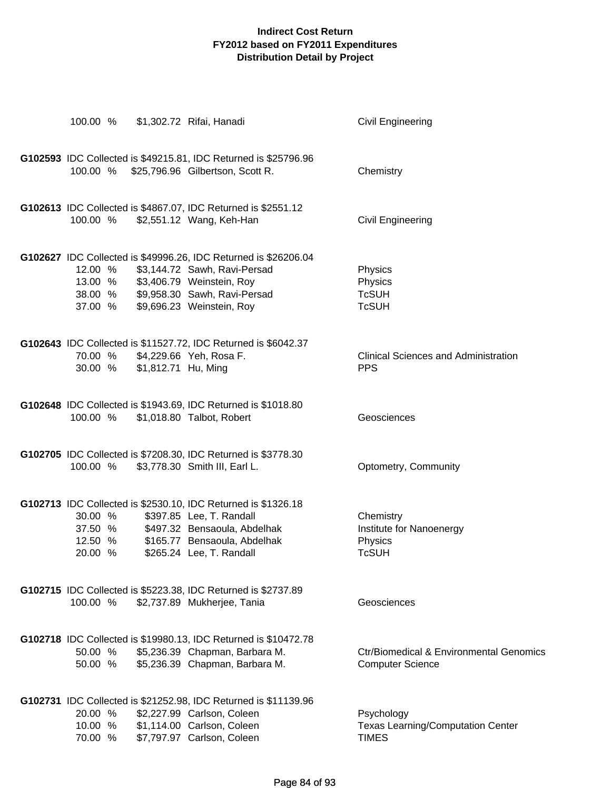| 100.00 %                                 |                     | \$1,302.72 Rifai, Hanadi                                                                                                                                                                  | <b>Civil Engineering</b>                                                      |
|------------------------------------------|---------------------|-------------------------------------------------------------------------------------------------------------------------------------------------------------------------------------------|-------------------------------------------------------------------------------|
| 100.00 %                                 |                     | G102593 IDC Collected is \$49215.81, IDC Returned is \$25796.96<br>\$25,796.96 Gilbertson, Scott R.                                                                                       | Chemistry                                                                     |
| 100.00 %                                 |                     | G102613 IDC Collected is \$4867.07, IDC Returned is \$2551.12<br>\$2,551.12 Wang, Keh-Han                                                                                                 | <b>Civil Engineering</b>                                                      |
| 12.00 %<br>13.00 %<br>38.00 %<br>37.00 % |                     | G102627 IDC Collected is \$49996.26, IDC Returned is \$26206.04<br>\$3,144.72 Sawh, Ravi-Persad<br>\$3,406.79 Weinstein, Roy<br>\$9,958.30 Sawh, Ravi-Persad<br>\$9,696.23 Weinstein, Roy | Physics<br>Physics<br><b>TcSUH</b><br><b>TcSUH</b>                            |
| 30.00 %                                  | \$1,812.71 Hu, Ming | G102643 IDC Collected is \$11527.72, IDC Returned is \$6042.37<br>70.00 % \$4,229.66 Yeh, Rosa F.                                                                                         | <b>Clinical Sciences and Administration</b><br><b>PPS</b>                     |
| 100.00 %                                 |                     | G102648 IDC Collected is \$1943.69, IDC Returned is \$1018.80<br>\$1,018.80 Talbot, Robert                                                                                                | Geosciences                                                                   |
| 100.00 %                                 |                     | G102705 IDC Collected is \$7208.30, IDC Returned is \$3778.30<br>\$3,778.30 Smith III, Earl L.                                                                                            | Optometry, Community                                                          |
| 30.00 %<br>37.50 %<br>12.50 %<br>20.00 % |                     | G102713 IDC Collected is \$2530.10, IDC Returned is \$1326.18<br>\$397.85 Lee, T. Randall<br>\$497.32 Bensaoula, Abdelhak<br>\$165.77 Bensaoula, Abdelhak<br>\$265.24 Lee, T. Randall     | Chemistry<br>Institute for Nanoenergy<br>Physics<br><b>TcSUH</b>              |
| 100.00 %                                 |                     | G102715 IDC Collected is \$5223.38, IDC Returned is \$2737.89<br>\$2,737.89 Mukherjee, Tania                                                                                              | Geosciences                                                                   |
| 50.00 %<br>50.00 %                       |                     | G102718 IDC Collected is \$19980.13, IDC Returned is \$10472.78<br>\$5,236.39 Chapman, Barbara M.<br>\$5,236.39 Chapman, Barbara M.                                                       | <b>Ctr/Biomedical &amp; Environmental Genomics</b><br><b>Computer Science</b> |
| 20.00 %<br>10.00 %<br>70.00 %            |                     | G102731 IDC Collected is \$21252.98, IDC Returned is \$11139.96<br>\$2,227.99 Carlson, Coleen<br>\$1,114.00 Carlson, Coleen<br>\$7,797.97 Carlson, Coleen                                 | Psychology<br><b>Texas Learning/Computation Center</b><br><b>TIMES</b>        |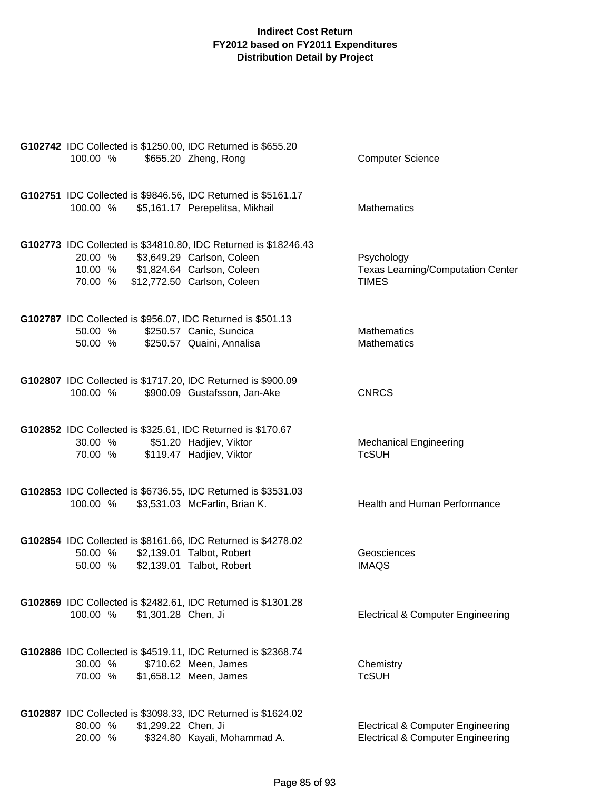| 100.00 %           | G102742 IDC Collected is \$1250.00, IDC Returned is \$655.20<br>\$655.20 Zheng, Rong         | <b>Computer Science</b>                                                                      |
|--------------------|----------------------------------------------------------------------------------------------|----------------------------------------------------------------------------------------------|
|                    | G102751 IDC Collected is \$9846.56, IDC Returned is \$5161.17                                |                                                                                              |
|                    | 100.00 % \$5,161.17 Perepelitsa, Mikhail                                                     | Mathematics                                                                                  |
|                    | G102773 IDC Collected is \$34810.80, IDC Returned is \$18246.43                              |                                                                                              |
|                    | 20.00 % \$3,649.29 Carlson, Coleen<br>10.00 % \$1,824.64 Carlson, Coleen                     | Psychology<br><b>Texas Learning/Computation Center</b>                                       |
|                    | 70.00 % \$12,772.50 Carlson, Coleen                                                          | <b>TIMES</b>                                                                                 |
| 50.00 %            | G102787 IDC Collected is \$956.07, IDC Returned is \$501.13<br>\$250.57 Canic, Suncica       | <b>Mathematics</b>                                                                           |
| 50.00 %            | \$250.57 Quaini, Annalisa                                                                    | <b>Mathematics</b>                                                                           |
|                    |                                                                                              |                                                                                              |
| 100.00 %           | G102807 IDC Collected is \$1717.20, IDC Returned is \$900.09<br>\$900.09 Gustafsson, Jan-Ake | <b>CNRCS</b>                                                                                 |
|                    |                                                                                              |                                                                                              |
| 30.00 %            | G102852 IDC Collected is \$325.61, IDC Returned is \$170.67<br>\$51.20 Hadjiev, Viktor       | <b>Mechanical Engineering</b>                                                                |
| 70.00 %            | \$119.47 Hadjiev, Viktor                                                                     | <b>TcSUH</b>                                                                                 |
|                    | G102853 IDC Collected is \$6736.55, IDC Returned is \$3531.03                                |                                                                                              |
|                    | 100.00 % \$3,531.03 McFarlin, Brian K.                                                       | Health and Human Performance                                                                 |
|                    | G102854 IDC Collected is \$8161.66, IDC Returned is \$4278.02                                |                                                                                              |
| 50.00 %            | 50.00 % \$2,139.01 Talbot, Robert<br>\$2,139.01 Talbot, Robert                               | Geosciences<br><b>IMAQS</b>                                                                  |
|                    |                                                                                              |                                                                                              |
|                    | G102869 IDC Collected is \$2482.61, IDC Returned is \$1301.28                                |                                                                                              |
| 100.00 %           | \$1,301.28 Chen, Ji                                                                          | <b>Electrical &amp; Computer Engineering</b>                                                 |
|                    | G102886 IDC Collected is \$4519.11, IDC Returned is \$2368.74                                |                                                                                              |
| 30.00 %<br>70.00 % | \$710.62 Meen, James<br>\$1,658.12 Meen, James                                               | Chemistry<br><b>TcSUH</b>                                                                    |
|                    |                                                                                              |                                                                                              |
|                    | G102887 IDC Collected is \$3098.33, IDC Returned is \$1624.02                                |                                                                                              |
| 80.00 %<br>20.00 % | \$1,299.22 Chen, Ji<br>\$324.80 Kayali, Mohammad A.                                          | <b>Electrical &amp; Computer Engineering</b><br><b>Electrical &amp; Computer Engineering</b> |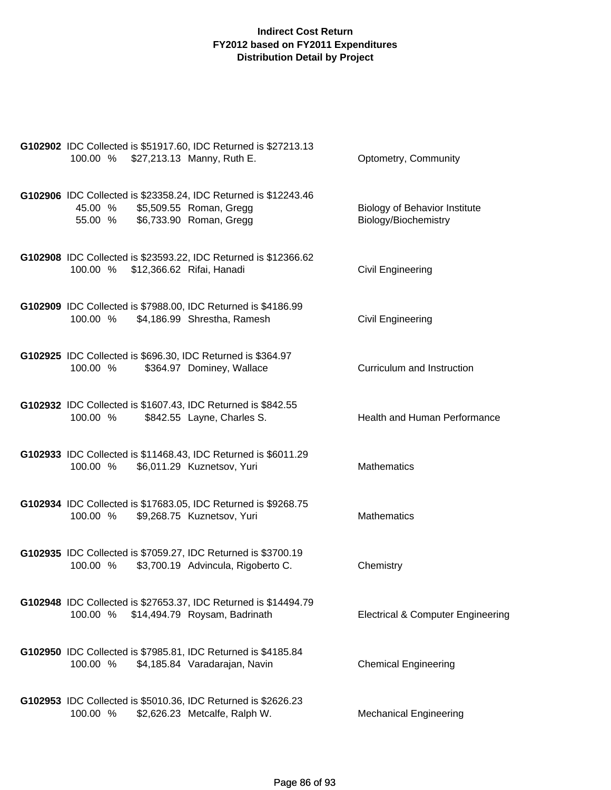| G102902 IDC Collected is \$51917.60, IDC Returned is \$27213.13<br>100.00 % \$27,213.13 Manny, Ruth E.                                   | Optometry, Community                                         |
|------------------------------------------------------------------------------------------------------------------------------------------|--------------------------------------------------------------|
| G102906 IDC Collected is \$23358.24, IDC Returned is \$12243.46<br>\$5,509.55 Roman, Gregg<br>45.00 %<br>55.00 % \$6,733.90 Roman, Gregg | <b>Biology of Behavior Institute</b><br>Biology/Biochemistry |
| G102908 IDC Collected is \$23593.22, IDC Returned is \$12366.62<br>\$12,366.62 Rifai, Hanadi<br>100.00 %                                 | Civil Engineering                                            |
| G102909 IDC Collected is \$7988.00, IDC Returned is \$4186.99<br>100.00 %<br>\$4,186.99 Shrestha, Ramesh                                 | <b>Civil Engineering</b>                                     |
| G102925 IDC Collected is \$696.30, IDC Returned is \$364.97<br>100.00 %<br>\$364.97 Dominey, Wallace                                     | Curriculum and Instruction                                   |
| G102932 IDC Collected is \$1607.43, IDC Returned is \$842.55<br>100.00 %<br>\$842.55 Layne, Charles S.                                   | Health and Human Performance                                 |
| G102933 IDC Collected is \$11468.43, IDC Returned is \$6011.29<br>\$6,011.29 Kuznetsov, Yuri<br>100.00 %                                 | <b>Mathematics</b>                                           |
| G102934 IDC Collected is \$17683.05, IDC Returned is \$9268.75<br>100.00 %<br>\$9,268.75 Kuznetsov, Yuri                                 | <b>Mathematics</b>                                           |
| G102935 IDC Collected is \$7059.27, IDC Returned is \$3700.19<br>\$3,700.19 Advincula, Rigoberto C.<br>100.00 %                          | Chemistry                                                    |
| G102948 IDC Collected is \$27653.37, IDC Returned is \$14494.79<br>100.00 %<br>\$14,494.79 Roysam, Badrinath                             | <b>Electrical &amp; Computer Engineering</b>                 |
| G102950 IDC Collected is \$7985.81, IDC Returned is \$4185.84<br>100.00 %<br>\$4,185.84 Varadarajan, Navin                               | <b>Chemical Engineering</b>                                  |
| G102953 IDC Collected is \$5010.36, IDC Returned is \$2626.23<br>100.00 %<br>\$2,626.23 Metcalfe, Ralph W.                               | <b>Mechanical Engineering</b>                                |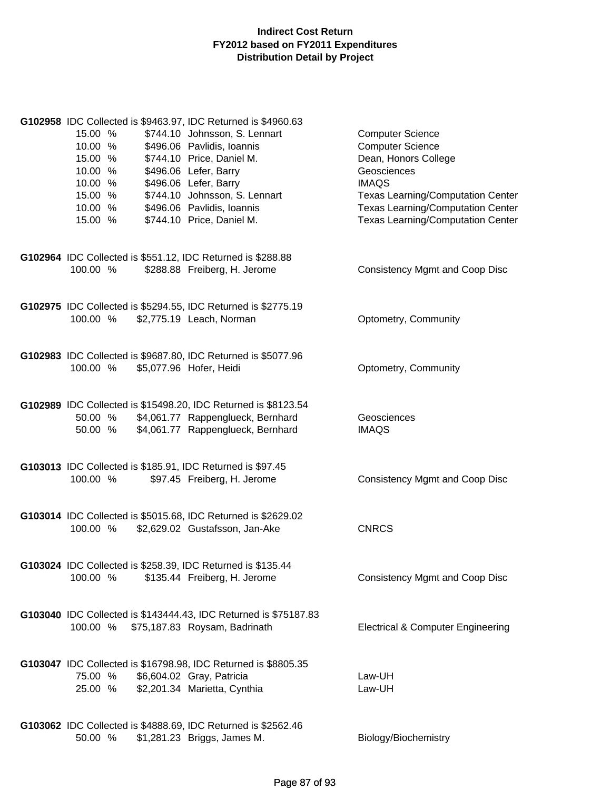| 15.00 %<br>10.00 %<br>15.00 %<br>10.00 %<br>10.00 %<br>15.00 %<br>10.00 %<br>15.00 % | G102958 IDC Collected is \$9463.97, IDC Returned is \$4960.63<br>\$744.10 Johnsson, S. Lennart<br>\$496.06 Pavlidis, Ioannis<br>\$744.10 Price, Daniel M.<br>\$496.06 Lefer, Barry<br>\$496.06 Lefer, Barry<br>\$744.10 Johnsson, S. Lennart<br>\$496.06 Pavlidis, Ioannis<br>\$744.10 Price, Daniel M. | <b>Computer Science</b><br><b>Computer Science</b><br>Dean, Honors College<br>Geosciences<br><b>IMAQS</b><br><b>Texas Learning/Computation Center</b><br><b>Texas Learning/Computation Center</b><br><b>Texas Learning/Computation Center</b> |
|--------------------------------------------------------------------------------------|---------------------------------------------------------------------------------------------------------------------------------------------------------------------------------------------------------------------------------------------------------------------------------------------------------|-----------------------------------------------------------------------------------------------------------------------------------------------------------------------------------------------------------------------------------------------|
| G102964 IDC Collected is \$551.12, IDC Returned is \$288.88<br>100.00 %              | \$288.88 Freiberg, H. Jerome                                                                                                                                                                                                                                                                            | Consistency Mgmt and Coop Disc                                                                                                                                                                                                                |
| 100.00 %                                                                             | G102975 IDC Collected is \$5294.55, IDC Returned is \$2775.19<br>\$2,775.19 Leach, Norman                                                                                                                                                                                                               | Optometry, Community                                                                                                                                                                                                                          |
| 100.00 %                                                                             | G102983 IDC Collected is \$9687.80, IDC Returned is \$5077.96<br>\$5,077.96 Hofer, Heidi                                                                                                                                                                                                                | Optometry, Community                                                                                                                                                                                                                          |
| 50.00 %                                                                              | G102989 IDC Collected is \$15498.20, IDC Returned is \$8123.54<br>50.00 % \$4,061.77 Rappenglueck, Bernhard<br>\$4,061.77 Rappenglueck, Bernhard                                                                                                                                                        | Geosciences<br><b>IMAQS</b>                                                                                                                                                                                                                   |
| G103013 IDC Collected is \$185.91, IDC Returned is \$97.45<br>100.00 %               | \$97.45 Freiberg, H. Jerome                                                                                                                                                                                                                                                                             | Consistency Mgmt and Coop Disc                                                                                                                                                                                                                |
| 100.00 %                                                                             | G103014 IDC Collected is \$5015.68, IDC Returned is \$2629.02<br>\$2,629.02 Gustafsson, Jan-Ake                                                                                                                                                                                                         | <b>CNRCS</b>                                                                                                                                                                                                                                  |
| G103024 IDC Collected is \$258.39, IDC Returned is \$135.44<br>100.00 %              | \$135.44 Freiberg, H. Jerome                                                                                                                                                                                                                                                                            | <b>Consistency Mgmt and Coop Disc</b>                                                                                                                                                                                                         |
| 100.00 %                                                                             | G103040 IDC Collected is \$143444.43, IDC Returned is \$75187.83<br>\$75,187.83 Roysam, Badrinath                                                                                                                                                                                                       | <b>Electrical &amp; Computer Engineering</b>                                                                                                                                                                                                  |
| 75.00 %<br>25.00 %                                                                   | G103047 IDC Collected is \$16798.98, IDC Returned is \$8805.35<br>\$6,604.02 Gray, Patricia<br>\$2,201.34 Marietta, Cynthia                                                                                                                                                                             | Law-UH<br>Law-UH                                                                                                                                                                                                                              |
| 50.00 %                                                                              | G103062 IDC Collected is \$4888.69, IDC Returned is \$2562.46<br>\$1,281.23 Briggs, James M.                                                                                                                                                                                                            | Biology/Biochemistry                                                                                                                                                                                                                          |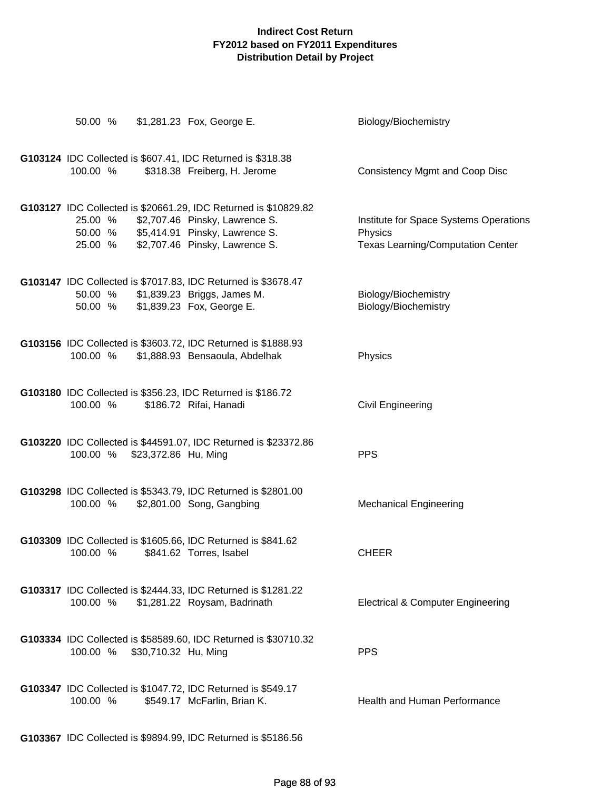| 50.00 %                       |                      | \$1,281.23 Fox, George E.                                                                                                                                             | Biology/Biochemistry                                                                          |
|-------------------------------|----------------------|-----------------------------------------------------------------------------------------------------------------------------------------------------------------------|-----------------------------------------------------------------------------------------------|
| 100.00 %                      |                      | G103124 IDC Collected is \$607.41, IDC Returned is \$318.38<br>\$318.38 Freiberg, H. Jerome                                                                           | <b>Consistency Mgmt and Coop Disc</b>                                                         |
| 25.00 %<br>50.00 %<br>25.00 % |                      | G103127 IDC Collected is \$20661.29, IDC Returned is \$10829.82<br>\$2,707.46 Pinsky, Lawrence S.<br>\$5,414.91 Pinsky, Lawrence S.<br>\$2,707.46 Pinsky, Lawrence S. | Institute for Space Systems Operations<br>Physics<br><b>Texas Learning/Computation Center</b> |
| 50.00 %                       |                      | G103147 IDC Collected is \$7017.83, IDC Returned is \$3678.47<br>50.00 % \$1,839.23 Briggs, James M.<br>\$1,839.23 Fox, George E.                                     | Biology/Biochemistry<br>Biology/Biochemistry                                                  |
| 100.00 %                      |                      | G103156 IDC Collected is \$3603.72, IDC Returned is \$1888.93<br>\$1,888.93 Bensaoula, Abdelhak                                                                       | Physics                                                                                       |
| 100.00 %                      |                      | G103180 IDC Collected is \$356.23, IDC Returned is \$186.72<br>\$186.72 Rifai, Hanadi                                                                                 | Civil Engineering                                                                             |
| 100.00 %                      | \$23,372.86 Hu, Ming | G103220 IDC Collected is \$44591.07, IDC Returned is \$23372.86                                                                                                       | <b>PPS</b>                                                                                    |
| 100.00 %                      |                      | G103298 IDC Collected is \$5343.79, IDC Returned is \$2801.00<br>\$2,801.00 Song, Gangbing                                                                            | <b>Mechanical Engineering</b>                                                                 |
|                               |                      | G103309 IDC Collected is \$1605.66, IDC Returned is \$841.62<br>100.00 % \$841.62 Torres, Isabel                                                                      | <b>CHEER</b>                                                                                  |
|                               |                      | G103317 IDC Collected is \$2444.33, IDC Returned is \$1281.22<br>100.00 % \$1,281.22 Roysam, Badrinath                                                                | <b>Electrical &amp; Computer Engineering</b>                                                  |
| 100.00 % \$30,710.32 Hu, Ming |                      | G103334 IDC Collected is \$58589.60, IDC Returned is \$30710.32                                                                                                       | <b>PPS</b>                                                                                    |
| 100.00 %                      |                      | G103347 IDC Collected is \$1047.72, IDC Returned is \$549.17<br>\$549.17 McFarlin, Brian K.                                                                           | <b>Health and Human Performance</b>                                                           |
|                               |                      | G103367 IDC Collected is \$9894.99, IDC Returned is \$5186.56                                                                                                         |                                                                                               |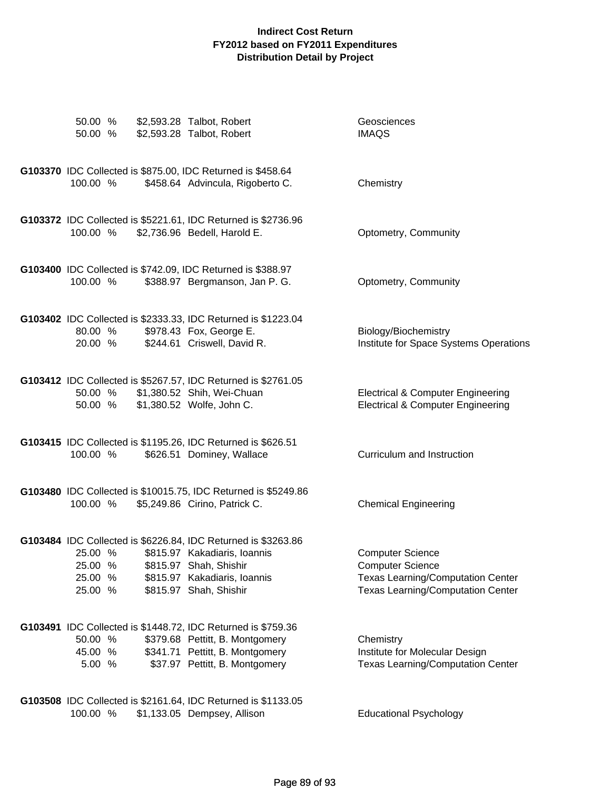| 50.00 %<br>50.00 %                       | \$2,593.28 Talbot, Robert<br>\$2,593.28 Talbot, Robert                                                                                                                            | Geosciences<br><b>IMAQS</b>                                                                                                         |
|------------------------------------------|-----------------------------------------------------------------------------------------------------------------------------------------------------------------------------------|-------------------------------------------------------------------------------------------------------------------------------------|
| 100.00 %                                 | G103370 IDC Collected is \$875.00, IDC Returned is \$458.64<br>\$458.64 Advincula, Rigoberto C.                                                                                   | Chemistry                                                                                                                           |
| 100.00 %                                 | G103372 IDC Collected is \$5221.61, IDC Returned is \$2736.96<br>\$2,736.96 Bedell, Harold E.                                                                                     | Optometry, Community                                                                                                                |
| 100.00 %                                 | G103400 IDC Collected is \$742.09, IDC Returned is \$388.97<br>\$388.97 Bergmanson, Jan P. G.                                                                                     | Optometry, Community                                                                                                                |
| 80.00 %<br>20.00 %                       | G103402 IDC Collected is \$2333.33, IDC Returned is \$1223.04<br>\$978.43 Fox, George E.<br>\$244.61 Criswell, David R.                                                           | Biology/Biochemistry<br>Institute for Space Systems Operations                                                                      |
| 50.00 %                                  | G103412 IDC Collected is \$5267.57, IDC Returned is \$2761.05<br>50.00 % \$1,380.52 Shih, Wei-Chuan<br>\$1,380.52 Wolfe, John C.                                                  | <b>Electrical &amp; Computer Engineering</b><br><b>Electrical &amp; Computer Engineering</b>                                        |
| 100.00 %                                 | G103415 IDC Collected is \$1195.26, IDC Returned is \$626.51<br>\$626.51 Dominey, Wallace                                                                                         | Curriculum and Instruction                                                                                                          |
| 100.00 %                                 | G103480 IDC Collected is \$10015.75, IDC Returned is \$5249.86<br>\$5,249.86 Cirino, Patrick C.                                                                                   | <b>Chemical Engineering</b>                                                                                                         |
| 25.00 %<br>25.00 %<br>25.00 %<br>25.00 % | G103484 IDC Collected is \$6226.84, IDC Returned is \$3263.86<br>\$815.97 Kakadiaris, Ioannis<br>\$815.97 Shah, Shishir<br>\$815.97 Kakadiaris, Ioannis<br>\$815.97 Shah, Shishir | <b>Computer Science</b><br><b>Computer Science</b><br>Texas Learning/Computation Center<br><b>Texas Learning/Computation Center</b> |
| 50.00 %<br>45.00 %<br>5.00 %             | G103491 IDC Collected is \$1448.72, IDC Returned is \$759.36<br>\$379.68 Pettitt, B. Montgomery<br>\$341.71 Pettitt, B. Montgomery<br>\$37.97 Pettitt, B. Montgomery              | Chemistry<br>Institute for Molecular Design<br><b>Texas Learning/Computation Center</b>                                             |
| 100.00 %                                 | G103508 IDC Collected is \$2161.64, IDC Returned is \$1133.05<br>\$1,133.05 Dempsey, Allison                                                                                      | <b>Educational Psychology</b>                                                                                                       |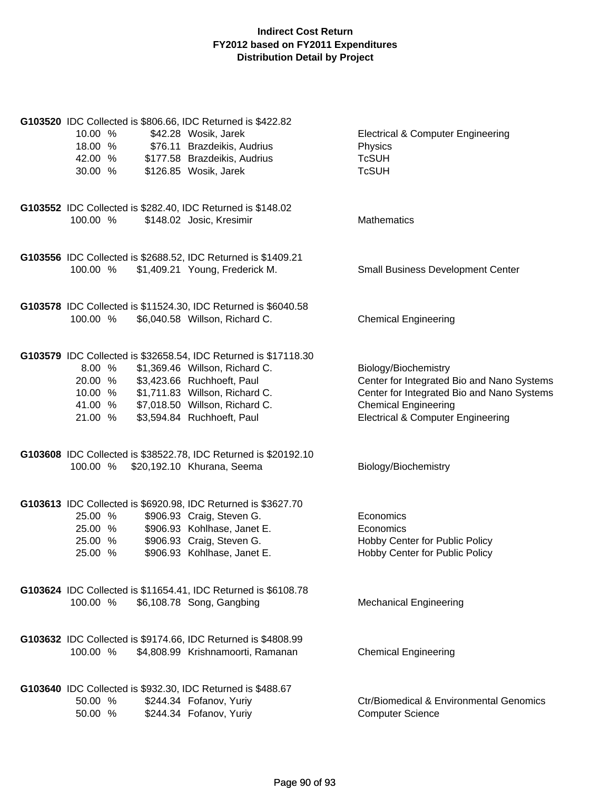| G103520 IDC Collected is \$806.66, IDC Returned is \$422.82<br>10.00 %<br>18.00 %<br>42.00 %<br>30.00 % | \$42.28 Wosik, Jarek<br>\$76.11 Brazdeikis, Audrius<br>\$177.58 Brazdeikis, Audrius<br>\$126.85 Wosik, Jarek                                                                                                                      | <b>Electrical &amp; Computer Engineering</b><br>Physics<br><b>TcSUH</b><br><b>TcSUH</b>                                                                                                         |
|---------------------------------------------------------------------------------------------------------|-----------------------------------------------------------------------------------------------------------------------------------------------------------------------------------------------------------------------------------|-------------------------------------------------------------------------------------------------------------------------------------------------------------------------------------------------|
| G103552 IDC Collected is \$282.40, IDC Returned is \$148.02<br>100.00 %                                 | \$148.02 Josic, Kresimir                                                                                                                                                                                                          | Mathematics                                                                                                                                                                                     |
| 100.00 %                                                                                                | G103556 IDC Collected is \$2688.52, IDC Returned is \$1409.21<br>\$1,409.21 Young, Frederick M.                                                                                                                                   | <b>Small Business Development Center</b>                                                                                                                                                        |
| 100.00 %                                                                                                | G103578 IDC Collected is \$11524.30, IDC Returned is \$6040.58<br>\$6,040.58 Willson, Richard C.                                                                                                                                  | <b>Chemical Engineering</b>                                                                                                                                                                     |
| 8.00 %<br>20.00 %<br>10.00 %<br>41.00 %<br>21.00 %                                                      | G103579 IDC Collected is \$32658.54, IDC Returned is \$17118.30<br>\$1,369.46 Willson, Richard C.<br>\$3,423.66 Ruchhoeft, Paul<br>\$1,711.83 Willson, Richard C.<br>\$7,018.50 Willson, Richard C.<br>\$3,594.84 Ruchhoeft, Paul | Biology/Biochemistry<br>Center for Integrated Bio and Nano Systems<br>Center for Integrated Bio and Nano Systems<br><b>Chemical Engineering</b><br><b>Electrical &amp; Computer Engineering</b> |
| 100.00 % \$20,192.10 Khurana, Seema                                                                     | G103608 IDC Collected is \$38522.78, IDC Returned is \$20192.10                                                                                                                                                                   | Biology/Biochemistry                                                                                                                                                                            |
| 25.00 %<br>25.00 %<br>25.00 %<br>25.00 %                                                                | G103613 IDC Collected is \$6920.98, IDC Returned is \$3627.70<br>\$906.93 Craig, Steven G.<br>\$906.93 Kohlhase, Janet E.<br>\$906.93 Craig, Steven G.<br>\$906.93 Kohlhase, Janet E.                                             | Economics<br>Economics<br>Hobby Center for Public Policy<br>Hobby Center for Public Policy                                                                                                      |
| 100.00 %                                                                                                | G103624 IDC Collected is \$11654.41, IDC Returned is \$6108.78<br>\$6,108.78 Song, Gangbing                                                                                                                                       | <b>Mechanical Engineering</b>                                                                                                                                                                   |
| 100.00 %                                                                                                | G103632 IDC Collected is \$9174.66, IDC Returned is \$4808.99<br>\$4,808.99 Krishnamoorti, Ramanan                                                                                                                                | <b>Chemical Engineering</b>                                                                                                                                                                     |
| G103640 IDC Collected is \$932.30, IDC Returned is \$488.67<br>50.00 %<br>50.00 %                       | \$244.34 Fofanov, Yuriy<br>\$244.34 Fofanov, Yuriy                                                                                                                                                                                | <b>Ctr/Biomedical &amp; Environmental Genomics</b><br><b>Computer Science</b>                                                                                                                   |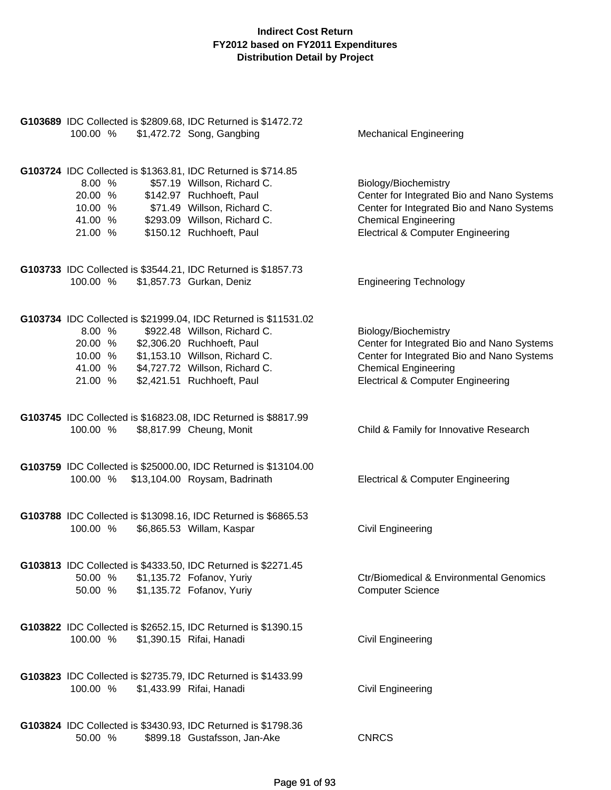| G103689 IDC Collected is \$2809.68, IDC Returned is \$1472.72<br>100.00 %                                                                     | \$1,472.72 Song, Gangbing                                                                                                                                                                     | <b>Mechanical Engineering</b>                                                                                                                                                                   |
|-----------------------------------------------------------------------------------------------------------------------------------------------|-----------------------------------------------------------------------------------------------------------------------------------------------------------------------------------------------|-------------------------------------------------------------------------------------------------------------------------------------------------------------------------------------------------|
| G103724 IDC Collected is \$1363.81, IDC Returned is \$714.85<br>8.00%<br>20.00 %<br>10.00 % \$71.49 Willson, Richard C.<br>41.00 %<br>21.00 % | \$57.19 Willson, Richard C.<br>\$142.97 Ruchhoeft, Paul<br>\$293.09 Willson, Richard C.<br>\$150.12 Ruchhoeft, Paul                                                                           | Biology/Biochemistry<br>Center for Integrated Bio and Nano Systems<br>Center for Integrated Bio and Nano Systems<br><b>Chemical Engineering</b><br><b>Electrical &amp; Computer Engineering</b> |
| G103733 IDC Collected is \$3544.21, IDC Returned is \$1857.73<br>100.00 %                                                                     | \$1,857.73 Gurkan, Deniz                                                                                                                                                                      | <b>Engineering Technology</b>                                                                                                                                                                   |
| 8.00%<br>20.00 %<br>10.00 %<br>41.00 % \$4,727.72 Willson, Richard C.<br>21.00 %                                                              | G103734 IDC Collected is \$21999.04, IDC Returned is \$11531.02<br>\$922.48 Willson, Richard C.<br>\$2,306.20 Ruchhoeft, Paul<br>\$1,153.10 Willson, Richard C.<br>\$2,421.51 Ruchhoeft, Paul | Biology/Biochemistry<br>Center for Integrated Bio and Nano Systems<br>Center for Integrated Bio and Nano Systems<br><b>Chemical Engineering</b><br><b>Electrical &amp; Computer Engineering</b> |
| 100.00 %                                                                                                                                      | G103745 IDC Collected is \$16823.08, IDC Returned is \$8817.99<br>\$8,817.99 Cheung, Monit                                                                                                    | Child & Family for Innovative Research                                                                                                                                                          |
| 100.00 %                                                                                                                                      | G103759 IDC Collected is \$25000.00, IDC Returned is \$13104.00<br>\$13,104.00 Roysam, Badrinath                                                                                              | <b>Electrical &amp; Computer Engineering</b>                                                                                                                                                    |
| 100.00 %                                                                                                                                      | G103788 IDC Collected is \$13098.16, IDC Returned is \$6865.53<br>\$6,865.53 Willam, Kaspar                                                                                                   | Civil Engineering                                                                                                                                                                               |
| G103813 IDC Collected is \$4333.50, IDC Returned is \$2271.45<br>50.00 %<br>50.00 %                                                           | \$1,135.72 Fofanov, Yuriy<br>\$1,135.72 Fofanov, Yuriy                                                                                                                                        | <b>Ctr/Biomedical &amp; Environmental Genomics</b><br><b>Computer Science</b>                                                                                                                   |
| G103822 IDC Collected is \$2652.15, IDC Returned is \$1390.15<br>100.00 %                                                                     | \$1,390.15 Rifai, Hanadi                                                                                                                                                                      | <b>Civil Engineering</b>                                                                                                                                                                        |
| G103823 IDC Collected is \$2735.79, IDC Returned is \$1433.99<br>100.00 %                                                                     | \$1,433.99 Rifai, Hanadi                                                                                                                                                                      | <b>Civil Engineering</b>                                                                                                                                                                        |
| G103824 IDC Collected is \$3430.93, IDC Returned is \$1798.36<br>50.00 %                                                                      | \$899.18 Gustafsson, Jan-Ake                                                                                                                                                                  | <b>CNRCS</b>                                                                                                                                                                                    |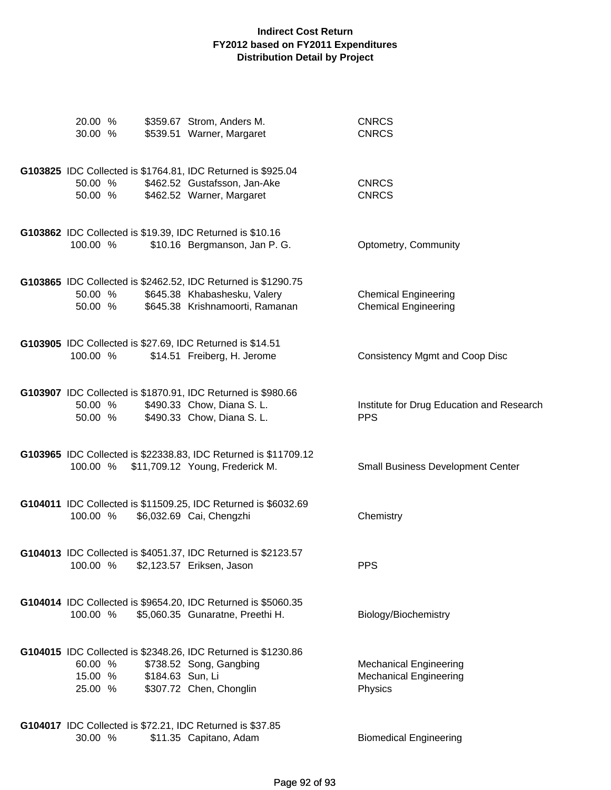| 20.00 %<br>30.00 %            |                  | \$359.67 Strom, Anders M.<br>\$539.51 Warner, Margaret                                                                           | <b>CNRCS</b><br><b>CNRCS</b>                                              |
|-------------------------------|------------------|----------------------------------------------------------------------------------------------------------------------------------|---------------------------------------------------------------------------|
| 50.00 %<br>50.00 %            |                  | G103825 IDC Collected is \$1764.81, IDC Returned is \$925.04<br>\$462.52 Gustafsson, Jan-Ake<br>\$462.52 Warner, Margaret        | <b>CNRCS</b><br><b>CNRCS</b>                                              |
| 100.00 %                      |                  | G103862 IDC Collected is \$19.39, IDC Returned is \$10.16<br>\$10.16 Bergmanson, Jan P. G.                                       | Optometry, Community                                                      |
| 50.00 %<br>50.00 %            |                  | G103865 IDC Collected is \$2462.52, IDC Returned is \$1290.75<br>\$645.38 Khabashesku, Valery<br>\$645.38 Krishnamoorti, Ramanan | <b>Chemical Engineering</b><br><b>Chemical Engineering</b>                |
| 100.00 %                      |                  | G103905 IDC Collected is \$27.69, IDC Returned is \$14.51<br>\$14.51 Freiberg, H. Jerome                                         | <b>Consistency Mgmt and Coop Disc</b>                                     |
| 50.00 %<br>50.00 %            |                  | G103907 IDC Collected is \$1870.91, IDC Returned is \$980.66<br>\$490.33 Chow, Diana S. L.<br>\$490.33 Chow, Diana S. L.         | Institute for Drug Education and Research<br><b>PPS</b>                   |
|                               |                  | G103965 IDC Collected is \$22338.83, IDC Returned is \$11709.12<br>100.00 % \$11,709.12 Young, Frederick M.                      | <b>Small Business Development Center</b>                                  |
| 100.00 %                      |                  | G104011 IDC Collected is \$11509.25, IDC Returned is \$6032.69<br>\$6,032.69 Cai, Chengzhi                                       | Chemistry                                                                 |
| 100.00 %                      |                  | G104013 IDC Collected is \$4051.37, IDC Returned is \$2123.57<br>\$2,123.57 Eriksen, Jason                                       | <b>PPS</b>                                                                |
| 100.00 %                      |                  | G104014 IDC Collected is \$9654.20, IDC Returned is \$5060.35<br>\$5,060.35 Gunaratne, Preethi H.                                | Biology/Biochemistry                                                      |
| 60.00 %<br>15.00 %<br>25.00 % | \$184.63 Sun, Li | G104015 IDC Collected is \$2348.26, IDC Returned is \$1230.86<br>\$738.52 Song, Gangbing<br>\$307.72 Chen, Chonglin              | <b>Mechanical Engineering</b><br><b>Mechanical Engineering</b><br>Physics |
| 30.00 %                       |                  | G104017 IDC Collected is \$72.21, IDC Returned is \$37.85<br>\$11.35 Capitano, Adam                                              | <b>Biomedical Engineering</b>                                             |